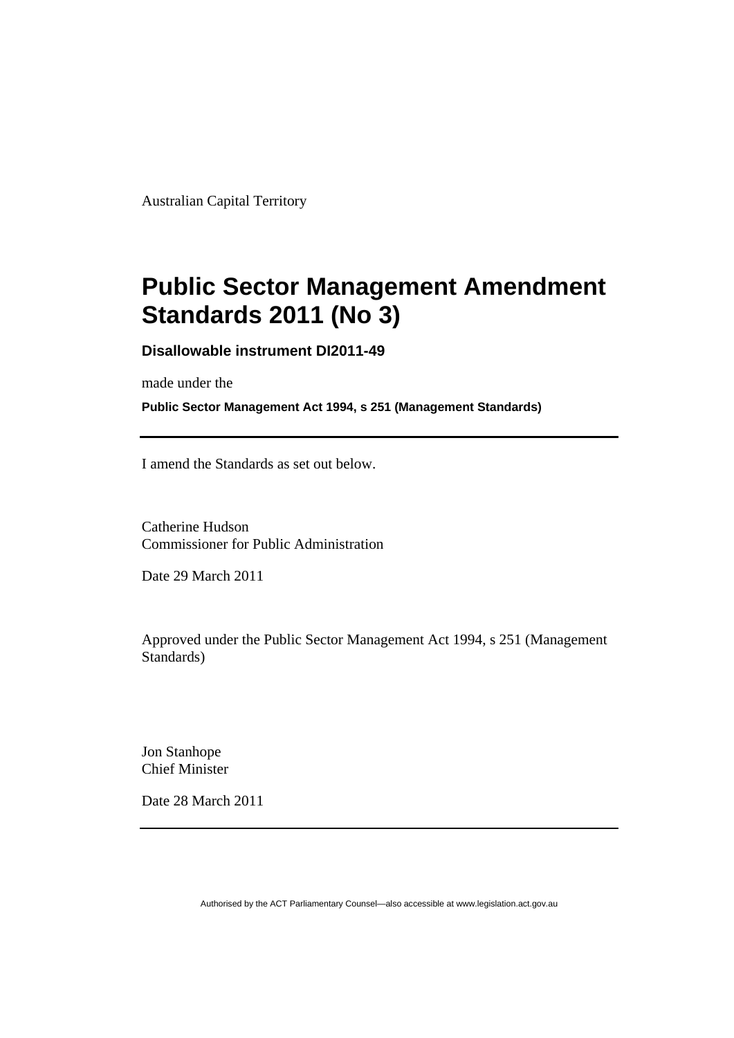Australian Capital Territory

# **[Public Sector Management Amendment](#page-2-0)  [Standards 2011 \(No 3\)](#page-2-0)**

**Disallowable instrument DI2011-49** 

made under the

**Public Sector Management Act 1994, s 251 (Management Standards)** 

I amend the Standards as set out below.

Catherine Hudson Commissioner for Public Administration

Date 29 March 2011

Approved under the Public Sector Management Act 1994, s 251 (Management Standards)

Jon Stanhope Chief Minister

Date 28 March 2011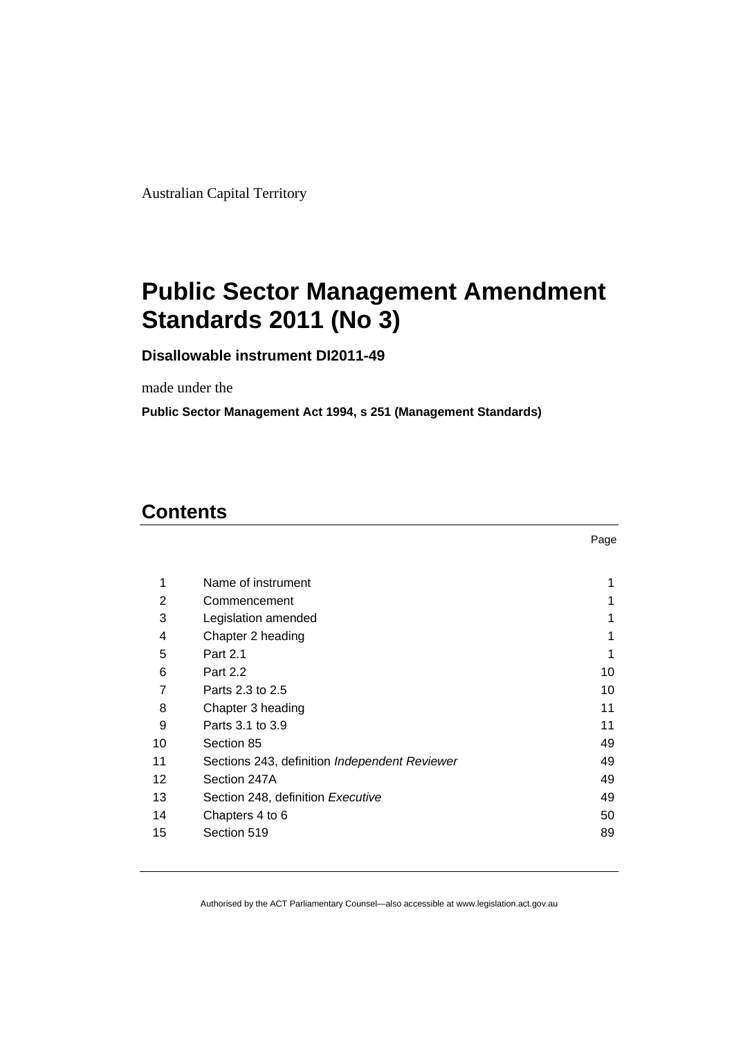<span id="page-2-0"></span>Australian Capital Territory

# **Public Sector Management Amendment Standards 2011 (No 3)**

**Disallowable instrument DI2011-49** 

made under the

**Public Sector Management Act 1994, s 251 (Management Standards)** 

### **Contents**

| 1  | Name of instrument                            |    |
|----|-----------------------------------------------|----|
| 2  | Commencement                                  |    |
| 3  | Legislation amended                           |    |
| 4  | Chapter 2 heading                             | 1  |
| 5  | Part 2.1                                      | 1  |
| 6  | Part 2.2                                      | 10 |
| 7  | Parts 2.3 to 2.5                              | 10 |
| 8  | Chapter 3 heading                             | 11 |
| 9  | Parts 3.1 to 3.9                              | 11 |
| 10 | Section 85                                    | 49 |
| 11 | Sections 243, definition Independent Reviewer | 49 |
| 12 | Section 247A                                  | 49 |
| 13 | Section 248, definition Executive             | 49 |
| 14 | Chapters 4 to 6                               | 50 |
| 15 | Section 519                                   | 89 |
|    |                                               |    |

Page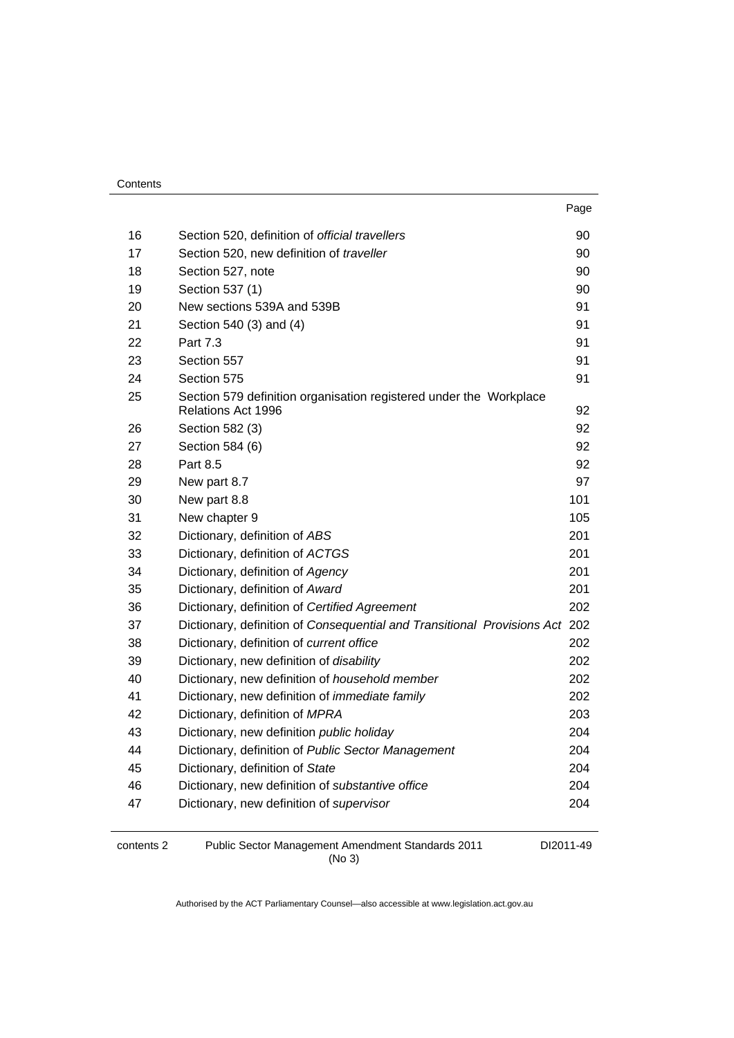| Contents |
|----------|
|----------|

|    |                                                                             | Page |
|----|-----------------------------------------------------------------------------|------|
| 16 | Section 520, definition of official travellers                              | 90   |
| 17 | Section 520, new definition of traveller                                    | 90   |
| 18 | Section 527, note                                                           | 90   |
| 19 | Section 537 (1)                                                             | 90   |
| 20 | New sections 539A and 539B                                                  | 91   |
| 21 | Section 540 (3) and (4)                                                     | 91   |
| 22 | Part 7.3                                                                    | 91   |
| 23 | Section 557                                                                 | 91   |
| 24 | Section 575                                                                 | 91   |
| 25 | Section 579 definition organisation registered under the Workplace          |      |
|    | Relations Act 1996                                                          | 92   |
| 26 | Section 582 (3)                                                             | 92   |
| 27 | Section 584 (6)                                                             | 92   |
| 28 | Part 8.5                                                                    | 92   |
| 29 | New part 8.7                                                                | 97   |
| 30 | New part 8.8                                                                | 101  |
| 31 | New chapter 9                                                               | 105  |
| 32 | Dictionary, definition of ABS                                               | 201  |
| 33 | Dictionary, definition of ACTGS                                             | 201  |
| 34 | Dictionary, definition of Agency                                            | 201  |
| 35 | Dictionary, definition of Award                                             | 201  |
| 36 | Dictionary, definition of Certified Agreement                               | 202  |
| 37 | Dictionary, definition of Consequential and Transitional Provisions Act 202 |      |
| 38 | Dictionary, definition of current office                                    | 202  |
| 39 | Dictionary, new definition of disability                                    | 202  |
| 40 | Dictionary, new definition of household member                              | 202  |
| 41 | Dictionary, new definition of <i>immediate family</i>                       | 202  |
| 42 | Dictionary, definition of MPRA                                              | 203  |
| 43 | Dictionary, new definition public holiday                                   | 204  |
| 44 | Dictionary, definition of Public Sector Management                          | 204  |
| 45 | Dictionary, definition of State                                             | 204  |
| 46 | Dictionary, new definition of substantive office                            | 204  |
| 47 | Dictionary, new definition of supervisor                                    | 204  |
|    |                                                                             |      |

contents 2 Public Sector Management Amendment Standards 2011 (No 3)

DI2011-49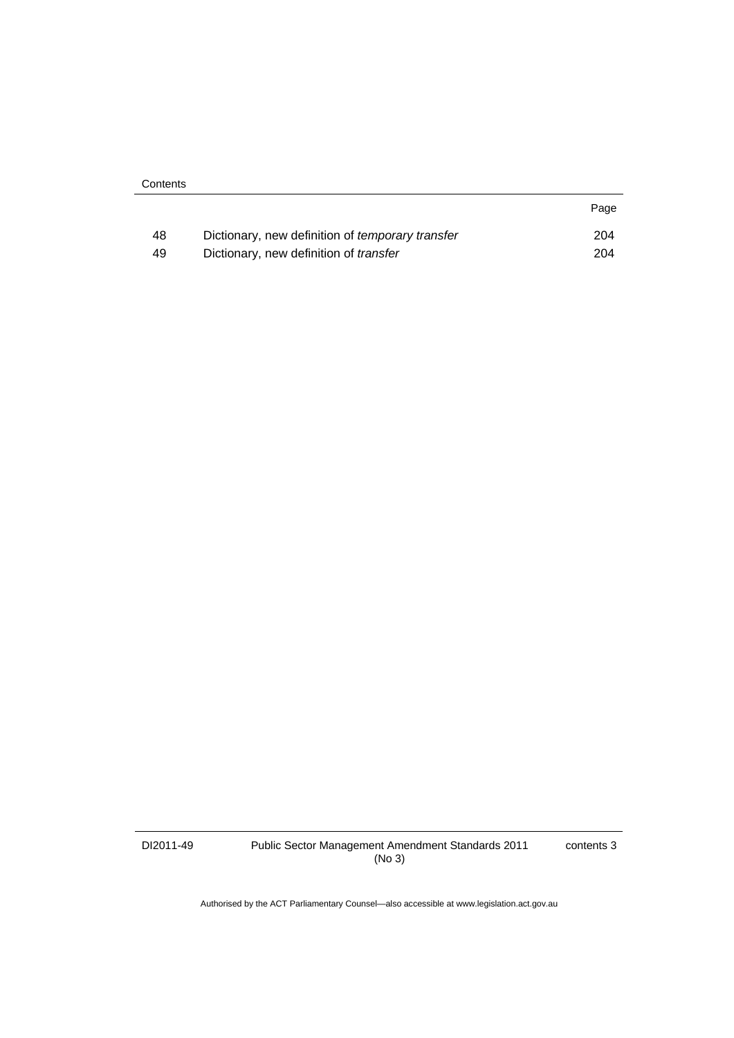| Contents |
|----------|
|----------|

| 48 | Dictionary, new definition of <i>temporary transfer</i> | 204 |
|----|---------------------------------------------------------|-----|
| 49 | Dictionary, new definition of transfer                  | 204 |

DI2011-49 Public Sector Management Amendment Standards 2011 (No 3)

contents 3

Page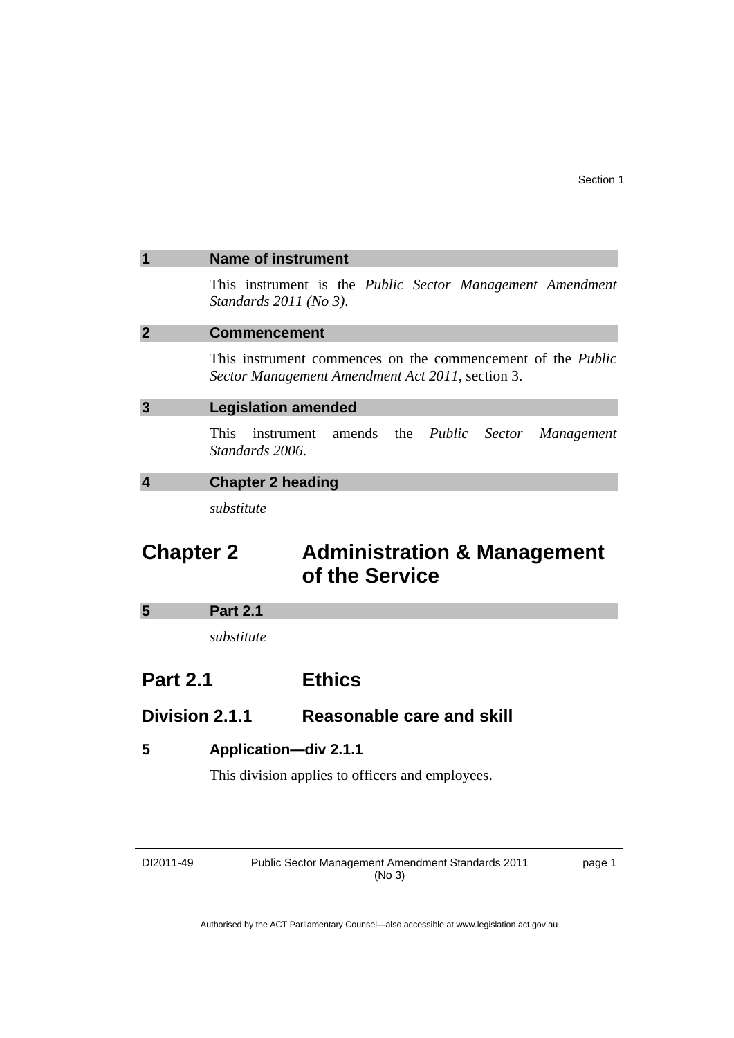<span id="page-6-0"></span>

| <b>Name of instrument</b>                                                                                              |
|------------------------------------------------------------------------------------------------------------------------|
| This instrument is the <i>Public Sector Management Amendment</i><br>Standards $2011$ (No 3).                           |
| <b>Commencement</b>                                                                                                    |
| This instrument commences on the commencement of the <i>Public</i><br>Sector Management Amendment Act 2011, section 3. |
| <b>Legislation amended</b>                                                                                             |
| instrument amends the <i>Public Sector Management</i><br>This.<br>Standards 2006.                                      |
| Ohantan Ohanding                                                                                                       |

**4 Chapter 2 heading** 

*substitute* 

# **Chapter 2 Administration & Management of the Service**

#### **5 Part 2.1**

*substitute* 

### **Part 2.1 Ethics**

### **Division 2.1.1 Reasonable care and skill**

#### **5 Application—div 2.1.1**

This division applies to officers and employees.

| DI2011-49 |  |
|-----------|--|
|-----------|--|

Public Sector Management Amendment Standards 2011 (No 3)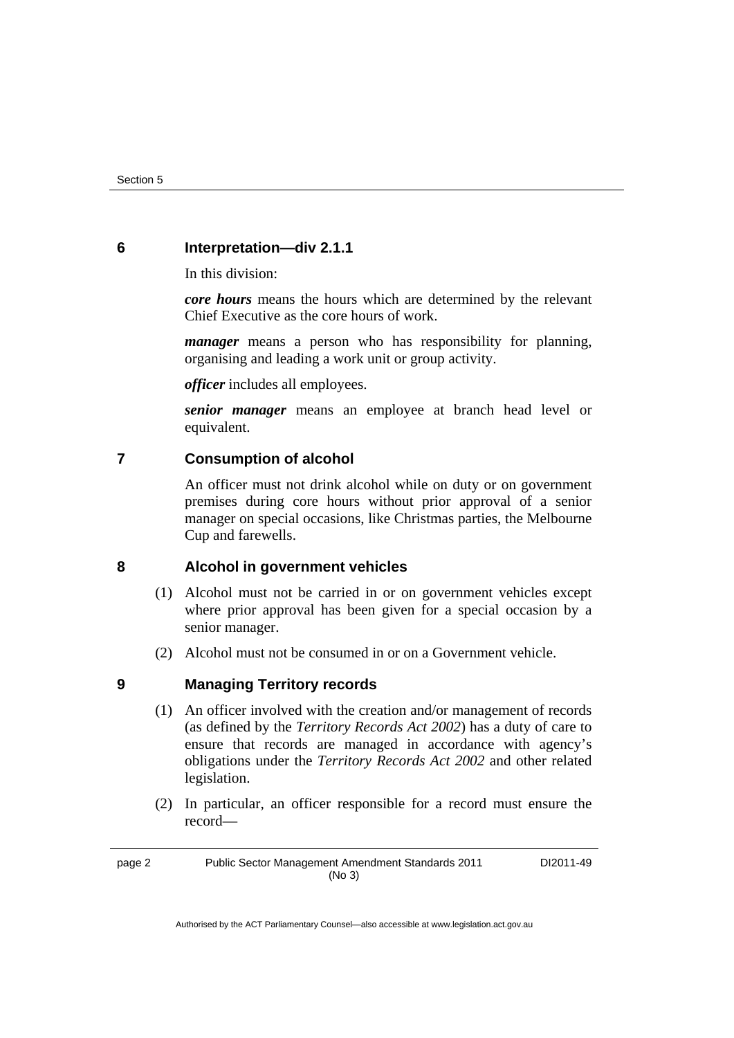#### **6 Interpretation—div 2.1.1**

In this division:

*core hours* means the hours which are determined by the relevant Chief Executive as the core hours of work.

*manager* means a person who has responsibility for planning, organising and leading a work unit or group activity.

*officer* includes all employees.

*senior manager* means an employee at branch head level or equivalent.

#### **7 Consumption of alcohol**

An officer must not drink alcohol while on duty or on government premises during core hours without prior approval of a senior manager on special occasions, like Christmas parties, the Melbourne Cup and farewells.

#### **8 Alcohol in government vehicles**

- (1) Alcohol must not be carried in or on government vehicles except where prior approval has been given for a special occasion by a senior manager.
- (2) Alcohol must not be consumed in or on a Government vehicle.

#### **9 Managing Territory records**

- (1) An officer involved with the creation and/or management of records (as defined by the *Territory Records Act 2002*) has a duty of care to ensure that records are managed in accordance with agency's obligations under the *Territory Records Act 2002* and other related legislation.
- (2) In particular, an officer responsible for a record must ensure the record—

page 2 Public Sector Management Amendment Standards 2011 (No 3)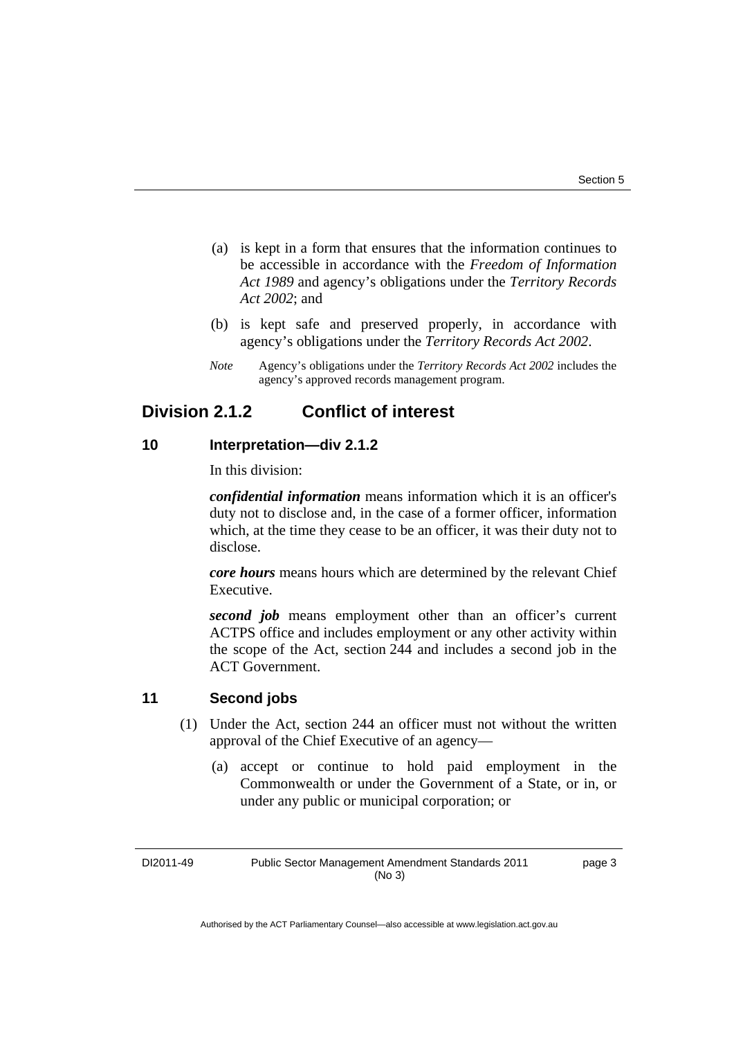- (a) is kept in a form that ensures that the information continues to be accessible in accordance with the *Freedom of Information Act 1989* and agency's obligations under the *Territory Records Act 2002*; and
- (b) is kept safe and preserved properly, in accordance with agency's obligations under the *Territory Records Act 2002*.
- *Note* Agency's obligations under the *Territory Records Act 2002* includes the agency's approved records management program.

### **Division 2.1.2 Conflict of interest**

#### **10 Interpretation—div 2.1.2**

In this division:

*confidential information* means information which it is an officer's duty not to disclose and, in the case of a former officer, information which, at the time they cease to be an officer, it was their duty not to disclose.

*core hours* means hours which are determined by the relevant Chief Executive.

**second job** means employment other than an officer's current ACTPS office and includes employment or any other activity within the scope of the Act, section 244 and includes a second job in the ACT Government.

#### **11 Second jobs**

- (1) Under the Act, section 244 an officer must not without the written approval of the Chief Executive of an agency—
	- (a) accept or continue to hold paid employment in the Commonwealth or under the Government of a State, or in, or under any public or municipal corporation; or

DI2011-49 Public Sector Management Amendment Standards 2011 (No 3)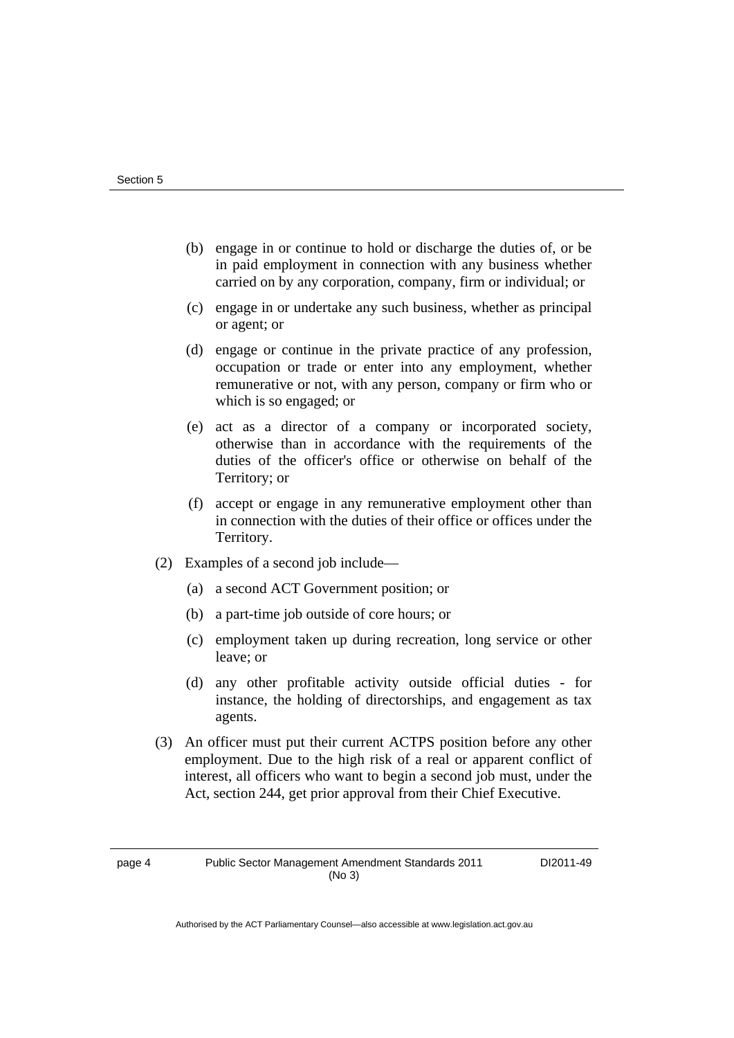- (b) engage in or continue to hold or discharge the duties of, or be in paid employment in connection with any business whether carried on by any corporation, company, firm or individual; or
- (c) engage in or undertake any such business, whether as principal or agent; or
- (d) engage or continue in the private practice of any profession, occupation or trade or enter into any employment, whether remunerative or not, with any person, company or firm who or which is so engaged; or
- (e) act as a director of a company or incorporated society, otherwise than in accordance with the requirements of the duties of the officer's office or otherwise on behalf of the Territory; or
- (f) accept or engage in any remunerative employment other than in connection with the duties of their office or offices under the Territory.
- (2) Examples of a second job include—
	- (a) a second ACT Government position; or
	- (b) a part-time job outside of core hours; or
	- (c) employment taken up during recreation, long service or other leave; or
	- (d) any other profitable activity outside official duties for instance, the holding of directorships, and engagement as tax agents.
- (3) An officer must put their current ACTPS position before any other employment. Due to the high risk of a real or apparent conflict of interest, all officers who want to begin a second job must, under the Act, section 244, get prior approval from their Chief Executive.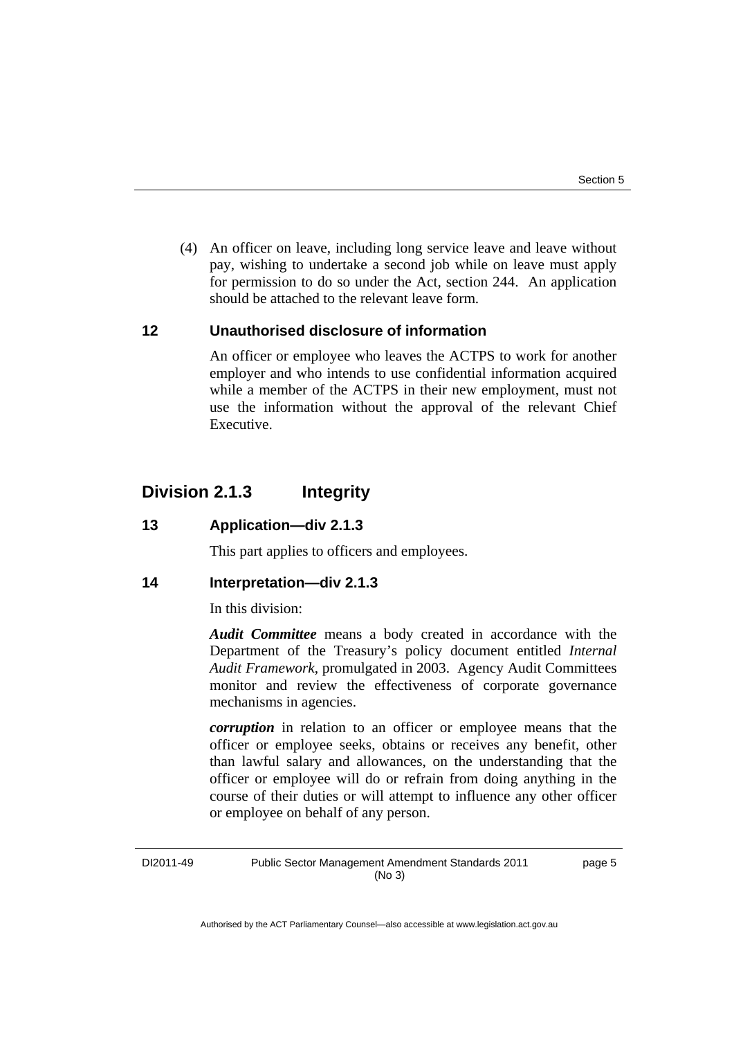(4) An officer on leave, including long service leave and leave without pay, wishing to undertake a second job while on leave must apply for permission to do so under the Act, section 244. An application should be attached to the relevant leave form.

#### **12 Unauthorised disclosure of information**

An officer or employee who leaves the ACTPS to work for another employer and who intends to use confidential information acquired while a member of the ACTPS in their new employment, must not use the information without the approval of the relevant Chief Executive.

### **Division 2.1.3 Integrity**

#### **13 Application—div 2.1.3**

This part applies to officers and employees.

#### **14 Interpretation—div 2.1.3**

In this division:

*Audit Committee* means a body created in accordance with the Department of the Treasury's policy document entitled *Internal Audit Framework*, promulgated in 2003. Agency Audit Committees monitor and review the effectiveness of corporate governance mechanisms in agencies.

*corruption* in relation to an officer or employee means that the officer or employee seeks, obtains or receives any benefit, other than lawful salary and allowances, on the understanding that the officer or employee will do or refrain from doing anything in the course of their duties or will attempt to influence any other officer or employee on behalf of any person.

DI2011-49 Public Sector Management Amendment Standards 2011 (No 3) page 5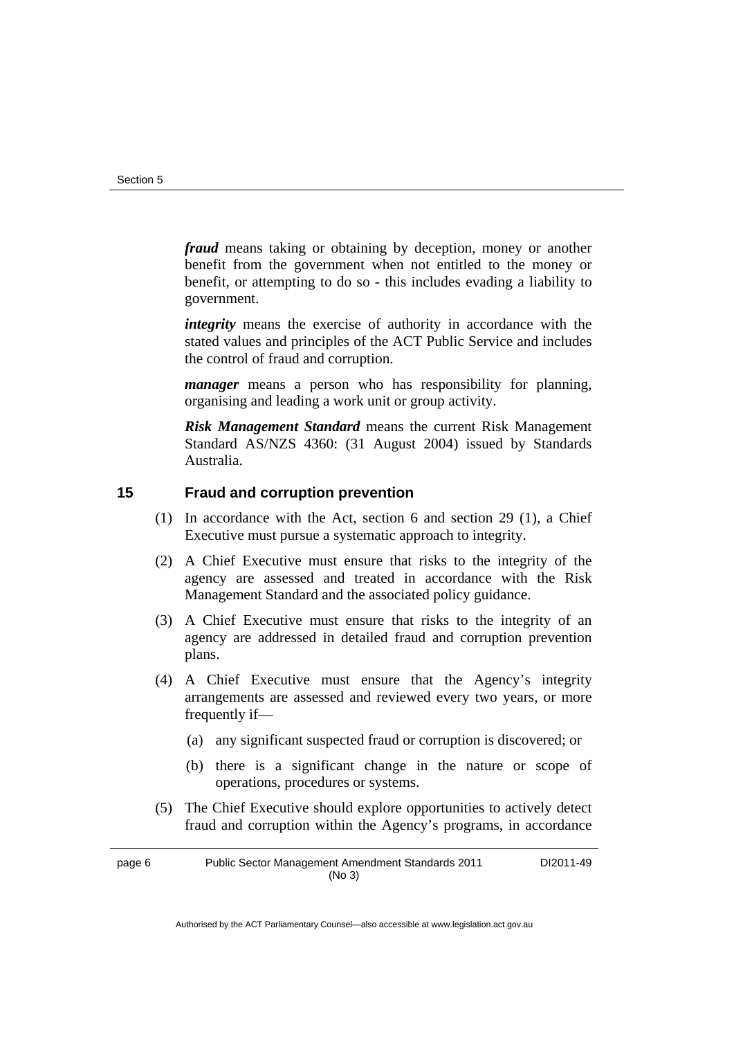*fraud* means taking or obtaining by deception, money or another benefit from the government when not entitled to the money or benefit, or attempting to do so - this includes evading a liability to government.

*integrity* means the exercise of authority in accordance with the stated values and principles of the ACT Public Service and includes the control of fraud and corruption.

*manager* means a person who has responsibility for planning, organising and leading a work unit or group activity.

*Risk Management Standard* means the current Risk Management Standard AS/NZS 4360: (31 August 2004) issued by Standards Australia.

#### **15 Fraud and corruption prevention**

- (1) In accordance with the Act, section 6 and section 29 (1), a Chief Executive must pursue a systematic approach to integrity.
- (2) A Chief Executive must ensure that risks to the integrity of the agency are assessed and treated in accordance with the Risk Management Standard and the associated policy guidance.
- (3) A Chief Executive must ensure that risks to the integrity of an agency are addressed in detailed fraud and corruption prevention plans.
- (4) A Chief Executive must ensure that the Agency's integrity arrangements are assessed and reviewed every two years, or more frequently if—
	- (a) any significant suspected fraud or corruption is discovered; or
	- (b) there is a significant change in the nature or scope of operations, procedures or systems.
- (5) The Chief Executive should explore opportunities to actively detect fraud and corruption within the Agency's programs, in accordance

page 6 Public Sector Management Amendment Standards 2011 (No 3) DI2011-49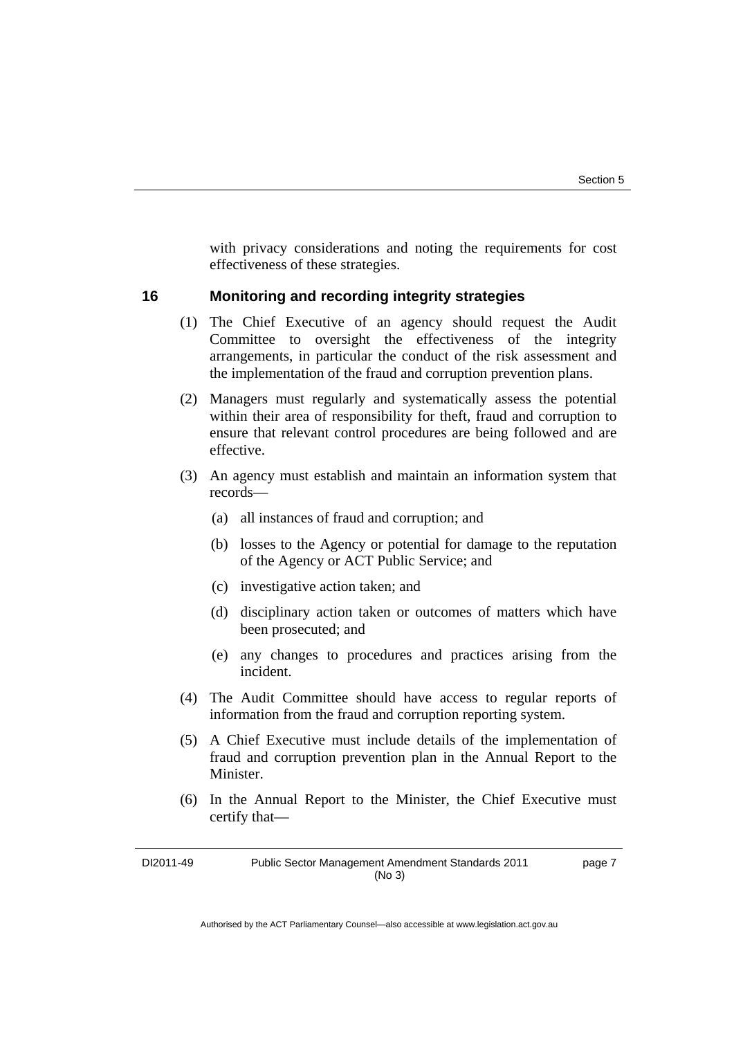with privacy considerations and noting the requirements for cost effectiveness of these strategies.

#### **16 Monitoring and recording integrity strategies**

- (1) The Chief Executive of an agency should request the Audit Committee to oversight the effectiveness of the integrity arrangements, in particular the conduct of the risk assessment and the implementation of the fraud and corruption prevention plans.
- (2) Managers must regularly and systematically assess the potential within their area of responsibility for theft, fraud and corruption to ensure that relevant control procedures are being followed and are effective.
- (3) An agency must establish and maintain an information system that records—
	- (a) all instances of fraud and corruption; and
	- (b) losses to the Agency or potential for damage to the reputation of the Agency or ACT Public Service; and
	- (c) investigative action taken; and
	- (d) disciplinary action taken or outcomes of matters which have been prosecuted; and
	- (e) any changes to procedures and practices arising from the incident.
- (4) The Audit Committee should have access to regular reports of information from the fraud and corruption reporting system.
- (5) A Chief Executive must include details of the implementation of fraud and corruption prevention plan in the Annual Report to the Minister.
- (6) In the Annual Report to the Minister, the Chief Executive must certify that—

DI2011-49 Public Sector Management Amendment Standards 2011 (No 3)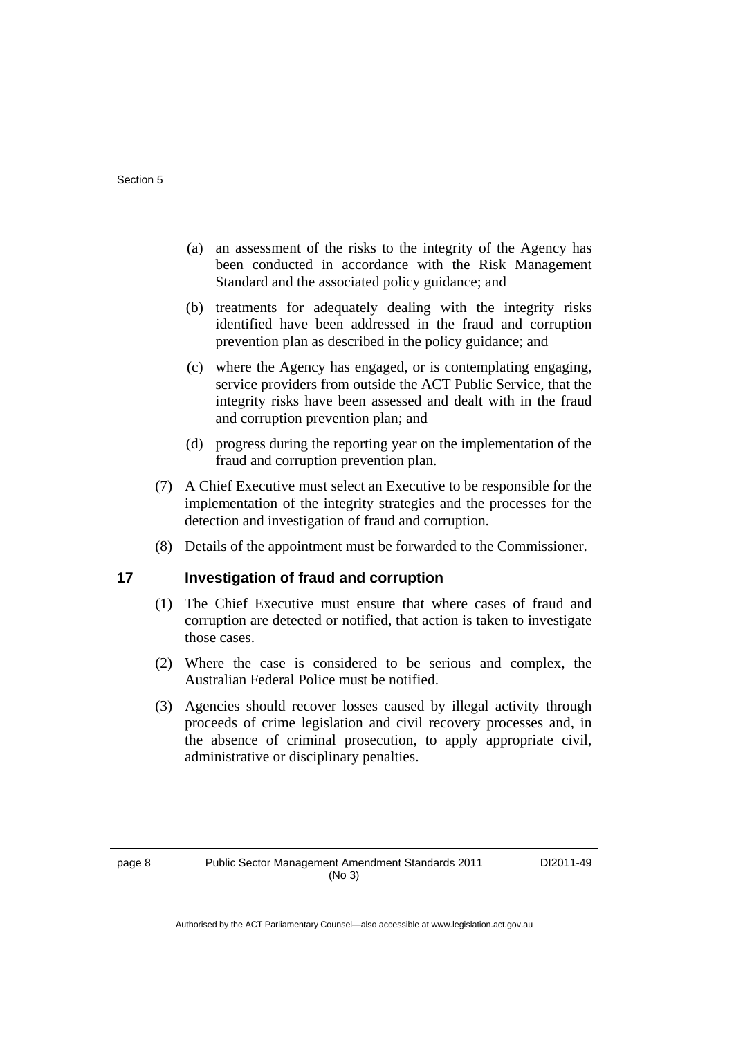- (a) an assessment of the risks to the integrity of the Agency has been conducted in accordance with the Risk Management Standard and the associated policy guidance; and
- (b) treatments for adequately dealing with the integrity risks identified have been addressed in the fraud and corruption prevention plan as described in the policy guidance; and
- (c) where the Agency has engaged, or is contemplating engaging, service providers from outside the ACT Public Service, that the integrity risks have been assessed and dealt with in the fraud and corruption prevention plan; and
- (d) progress during the reporting year on the implementation of the fraud and corruption prevention plan.
- (7) A Chief Executive must select an Executive to be responsible for the implementation of the integrity strategies and the processes for the detection and investigation of fraud and corruption.
- (8) Details of the appointment must be forwarded to the Commissioner.

#### **17 Investigation of fraud and corruption**

- (1) The Chief Executive must ensure that where cases of fraud and corruption are detected or notified, that action is taken to investigate those cases.
- (2) Where the case is considered to be serious and complex, the Australian Federal Police must be notified.
- (3) Agencies should recover losses caused by illegal activity through proceeds of crime legislation and civil recovery processes and, in the absence of criminal prosecution, to apply appropriate civil, administrative or disciplinary penalties.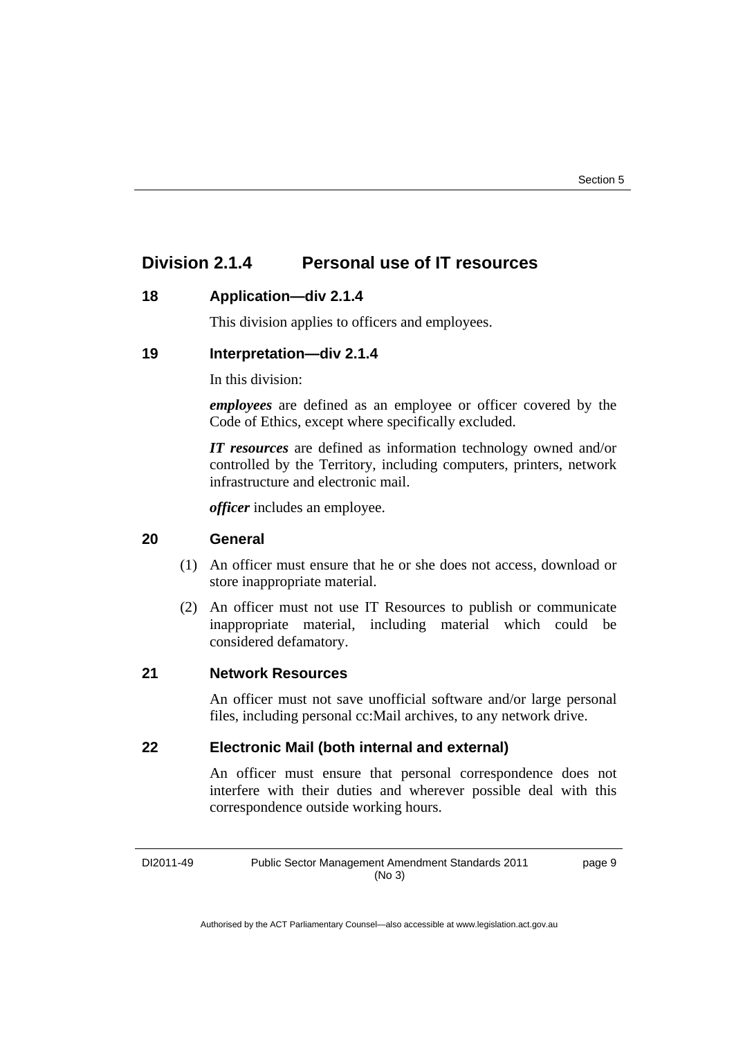### **Division 2.1.4 Personal use of IT resources**

#### **18 Application—div 2.1.4**

This division applies to officers and employees.

#### **19 Interpretation—div 2.1.4**

In this division:

*employees* are defined as an employee or officer covered by the Code of Ethics, except where specifically excluded.

*IT resources* are defined as information technology owned and/or controlled by the Territory, including computers, printers, network infrastructure and electronic mail.

*officer* includes an employee.

#### **20 General**

- (1) An officer must ensure that he or she does not access, download or store inappropriate material.
- (2) An officer must not use IT Resources to publish or communicate inappropriate material, including material which could be considered defamatory.

#### **21 Network Resources**

An officer must not save unofficial software and/or large personal files, including personal cc:Mail archives, to any network drive.

#### **22 Electronic Mail (both internal and external)**

An officer must ensure that personal correspondence does not interfere with their duties and wherever possible deal with this correspondence outside working hours.

DI2011-49 Public Sector Management Amendment Standards 2011 (No 3) page 9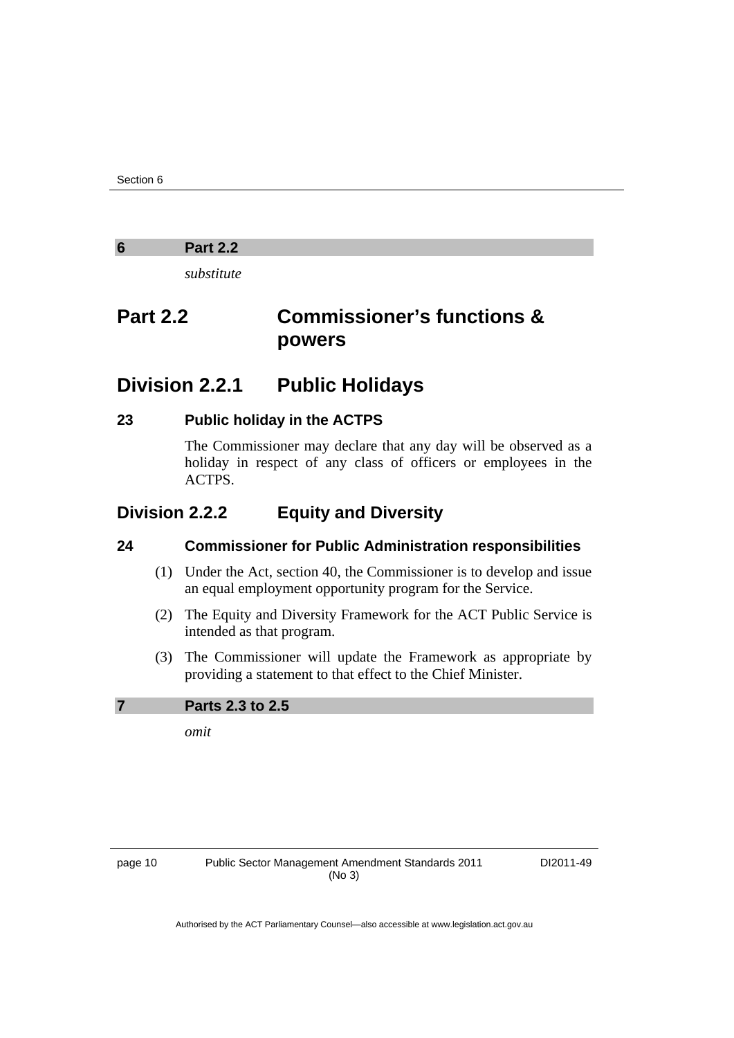#### <span id="page-15-0"></span>**6 Part 2.2**

*substitute* 

## **Part 2.2 Commissioner's functions & powers**

### **Division 2.2.1 Public Holidays**

#### **23 Public holiday in the ACTPS**

The Commissioner may declare that any day will be observed as a holiday in respect of any class of officers or employees in the ACTPS.

### **Division 2.2.2 Equity and Diversity**

#### **24 Commissioner for Public Administration responsibilities**

- (1) Under the Act, section 40, the Commissioner is to develop and issue an equal employment opportunity program for the Service.
- (2) The Equity and Diversity Framework for the ACT Public Service is intended as that program.
- (3) The Commissioner will update the Framework as appropriate by providing a statement to that effect to the Chief Minister.

#### **7 Parts 2.3 to 2.5**

*omit* 

page 10 Public Sector Management Amendment Standards 2011 (No 3)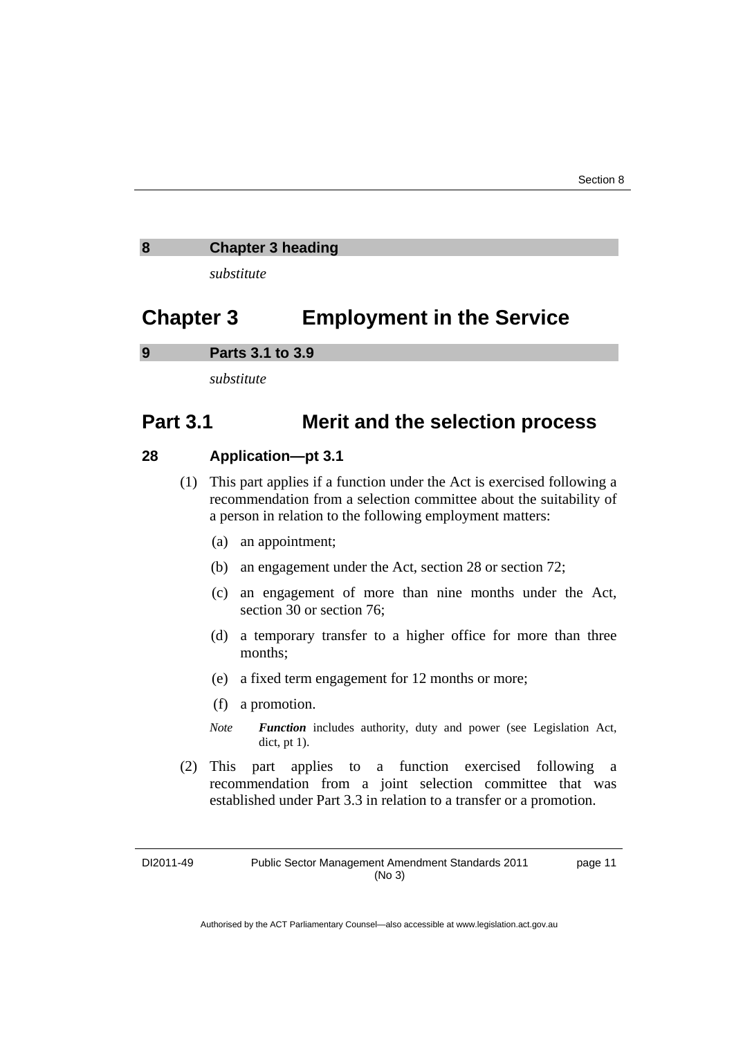#### <span id="page-16-0"></span>**8 Chapter 3 heading**

*substitute* 

### **Chapter 3 Employment in the Service**

**9 Parts 3.1 to 3.9** 

*substitute* 

### **Part 3.1 Merit and the selection process**

#### **28 Application—pt 3.1**

- (1) This part applies if a function under the Act is exercised following a recommendation from a selection committee about the suitability of a person in relation to the following employment matters:
	- (a) an appointment;
	- (b) an engagement under the Act, section 28 or section 72;
	- (c) an engagement of more than nine months under the Act, section 30 or section 76;
	- (d) a temporary transfer to a higher office for more than three months;
	- (e) a fixed term engagement for 12 months or more;
	- (f) a promotion.
	- *Note Function* includes authority, duty and power (see Legislation Act, dict, pt 1).
- (2) This part applies to a function exercised following a recommendation from a joint selection committee that was established under Part 3.3 in relation to a transfer or a promotion.

DI2011-49 Public Sector Management Amendment Standards 2011 (No 3) page 11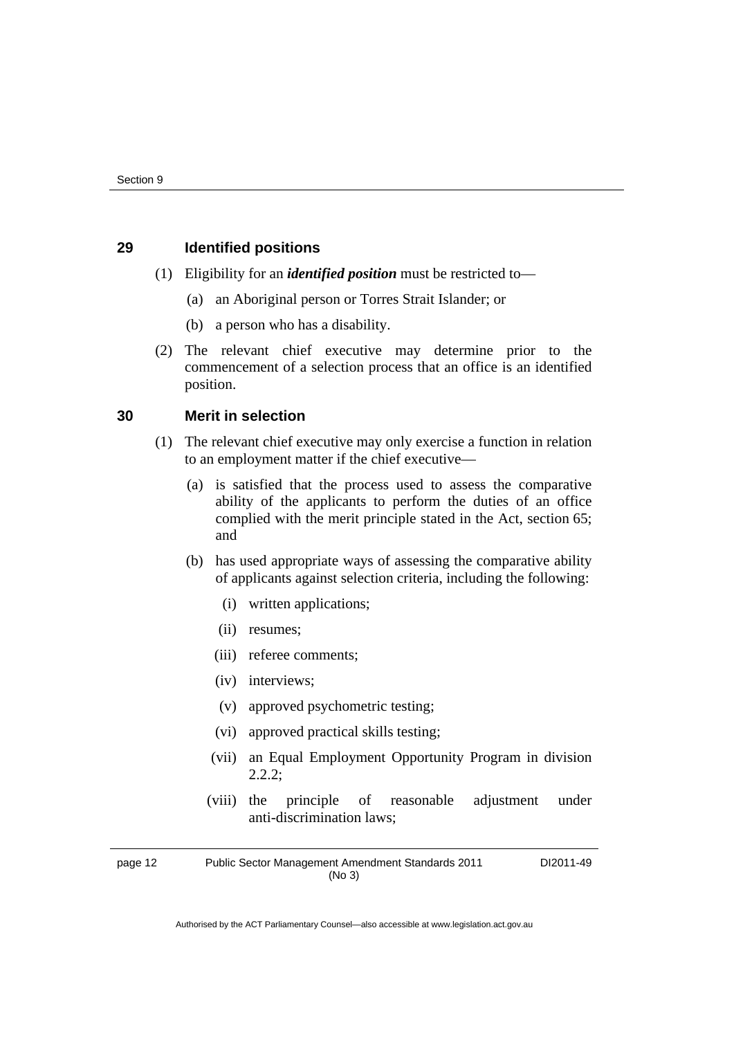#### **29 Identified positions**

- (1) Eligibility for an *identified position* must be restricted to—
	- (a) an Aboriginal person or Torres Strait Islander; or
	- (b) a person who has a disability.
- (2) The relevant chief executive may determine prior to the commencement of a selection process that an office is an identified position.

#### **30 Merit in selection**

- (1) The relevant chief executive may only exercise a function in relation to an employment matter if the chief executive—
	- (a) is satisfied that the process used to assess the comparative ability of the applicants to perform the duties of an office complied with the merit principle stated in the Act, section 65; and
	- (b) has used appropriate ways of assessing the comparative ability of applicants against selection criteria, including the following:
		- (i) written applications;
		- (ii) resumes;
		- (iii) referee comments;
		- (iv) interviews;
		- (v) approved psychometric testing;
		- (vi) approved practical skills testing;
		- (vii) an Equal Employment Opportunity Program in division 2.2.2;
		- (viii) the principle of reasonable adjustment under anti-discrimination laws;

page 12 Public Sector Management Amendment Standards 2011 (No 3)

DI2011-49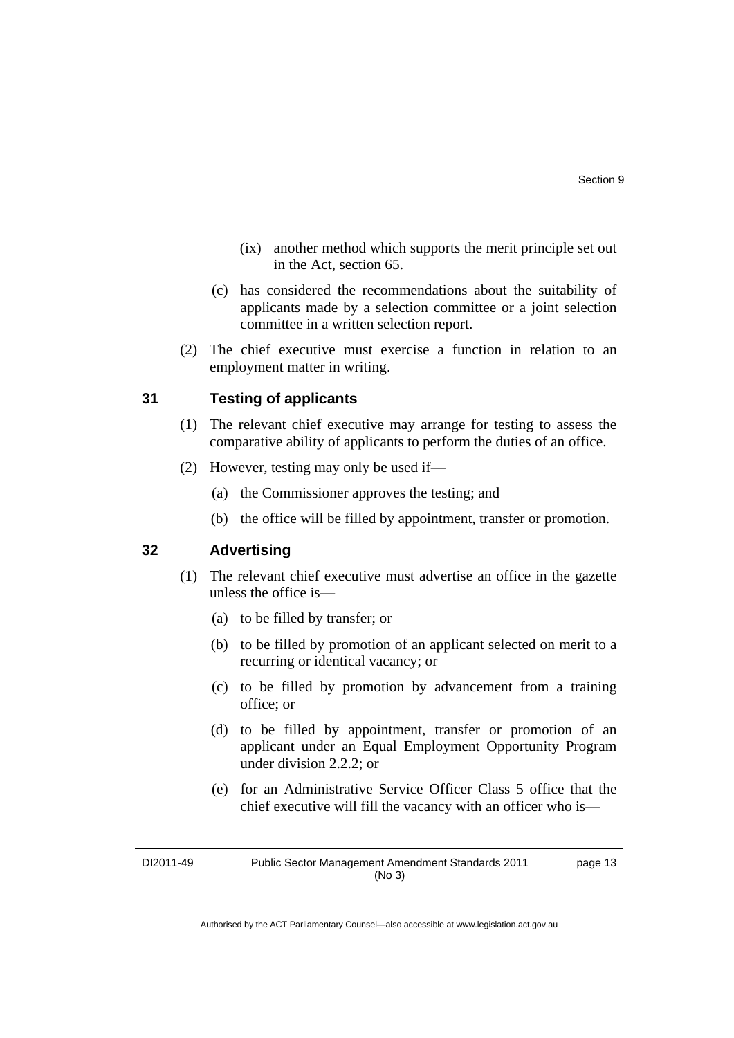- (ix) another method which supports the merit principle set out in the Act, section 65.
- (c) has considered the recommendations about the suitability of applicants made by a selection committee or a joint selection committee in a written selection report.
- (2) The chief executive must exercise a function in relation to an employment matter in writing.

#### **31 Testing of applicants**

- (1) The relevant chief executive may arrange for testing to assess the comparative ability of applicants to perform the duties of an office.
- (2) However, testing may only be used if—
	- (a) the Commissioner approves the testing; and
	- (b) the office will be filled by appointment, transfer or promotion.

#### **32 Advertising**

- (1) The relevant chief executive must advertise an office in the gazette unless the office is—
	- (a) to be filled by transfer; or
	- (b) to be filled by promotion of an applicant selected on merit to a recurring or identical vacancy; or
	- (c) to be filled by promotion by advancement from a training office; or
	- (d) to be filled by appointment, transfer or promotion of an applicant under an Equal Employment Opportunity Program under division 2.2.2; or
	- (e) for an Administrative Service Officer Class 5 office that the chief executive will fill the vacancy with an officer who is—

DI2011-49 Public Sector Management Amendment Standards 2011 (No 3) page 13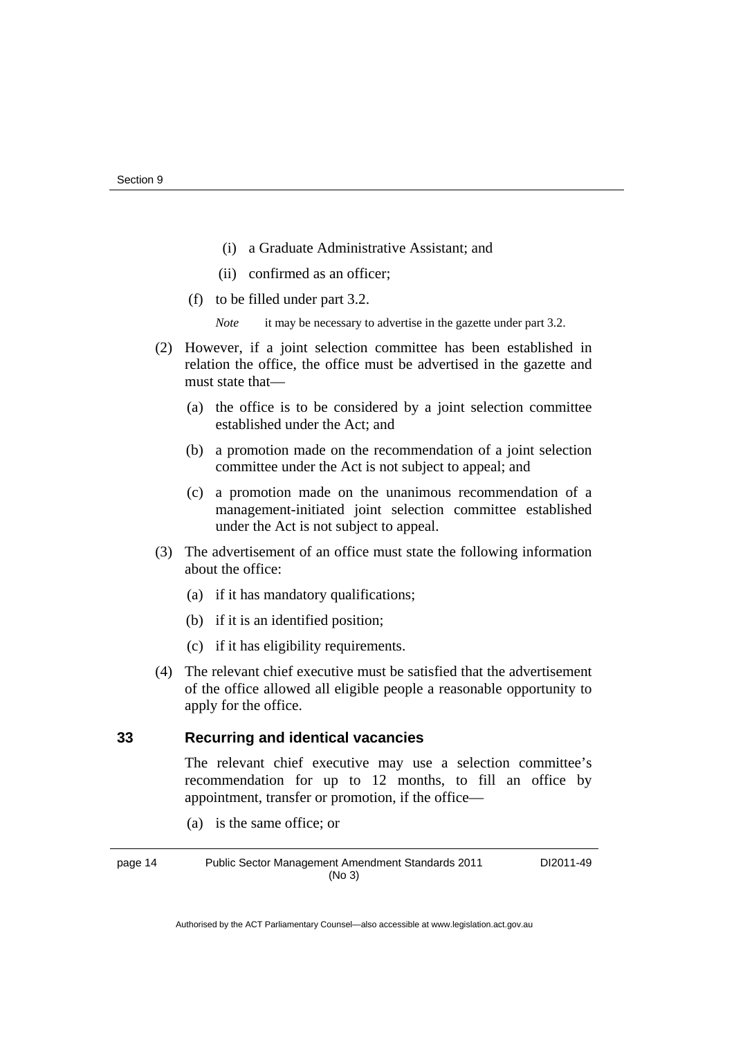- (i) a Graduate Administrative Assistant; and
- (ii) confirmed as an officer;
- (f) to be filled under part 3.2.
	- *Note* it may be necessary to advertise in the gazette under part 3.2.
- (2) However, if a joint selection committee has been established in relation the office, the office must be advertised in the gazette and must state that—
	- (a) the office is to be considered by a joint selection committee established under the Act; and
	- (b) a promotion made on the recommendation of a joint selection committee under the Act is not subject to appeal; and
	- (c) a promotion made on the unanimous recommendation of a management-initiated joint selection committee established under the Act is not subject to appeal.
- (3) The advertisement of an office must state the following information about the office:
	- (a) if it has mandatory qualifications;
	- (b) if it is an identified position;
	- (c) if it has eligibility requirements.
- (4) The relevant chief executive must be satisfied that the advertisement of the office allowed all eligible people a reasonable opportunity to apply for the office.

#### **33 Recurring and identical vacancies**

The relevant chief executive may use a selection committee's recommendation for up to 12 months, to fill an office by appointment, transfer or promotion, if the office—

(a) is the same office; or

page 14 Public Sector Management Amendment Standards 2011 (No 3)

DI2011-49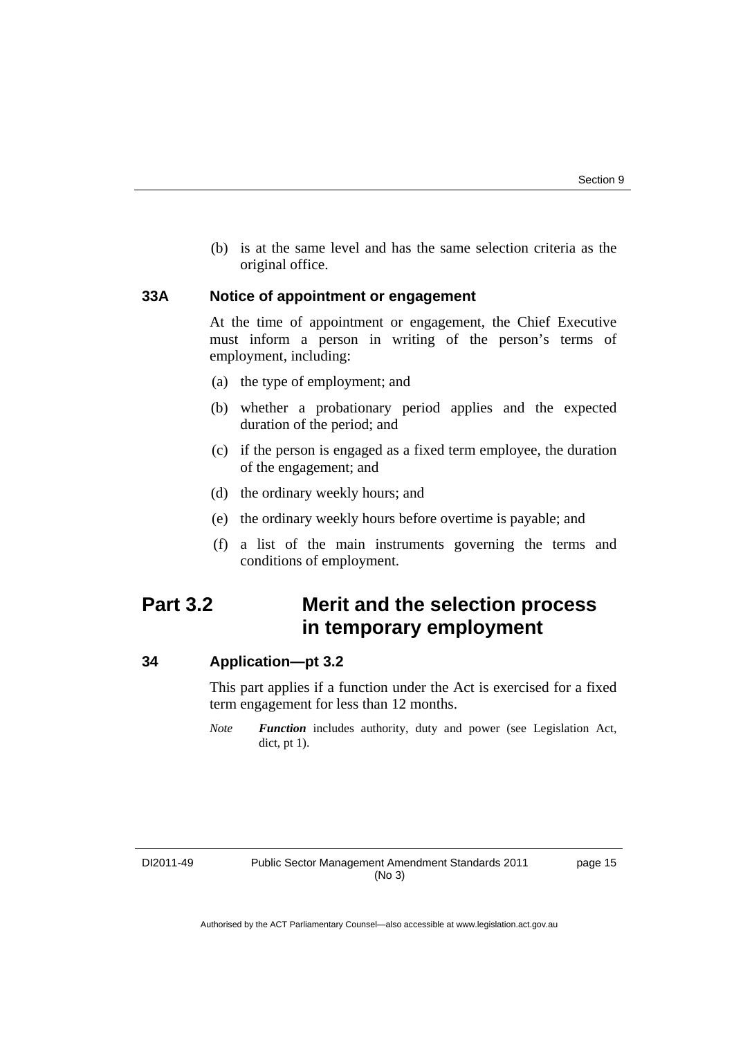(b) is at the same level and has the same selection criteria as the original office.

#### **33A Notice of appointment or engagement**

At the time of appointment or engagement, the Chief Executive must inform a person in writing of the person's terms of employment, including:

- (a) the type of employment; and
- (b) whether a probationary period applies and the expected duration of the period; and
- (c) if the person is engaged as a fixed term employee, the duration of the engagement; and
- (d) the ordinary weekly hours; and
- (e) the ordinary weekly hours before overtime is payable; and
- (f) a list of the main instruments governing the terms and conditions of employment.

### **Part 3.2 Merit and the selection process in temporary employment**

#### **34 Application—pt 3.2**

This part applies if a function under the Act is exercised for a fixed term engagement for less than 12 months.

*Note Function* includes authority, duty and power (see Legislation Act, dict, pt 1).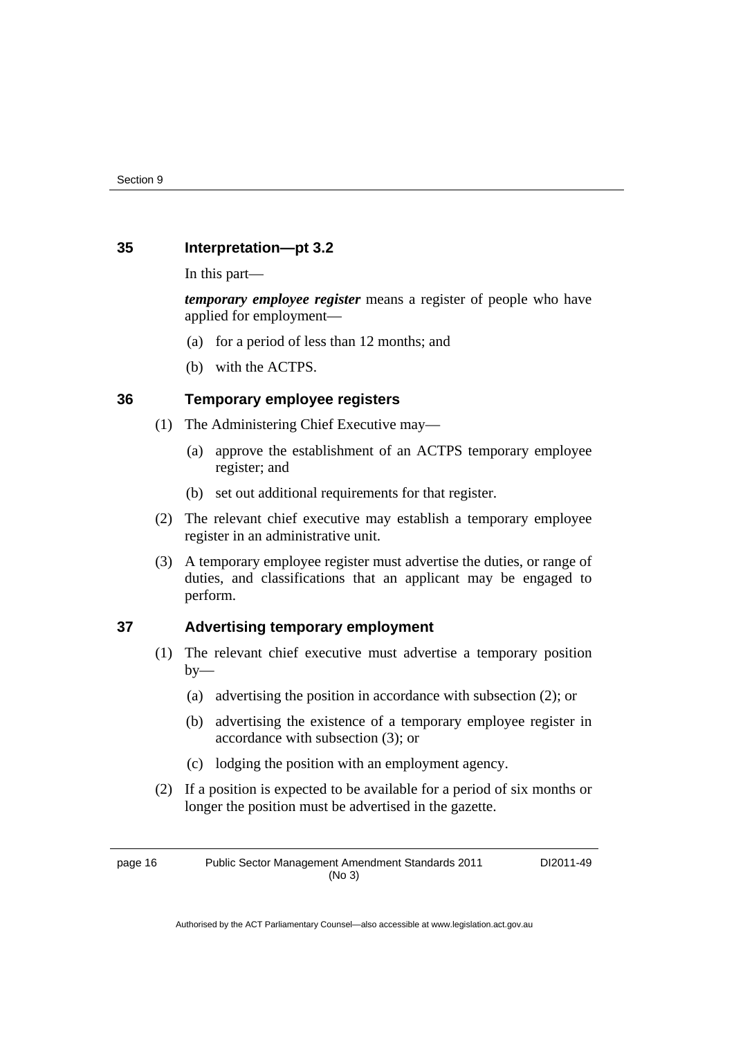#### **35 Interpretation—pt 3.2**

In this part—

*temporary employee register* means a register of people who have applied for employment—

- (a) for a period of less than 12 months; and
- (b) with the ACTPS.

#### **36 Temporary employee registers**

- (1) The Administering Chief Executive may—
	- (a) approve the establishment of an ACTPS temporary employee register; and
	- (b) set out additional requirements for that register.
- (2) The relevant chief executive may establish a temporary employee register in an administrative unit.
- (3) A temporary employee register must advertise the duties, or range of duties, and classifications that an applicant may be engaged to perform.

#### **37 Advertising temporary employment**

- (1) The relevant chief executive must advertise a temporary position  $by-$ 
	- (a) advertising the position in accordance with subsection (2); or
	- (b) advertising the existence of a temporary employee register in accordance with subsection (3); or
	- (c) lodging the position with an employment agency.
- (2) If a position is expected to be available for a period of six months or longer the position must be advertised in the gazette.

page 16 Public Sector Management Amendment Standards 2011 (No 3)

DI2011-49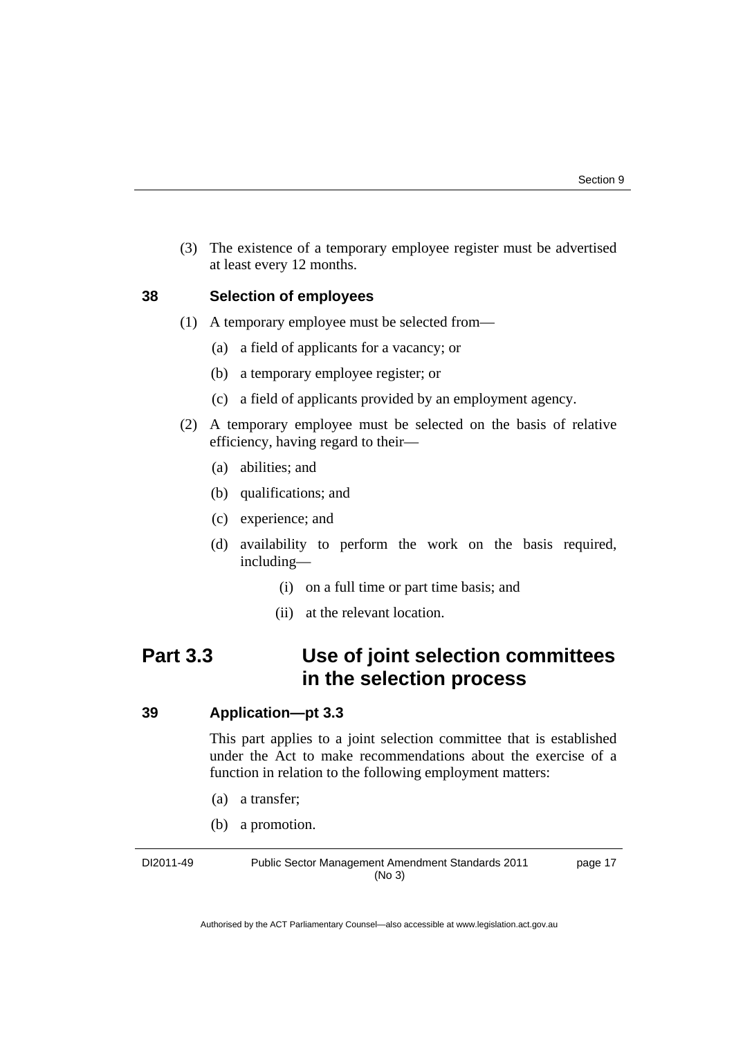(3) The existence of a temporary employee register must be advertised at least every 12 months.

#### **38 Selection of employees**

- (1) A temporary employee must be selected from—
	- (a) a field of applicants for a vacancy; or
	- (b) a temporary employee register; or
	- (c) a field of applicants provided by an employment agency.
- (2) A temporary employee must be selected on the basis of relative efficiency, having regard to their—
	- (a) abilities; and
	- (b) qualifications; and
	- (c) experience; and
	- (d) availability to perform the work on the basis required, including—
		- (i) on a full time or part time basis; and
		- (ii) at the relevant location.

### **Part 3.3 Use of joint selection committees in the selection process**

#### **39 Application—pt 3.3**

This part applies to a joint selection committee that is established under the Act to make recommendations about the exercise of a function in relation to the following employment matters:

- (a) a transfer;
- (b) a promotion.

DI2011-49 Public Sector Management Amendment Standards 2011 (No 3)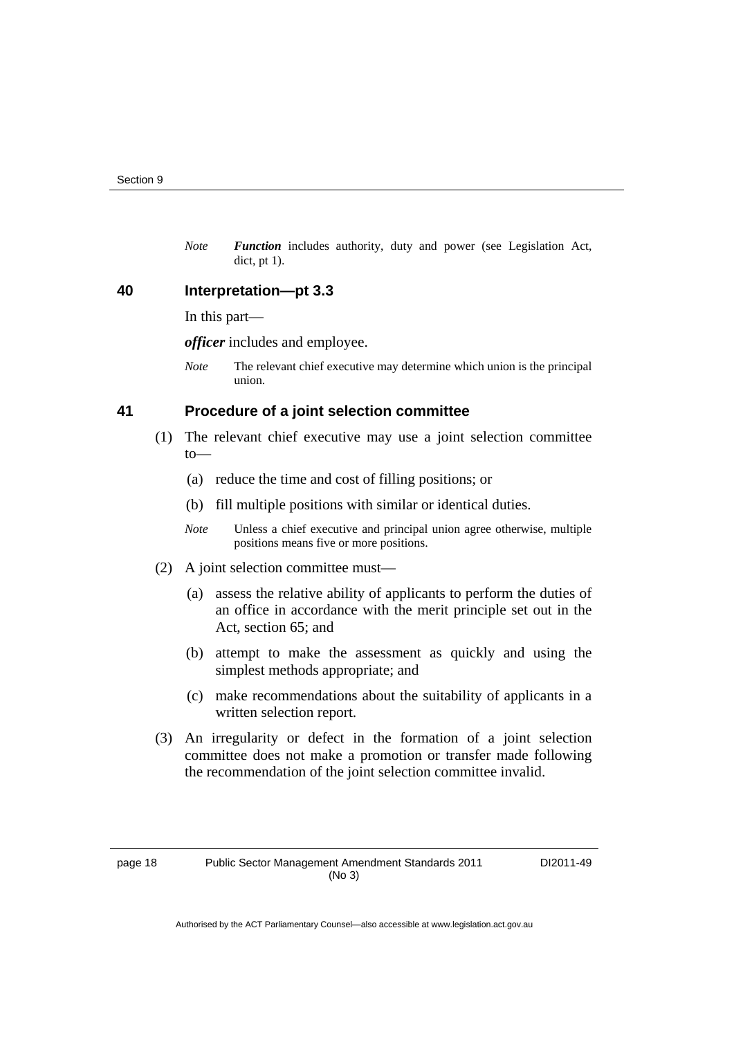*Note Function* includes authority, duty and power (see Legislation Act, dict, pt 1).

#### **40 Interpretation—pt 3.3**

In this part—

*officer* includes and employee.

*Note* The relevant chief executive may determine which union is the principal union.

#### **41 Procedure of a joint selection committee**

- (1) The relevant chief executive may use a joint selection committee  $to$ —
	- (a) reduce the time and cost of filling positions; or
	- (b) fill multiple positions with similar or identical duties.
	- *Note* Unless a chief executive and principal union agree otherwise, multiple positions means five or more positions.
- (2) A joint selection committee must—
	- (a) assess the relative ability of applicants to perform the duties of an office in accordance with the merit principle set out in the Act, section 65; and
	- (b) attempt to make the assessment as quickly and using the simplest methods appropriate; and
	- (c) make recommendations about the suitability of applicants in a written selection report.
- (3) An irregularity or defect in the formation of a joint selection committee does not make a promotion or transfer made following the recommendation of the joint selection committee invalid.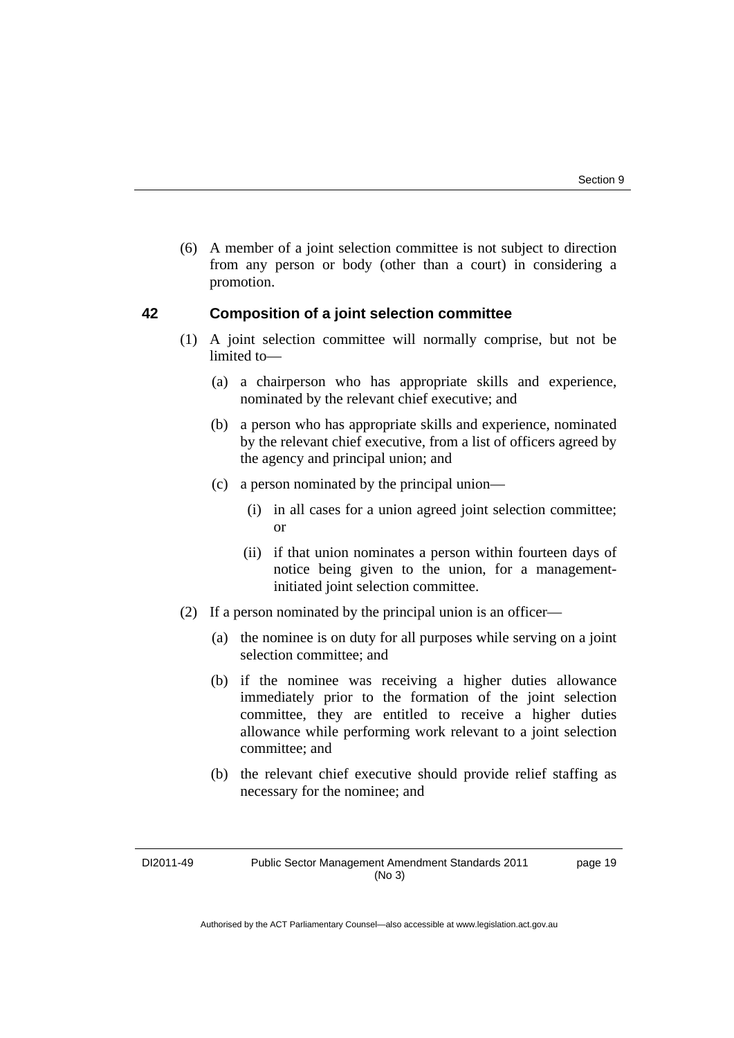(6) A member of a joint selection committee is not subject to direction from any person or body (other than a court) in considering a promotion.

#### **42 Composition of a joint selection committee**

- (1) A joint selection committee will normally comprise, but not be limited to—
	- (a) a chairperson who has appropriate skills and experience, nominated by the relevant chief executive; and
	- (b) a person who has appropriate skills and experience, nominated by the relevant chief executive, from a list of officers agreed by the agency and principal union; and
	- (c) a person nominated by the principal union—
		- (i) in all cases for a union agreed joint selection committee; or
		- (ii) if that union nominates a person within fourteen days of notice being given to the union, for a managementinitiated joint selection committee.
- (2) If a person nominated by the principal union is an officer—
	- (a) the nominee is on duty for all purposes while serving on a joint selection committee; and
	- (b) if the nominee was receiving a higher duties allowance immediately prior to the formation of the joint selection committee, they are entitled to receive a higher duties allowance while performing work relevant to a joint selection committee; and
	- (b) the relevant chief executive should provide relief staffing as necessary for the nominee; and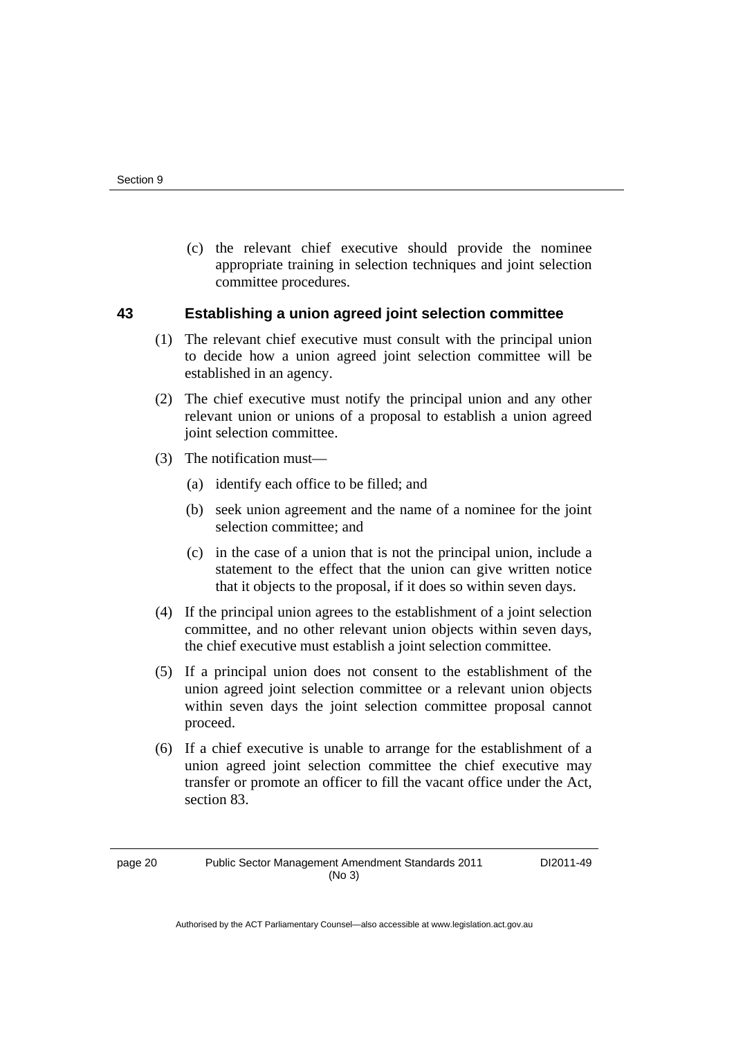(c) the relevant chief executive should provide the nominee appropriate training in selection techniques and joint selection committee procedures.

#### **43 Establishing a union agreed joint selection committee**

- (1) The relevant chief executive must consult with the principal union to decide how a union agreed joint selection committee will be established in an agency.
- (2) The chief executive must notify the principal union and any other relevant union or unions of a proposal to establish a union agreed joint selection committee.
- (3) The notification must—
	- (a) identify each office to be filled; and
	- (b) seek union agreement and the name of a nominee for the joint selection committee; and
	- (c) in the case of a union that is not the principal union, include a statement to the effect that the union can give written notice that it objects to the proposal, if it does so within seven days.
- (4) If the principal union agrees to the establishment of a joint selection committee, and no other relevant union objects within seven days, the chief executive must establish a joint selection committee.
- (5) If a principal union does not consent to the establishment of the union agreed joint selection committee or a relevant union objects within seven days the joint selection committee proposal cannot proceed.
- (6) If a chief executive is unable to arrange for the establishment of a union agreed joint selection committee the chief executive may transfer or promote an officer to fill the vacant office under the Act, section 83.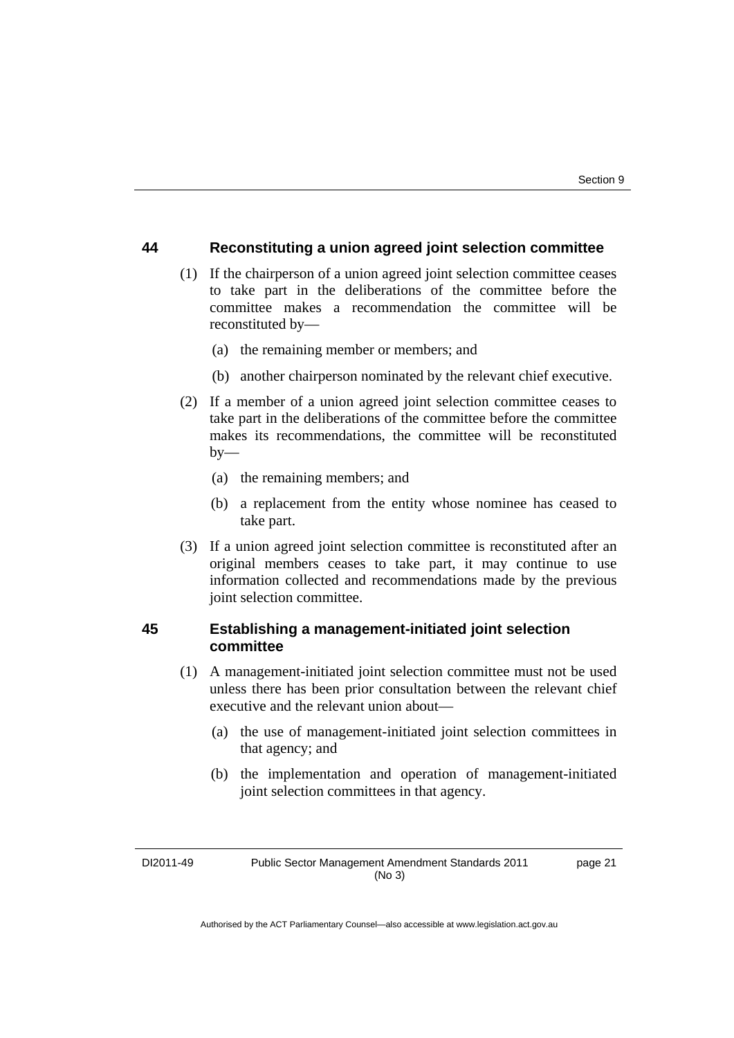#### **44 Reconstituting a union agreed joint selection committee**

- (1) If the chairperson of a union agreed joint selection committee ceases to take part in the deliberations of the committee before the committee makes a recommendation the committee will be reconstituted by—
	- (a) the remaining member or members; and
	- (b) another chairperson nominated by the relevant chief executive.
- (2) If a member of a union agreed joint selection committee ceases to take part in the deliberations of the committee before the committee makes its recommendations, the committee will be reconstituted  $bv$ —
	- (a) the remaining members; and
	- (b) a replacement from the entity whose nominee has ceased to take part.
- (3) If a union agreed joint selection committee is reconstituted after an original members ceases to take part, it may continue to use information collected and recommendations made by the previous joint selection committee.

#### **45 Establishing a management-initiated joint selection committee**

- (1) A management-initiated joint selection committee must not be used unless there has been prior consultation between the relevant chief executive and the relevant union about—
	- (a) the use of management-initiated joint selection committees in that agency; and
	- (b) the implementation and operation of management-initiated joint selection committees in that agency.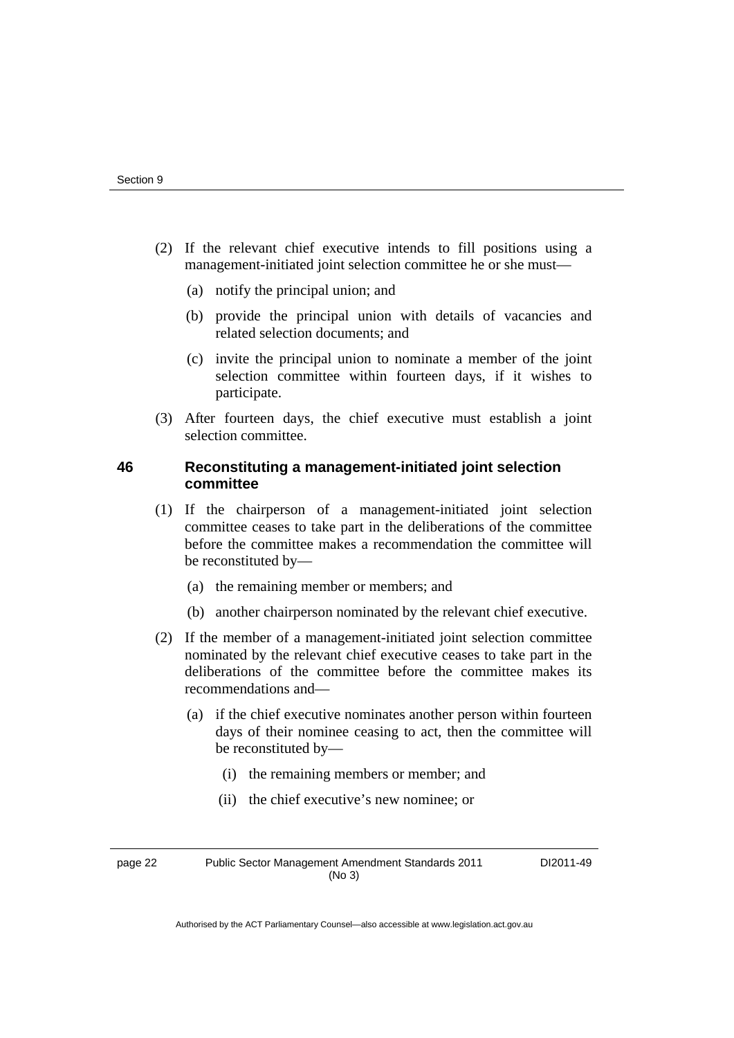- (2) If the relevant chief executive intends to fill positions using a management-initiated joint selection committee he or she must—
	- (a) notify the principal union; and
	- (b) provide the principal union with details of vacancies and related selection documents; and
	- (c) invite the principal union to nominate a member of the joint selection committee within fourteen days, if it wishes to participate.
- (3) After fourteen days, the chief executive must establish a joint selection committee.

#### **46 Reconstituting a management-initiated joint selection committee**

- (1) If the chairperson of a management-initiated joint selection committee ceases to take part in the deliberations of the committee before the committee makes a recommendation the committee will be reconstituted by—
	- (a) the remaining member or members; and
	- (b) another chairperson nominated by the relevant chief executive.
- (2) If the member of a management-initiated joint selection committee nominated by the relevant chief executive ceases to take part in the deliberations of the committee before the committee makes its recommendations and—
	- (a) if the chief executive nominates another person within fourteen days of their nominee ceasing to act, then the committee will be reconstituted by—
		- (i) the remaining members or member; and
		- (ii) the chief executive's new nominee; or

page 22 Public Sector Management Amendment Standards 2011 (No 3)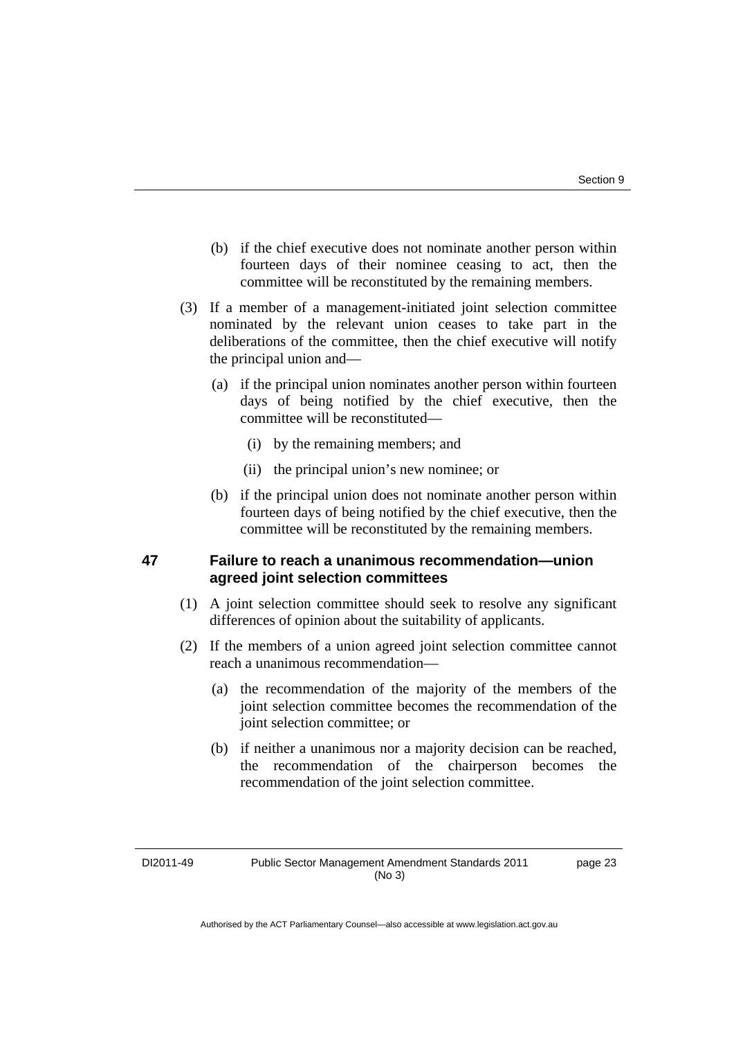- (b) if the chief executive does not nominate another person within fourteen days of their nominee ceasing to act, then the committee will be reconstituted by the remaining members.
- (3) If a member of a management-initiated joint selection committee nominated by the relevant union ceases to take part in the deliberations of the committee, then the chief executive will notify the principal union and—
	- (a) if the principal union nominates another person within fourteen days of being notified by the chief executive, then the committee will be reconstituted—
		- (i) by the remaining members; and
		- (ii) the principal union's new nominee; or
	- (b) if the principal union does not nominate another person within fourteen days of being notified by the chief executive, then the committee will be reconstituted by the remaining members.

#### **47 Failure to reach a unanimous recommendation—union agreed joint selection committees**

- (1) A joint selection committee should seek to resolve any significant differences of opinion about the suitability of applicants.
- (2) If the members of a union agreed joint selection committee cannot reach a unanimous recommendation—
	- (a) the recommendation of the majority of the members of the joint selection committee becomes the recommendation of the joint selection committee; or
	- (b) if neither a unanimous nor a majority decision can be reached, the recommendation of the chairperson becomes the recommendation of the joint selection committee.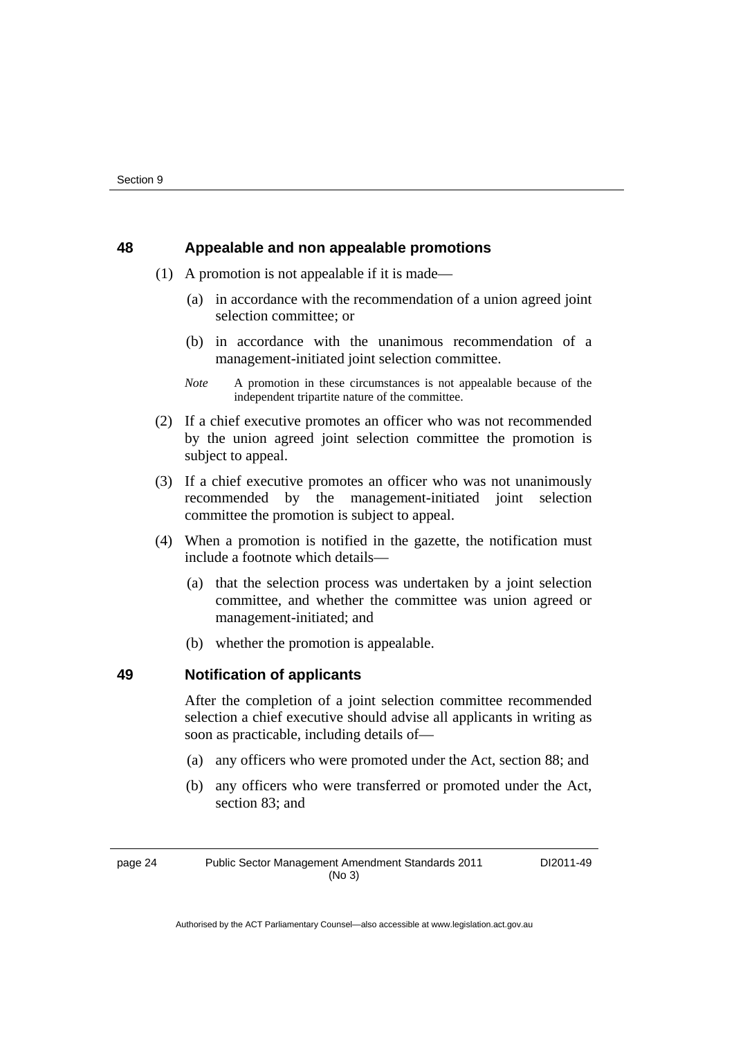#### **48 Appealable and non appealable promotions**

- (1) A promotion is not appealable if it is made—
	- (a) in accordance with the recommendation of a union agreed joint selection committee; or
	- (b) in accordance with the unanimous recommendation of a management-initiated joint selection committee.
	- *Note* A promotion in these circumstances is not appealable because of the independent tripartite nature of the committee.
- (2) If a chief executive promotes an officer who was not recommended by the union agreed joint selection committee the promotion is subject to appeal.
- (3) If a chief executive promotes an officer who was not unanimously recommended by the management-initiated joint selection committee the promotion is subject to appeal.
- (4) When a promotion is notified in the gazette, the notification must include a footnote which details—
	- (a) that the selection process was undertaken by a joint selection committee, and whether the committee was union agreed or management-initiated; and
	- (b) whether the promotion is appealable.

#### **49 Notification of applicants**

After the completion of a joint selection committee recommended selection a chief executive should advise all applicants in writing as soon as practicable, including details of—

- (a) any officers who were promoted under the Act, section 88; and
- (b) any officers who were transferred or promoted under the Act, section 83; and

page 24 Public Sector Management Amendment Standards 2011 (No 3)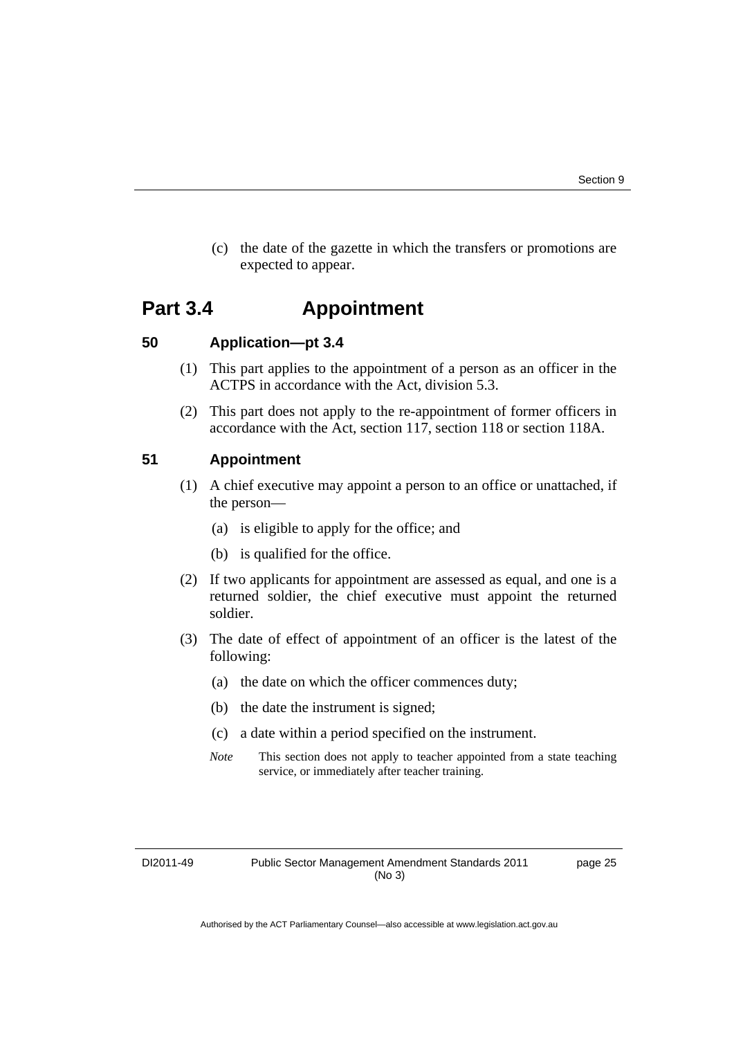(c) the date of the gazette in which the transfers or promotions are expected to appear.

### **Part 3.4 Appointment**

#### **50 Application—pt 3.4**

- (1) This part applies to the appointment of a person as an officer in the ACTPS in accordance with the Act, division 5.3.
- (2) This part does not apply to the re-appointment of former officers in accordance with the Act, section 117, section 118 or section 118A.

#### **51 Appointment**

- (1) A chief executive may appoint a person to an office or unattached, if the person—
	- (a) is eligible to apply for the office; and
	- (b) is qualified for the office.
- (2) If two applicants for appointment are assessed as equal, and one is a returned soldier, the chief executive must appoint the returned soldier.
- (3) The date of effect of appointment of an officer is the latest of the following:
	- (a) the date on which the officer commences duty;
	- (b) the date the instrument is signed;
	- (c) a date within a period specified on the instrument.
	- *Note* This section does not apply to teacher appointed from a state teaching service, or immediately after teacher training.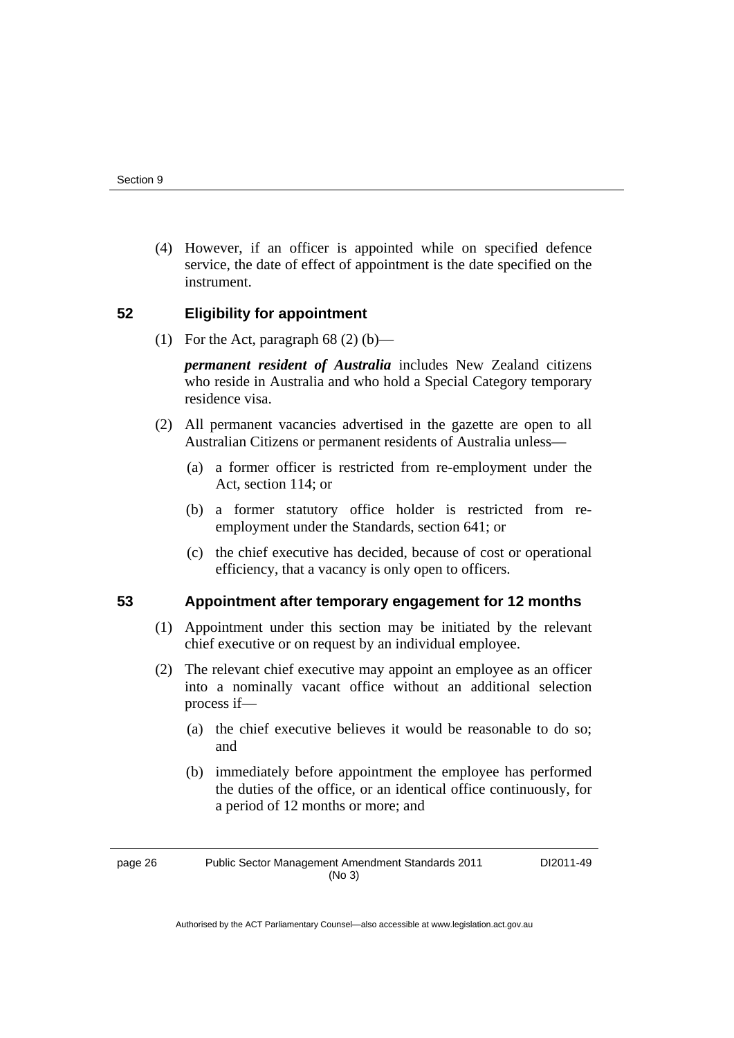(4) However, if an officer is appointed while on specified defence service, the date of effect of appointment is the date specified on the instrument.

#### **52 Eligibility for appointment**

(1) For the Act, paragraph  $68(2)$  (b)—

*permanent resident of Australia* includes New Zealand citizens who reside in Australia and who hold a Special Category temporary residence visa.

- (2) All permanent vacancies advertised in the gazette are open to all Australian Citizens or permanent residents of Australia unless—
	- (a) a former officer is restricted from re-employment under the Act, section 114; or
	- (b) a former statutory office holder is restricted from reemployment under the Standards, section 641; or
	- (c) the chief executive has decided, because of cost or operational efficiency, that a vacancy is only open to officers.

#### **53 Appointment after temporary engagement for 12 months**

- (1) Appointment under this section may be initiated by the relevant chief executive or on request by an individual employee.
- (2) The relevant chief executive may appoint an employee as an officer into a nominally vacant office without an additional selection process if—
	- (a) the chief executive believes it would be reasonable to do so; and
	- (b) immediately before appointment the employee has performed the duties of the office, or an identical office continuously, for a period of 12 months or more; and

page 26 Public Sector Management Amendment Standards 2011 (No 3)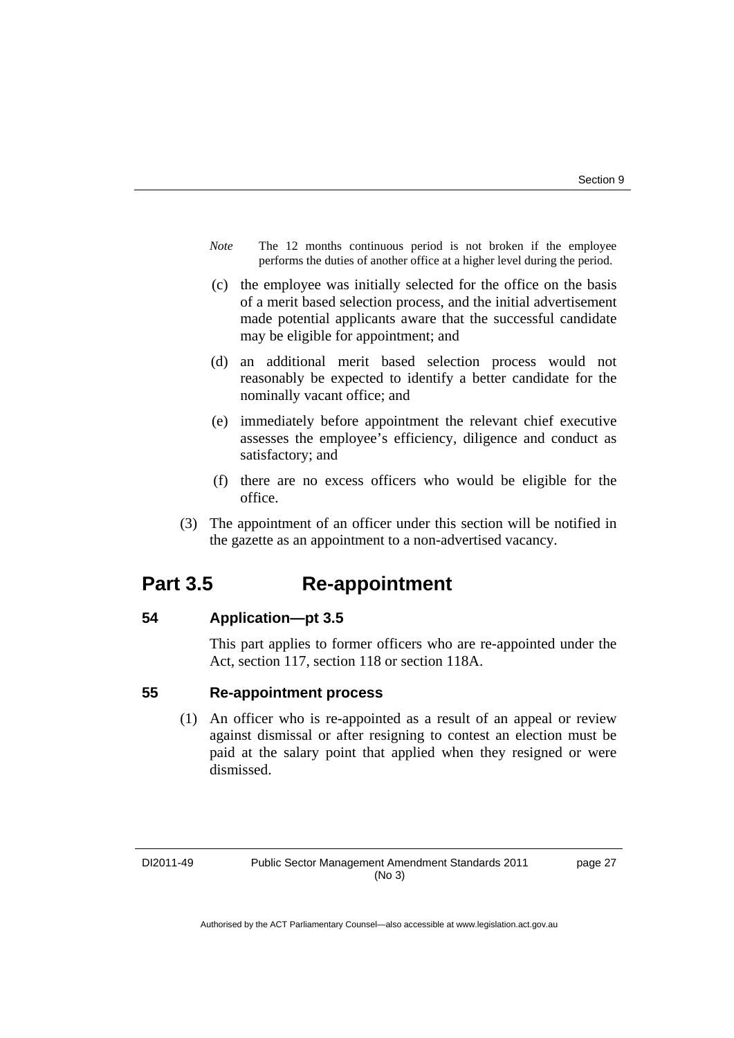- *Note* The 12 months continuous period is not broken if the employee performs the duties of another office at a higher level during the period.
- (c) the employee was initially selected for the office on the basis of a merit based selection process, and the initial advertisement made potential applicants aware that the successful candidate may be eligible for appointment; and
- (d) an additional merit based selection process would not reasonably be expected to identify a better candidate for the nominally vacant office; and
- (e) immediately before appointment the relevant chief executive assesses the employee's efficiency, diligence and conduct as satisfactory; and
- (f) there are no excess officers who would be eligible for the office.
- (3) The appointment of an officer under this section will be notified in the gazette as an appointment to a non-advertised vacancy.

### **Part 3.5 Re-appointment**

#### **54 Application—pt 3.5**

This part applies to former officers who are re-appointed under the Act, section 117, section 118 or section 118A.

#### **55 Re-appointment process**

 (1) An officer who is re-appointed as a result of an appeal or review against dismissal or after resigning to contest an election must be paid at the salary point that applied when they resigned or were dismissed.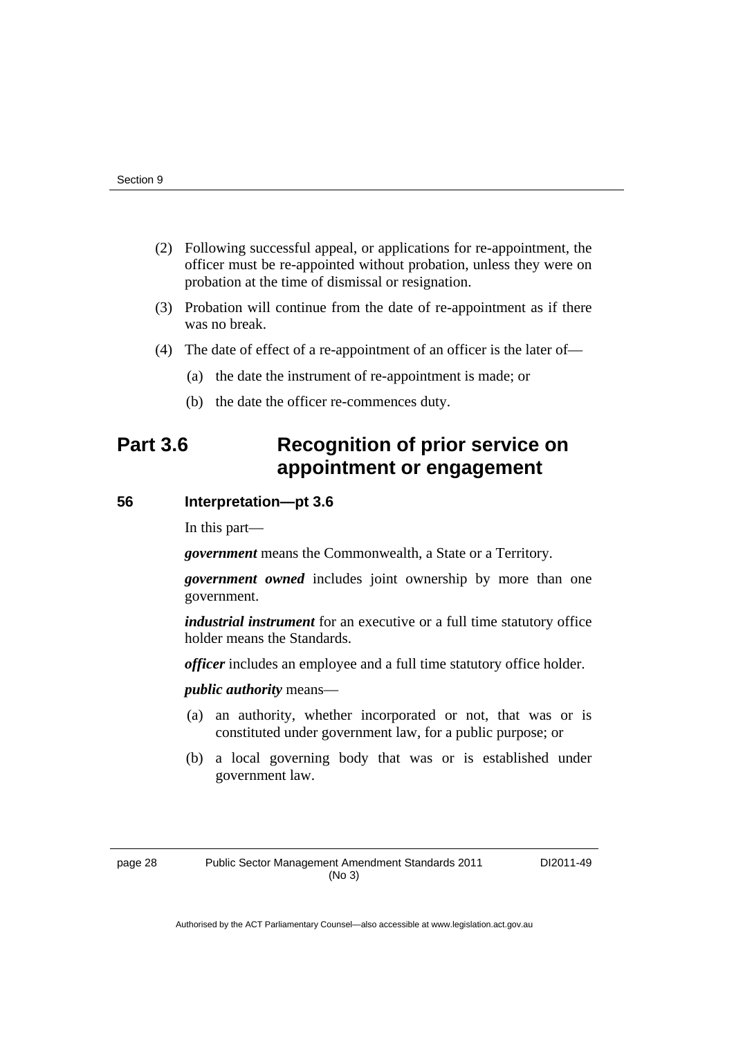- (2) Following successful appeal, or applications for re-appointment, the officer must be re-appointed without probation, unless they were on probation at the time of dismissal or resignation.
- (3) Probation will continue from the date of re-appointment as if there was no break.
- (4) The date of effect of a re-appointment of an officer is the later of—
	- (a) the date the instrument of re-appointment is made; or
	- (b) the date the officer re-commences duty.

### **Part 3.6 Recognition of prior service on appointment or engagement**

#### **56 Interpretation—pt 3.6**

In this part—

*government* means the Commonwealth, a State or a Territory.

*government owned* includes joint ownership by more than one government.

*industrial instrument* for an executive or a full time statutory office holder means the Standards.

*officer* includes an employee and a full time statutory office holder.

*public authority* means—

- (a) an authority, whether incorporated or not, that was or is constituted under government law, for a public purpose; or
- (b) a local governing body that was or is established under government law.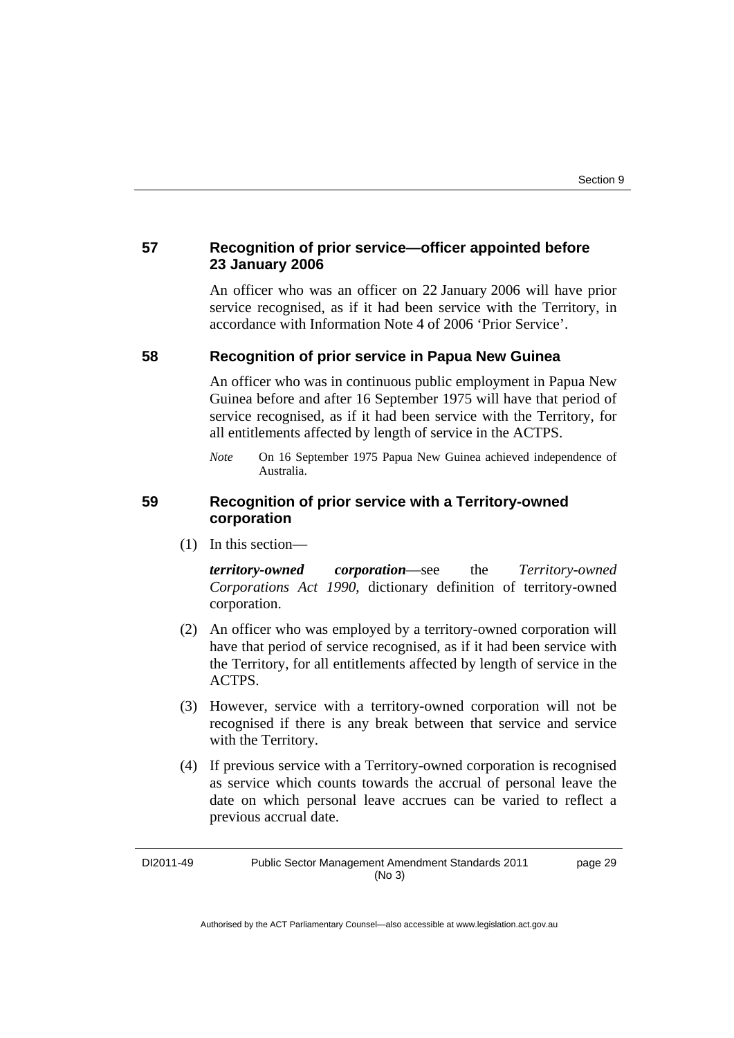#### **57 Recognition of prior service—officer appointed before 23 January 2006**

An officer who was an officer on 22 January 2006 will have prior service recognised, as if it had been service with the Territory, in accordance with Information Note 4 of 2006 'Prior Service'.

#### **58 Recognition of prior service in Papua New Guinea**

An officer who was in continuous public employment in Papua New Guinea before and after 16 September 1975 will have that period of service recognised, as if it had been service with the Territory, for all entitlements affected by length of service in the ACTPS.

#### **59 Recognition of prior service with a Territory-owned corporation**

(1) In this section—

*territory-owned corporation*—see the *Territory-owned Corporations Act 1990*, dictionary definition of territory-owned corporation.

- (2) An officer who was employed by a territory-owned corporation will have that period of service recognised, as if it had been service with the Territory, for all entitlements affected by length of service in the ACTPS.
- (3) However, service with a territory-owned corporation will not be recognised if there is any break between that service and service with the Territory.
- (4) If previous service with a Territory-owned corporation is recognised as service which counts towards the accrual of personal leave the date on which personal leave accrues can be varied to reflect a previous accrual date.

DI2011-49 Public Sector Management Amendment Standards 2011 (No 3) page 29

*Note* On 16 September 1975 Papua New Guinea achieved independence of Australia.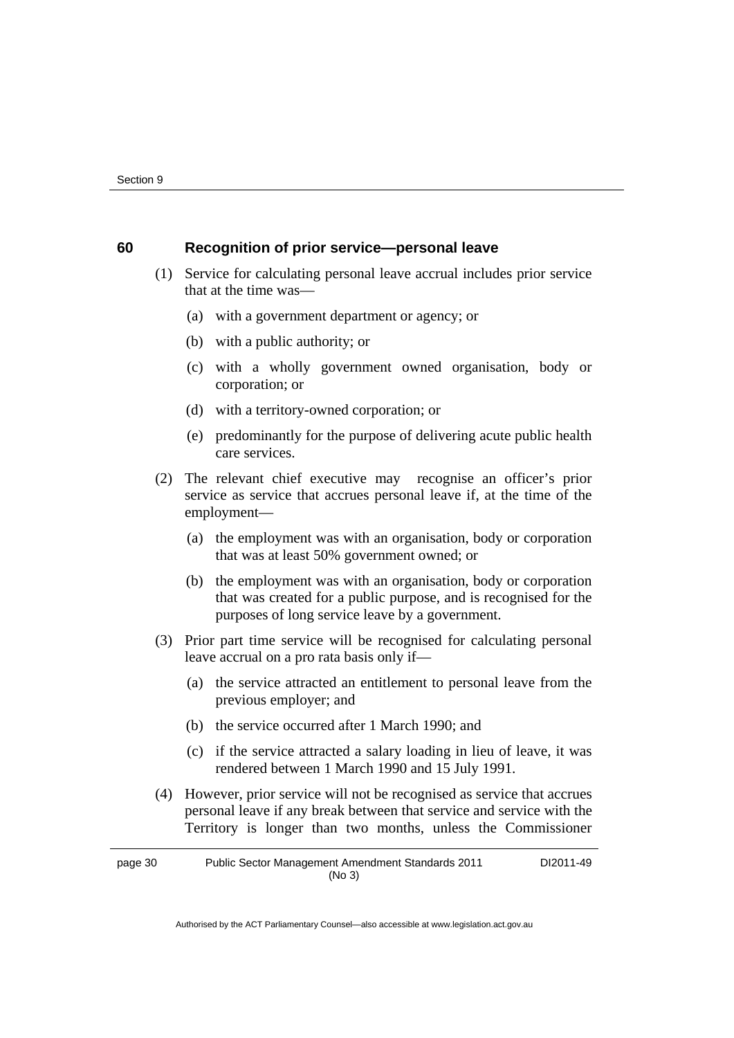#### **60 Recognition of prior service—personal leave**

 (1) Service for calculating personal leave accrual includes prior service that at the time was—

- (a) with a government department or agency; or
- (b) with a public authority; or
- (c) with a wholly government owned organisation, body or corporation; or
- (d) with a territory-owned corporation; or
- (e) predominantly for the purpose of delivering acute public health care services.
- (2) The relevant chief executive may recognise an officer's prior service as service that accrues personal leave if, at the time of the employment—
	- (a) the employment was with an organisation, body or corporation that was at least 50% government owned; or
	- (b) the employment was with an organisation, body or corporation that was created for a public purpose, and is recognised for the purposes of long service leave by a government.
- (3) Prior part time service will be recognised for calculating personal leave accrual on a pro rata basis only if—
	- (a) the service attracted an entitlement to personal leave from the previous employer; and
	- (b) the service occurred after 1 March 1990; and
	- (c) if the service attracted a salary loading in lieu of leave, it was rendered between 1 March 1990 and 15 July 1991.
- (4) However, prior service will not be recognised as service that accrues personal leave if any break between that service and service with the Territory is longer than two months, unless the Commissioner

page 30 Public Sector Management Amendment Standards 2011 (No 3) DI2011-49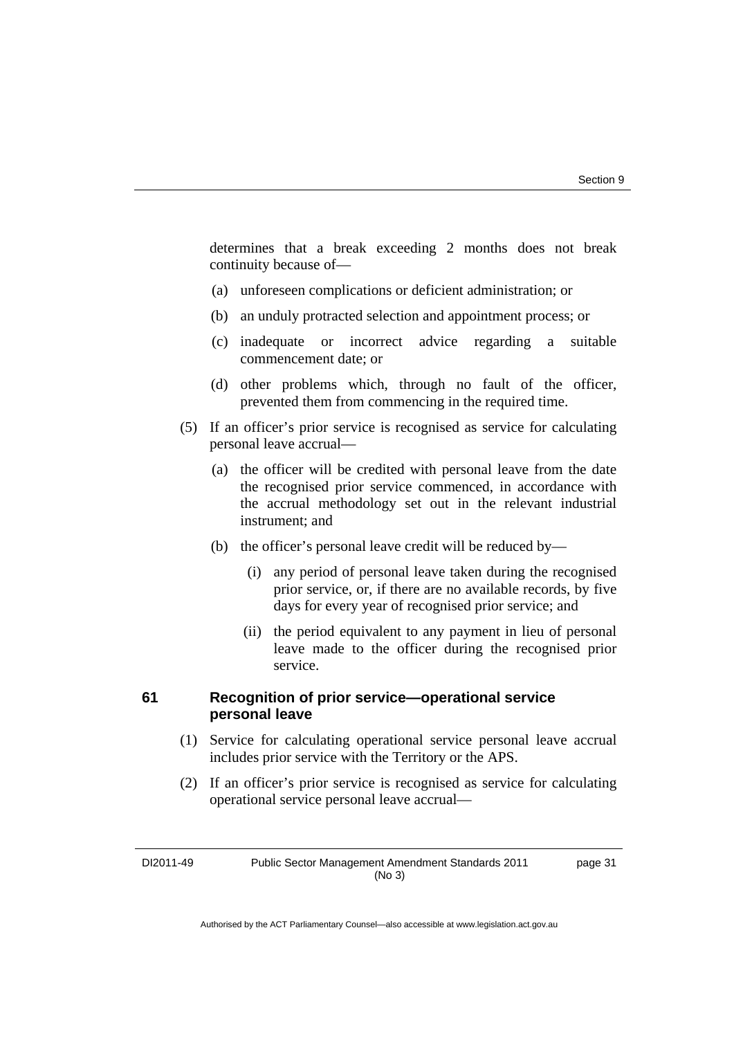determines that a break exceeding 2 months does not break continuity because of—

- (a) unforeseen complications or deficient administration; or
- (b) an unduly protracted selection and appointment process; or
- (c) inadequate or incorrect advice regarding a suitable commencement date; or
- (d) other problems which, through no fault of the officer, prevented them from commencing in the required time.
- (5) If an officer's prior service is recognised as service for calculating personal leave accrual—
	- (a) the officer will be credited with personal leave from the date the recognised prior service commenced, in accordance with the accrual methodology set out in the relevant industrial instrument; and
	- (b) the officer's personal leave credit will be reduced by—
		- (i) any period of personal leave taken during the recognised prior service, or, if there are no available records, by five days for every year of recognised prior service; and
		- (ii) the period equivalent to any payment in lieu of personal leave made to the officer during the recognised prior service.

### **61 Recognition of prior service—operational service personal leave**

- (1) Service for calculating operational service personal leave accrual includes prior service with the Territory or the APS.
- (2) If an officer's prior service is recognised as service for calculating operational service personal leave accrual—

DI2011-49 Public Sector Management Amendment Standards 2011 (No 3)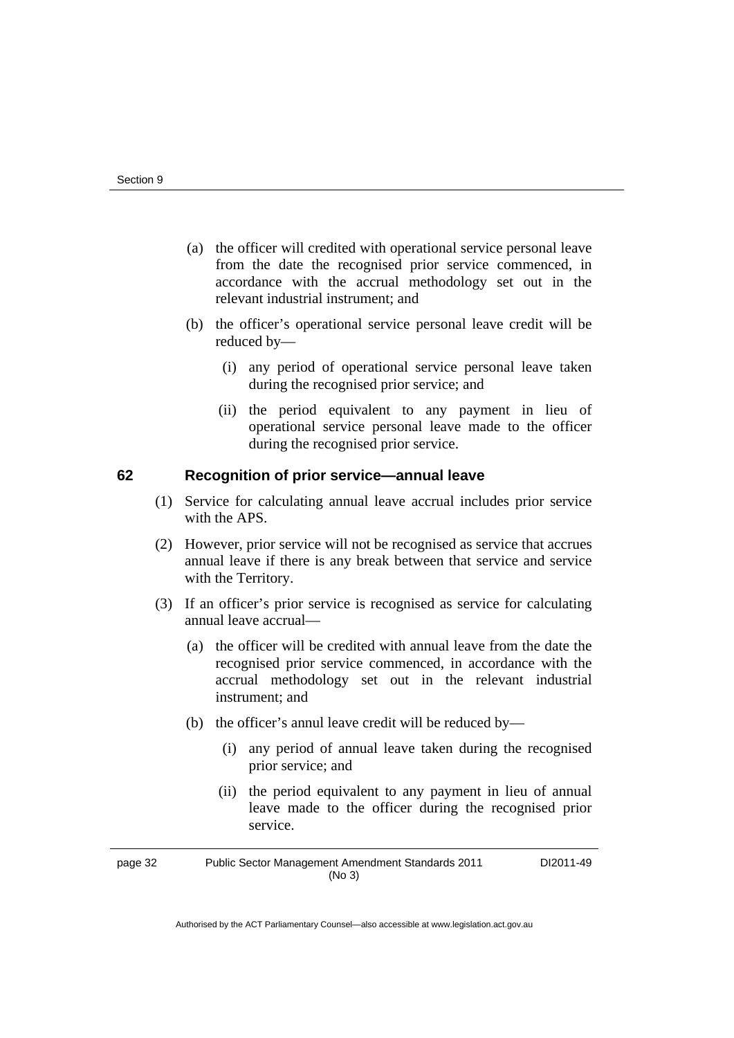- (a) the officer will credited with operational service personal leave from the date the recognised prior service commenced, in accordance with the accrual methodology set out in the relevant industrial instrument; and
- (b) the officer's operational service personal leave credit will be reduced by—
	- (i) any period of operational service personal leave taken during the recognised prior service; and
	- (ii) the period equivalent to any payment in lieu of operational service personal leave made to the officer during the recognised prior service.

### **62 Recognition of prior service—annual leave**

- (1) Service for calculating annual leave accrual includes prior service with the APS.
- (2) However, prior service will not be recognised as service that accrues annual leave if there is any break between that service and service with the Territory.
- (3) If an officer's prior service is recognised as service for calculating annual leave accrual—
	- (a) the officer will be credited with annual leave from the date the recognised prior service commenced, in accordance with the accrual methodology set out in the relevant industrial instrument; and
	- (b) the officer's annul leave credit will be reduced by—
		- (i) any period of annual leave taken during the recognised prior service; and
		- (ii) the period equivalent to any payment in lieu of annual leave made to the officer during the recognised prior service.

page 32 Public Sector Management Amendment Standards 2011 (No 3) DI2011-49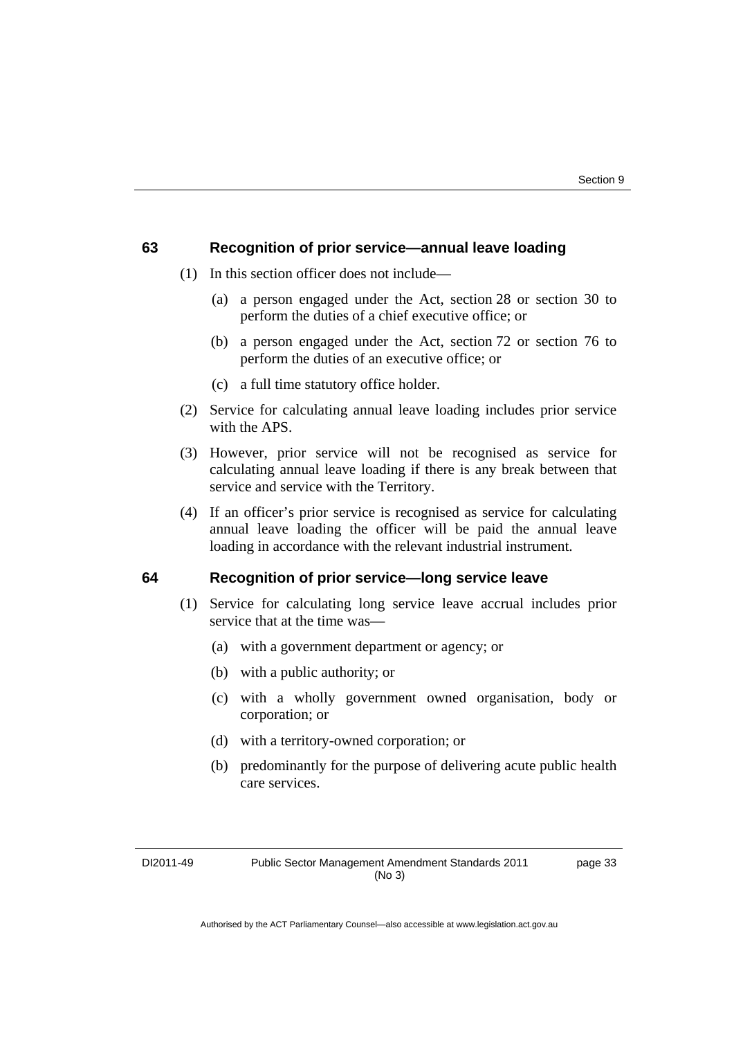### **63 Recognition of prior service—annual leave loading**

- (1) In this section officer does not include—
	- (a) a person engaged under the Act, section 28 or section 30 to perform the duties of a chief executive office; or
	- (b) a person engaged under the Act, section 72 or section 76 to perform the duties of an executive office; or
	- (c) a full time statutory office holder.
- (2) Service for calculating annual leave loading includes prior service with the APS.
- (3) However, prior service will not be recognised as service for calculating annual leave loading if there is any break between that service and service with the Territory.
- (4) If an officer's prior service is recognised as service for calculating annual leave loading the officer will be paid the annual leave loading in accordance with the relevant industrial instrument.

### **64 Recognition of prior service—long service leave**

- (1) Service for calculating long service leave accrual includes prior service that at the time was—
	- (a) with a government department or agency; or
	- (b) with a public authority; or
	- (c) with a wholly government owned organisation, body or corporation; or
	- (d) with a territory-owned corporation; or
	- (b) predominantly for the purpose of delivering acute public health care services.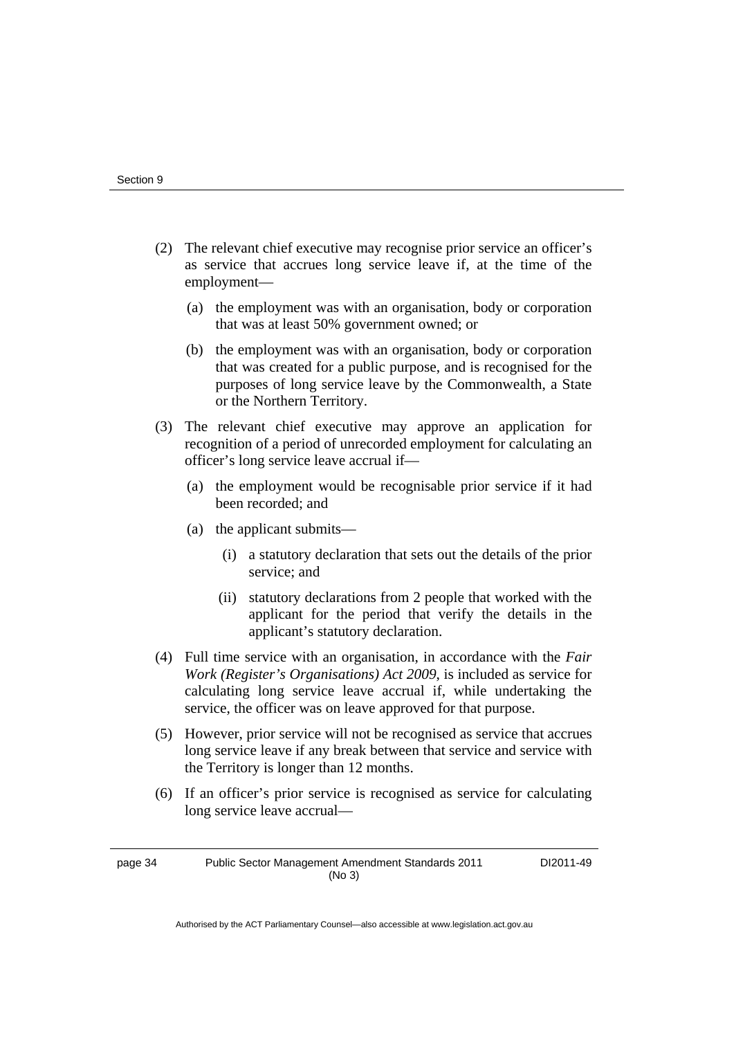- (2) The relevant chief executive may recognise prior service an officer's as service that accrues long service leave if, at the time of the employment—
	- (a) the employment was with an organisation, body or corporation that was at least 50% government owned; or
	- (b) the employment was with an organisation, body or corporation that was created for a public purpose, and is recognised for the purposes of long service leave by the Commonwealth, a State or the Northern Territory.
- (3) The relevant chief executive may approve an application for recognition of a period of unrecorded employment for calculating an officer's long service leave accrual if—
	- (a) the employment would be recognisable prior service if it had been recorded; and
	- (a) the applicant submits—
		- (i) a statutory declaration that sets out the details of the prior service; and
		- (ii) statutory declarations from 2 people that worked with the applicant for the period that verify the details in the applicant's statutory declaration.
- (4) Full time service with an organisation, in accordance with the *Fair Work (Register's Organisations) Act 2009*, is included as service for calculating long service leave accrual if, while undertaking the service, the officer was on leave approved for that purpose.
- (5) However, prior service will not be recognised as service that accrues long service leave if any break between that service and service with the Territory is longer than 12 months.
- (6) If an officer's prior service is recognised as service for calculating long service leave accrual—

page 34 Public Sector Management Amendment Standards 2011 (No 3)

DI2011-49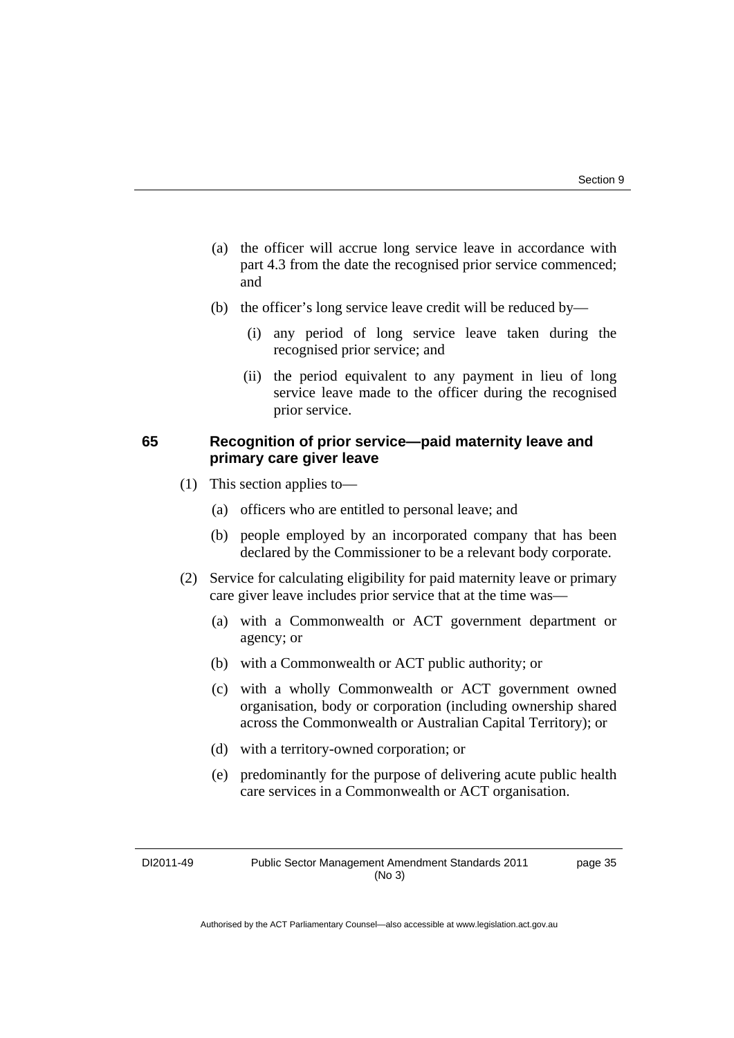- (a) the officer will accrue long service leave in accordance with part 4.3 from the date the recognised prior service commenced; and
- (b) the officer's long service leave credit will be reduced by—
	- (i) any period of long service leave taken during the recognised prior service; and
	- (ii) the period equivalent to any payment in lieu of long service leave made to the officer during the recognised prior service.

### **65 Recognition of prior service—paid maternity leave and primary care giver leave**

- (1) This section applies to—
	- (a) officers who are entitled to personal leave; and
	- (b) people employed by an incorporated company that has been declared by the Commissioner to be a relevant body corporate.
- (2) Service for calculating eligibility for paid maternity leave or primary care giver leave includes prior service that at the time was—
	- (a) with a Commonwealth or ACT government department or agency; or
	- (b) with a Commonwealth or ACT public authority; or
	- (c) with a wholly Commonwealth or ACT government owned organisation, body or corporation (including ownership shared across the Commonwealth or Australian Capital Territory); or
	- (d) with a territory-owned corporation; or
	- (e) predominantly for the purpose of delivering acute public health care services in a Commonwealth or ACT organisation.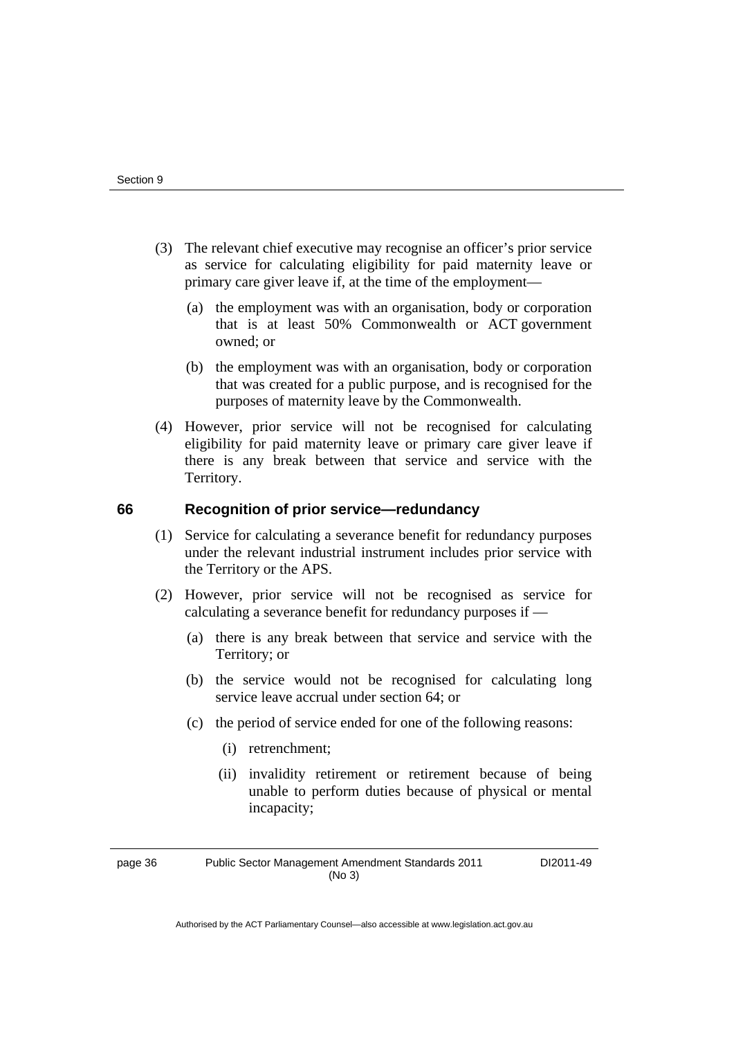- (3) The relevant chief executive may recognise an officer's prior service as service for calculating eligibility for paid maternity leave or primary care giver leave if, at the time of the employment—
	- (a) the employment was with an organisation, body or corporation that is at least 50% Commonwealth or ACT government owned; or
	- (b) the employment was with an organisation, body or corporation that was created for a public purpose, and is recognised for the purposes of maternity leave by the Commonwealth.
- (4) However, prior service will not be recognised for calculating eligibility for paid maternity leave or primary care giver leave if there is any break between that service and service with the Territory.

### **66 Recognition of prior service—redundancy**

- (1) Service for calculating a severance benefit for redundancy purposes under the relevant industrial instrument includes prior service with the Territory or the APS.
- (2) However, prior service will not be recognised as service for calculating a severance benefit for redundancy purposes if —
	- (a) there is any break between that service and service with the Territory; or
	- (b) the service would not be recognised for calculating long service leave accrual under section 64; or
	- (c) the period of service ended for one of the following reasons:
		- (i) retrenchment;
		- (ii) invalidity retirement or retirement because of being unable to perform duties because of physical or mental incapacity;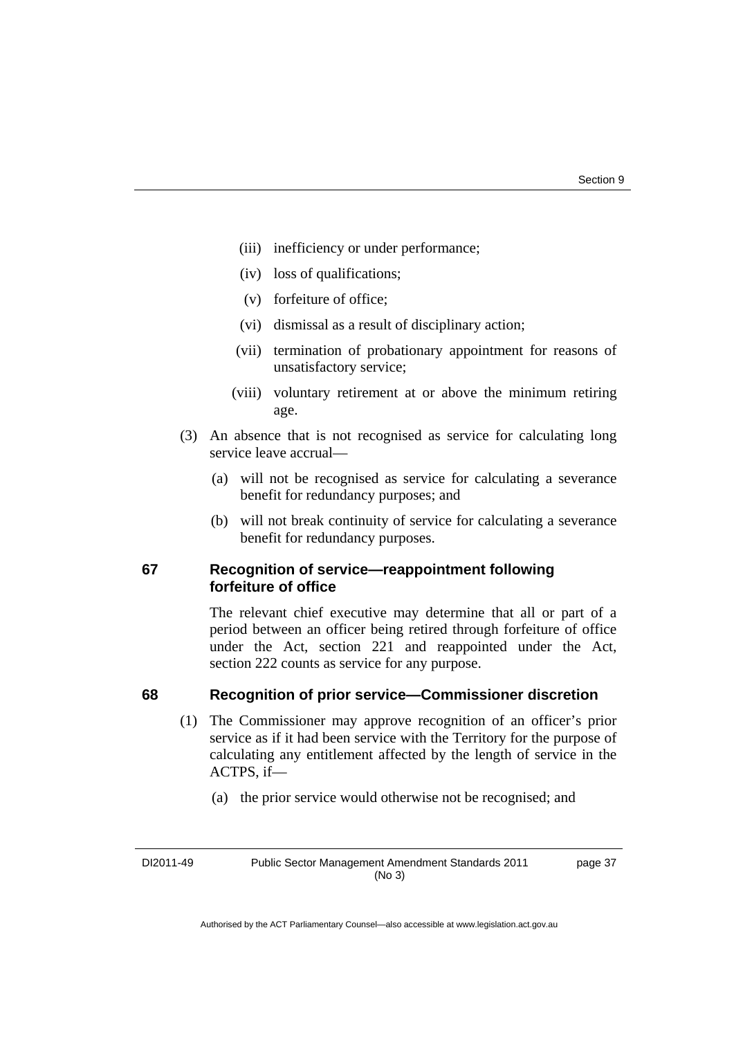- (iii) inefficiency or under performance;
- (iv) loss of qualifications;
- (v) forfeiture of office;
- (vi) dismissal as a result of disciplinary action;
- (vii) termination of probationary appointment for reasons of unsatisfactory service;
- (viii) voluntary retirement at or above the minimum retiring age.
- (3) An absence that is not recognised as service for calculating long service leave accrual—
	- (a) will not be recognised as service for calculating a severance benefit for redundancy purposes; and
	- (b) will not break continuity of service for calculating a severance benefit for redundancy purposes.

### **67 Recognition of service—reappointment following forfeiture of office**

The relevant chief executive may determine that all or part of a period between an officer being retired through forfeiture of office under the Act, section 221 and reappointed under the Act, section 222 counts as service for any purpose.

### **68 Recognition of prior service—Commissioner discretion**

- (1) The Commissioner may approve recognition of an officer's prior service as if it had been service with the Territory for the purpose of calculating any entitlement affected by the length of service in the ACTPS, if—
	- (a) the prior service would otherwise not be recognised; and

DI2011-49 Public Sector Management Amendment Standards 2011 (No 3)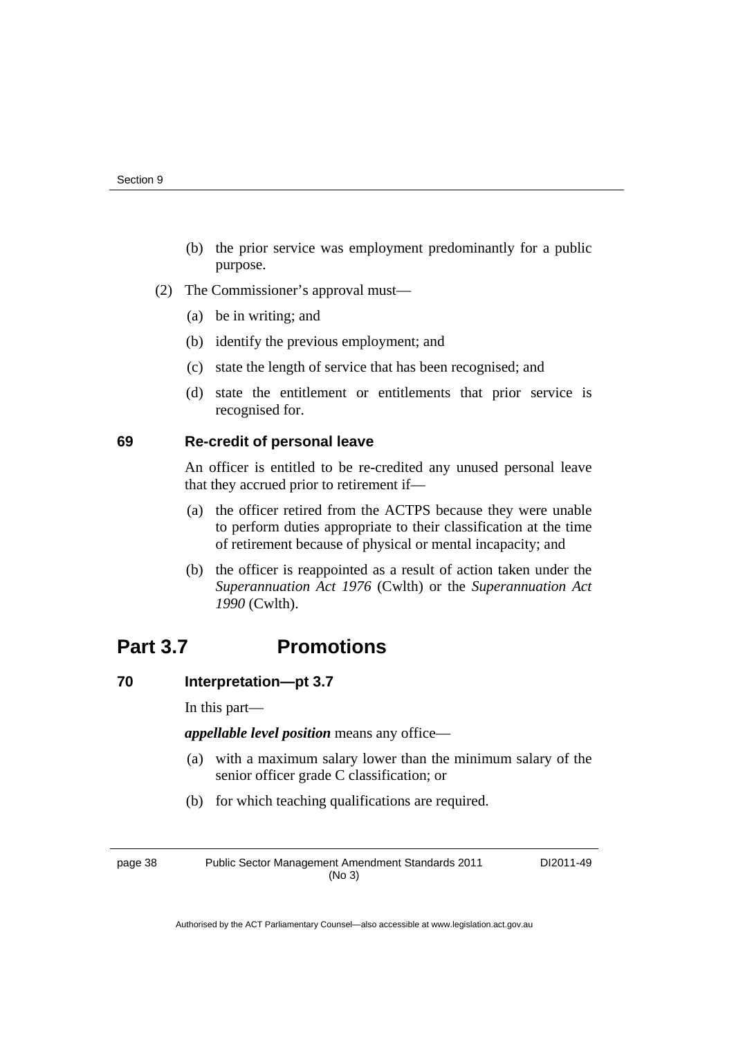- (b) the prior service was employment predominantly for a public purpose.
- (2) The Commissioner's approval must—
	- (a) be in writing; and
	- (b) identify the previous employment; and
	- (c) state the length of service that has been recognised; and
	- (d) state the entitlement or entitlements that prior service is recognised for.

### **69 Re-credit of personal leave**

An officer is entitled to be re-credited any unused personal leave that they accrued prior to retirement if—

- (a) the officer retired from the ACTPS because they were unable to perform duties appropriate to their classification at the time of retirement because of physical or mental incapacity; and
- (b) the officer is reappointed as a result of action taken under the *Superannuation Act 1976* (Cwlth) or the *Superannuation Act 1990* (Cwlth).

# **Part 3.7 Promotions**

### **70 Interpretation—pt 3.7**

In this part—

*appellable level position* means any office—

- (a) with a maximum salary lower than the minimum salary of the senior officer grade C classification; or
- (b) for which teaching qualifications are required.

page 38 Public Sector Management Amendment Standards 2011 (No 3)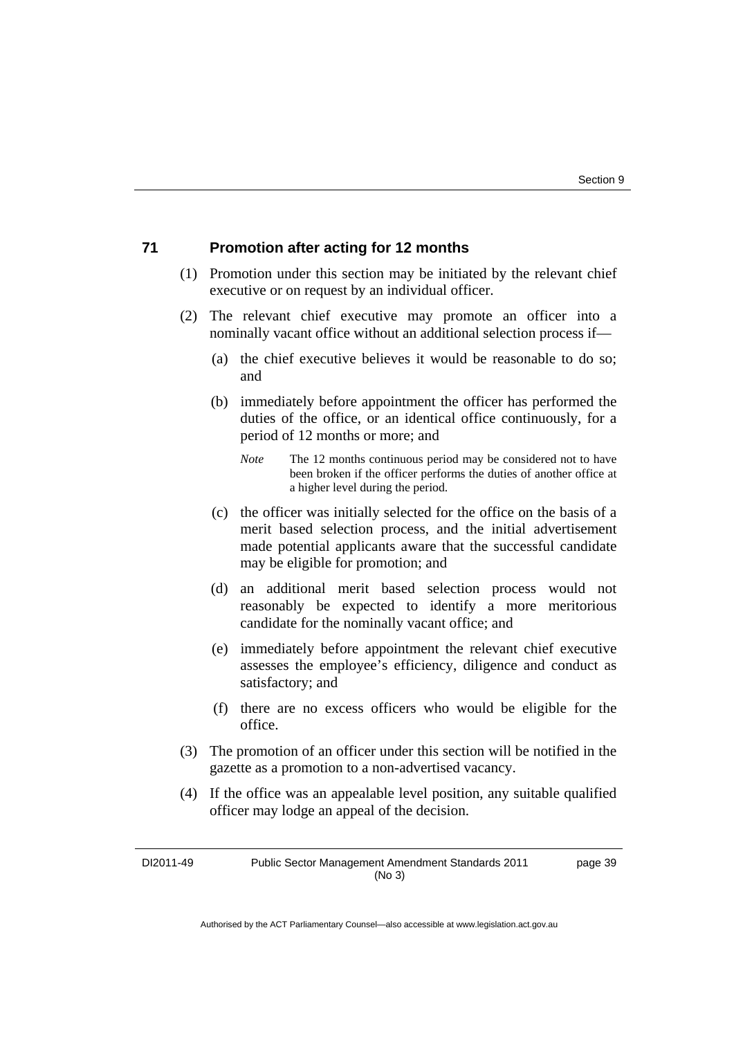### **71 Promotion after acting for 12 months**

- (1) Promotion under this section may be initiated by the relevant chief executive or on request by an individual officer.
- (2) The relevant chief executive may promote an officer into a nominally vacant office without an additional selection process if—
	- (a) the chief executive believes it would be reasonable to do so; and
	- (b) immediately before appointment the officer has performed the duties of the office, or an identical office continuously, for a period of 12 months or more; and
		- *Note* The 12 months continuous period may be considered not to have been broken if the officer performs the duties of another office at a higher level during the period.
	- (c) the officer was initially selected for the office on the basis of a merit based selection process, and the initial advertisement made potential applicants aware that the successful candidate may be eligible for promotion; and
	- (d) an additional merit based selection process would not reasonably be expected to identify a more meritorious candidate for the nominally vacant office; and
	- (e) immediately before appointment the relevant chief executive assesses the employee's efficiency, diligence and conduct as satisfactory; and
	- (f) there are no excess officers who would be eligible for the office.
- (3) The promotion of an officer under this section will be notified in the gazette as a promotion to a non-advertised vacancy.
- (4) If the office was an appealable level position, any suitable qualified officer may lodge an appeal of the decision.

DI2011-49 Public Sector Management Amendment Standards 2011 (No 3) page 39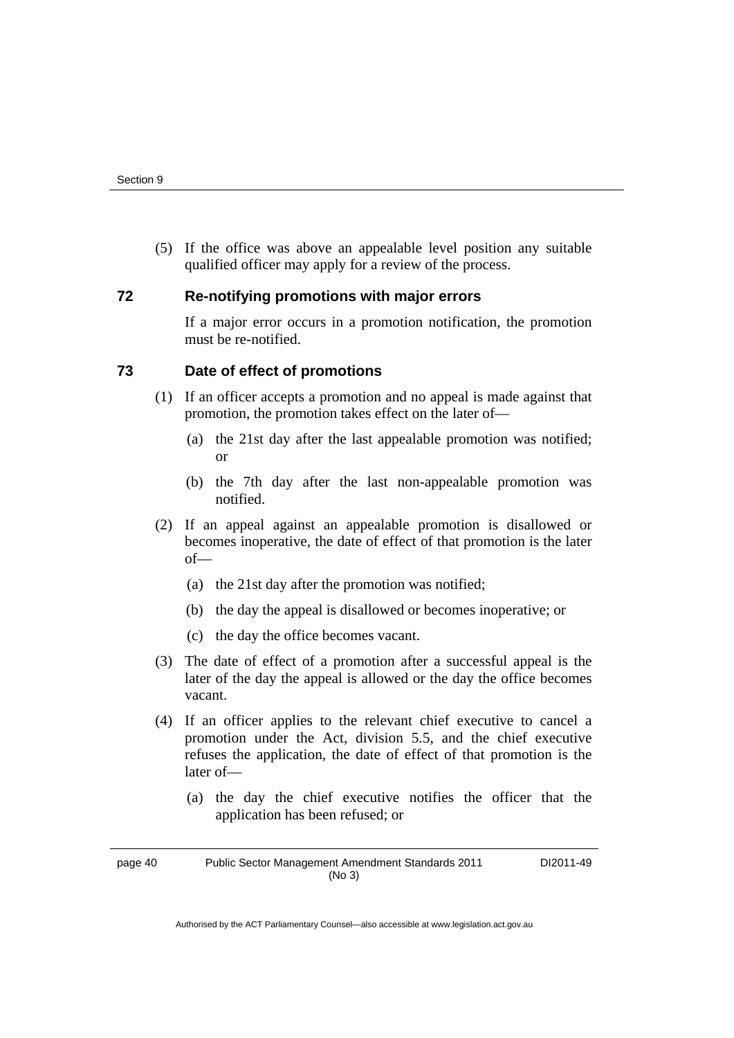(5) If the office was above an appealable level position any suitable qualified officer may apply for a review of the process.

### **72 Re-notifying promotions with major errors**

If a major error occurs in a promotion notification, the promotion must be re-notified.

### **73 Date of effect of promotions**

- (1) If an officer accepts a promotion and no appeal is made against that promotion, the promotion takes effect on the later of—
	- (a) the 21st day after the last appealable promotion was notified; or
	- (b) the 7th day after the last non-appealable promotion was notified.
- (2) If an appeal against an appealable promotion is disallowed or becomes inoperative, the date of effect of that promotion is the later of—
	- (a) the 21st day after the promotion was notified;
	- (b) the day the appeal is disallowed or becomes inoperative; or
	- (c) the day the office becomes vacant.
- (3) The date of effect of a promotion after a successful appeal is the later of the day the appeal is allowed or the day the office becomes vacant.
- (4) If an officer applies to the relevant chief executive to cancel a promotion under the Act, division 5.5, and the chief executive refuses the application, the date of effect of that promotion is the later of—
	- (a) the day the chief executive notifies the officer that the application has been refused; or

page 40 Public Sector Management Amendment Standards 2011 (No 3)

DI2011-49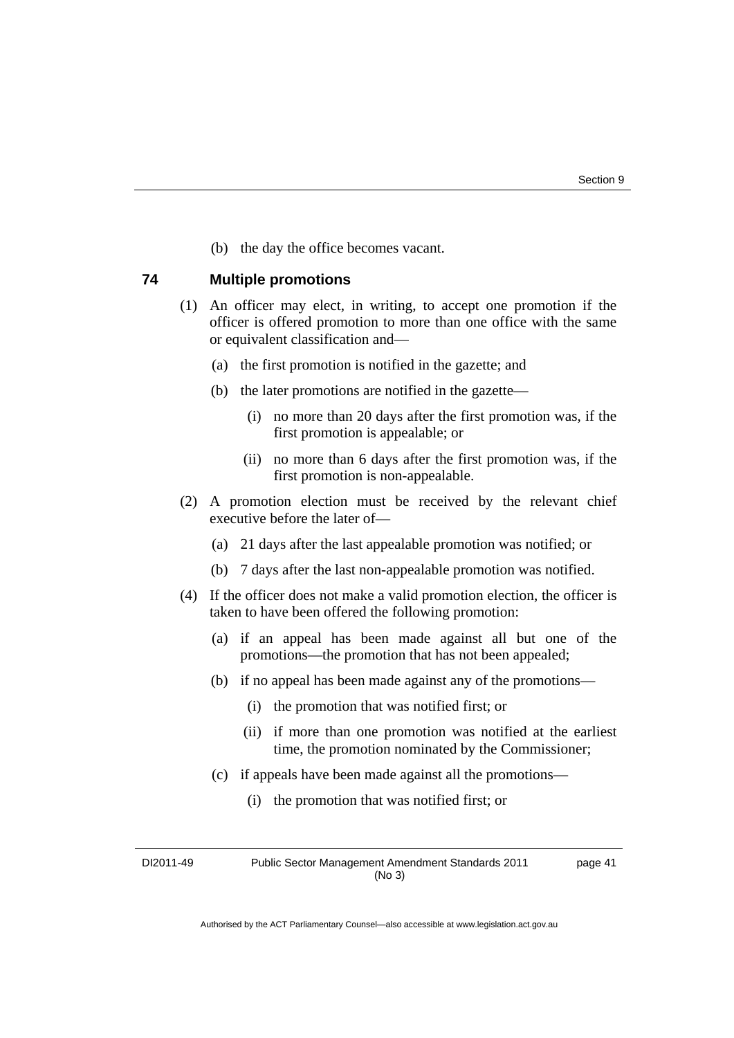(b) the day the office becomes vacant.

### **74 Multiple promotions**

- (1) An officer may elect, in writing, to accept one promotion if the officer is offered promotion to more than one office with the same or equivalent classification and—
	- (a) the first promotion is notified in the gazette; and
	- (b) the later promotions are notified in the gazette—
		- (i) no more than 20 days after the first promotion was, if the first promotion is appealable; or
		- (ii) no more than 6 days after the first promotion was, if the first promotion is non-appealable.
- (2) A promotion election must be received by the relevant chief executive before the later of—
	- (a) 21 days after the last appealable promotion was notified; or
	- (b) 7 days after the last non-appealable promotion was notified.
- (4) If the officer does not make a valid promotion election, the officer is taken to have been offered the following promotion:
	- (a) if an appeal has been made against all but one of the promotions—the promotion that has not been appealed;
	- (b) if no appeal has been made against any of the promotions—
		- (i) the promotion that was notified first; or
		- (ii) if more than one promotion was notified at the earliest time, the promotion nominated by the Commissioner;
	- (c) if appeals have been made against all the promotions—
		- (i) the promotion that was notified first; or

DI2011-49 Public Sector Management Amendment Standards 2011 (No 3) page 41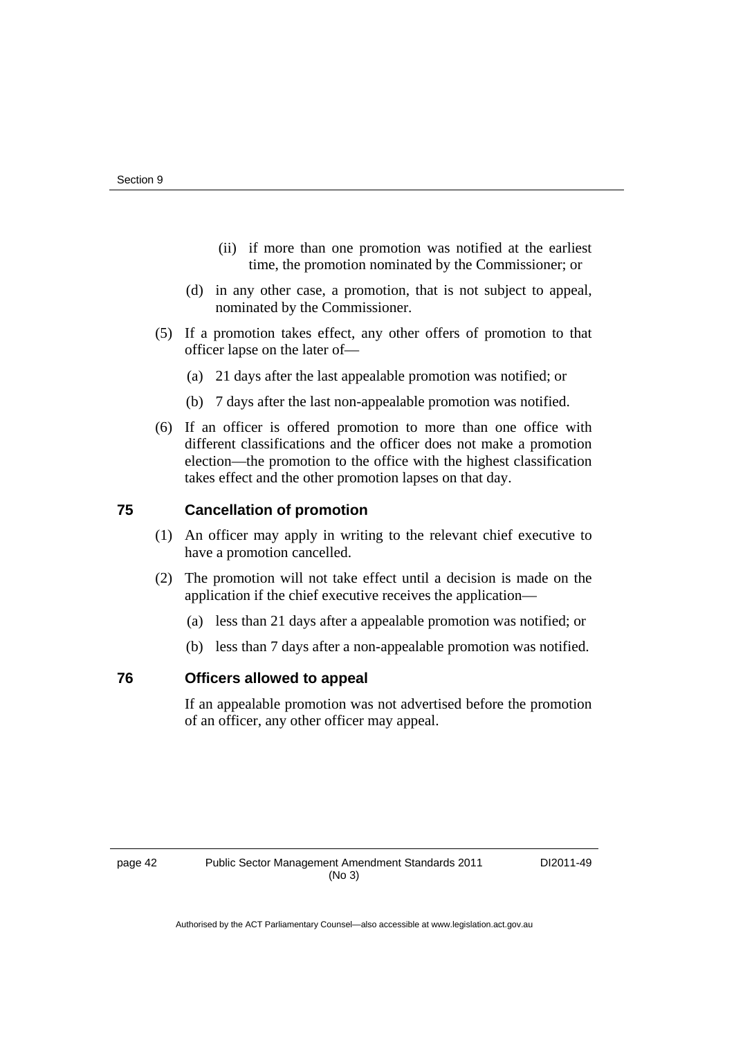- (ii) if more than one promotion was notified at the earliest time, the promotion nominated by the Commissioner; or
- (d) in any other case, a promotion, that is not subject to appeal, nominated by the Commissioner.
- (5) If a promotion takes effect, any other offers of promotion to that officer lapse on the later of—
	- (a) 21 days after the last appealable promotion was notified; or
	- (b) 7 days after the last non-appealable promotion was notified.
- (6) If an officer is offered promotion to more than one office with different classifications and the officer does not make a promotion election—the promotion to the office with the highest classification takes effect and the other promotion lapses on that day.

### **75 Cancellation of promotion**

- (1) An officer may apply in writing to the relevant chief executive to have a promotion cancelled.
- (2) The promotion will not take effect until a decision is made on the application if the chief executive receives the application—
	- (a) less than 21 days after a appealable promotion was notified; or
	- (b) less than 7 days after a non-appealable promotion was notified.

### **76 Officers allowed to appeal**

If an appealable promotion was not advertised before the promotion of an officer, any other officer may appeal.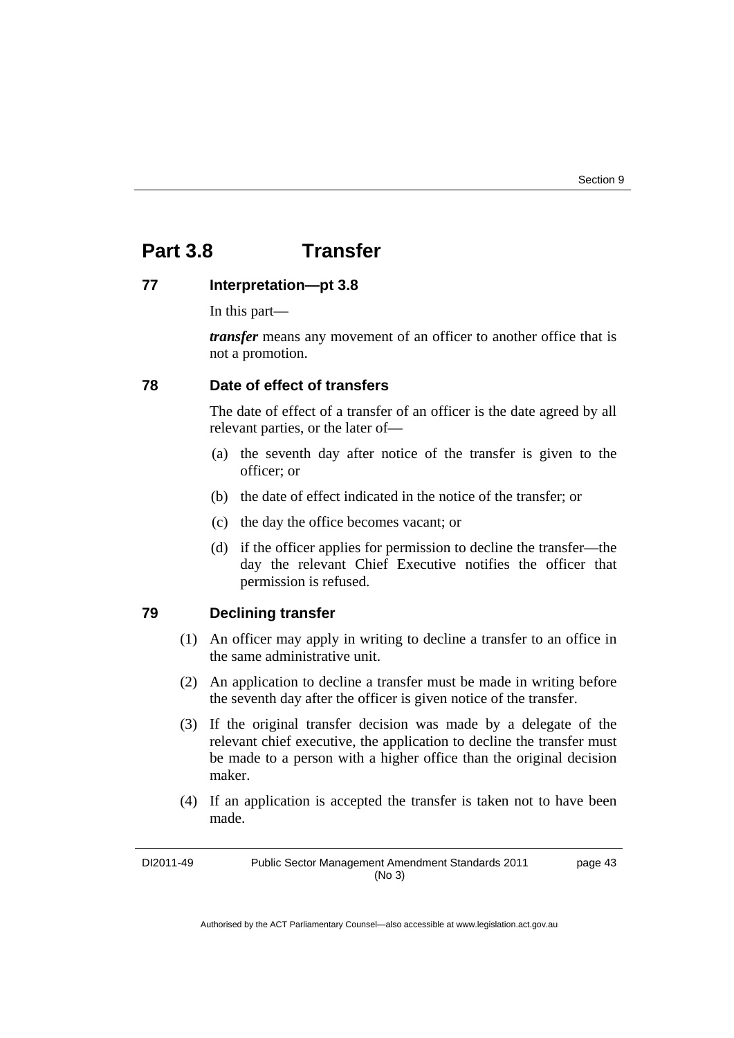# **Part 3.8 Transfer**

### **77 Interpretation—pt 3.8**

In this part—

*transfer* means any movement of an officer to another office that is not a promotion.

### **78 Date of effect of transfers**

The date of effect of a transfer of an officer is the date agreed by all relevant parties, or the later of—

- (a) the seventh day after notice of the transfer is given to the officer; or
- (b) the date of effect indicated in the notice of the transfer; or
- (c) the day the office becomes vacant; or
- (d) if the officer applies for permission to decline the transfer—the day the relevant Chief Executive notifies the officer that permission is refused.

### **79 Declining transfer**

- (1) An officer may apply in writing to decline a transfer to an office in the same administrative unit.
- (2) An application to decline a transfer must be made in writing before the seventh day after the officer is given notice of the transfer.
- (3) If the original transfer decision was made by a delegate of the relevant chief executive, the application to decline the transfer must be made to a person with a higher office than the original decision maker.
- (4) If an application is accepted the transfer is taken not to have been made.

DI2011-49 Public Sector Management Amendment Standards 2011 (No 3) page 43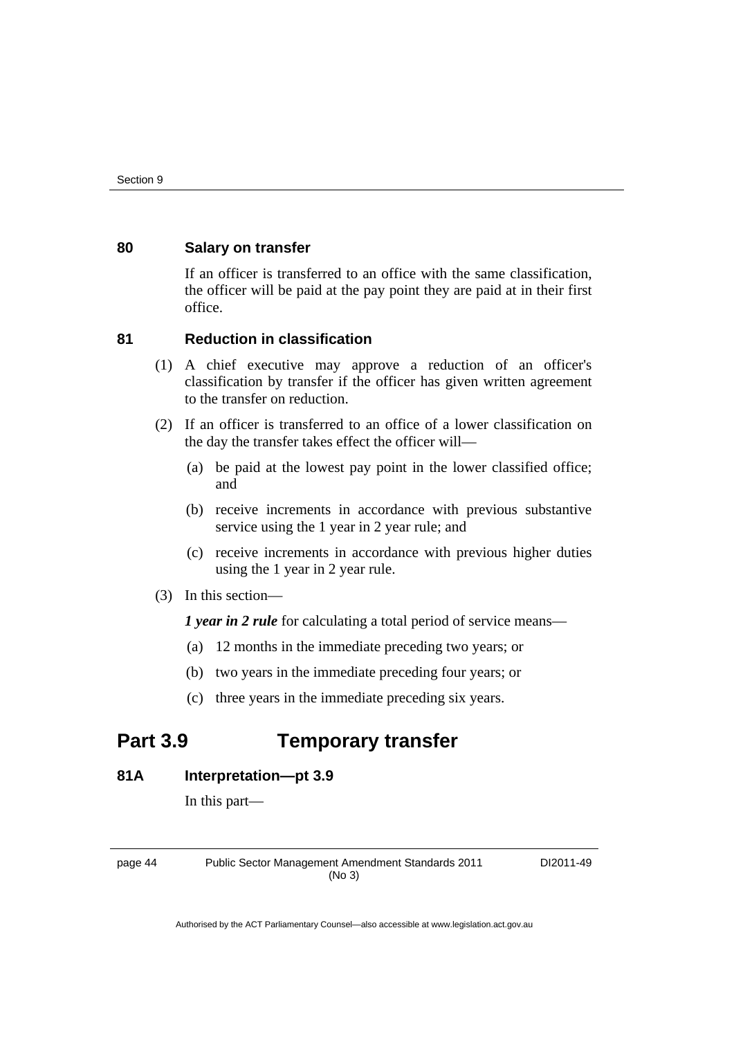### **80 Salary on transfer**

If an officer is transferred to an office with the same classification, the officer will be paid at the pay point they are paid at in their first office.

### **81 Reduction in classification**

- (1) A chief executive may approve a reduction of an officer's classification by transfer if the officer has given written agreement to the transfer on reduction.
- (2) If an officer is transferred to an office of a lower classification on the day the transfer takes effect the officer will—
	- (a) be paid at the lowest pay point in the lower classified office; and
	- (b) receive increments in accordance with previous substantive service using the 1 year in 2 year rule; and
	- (c) receive increments in accordance with previous higher duties using the 1 year in 2 year rule.
- (3) In this section—

*1 year in 2 rule* for calculating a total period of service means—

- (a) 12 months in the immediate preceding two years; or
- (b) two years in the immediate preceding four years; or
- (c) three years in the immediate preceding six years.

# **Part 3.9 Temporary transfer**

### **81A Interpretation—pt 3.9**

In this part—

page 44 Public Sector Management Amendment Standards 2011 (No 3)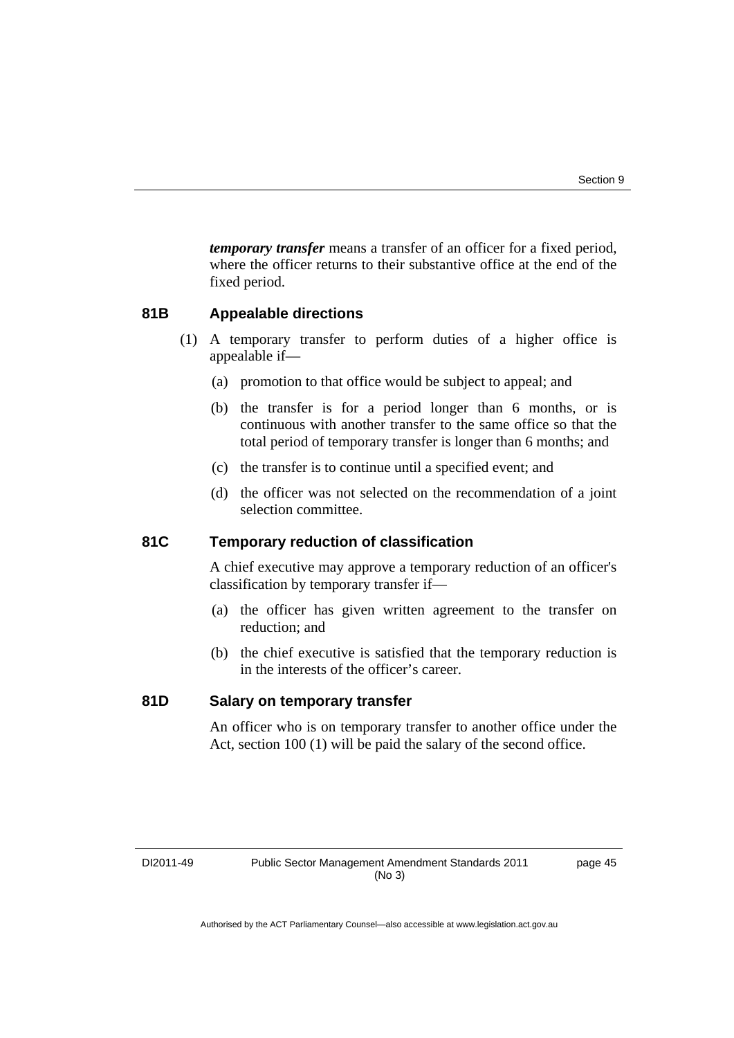*temporary transfer* means a transfer of an officer for a fixed period, where the officer returns to their substantive office at the end of the fixed period.

### **81B Appealable directions**

- (1) A temporary transfer to perform duties of a higher office is appealable if—
	- (a) promotion to that office would be subject to appeal; and
	- (b) the transfer is for a period longer than 6 months, or is continuous with another transfer to the same office so that the total period of temporary transfer is longer than 6 months; and
	- (c) the transfer is to continue until a specified event; and
	- (d) the officer was not selected on the recommendation of a joint selection committee.

### **81C Temporary reduction of classification**

A chief executive may approve a temporary reduction of an officer's classification by temporary transfer if—

- (a) the officer has given written agreement to the transfer on reduction; and
- (b) the chief executive is satisfied that the temporary reduction is in the interests of the officer's career.

### **81D Salary on temporary transfer**

An officer who is on temporary transfer to another office under the Act, section 100 (1) will be paid the salary of the second office.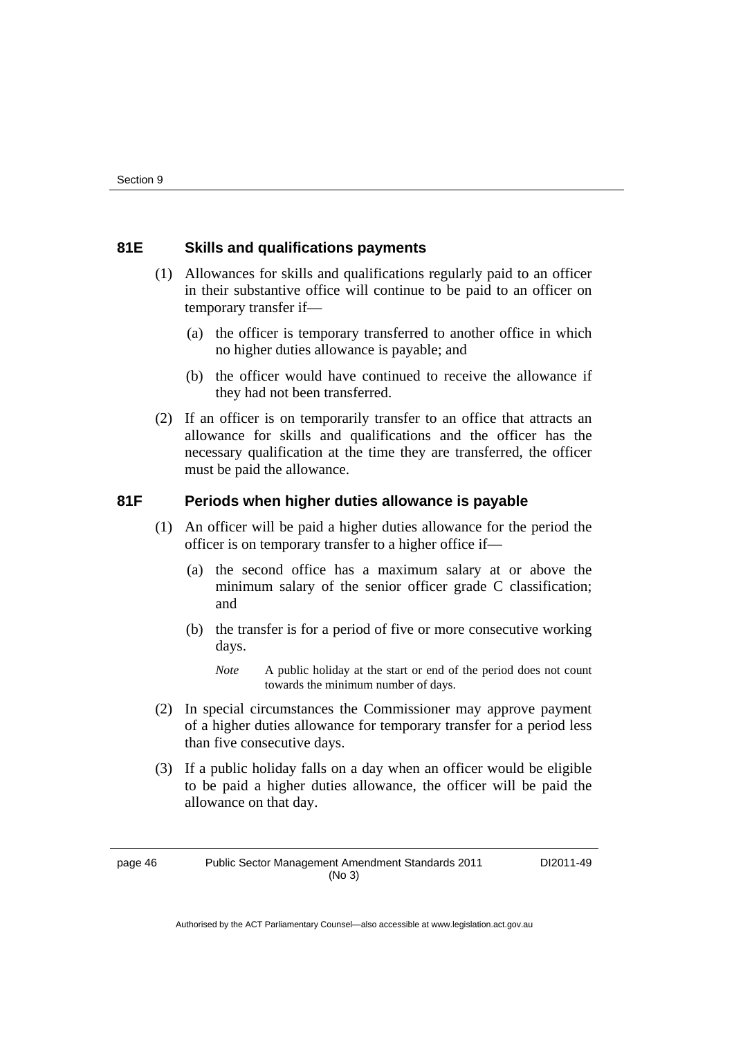### **81E Skills and qualifications payments**

- (1) Allowances for skills and qualifications regularly paid to an officer in their substantive office will continue to be paid to an officer on temporary transfer if—
	- (a) the officer is temporary transferred to another office in which no higher duties allowance is payable; and
	- (b) the officer would have continued to receive the allowance if they had not been transferred.
- (2) If an officer is on temporarily transfer to an office that attracts an allowance for skills and qualifications and the officer has the necessary qualification at the time they are transferred, the officer must be paid the allowance.

### **81F Periods when higher duties allowance is payable**

- (1) An officer will be paid a higher duties allowance for the period the officer is on temporary transfer to a higher office if—
	- (a) the second office has a maximum salary at or above the minimum salary of the senior officer grade C classification; and
	- (b) the transfer is for a period of five or more consecutive working days.
		- *Note* A public holiday at the start or end of the period does not count towards the minimum number of days.
- (2) In special circumstances the Commissioner may approve payment of a higher duties allowance for temporary transfer for a period less than five consecutive days.
- (3) If a public holiday falls on a day when an officer would be eligible to be paid a higher duties allowance, the officer will be paid the allowance on that day.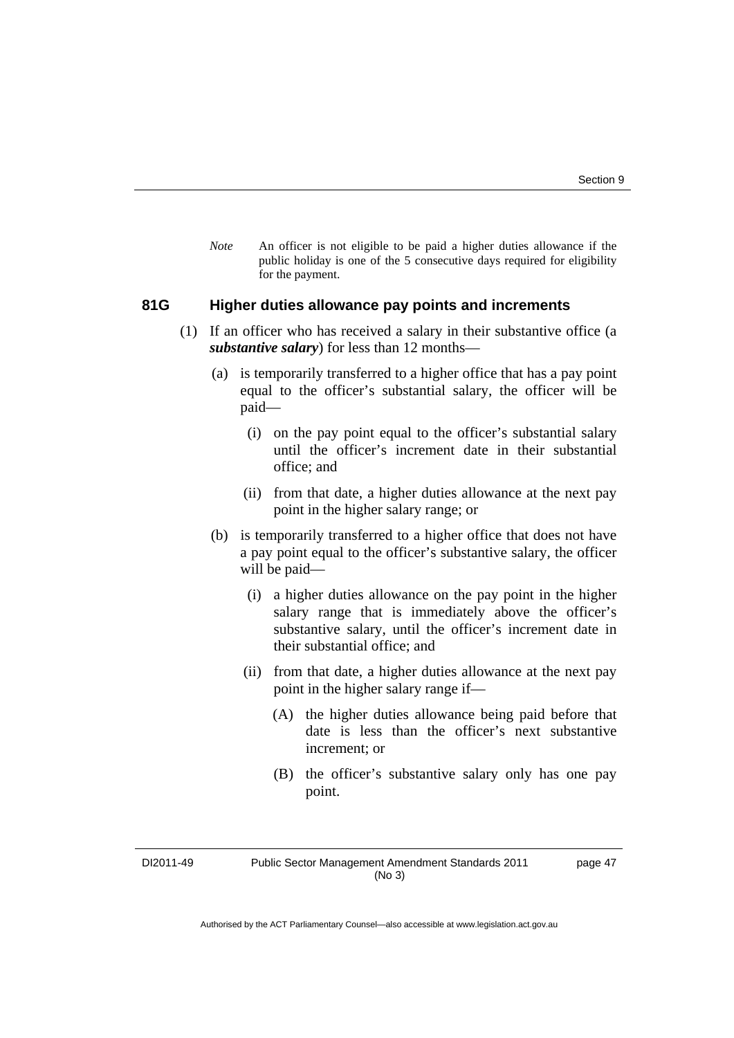*Note* An officer is not eligible to be paid a higher duties allowance if the public holiday is one of the 5 consecutive days required for eligibility for the payment.

### **81G Higher duties allowance pay points and increments**

- (1) If an officer who has received a salary in their substantive office (a *substantive salary*) for less than 12 months—
	- (a) is temporarily transferred to a higher office that has a pay point equal to the officer's substantial salary, the officer will be paid—
		- (i) on the pay point equal to the officer's substantial salary until the officer's increment date in their substantial office; and
		- (ii) from that date, a higher duties allowance at the next pay point in the higher salary range; or
	- (b) is temporarily transferred to a higher office that does not have a pay point equal to the officer's substantive salary, the officer will be paid—
		- (i) a higher duties allowance on the pay point in the higher salary range that is immediately above the officer's substantive salary, until the officer's increment date in their substantial office; and
		- (ii) from that date, a higher duties allowance at the next pay point in the higher salary range if—
			- (A) the higher duties allowance being paid before that date is less than the officer's next substantive increment; or
			- (B) the officer's substantive salary only has one pay point.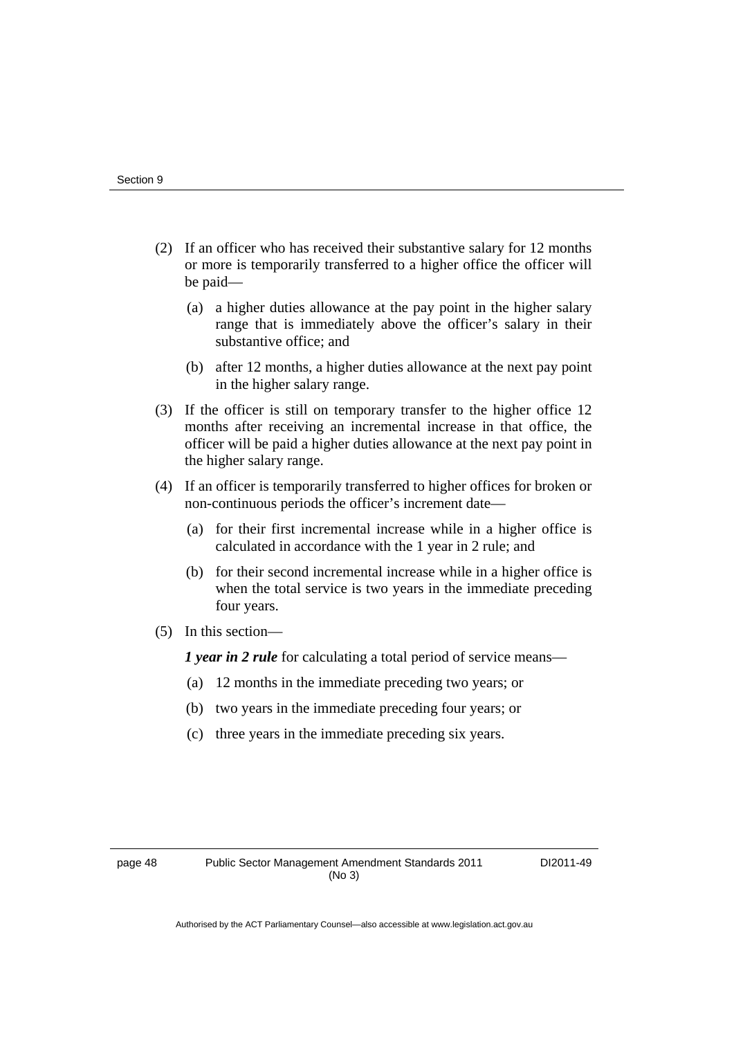- (2) If an officer who has received their substantive salary for 12 months or more is temporarily transferred to a higher office the officer will be paid—
	- (a) a higher duties allowance at the pay point in the higher salary range that is immediately above the officer's salary in their substantive office; and
	- (b) after 12 months, a higher duties allowance at the next pay point in the higher salary range.
- (3) If the officer is still on temporary transfer to the higher office 12 months after receiving an incremental increase in that office, the officer will be paid a higher duties allowance at the next pay point in the higher salary range.
- (4) If an officer is temporarily transferred to higher offices for broken or non-continuous periods the officer's increment date—
	- (a) for their first incremental increase while in a higher office is calculated in accordance with the 1 year in 2 rule; and
	- (b) for their second incremental increase while in a higher office is when the total service is two years in the immediate preceding four years.
- (5) In this section—

*1 year in 2 rule* for calculating a total period of service means—

- (a) 12 months in the immediate preceding two years; or
- (b) two years in the immediate preceding four years; or
- (c) three years in the immediate preceding six years.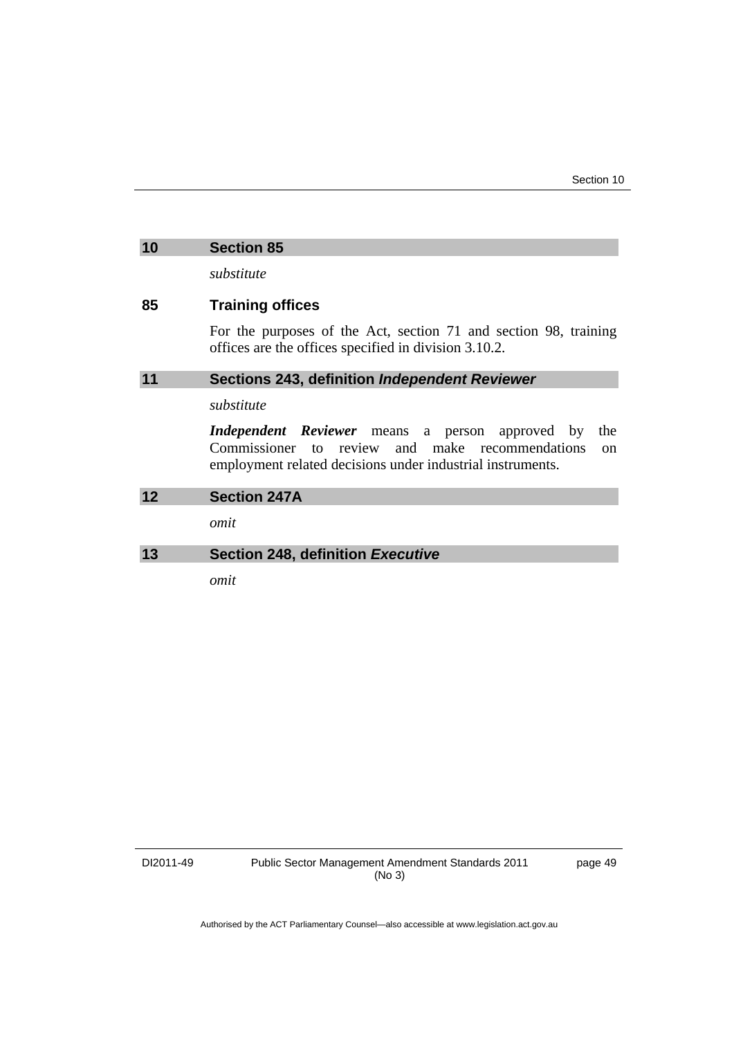### **10 Section 85**

*substitute* 

### **85 Training offices**

For the purposes of the Act, section 71 and section 98, training offices are the offices specified in division 3.10.2.

### **11 Sections 243, definition** *Independent Reviewer*

### *substitute*

*Independent Reviewer* means a person approved by the Commissioner to review and make recommendations on employment related decisions under industrial instruments.

# **12 Section 247A**  *omit*  **13 Section 248, definition** *Executive*

*omit*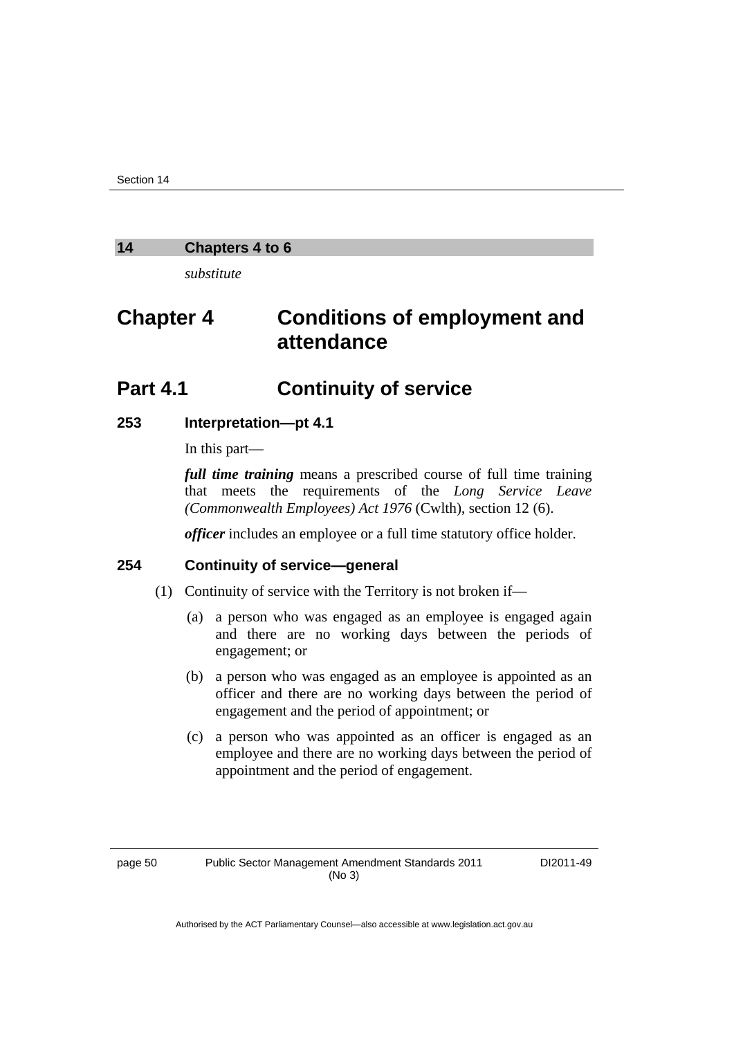### **14 Chapters 4 to 6**

*substitute* 

# **Chapter 4 Conditions of employment and attendance**

# **Part 4.1 Continuity of service**

#### **253 Interpretation—pt 4.1**

In this part—

*full time training* means a prescribed course of full time training that meets the requirements of the *Long Service Leave (Commonwealth Employees) Act 1976* (Cwlth), section 12 (6).

*officer* includes an employee or a full time statutory office holder.

### **254 Continuity of service—general**

- (1) Continuity of service with the Territory is not broken if—
	- (a) a person who was engaged as an employee is engaged again and there are no working days between the periods of engagement; or
	- (b) a person who was engaged as an employee is appointed as an officer and there are no working days between the period of engagement and the period of appointment; or
	- (c) a person who was appointed as an officer is engaged as an employee and there are no working days between the period of appointment and the period of engagement.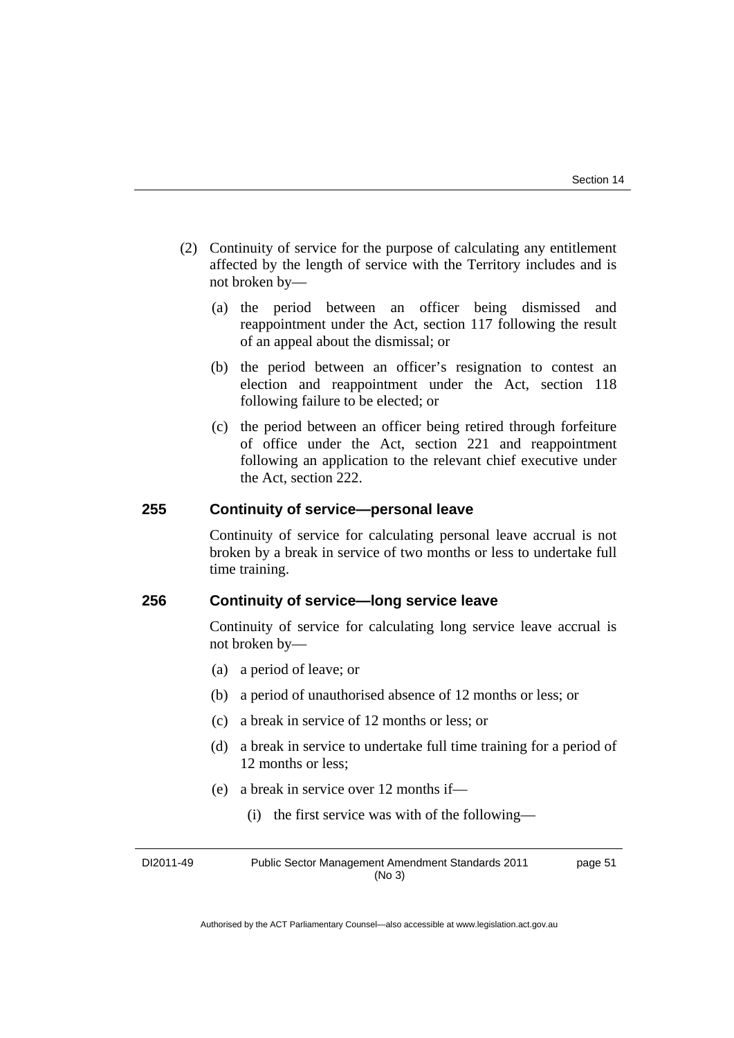- (2) Continuity of service for the purpose of calculating any entitlement affected by the length of service with the Territory includes and is not broken by—
	- (a) the period between an officer being dismissed and reappointment under the Act, section 117 following the result of an appeal about the dismissal; or
	- (b) the period between an officer's resignation to contest an election and reappointment under the Act, section 118 following failure to be elected; or
	- (c) the period between an officer being retired through forfeiture of office under the Act, section 221 and reappointment following an application to the relevant chief executive under the Act, section 222.

### **255 Continuity of service—personal leave**

Continuity of service for calculating personal leave accrual is not broken by a break in service of two months or less to undertake full time training.

### **256 Continuity of service—long service leave**

Continuity of service for calculating long service leave accrual is not broken by—

- (a) a period of leave; or
- (b) a period of unauthorised absence of 12 months or less; or
- (c) a break in service of 12 months or less; or
- (d) a break in service to undertake full time training for a period of 12 months or less;
- (e) a break in service over 12 months if—
	- (i) the first service was with of the following—

DI2011-49 Public Sector Management Amendment Standards 2011 (No 3) page 51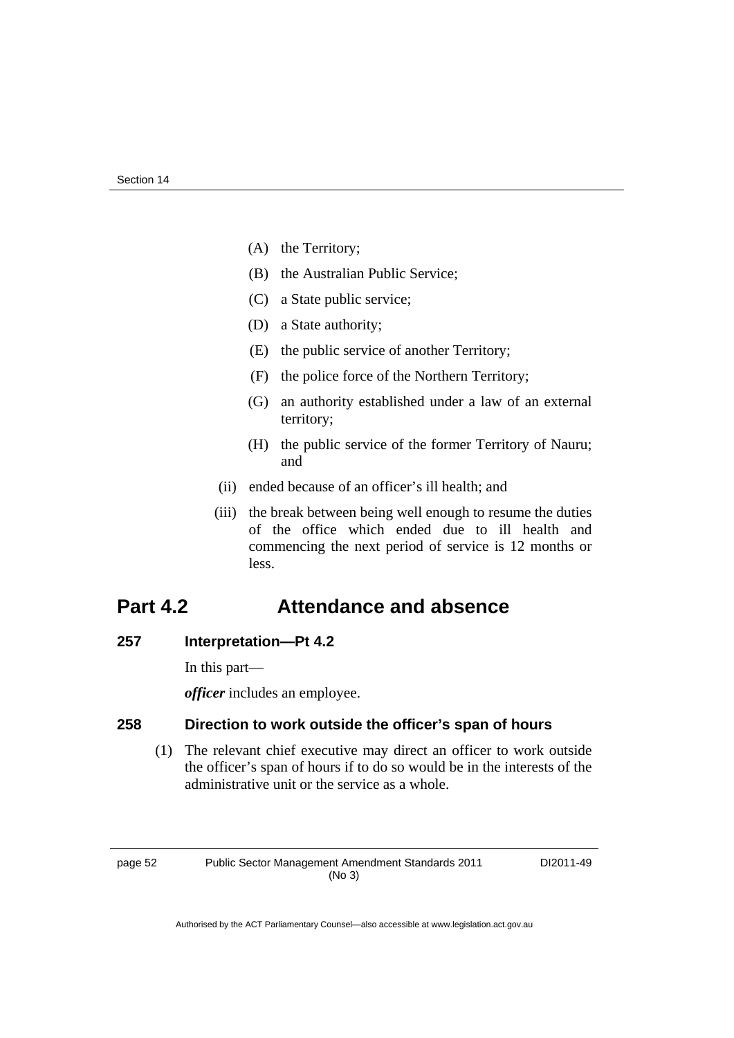- (A) the Territory;
- (B) the Australian Public Service;
- (C) a State public service;
- (D) a State authority;
- (E) the public service of another Territory;
- (F) the police force of the Northern Territory;
- (G) an authority established under a law of an external territory;
- (H) the public service of the former Territory of Nauru; and
- (ii) ended because of an officer's ill health; and
- (iii) the break between being well enough to resume the duties of the office which ended due to ill health and commencing the next period of service is 12 months or less.

### **Part 4.2 Attendance and absence**

### **257 Interpretation—Pt 4.2**

In this part—

*officer* includes an employee.

### **258 Direction to work outside the officer's span of hours**

 (1) The relevant chief executive may direct an officer to work outside the officer's span of hours if to do so would be in the interests of the administrative unit or the service as a whole.

page 52 Public Sector Management Amendment Standards 2011 (No 3)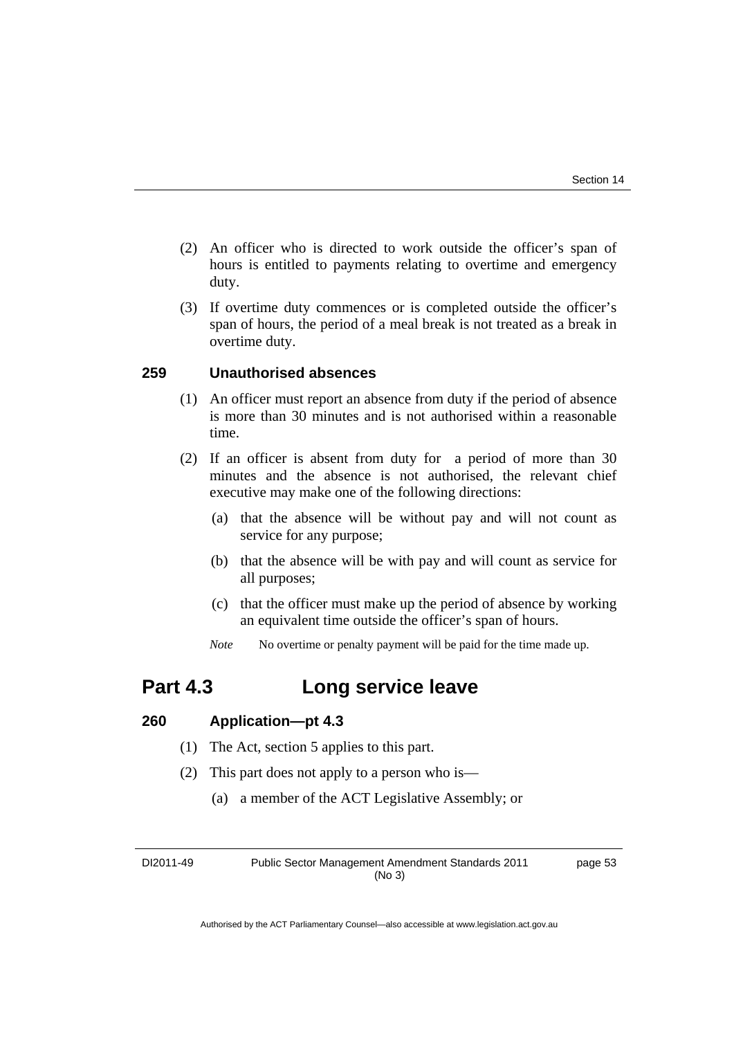- (2) An officer who is directed to work outside the officer's span of hours is entitled to payments relating to overtime and emergency duty.
- (3) If overtime duty commences or is completed outside the officer's span of hours, the period of a meal break is not treated as a break in overtime duty.

### **259 Unauthorised absences**

- (1) An officer must report an absence from duty if the period of absence is more than 30 minutes and is not authorised within a reasonable time.
- (2) If an officer is absent from duty for a period of more than 30 minutes and the absence is not authorised, the relevant chief executive may make one of the following directions:
	- (a) that the absence will be without pay and will not count as service for any purpose;
	- (b) that the absence will be with pay and will count as service for all purposes;
	- (c) that the officer must make up the period of absence by working an equivalent time outside the officer's span of hours.
	- *Note* No overtime or penalty payment will be paid for the time made up.

### **Part 4.3 Long service leave**

### **260 Application—pt 4.3**

- (1) The Act, section 5 applies to this part.
- (2) This part does not apply to a person who is—
	- (a) a member of the ACT Legislative Assembly; or

DI2011-49 Public Sector Management Amendment Standards 2011 (No 3)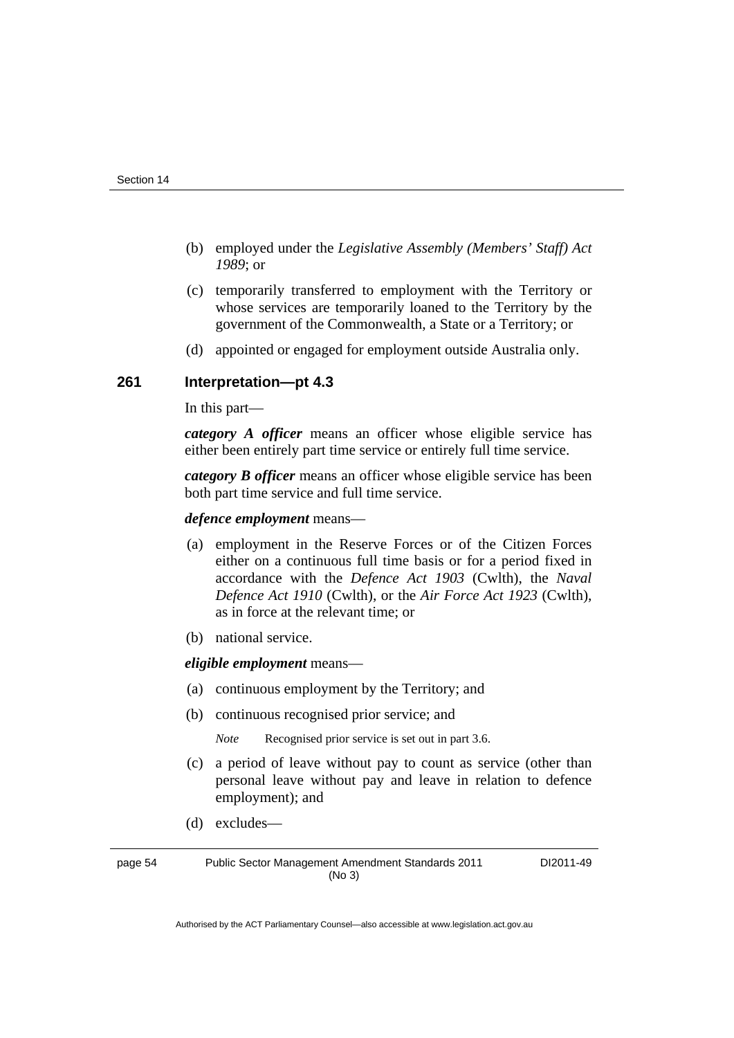- (b) employed under the *Legislative Assembly (Members' Staff) Act 1989*; or
- (c) temporarily transferred to employment with the Territory or whose services are temporarily loaned to the Territory by the government of the Commonwealth, a State or a Territory; or
- (d) appointed or engaged for employment outside Australia only.

### **261 Interpretation—pt 4.3**

In this part—

*category A officer* means an officer whose eligible service has either been entirely part time service or entirely full time service.

*category B officer* means an officer whose eligible service has been both part time service and full time service.

### *defence employment* means—

- (a) employment in the Reserve Forces or of the Citizen Forces either on a continuous full time basis or for a period fixed in accordance with the *Defence Act 1903* (Cwlth), the *Naval Defence Act 1910* (Cwlth), or the *Air Force Act 1923* (Cwlth), as in force at the relevant time; or
- (b) national service.

*eligible employment* means—

- (a) continuous employment by the Territory; and
- (b) continuous recognised prior service; and

*Note* Recognised prior service is set out in part 3.6.

- (c) a period of leave without pay to count as service (other than personal leave without pay and leave in relation to defence employment); and
- (d) excludes—

page 54 Public Sector Management Amendment Standards 2011 (No 3)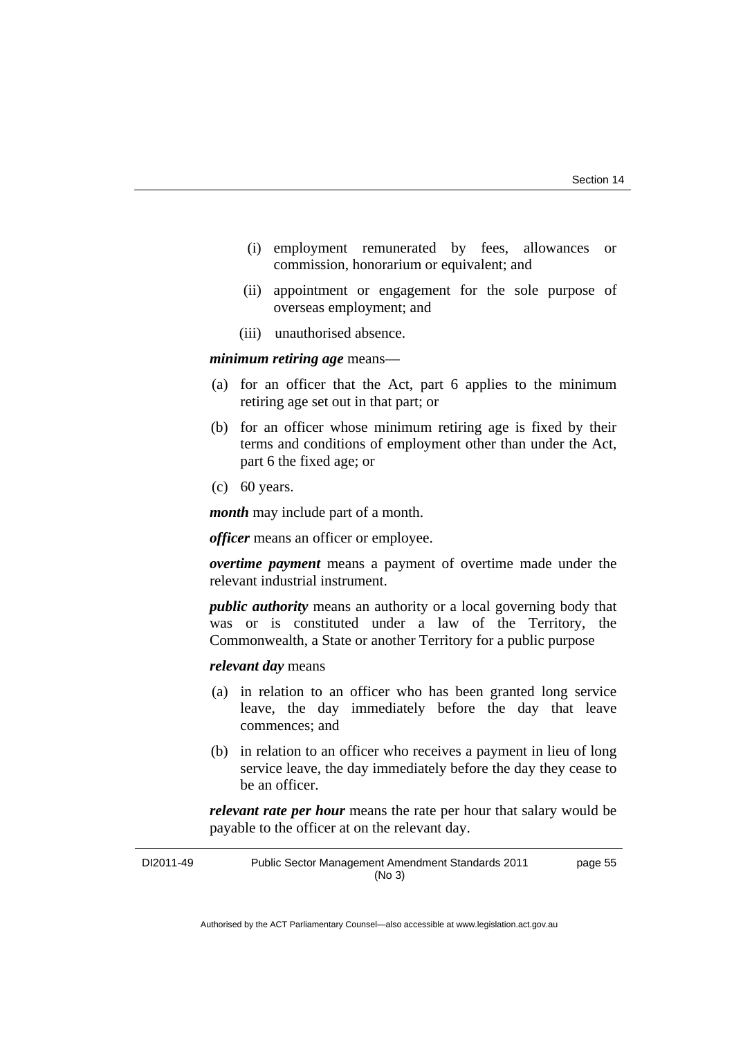- (i) employment remunerated by fees, allowances or commission, honorarium or equivalent; and
- (ii) appointment or engagement for the sole purpose of overseas employment; and
- (iii) unauthorised absence.

### *minimum retiring age* means—

- (a) for an officer that the Act, part 6 applies to the minimum retiring age set out in that part; or
- (b) for an officer whose minimum retiring age is fixed by their terms and conditions of employment other than under the Act, part 6 the fixed age; or
- (c) 60 years.

*month* may include part of a month.

*officer* means an officer or employee.

*overtime payment* means a payment of overtime made under the relevant industrial instrument.

*public authority* means an authority or a local governing body that was or is constituted under a law of the Territory, the Commonwealth, a State or another Territory for a public purpose

### *relevant day* means

- (a) in relation to an officer who has been granted long service leave, the day immediately before the day that leave commences; and
- (b) in relation to an officer who receives a payment in lieu of long service leave, the day immediately before the day they cease to be an officer.

*relevant rate per hour* means the rate per hour that salary would be payable to the officer at on the relevant day.

| DI2011-49 | Public Sector Management Amendment Standards 2011 | page 55 |
|-----------|---------------------------------------------------|---------|
|           | (No 3)                                            |         |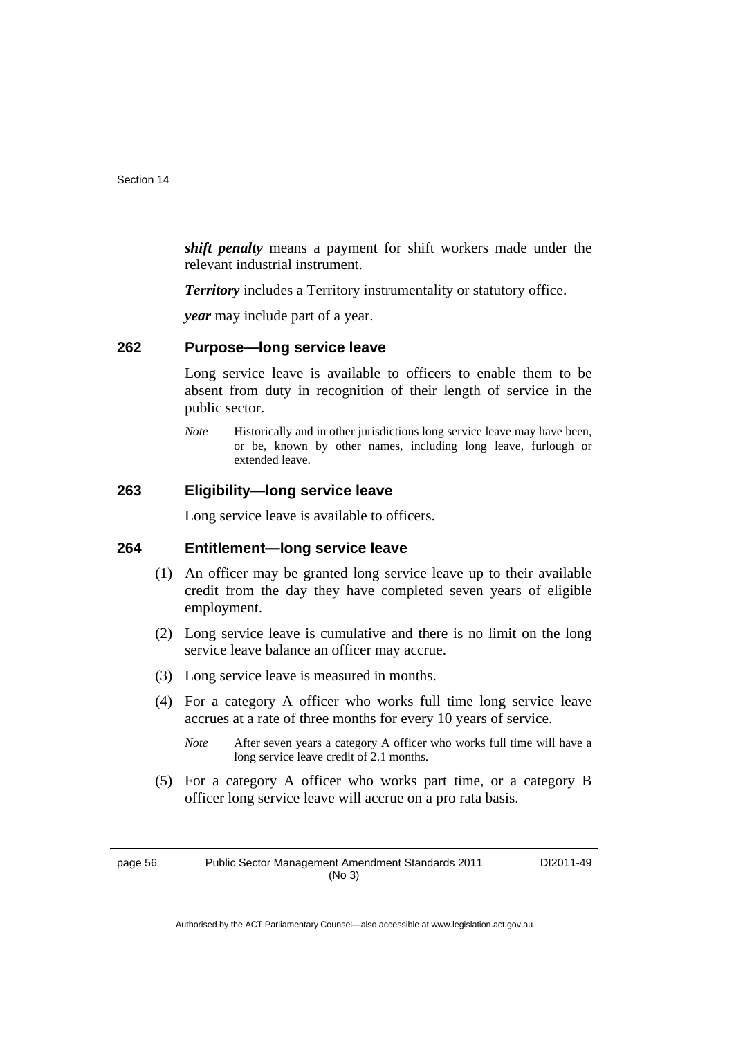*shift penalty* means a payment for shift workers made under the relevant industrial instrument.

*Territory* includes a Territory instrumentality or statutory office.

*year* may include part of a year.

### **262 Purpose—long service leave**

Long service leave is available to officers to enable them to be absent from duty in recognition of their length of service in the public sector.

*Note* Historically and in other jurisdictions long service leave may have been, or be, known by other names, including long leave, furlough or extended leave.

### **263 Eligibility—long service leave**

Long service leave is available to officers.

### **264 Entitlement—long service leave**

- (1) An officer may be granted long service leave up to their available credit from the day they have completed seven years of eligible employment.
- (2) Long service leave is cumulative and there is no limit on the long service leave balance an officer may accrue.
- (3) Long service leave is measured in months.
- (4) For a category A officer who works full time long service leave accrues at a rate of three months for every 10 years of service.
	- *Note* After seven years a category A officer who works full time will have a long service leave credit of 2.1 months.
- (5) For a category A officer who works part time, or a category B officer long service leave will accrue on a pro rata basis.

page 56 Public Sector Management Amendment Standards 2011 (No 3)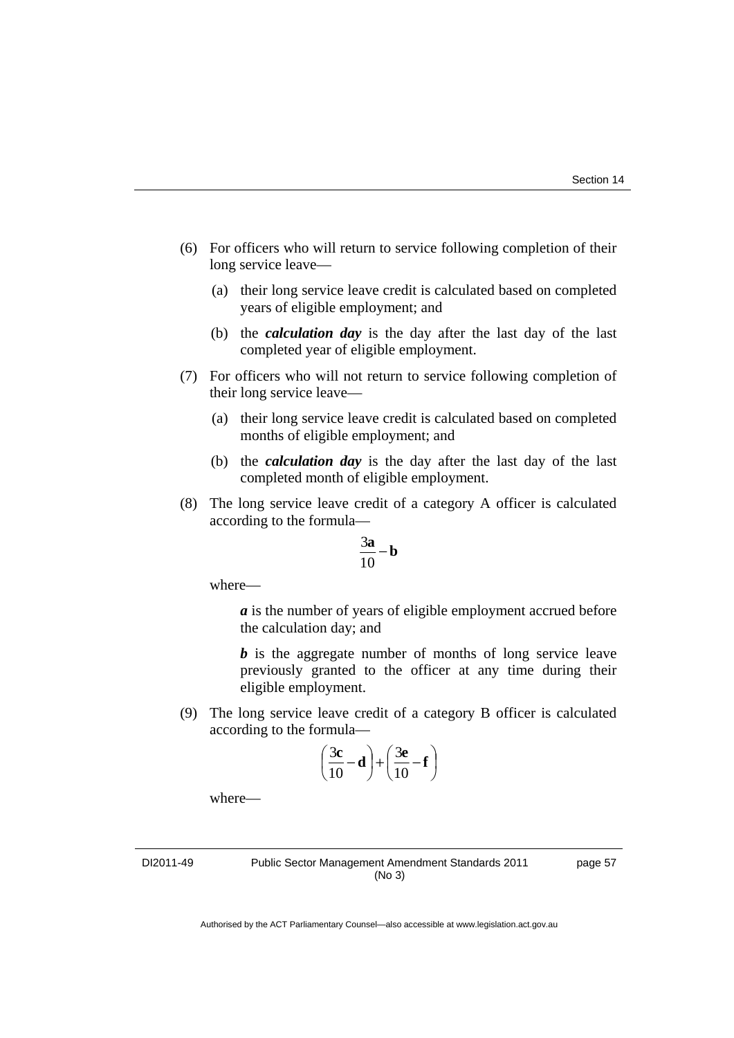- (6) For officers who will return to service following completion of their long service leave—
	- (a) their long service leave credit is calculated based on completed years of eligible employment; and
	- (b) the *calculation day* is the day after the last day of the last completed year of eligible employment.
- (7) For officers who will not return to service following completion of their long service leave—
	- (a) their long service leave credit is calculated based on completed months of eligible employment; and
	- (b) the *calculation day* is the day after the last day of the last completed month of eligible employment.
- (8) The long service leave credit of a category A officer is calculated according to the formula—

$$
\frac{3\mathbf{a}}{10} - \mathbf{b}
$$

where—

*a* is the number of years of eligible employment accrued before the calculation day; and

*b* is the aggregate number of months of long service leave previously granted to the officer at any time during their eligible employment.

 (9) The long service leave credit of a category B officer is calculated according to the formula—

$$
\left(\frac{3c}{10} - d\right) + \left(\frac{3e}{10} - f\right)
$$

where—

DI2011-49 Public Sector Management Amendment Standards 2011 (No 3)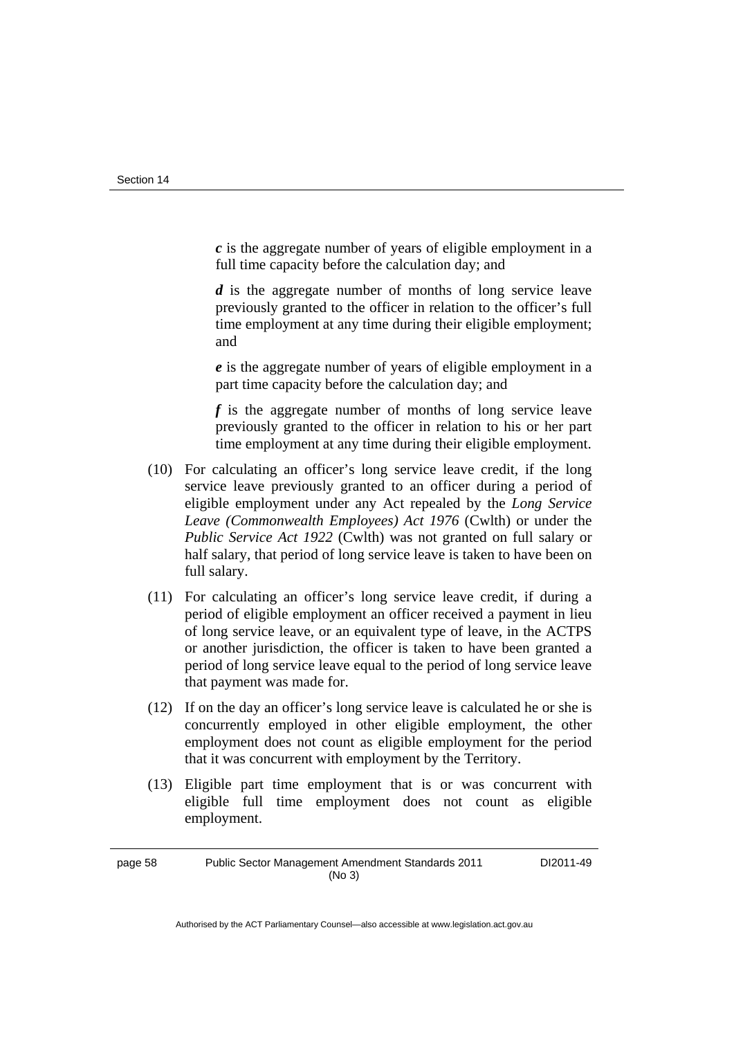*c* is the aggregate number of years of eligible employment in a full time capacity before the calculation day; and

 *d* is the aggregate number of months of long service leave previously granted to the officer in relation to the officer's full time employment at any time during their eligible employment; and

 *e* is the aggregate number of years of eligible employment in a part time capacity before the calculation day; and

 *f* is the aggregate number of months of long service leave previously granted to the officer in relation to his or her part time employment at any time during their eligible employment.

- (10) For calculating an officer's long service leave credit, if the long service leave previously granted to an officer during a period of eligible employment under any Act repealed by the *Long Service Leave (Commonwealth Employees) Act 1976* (Cwlth) or under the *Public Service Act 1922* (Cwlth) was not granted on full salary or half salary, that period of long service leave is taken to have been on full salary.
- (11) For calculating an officer's long service leave credit, if during a period of eligible employment an officer received a payment in lieu of long service leave, or an equivalent type of leave, in the ACTPS or another jurisdiction, the officer is taken to have been granted a period of long service leave equal to the period of long service leave that payment was made for.
- (12) If on the day an officer's long service leave is calculated he or she is concurrently employed in other eligible employment, the other employment does not count as eligible employment for the period that it was concurrent with employment by the Territory.
- (13) Eligible part time employment that is or was concurrent with eligible full time employment does not count as eligible employment.

page 58 Public Sector Management Amendment Standards 2011 (No 3)

DI2011-49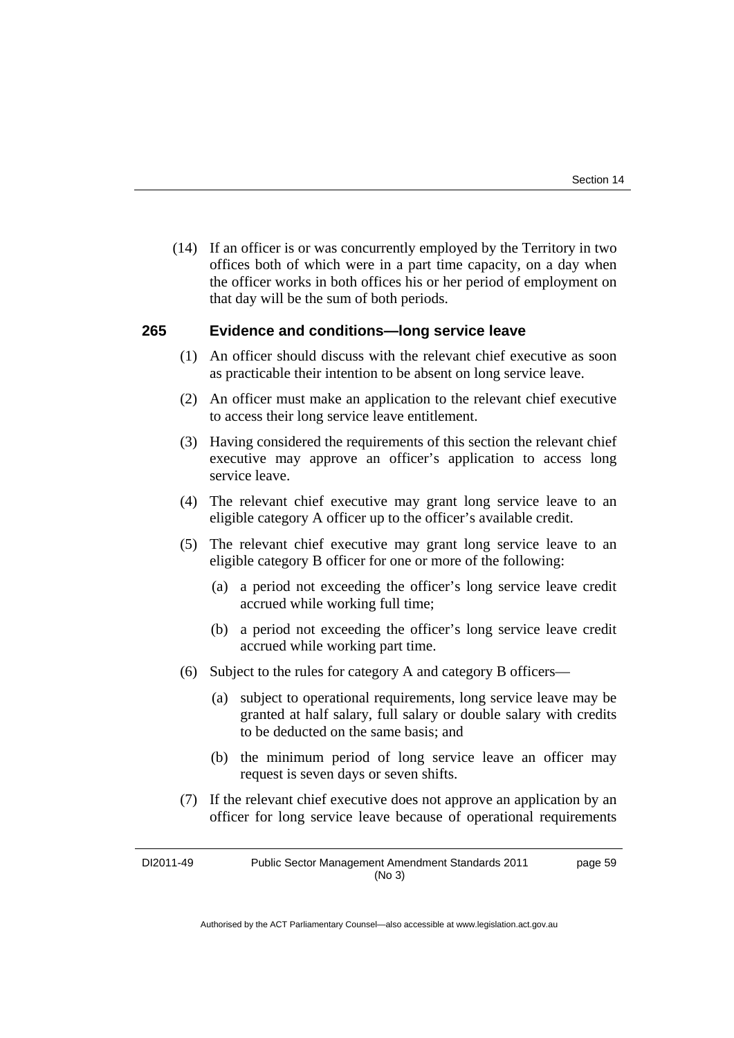(14) If an officer is or was concurrently employed by the Territory in two offices both of which were in a part time capacity, on a day when the officer works in both offices his or her period of employment on that day will be the sum of both periods.

### **265 Evidence and conditions—long service leave**

- (1) An officer should discuss with the relevant chief executive as soon as practicable their intention to be absent on long service leave.
- (2) An officer must make an application to the relevant chief executive to access their long service leave entitlement.
- (3) Having considered the requirements of this section the relevant chief executive may approve an officer's application to access long service leave.
- (4) The relevant chief executive may grant long service leave to an eligible category A officer up to the officer's available credit.
- (5) The relevant chief executive may grant long service leave to an eligible category B officer for one or more of the following:
	- (a) a period not exceeding the officer's long service leave credit accrued while working full time;
	- (b) a period not exceeding the officer's long service leave credit accrued while working part time.
- (6) Subject to the rules for category A and category B officers—
	- (a) subject to operational requirements, long service leave may be granted at half salary, full salary or double salary with credits to be deducted on the same basis; and
	- (b) the minimum period of long service leave an officer may request is seven days or seven shifts.
- (7) If the relevant chief executive does not approve an application by an officer for long service leave because of operational requirements

DI2011-49 Public Sector Management Amendment Standards 2011 (No 3) page 59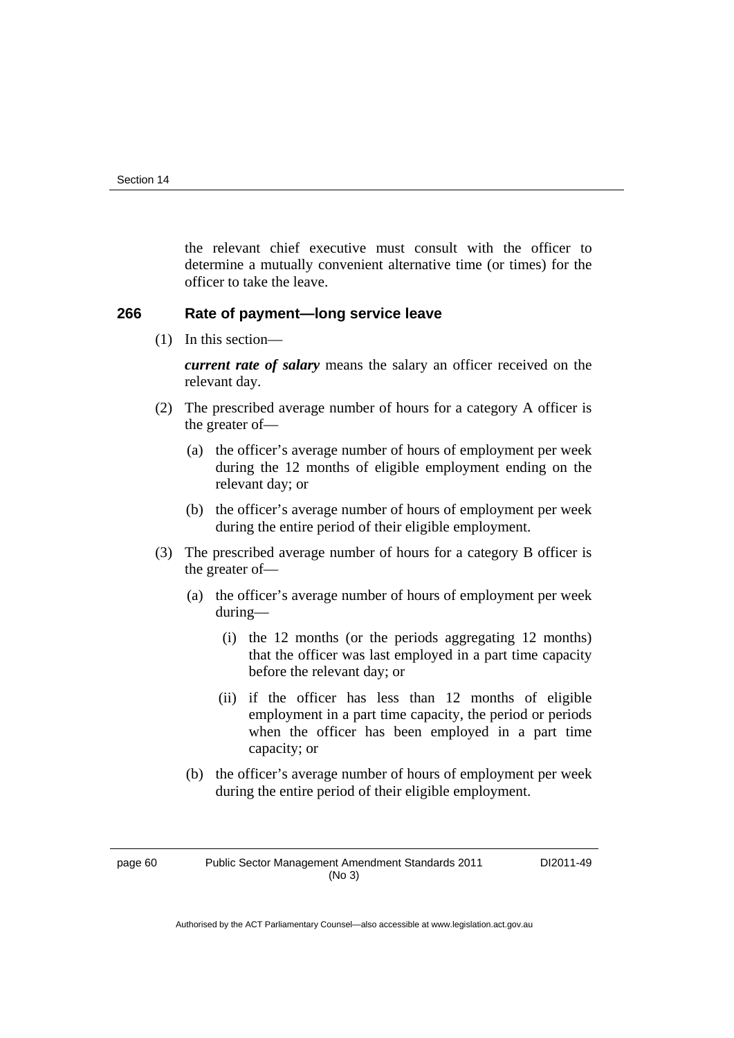the relevant chief executive must consult with the officer to determine a mutually convenient alternative time (or times) for the officer to take the leave.

### **266 Rate of payment—long service leave**

(1) In this section—

*current rate of salary* means the salary an officer received on the relevant day.

- (2) The prescribed average number of hours for a category A officer is the greater of—
	- (a) the officer's average number of hours of employment per week during the 12 months of eligible employment ending on the relevant day; or
	- (b) the officer's average number of hours of employment per week during the entire period of their eligible employment.
- (3) The prescribed average number of hours for a category B officer is the greater of—
	- (a) the officer's average number of hours of employment per week during—
		- (i) the 12 months (or the periods aggregating 12 months) that the officer was last employed in a part time capacity before the relevant day; or
		- (ii) if the officer has less than 12 months of eligible employment in a part time capacity, the period or periods when the officer has been employed in a part time capacity; or
	- (b) the officer's average number of hours of employment per week during the entire period of their eligible employment.

page 60 Public Sector Management Amendment Standards 2011 (No 3)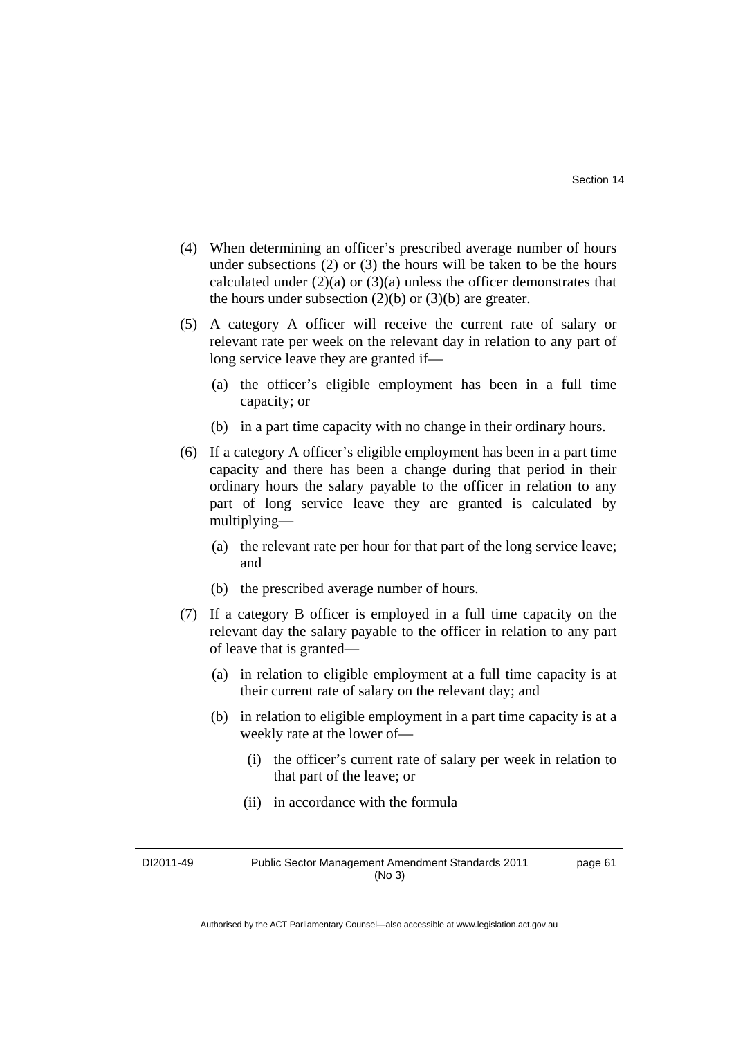- (4) When determining an officer's prescribed average number of hours under subsections (2) or (3) the hours will be taken to be the hours calculated under  $(2)(a)$  or  $(3)(a)$  unless the officer demonstrates that the hours under subsection  $(2)(b)$  or  $(3)(b)$  are greater.
- (5) A category A officer will receive the current rate of salary or relevant rate per week on the relevant day in relation to any part of long service leave they are granted if—
	- (a) the officer's eligible employment has been in a full time capacity; or
	- (b) in a part time capacity with no change in their ordinary hours.
- (6) If a category A officer's eligible employment has been in a part time capacity and there has been a change during that period in their ordinary hours the salary payable to the officer in relation to any part of long service leave they are granted is calculated by multiplying—
	- (a) the relevant rate per hour for that part of the long service leave; and
	- (b) the prescribed average number of hours.
- (7) If a category B officer is employed in a full time capacity on the relevant day the salary payable to the officer in relation to any part of leave that is granted—
	- (a) in relation to eligible employment at a full time capacity is at their current rate of salary on the relevant day; and
	- (b) in relation to eligible employment in a part time capacity is at a weekly rate at the lower of—
		- (i) the officer's current rate of salary per week in relation to that part of the leave; or
		- (ii) in accordance with the formula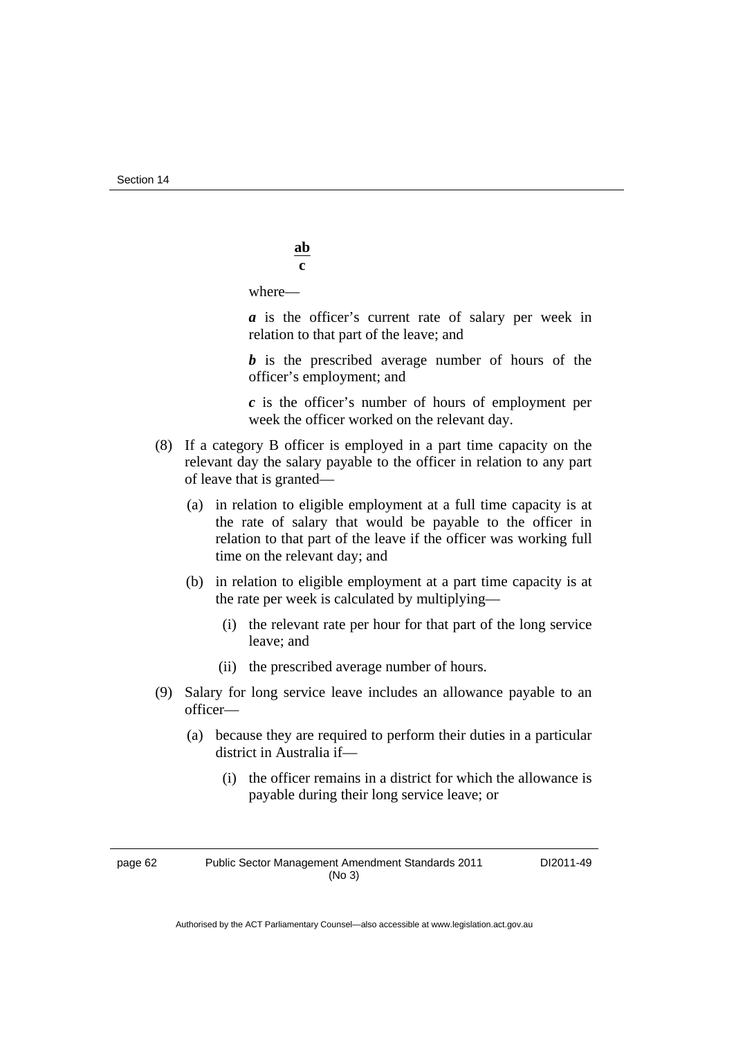Section 14

where—

*a* is the officer's current rate of salary per week in relation to that part of the leave; and

*b* is the prescribed average number of hours of the officer's employment; and

 *c* is the officer's number of hours of employment per week the officer worked on the relevant day.

- (8) If a category B officer is employed in a part time capacity on the relevant day the salary payable to the officer in relation to any part of leave that is granted—
	- (a) in relation to eligible employment at a full time capacity is at the rate of salary that would be payable to the officer in relation to that part of the leave if the officer was working full time on the relevant day; and
	- (b) in relation to eligible employment at a part time capacity is at the rate per week is calculated by multiplying—
		- (i) the relevant rate per hour for that part of the long service leave; and
		- (ii) the prescribed average number of hours.
- (9) Salary for long service leave includes an allowance payable to an officer—
	- (a) because they are required to perform their duties in a particular district in Australia if—
		- (i) the officer remains in a district for which the allowance is payable during their long service leave; or

page 62 Public Sector Management Amendment Standards 2011 (No 3)

DI2011-49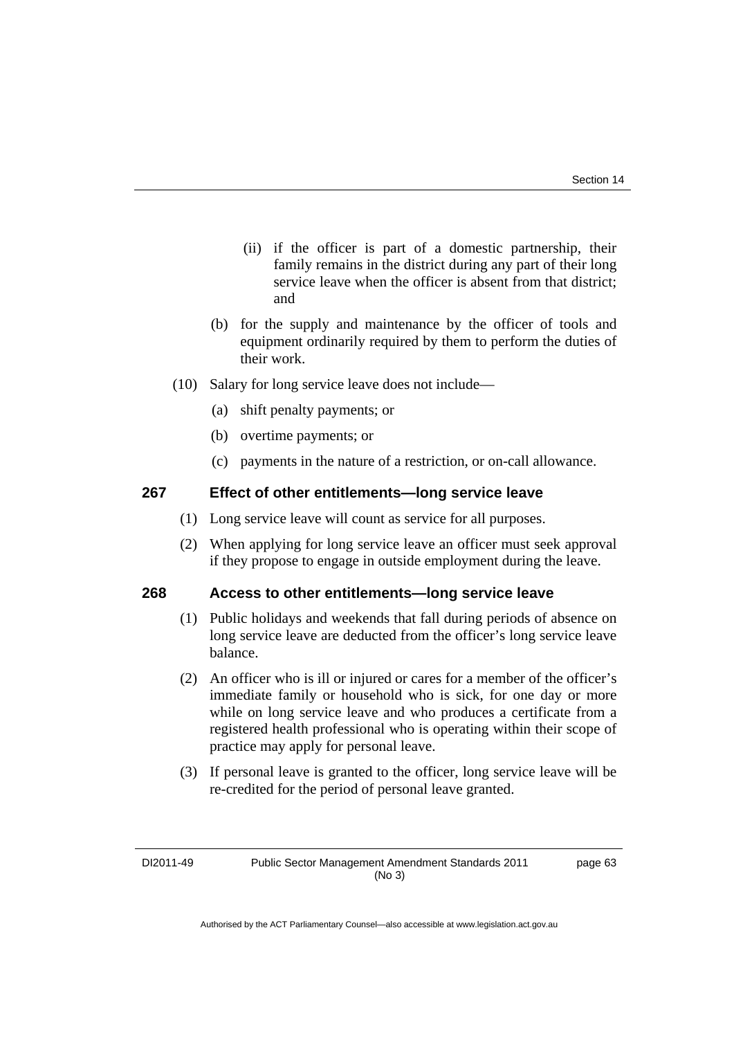- (ii) if the officer is part of a domestic partnership, their family remains in the district during any part of their long service leave when the officer is absent from that district; and
- (b) for the supply and maintenance by the officer of tools and equipment ordinarily required by them to perform the duties of their work.
- (10) Salary for long service leave does not include—
	- (a) shift penalty payments; or
	- (b) overtime payments; or
	- (c) payments in the nature of a restriction, or on-call allowance.

### **267 Effect of other entitlements—long service leave**

- (1) Long service leave will count as service for all purposes.
- (2) When applying for long service leave an officer must seek approval if they propose to engage in outside employment during the leave.

### **268 Access to other entitlements—long service leave**

- (1) Public holidays and weekends that fall during periods of absence on long service leave are deducted from the officer's long service leave balance.
- (2) An officer who is ill or injured or cares for a member of the officer's immediate family or household who is sick, for one day or more while on long service leave and who produces a certificate from a registered health professional who is operating within their scope of practice may apply for personal leave.
- (3) If personal leave is granted to the officer, long service leave will be re-credited for the period of personal leave granted.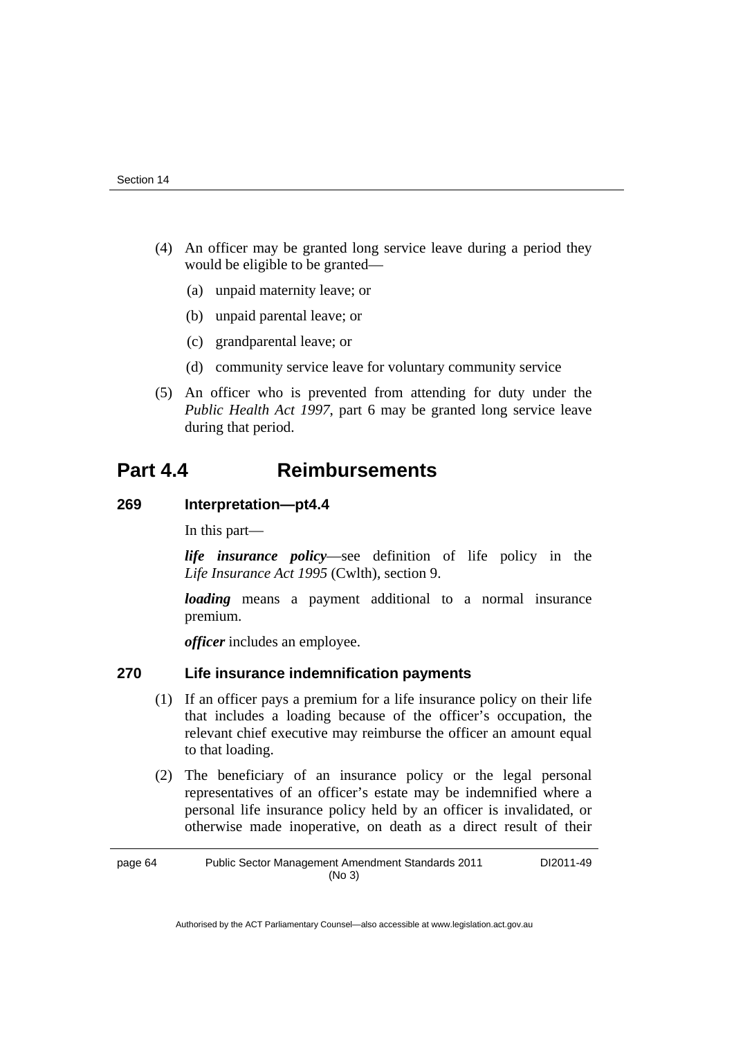- (4) An officer may be granted long service leave during a period they would be eligible to be granted—
	- (a) unpaid maternity leave; or
	- (b) unpaid parental leave; or
	- (c) grandparental leave; or
	- (d) community service leave for voluntary community service
- (5) An officer who is prevented from attending for duty under the *Public Health Act 1997*, part 6 may be granted long service leave during that period.

### **Part 4.4 Reimbursements**

### **269 Interpretation—pt4.4**

In this part—

*life insurance policy*—see definition of life policy in the *Life Insurance Act 1995* (Cwlth), section 9.

*loading* means a payment additional to a normal insurance premium.

*officer* includes an employee.

### **270 Life insurance indemnification payments**

- (1) If an officer pays a premium for a life insurance policy on their life that includes a loading because of the officer's occupation, the relevant chief executive may reimburse the officer an amount equal to that loading.
- (2) The beneficiary of an insurance policy or the legal personal representatives of an officer's estate may be indemnified where a personal life insurance policy held by an officer is invalidated, or otherwise made inoperative, on death as a direct result of their

page 64 Public Sector Management Amendment Standards 2011 (No 3) DI2011-49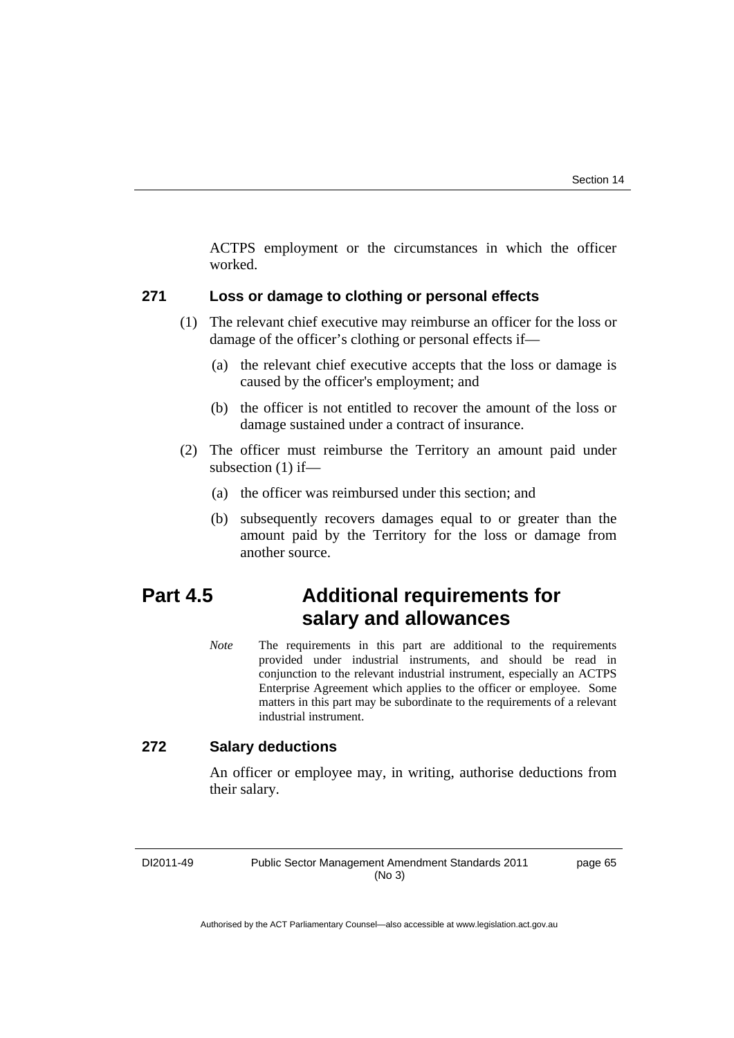ACTPS employment or the circumstances in which the officer worked.

### **271 Loss or damage to clothing or personal effects**

- (1) The relevant chief executive may reimburse an officer for the loss or damage of the officer's clothing or personal effects if—
	- (a) the relevant chief executive accepts that the loss or damage is caused by the officer's employment; and
	- (b) the officer is not entitled to recover the amount of the loss or damage sustained under a contract of insurance.
- (2) The officer must reimburse the Territory an amount paid under subsection (1) if—
	- (a) the officer was reimbursed under this section; and
	- (b) subsequently recovers damages equal to or greater than the amount paid by the Territory for the loss or damage from another source.

# **Part 4.5 Additional requirements for salary and allowances**

*Note* The requirements in this part are additional to the requirements provided under industrial instruments, and should be read in conjunction to the relevant industrial instrument, especially an ACTPS Enterprise Agreement which applies to the officer or employee. Some matters in this part may be subordinate to the requirements of a relevant industrial instrument.

### **272 Salary deductions**

An officer or employee may, in writing, authorise deductions from their salary.

DI2011-49 Public Sector Management Amendment Standards 2011 (No 3)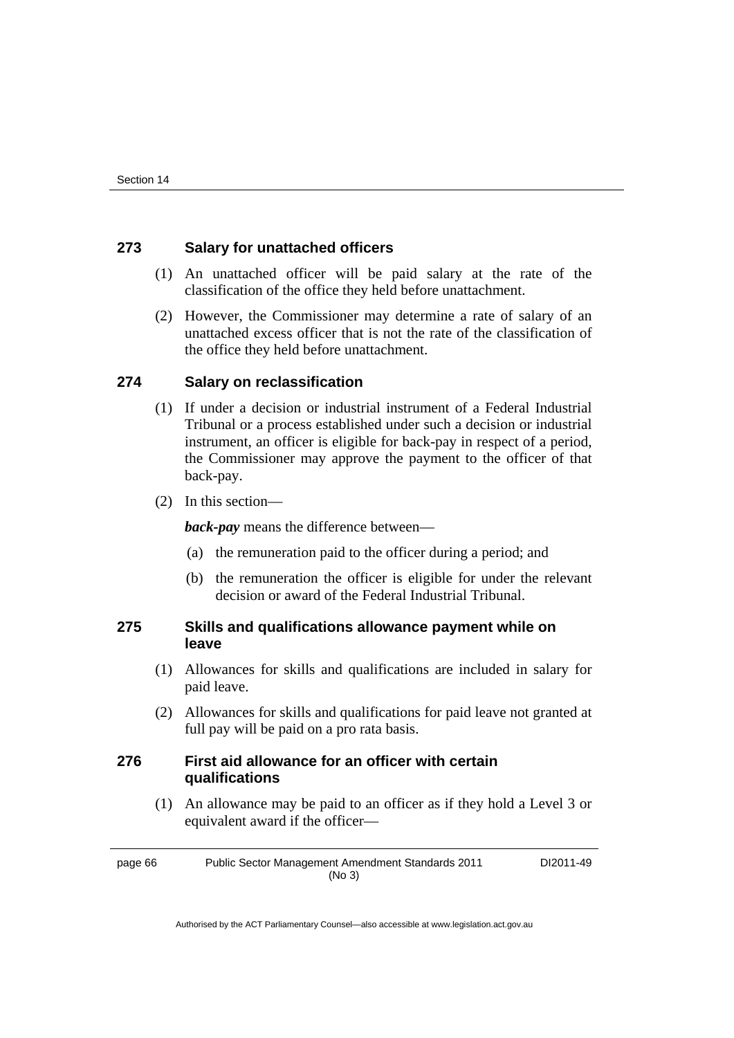### **273 Salary for unattached officers**

- (1) An unattached officer will be paid salary at the rate of the classification of the office they held before unattachment.
- (2) However, the Commissioner may determine a rate of salary of an unattached excess officer that is not the rate of the classification of the office they held before unattachment.

### **274 Salary on reclassification**

- (1) If under a decision or industrial instrument of a Federal Industrial Tribunal or a process established under such a decision or industrial instrument, an officer is eligible for back-pay in respect of a period, the Commissioner may approve the payment to the officer of that back-pay.
- (2) In this section—

*back-pay* means the difference between—

- (a) the remuneration paid to the officer during a period; and
- (b) the remuneration the officer is eligible for under the relevant decision or award of the Federal Industrial Tribunal.

### **275 Skills and qualifications allowance payment while on leave**

- (1) Allowances for skills and qualifications are included in salary for paid leave.
- (2) Allowances for skills and qualifications for paid leave not granted at full pay will be paid on a pro rata basis.

### **276 First aid allowance for an officer with certain qualifications**

 (1) An allowance may be paid to an officer as if they hold a Level 3 or equivalent award if the officer—

page 66 Public Sector Management Amendment Standards 2011 (No 3) DI2011-49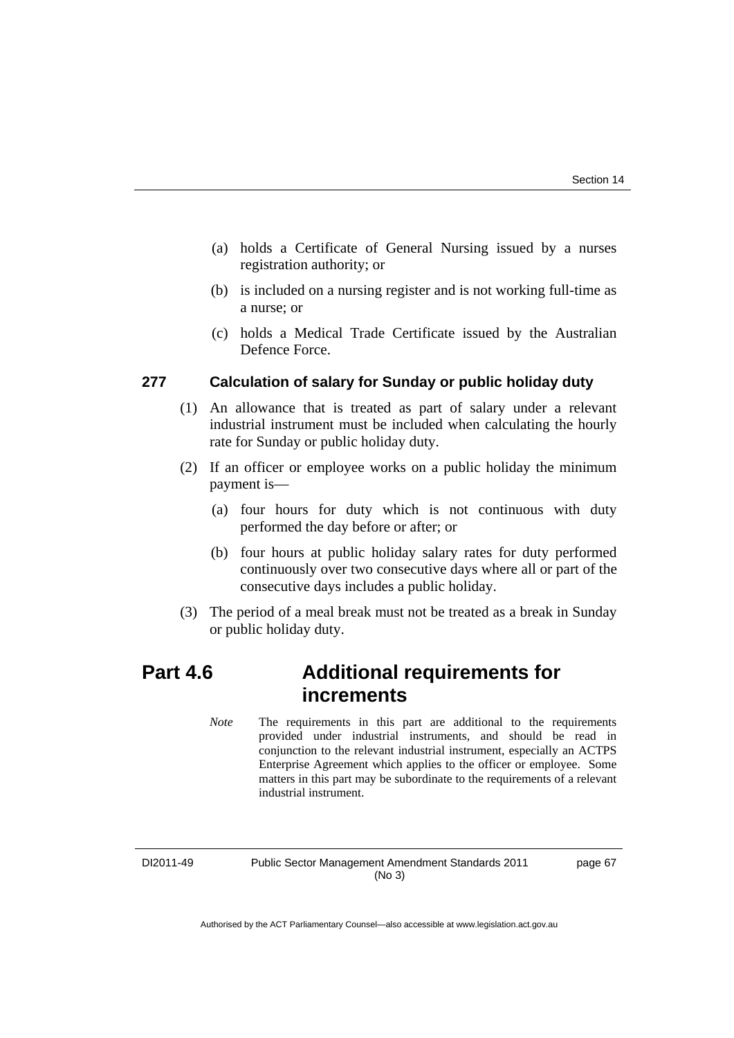- (a) holds a Certificate of General Nursing issued by a nurses registration authority; or
- (b) is included on a nursing register and is not working full-time as a nurse; or
- (c) holds a Medical Trade Certificate issued by the Australian Defence Force.

#### **277 Calculation of salary for Sunday or public holiday duty**

- (1) An allowance that is treated as part of salary under a relevant industrial instrument must be included when calculating the hourly rate for Sunday or public holiday duty.
- (2) If an officer or employee works on a public holiday the minimum payment is—
	- (a) four hours for duty which is not continuous with duty performed the day before or after; or
	- (b) four hours at public holiday salary rates for duty performed continuously over two consecutive days where all or part of the consecutive days includes a public holiday.
- (3) The period of a meal break must not be treated as a break in Sunday or public holiday duty.

# **Part 4.6 Additional requirements for increments**

*Note* The requirements in this part are additional to the requirements provided under industrial instruments, and should be read in conjunction to the relevant industrial instrument, especially an ACTPS Enterprise Agreement which applies to the officer or employee. Some matters in this part may be subordinate to the requirements of a relevant industrial instrument.

DI2011-49 Public Sector Management Amendment Standards 2011 (No 3)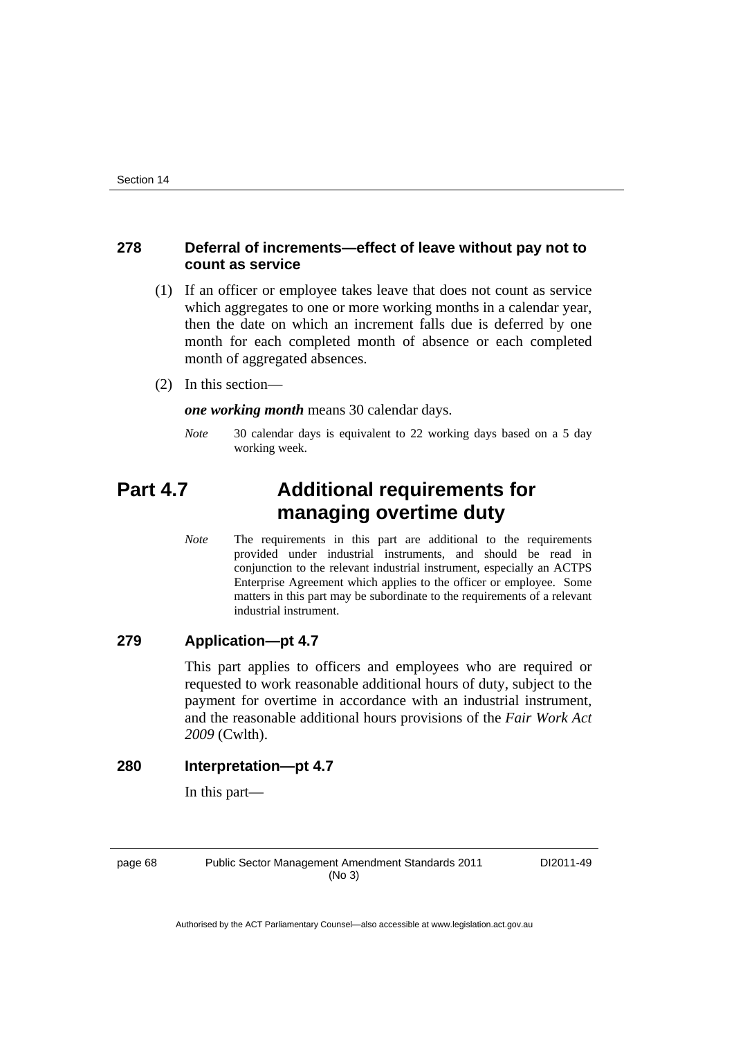#### **278 Deferral of increments—effect of leave without pay not to count as service**

- (1) If an officer or employee takes leave that does not count as service which aggregates to one or more working months in a calendar year, then the date on which an increment falls due is deferred by one month for each completed month of absence or each completed month of aggregated absences.
- (2) In this section—

*one working month* means 30 calendar days.

*Note* 30 calendar days is equivalent to 22 working days based on a 5 day working week.

# **Part 4.7 Additional requirements for managing overtime duty**

*Note* The requirements in this part are additional to the requirements provided under industrial instruments, and should be read in conjunction to the relevant industrial instrument, especially an ACTPS Enterprise Agreement which applies to the officer or employee. Some matters in this part may be subordinate to the requirements of a relevant industrial instrument.

### **279 Application—pt 4.7**

This part applies to officers and employees who are required or requested to work reasonable additional hours of duty, subject to the payment for overtime in accordance with an industrial instrument, and the reasonable additional hours provisions of the *Fair Work Act 2009* (Cwlth).

#### **280 Interpretation—pt 4.7**

In this part—

page 68 Public Sector Management Amendment Standards 2011 (No 3)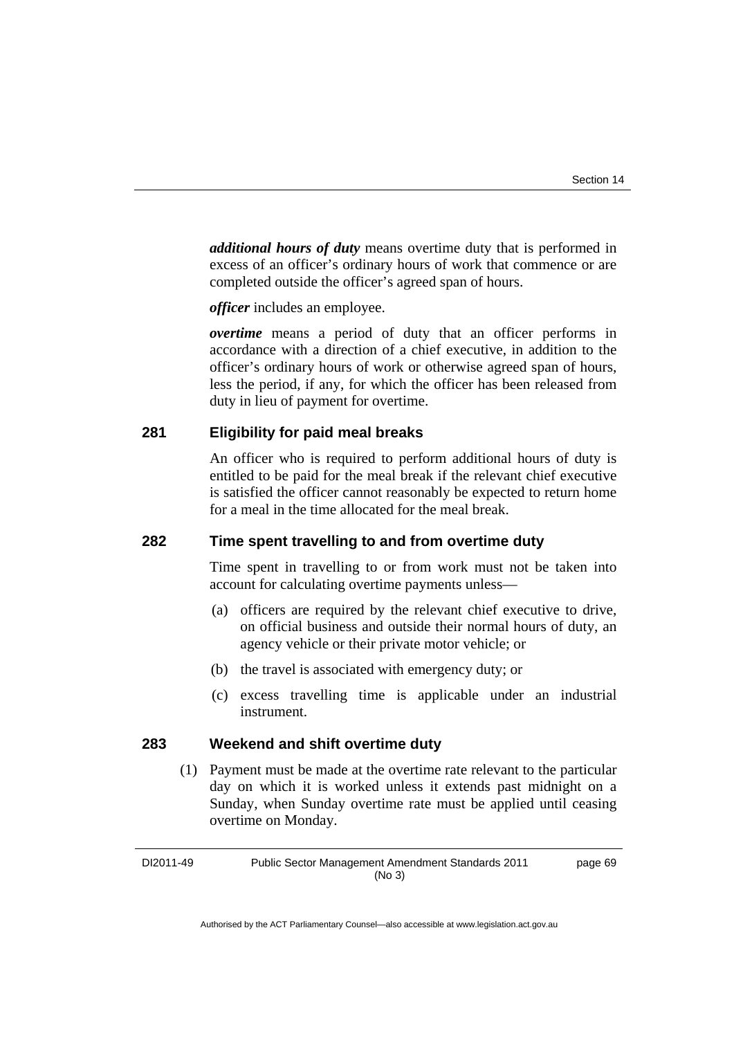*additional hours of duty* means overtime duty that is performed in excess of an officer's ordinary hours of work that commence or are completed outside the officer's agreed span of hours.

*officer* includes an employee.

*overtime* means a period of duty that an officer performs in accordance with a direction of a chief executive, in addition to the officer's ordinary hours of work or otherwise agreed span of hours, less the period, if any, for which the officer has been released from duty in lieu of payment for overtime.

#### **281 Eligibility for paid meal breaks**

An officer who is required to perform additional hours of duty is entitled to be paid for the meal break if the relevant chief executive is satisfied the officer cannot reasonably be expected to return home for a meal in the time allocated for the meal break.

#### **282 Time spent travelling to and from overtime duty**

Time spent in travelling to or from work must not be taken into account for calculating overtime payments unless—

- (a) officers are required by the relevant chief executive to drive, on official business and outside their normal hours of duty, an agency vehicle or their private motor vehicle; or
- (b) the travel is associated with emergency duty; or
- (c) excess travelling time is applicable under an industrial instrument.

#### **283 Weekend and shift overtime duty**

 (1) Payment must be made at the overtime rate relevant to the particular day on which it is worked unless it extends past midnight on a Sunday, when Sunday overtime rate must be applied until ceasing overtime on Monday.

DI2011-49 Public Sector Management Amendment Standards 2011 (No 3)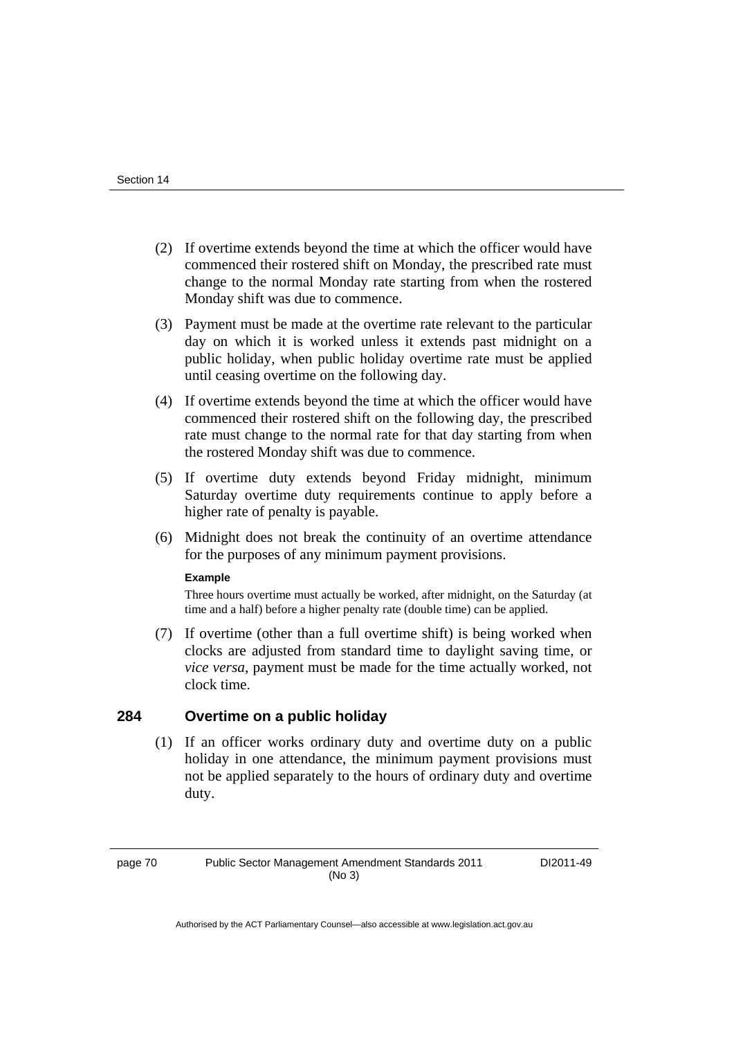- (2) If overtime extends beyond the time at which the officer would have commenced their rostered shift on Monday, the prescribed rate must change to the normal Monday rate starting from when the rostered Monday shift was due to commence.
- (3) Payment must be made at the overtime rate relevant to the particular day on which it is worked unless it extends past midnight on a public holiday, when public holiday overtime rate must be applied until ceasing overtime on the following day.
- (4) If overtime extends beyond the time at which the officer would have commenced their rostered shift on the following day, the prescribed rate must change to the normal rate for that day starting from when the rostered Monday shift was due to commence.
- (5) If overtime duty extends beyond Friday midnight, minimum Saturday overtime duty requirements continue to apply before a higher rate of penalty is payable.
- (6) Midnight does not break the continuity of an overtime attendance for the purposes of any minimum payment provisions.

#### **Example**

Three hours overtime must actually be worked, after midnight, on the Saturday (at time and a half) before a higher penalty rate (double time) can be applied.

 (7) If overtime (other than a full overtime shift) is being worked when clocks are adjusted from standard time to daylight saving time, or *vice versa*, payment must be made for the time actually worked, not clock time.

#### **284 Overtime on a public holiday**

 (1) If an officer works ordinary duty and overtime duty on a public holiday in one attendance, the minimum payment provisions must not be applied separately to the hours of ordinary duty and overtime duty.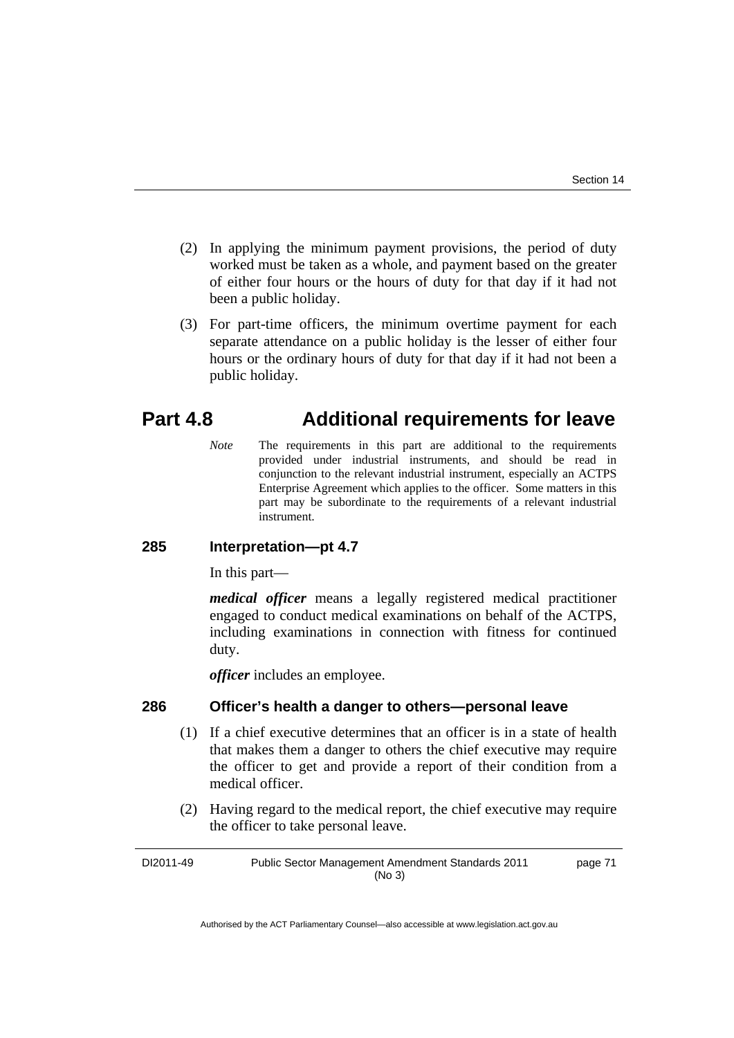- (2) In applying the minimum payment provisions, the period of duty worked must be taken as a whole, and payment based on the greater of either four hours or the hours of duty for that day if it had not been a public holiday.
- (3) For part-time officers, the minimum overtime payment for each separate attendance on a public holiday is the lesser of either four hours or the ordinary hours of duty for that day if it had not been a public holiday.

# **Part 4.8 Additional requirements for leave**

*Note* The requirements in this part are additional to the requirements provided under industrial instruments, and should be read in conjunction to the relevant industrial instrument, especially an ACTPS Enterprise Agreement which applies to the officer. Some matters in this part may be subordinate to the requirements of a relevant industrial instrument.

# **285 Interpretation—pt 4.7**

In this part—

*medical officer* means a legally registered medical practitioner engaged to conduct medical examinations on behalf of the ACTPS, including examinations in connection with fitness for continued duty.

*officer* includes an employee.

#### **286 Officer's health a danger to others—personal leave**

- (1) If a chief executive determines that an officer is in a state of health that makes them a danger to others the chief executive may require the officer to get and provide a report of their condition from a medical officer.
- (2) Having regard to the medical report, the chief executive may require the officer to take personal leave.

DI2011-49 Public Sector Management Amendment Standards 2011 (No 3) page 71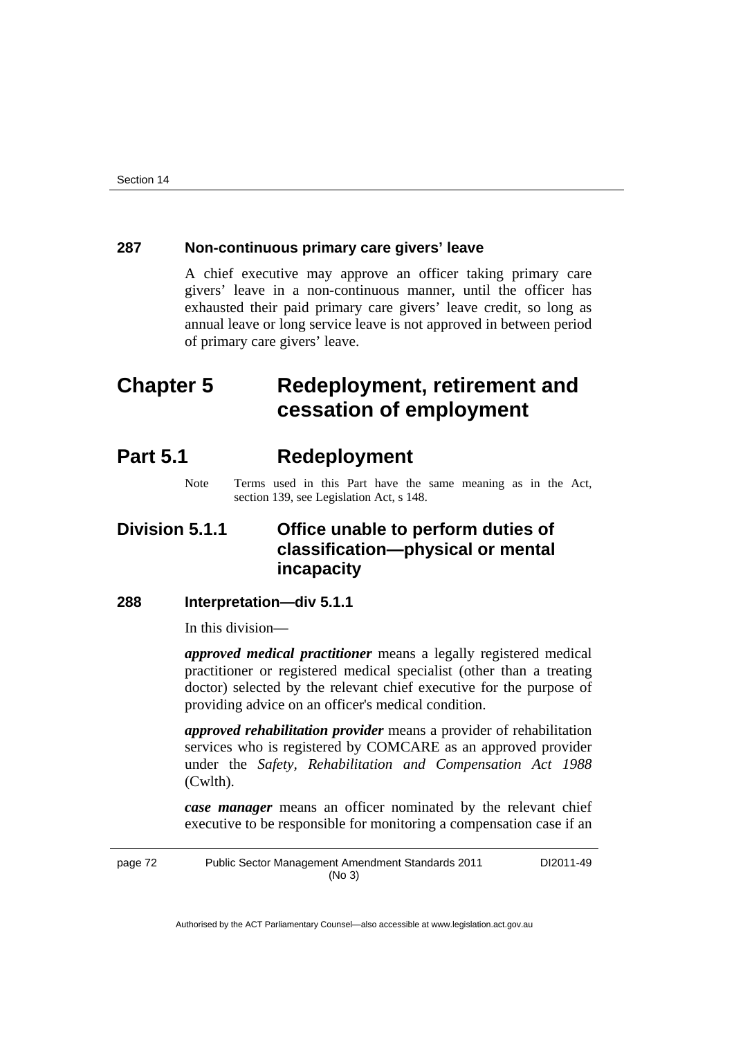#### **287 Non-continuous primary care givers' leave**

A chief executive may approve an officer taking primary care givers' leave in a non-continuous manner, until the officer has exhausted their paid primary care givers' leave credit, so long as annual leave or long service leave is not approved in between period of primary care givers' leave.

# **Chapter 5 Redeployment, retirement and cessation of employment**

# **Part 5.1 Redeployment**

Note Terms used in this Part have the same meaning as in the Act, section 139, see Legislation Act, s 148.

# **Division 5.1.1 Office unable to perform duties of classification—physical or mental incapacity**

#### **288 Interpretation—div 5.1.1**

In this division—

*approved medical practitioner* means a legally registered medical practitioner or registered medical specialist (other than a treating doctor) selected by the relevant chief executive for the purpose of providing advice on an officer's medical condition.

*approved rehabilitation provider* means a provider of rehabilitation services who is registered by COMCARE as an approved provider under the *Safety, Rehabilitation and Compensation Act 1988*  (Cwlth).

*case manager* means an officer nominated by the relevant chief executive to be responsible for monitoring a compensation case if an

page 72 Public Sector Management Amendment Standards 2011 (No 3) DI2011-49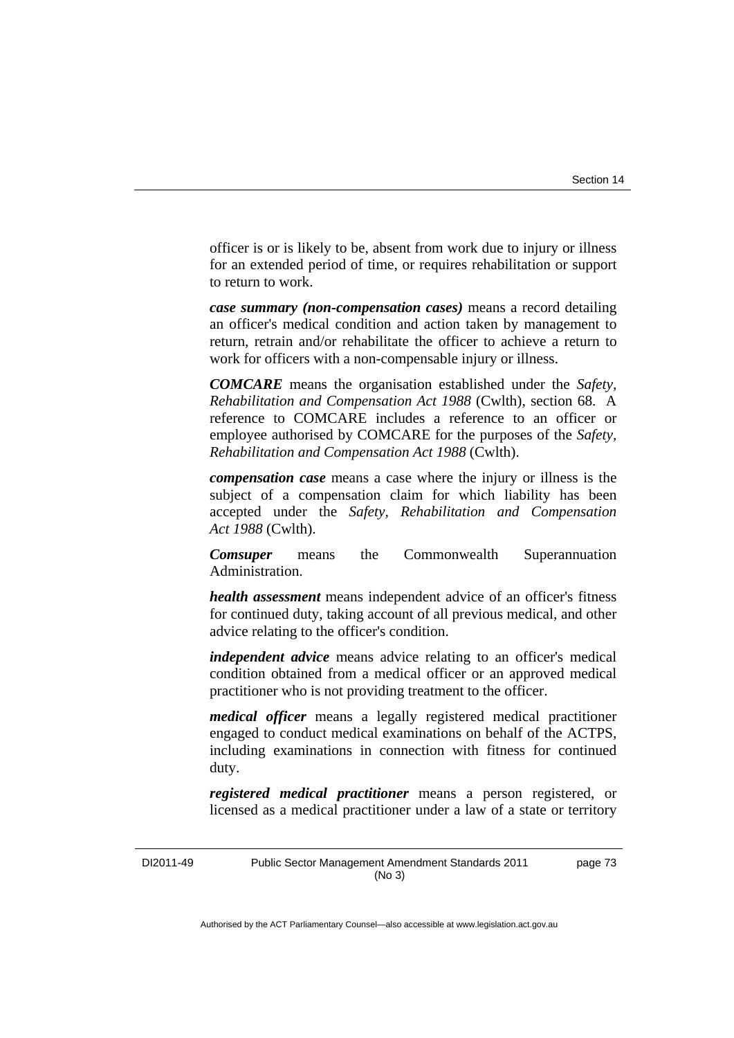officer is or is likely to be, absent from work due to injury or illness for an extended period of time, or requires rehabilitation or support to return to work.

*case summary (non-compensation cases)* means a record detailing an officer's medical condition and action taken by management to return, retrain and/or rehabilitate the officer to achieve a return to work for officers with a non-compensable injury or illness.

*COMCARE* means the organisation established under the *Safety, Rehabilitation and Compensation Act 1988* (Cwlth), section 68. A reference to COMCARE includes a reference to an officer or employee authorised by COMCARE for the purposes of the *Safety, Rehabilitation and Compensation Act 1988* (Cwlth).

*compensation case* means a case where the injury or illness is the subject of a compensation claim for which liability has been accepted under the *Safety, Rehabilitation and Compensation Act 1988* (Cwlth).

*Comsuper* means the Commonwealth Superannuation Administration.

*health assessment* means independent advice of an officer's fitness for continued duty, taking account of all previous medical, and other advice relating to the officer's condition.

*independent advice* means advice relating to an officer's medical condition obtained from a medical officer or an approved medical practitioner who is not providing treatment to the officer.

*medical officer* means a legally registered medical practitioner engaged to conduct medical examinations on behalf of the ACTPS, including examinations in connection with fitness for continued duty.

*registered medical practitioner* means a person registered, or licensed as a medical practitioner under a law of a state or territory

DI2011-49 Public Sector Management Amendment Standards 2011 (No 3) page 73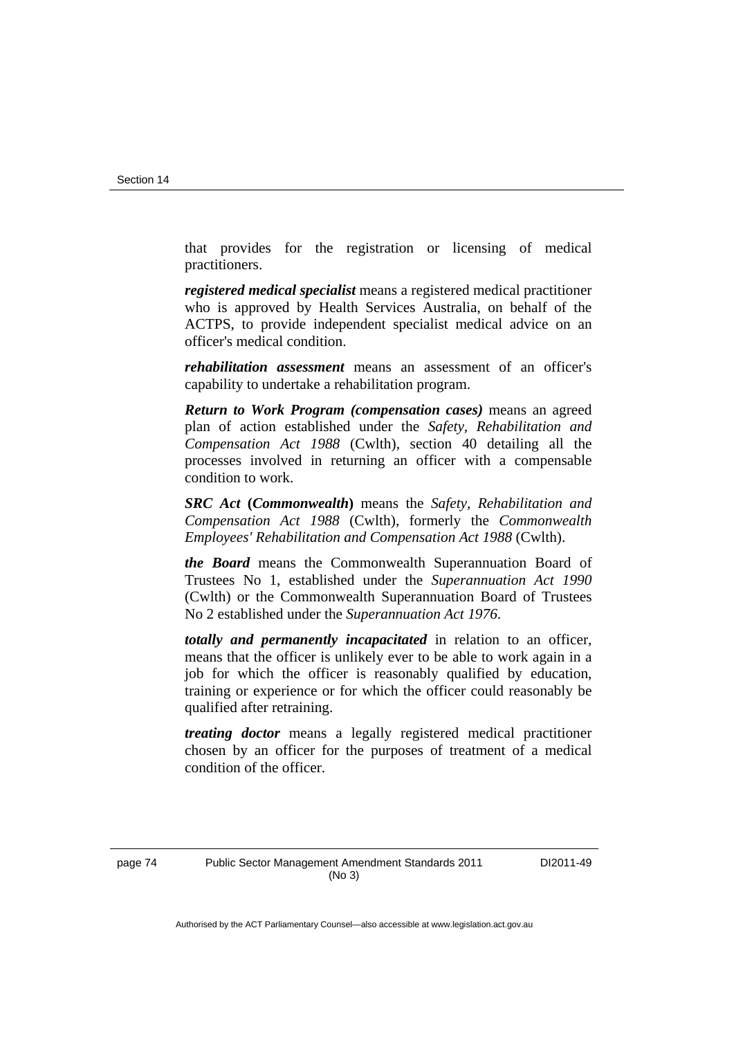that provides for the registration or licensing of medical practitioners.

*registered medical specialist* means a registered medical practitioner who is approved by Health Services Australia, on behalf of the ACTPS, to provide independent specialist medical advice on an officer's medical condition.

*rehabilitation assessment* means an assessment of an officer's capability to undertake a rehabilitation program.

*Return to Work Program (compensation cases)* means an agreed plan of action established under the *Safety, Rehabilitation and Compensation Act 1988* (Cwlth), section 40 detailing all the processes involved in returning an officer with a compensable condition to work.

*SRC Act* **(***Commonwealth***)** means the *Safety, Rehabilitation and Compensation Act 1988* (Cwlth), formerly the *Commonwealth Employees' Rehabilitation and Compensation Act 1988* (Cwlth).

*the Board* means the Commonwealth Superannuation Board of Trustees No 1, established under the *Superannuation Act 1990* (Cwlth) or the Commonwealth Superannuation Board of Trustees No 2 established under the *Superannuation Act 1976*.

*totally and permanently incapacitated* in relation to an officer, means that the officer is unlikely ever to be able to work again in a job for which the officer is reasonably qualified by education, training or experience or for which the officer could reasonably be qualified after retraining.

*treating doctor* means a legally registered medical practitioner chosen by an officer for the purposes of treatment of a medical condition of the officer.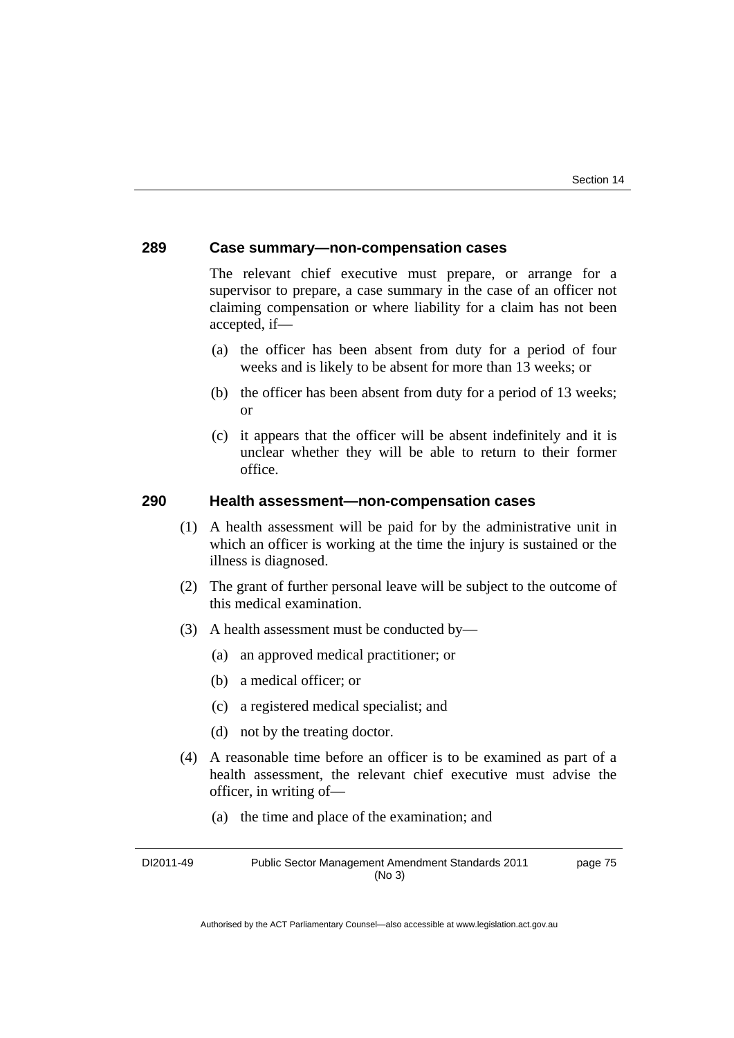#### **289 Case summary—non-compensation cases**

The relevant chief executive must prepare, or arrange for a supervisor to prepare, a case summary in the case of an officer not claiming compensation or where liability for a claim has not been accepted, if—

- (a) the officer has been absent from duty for a period of four weeks and is likely to be absent for more than 13 weeks; or
- (b) the officer has been absent from duty for a period of 13 weeks; or
- (c) it appears that the officer will be absent indefinitely and it is unclear whether they will be able to return to their former office.

#### **290 Health assessment—non-compensation cases**

- (1) A health assessment will be paid for by the administrative unit in which an officer is working at the time the injury is sustained or the illness is diagnosed.
- (2) The grant of further personal leave will be subject to the outcome of this medical examination.
- (3) A health assessment must be conducted by—
	- (a) an approved medical practitioner; or
	- (b) a medical officer; or
	- (c) a registered medical specialist; and
	- (d) not by the treating doctor.
- (4) A reasonable time before an officer is to be examined as part of a health assessment, the relevant chief executive must advise the officer, in writing of—
	- (a) the time and place of the examination; and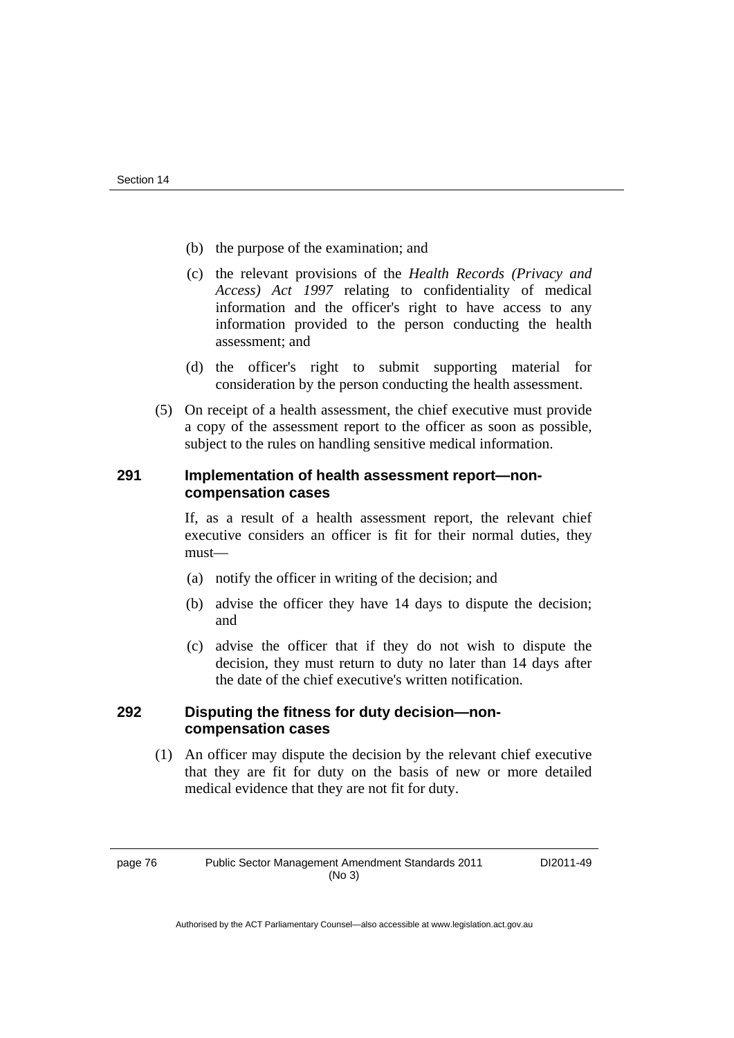- (b) the purpose of the examination; and
- (c) the relevant provisions of the *Health Records (Privacy and Access) Act 1997* relating to confidentiality of medical information and the officer's right to have access to any information provided to the person conducting the health assessment; and
- (d) the officer's right to submit supporting material for consideration by the person conducting the health assessment.
- (5) On receipt of a health assessment, the chief executive must provide a copy of the assessment report to the officer as soon as possible, subject to the rules on handling sensitive medical information.

#### **291 Implementation of health assessment report—noncompensation cases**

If, as a result of a health assessment report, the relevant chief executive considers an officer is fit for their normal duties, they must—

- (a) notify the officer in writing of the decision; and
- (b) advise the officer they have 14 days to dispute the decision; and
- (c) advise the officer that if they do not wish to dispute the decision, they must return to duty no later than 14 days after the date of the chief executive's written notification.

#### **292 Disputing the fitness for duty decision—noncompensation cases**

 (1) An officer may dispute the decision by the relevant chief executive that they are fit for duty on the basis of new or more detailed medical evidence that they are not fit for duty.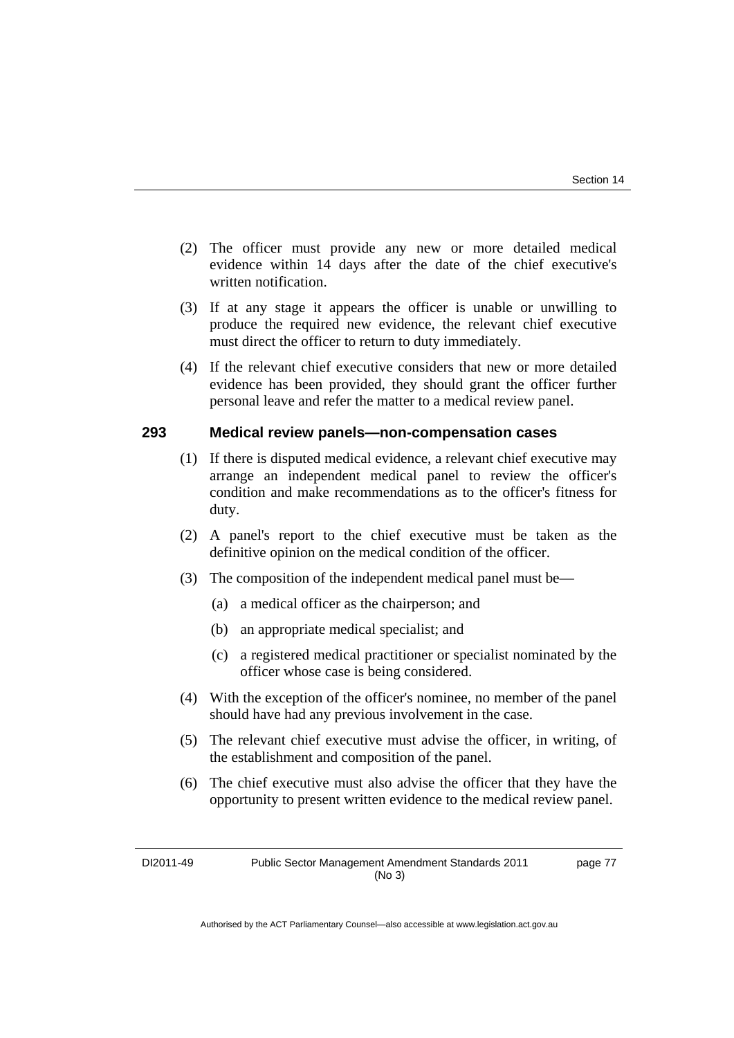- (2) The officer must provide any new or more detailed medical evidence within 14 days after the date of the chief executive's written notification.
- (3) If at any stage it appears the officer is unable or unwilling to produce the required new evidence, the relevant chief executive must direct the officer to return to duty immediately.
- (4) If the relevant chief executive considers that new or more detailed evidence has been provided, they should grant the officer further personal leave and refer the matter to a medical review panel.

### **293 Medical review panels—non-compensation cases**

- (1) If there is disputed medical evidence, a relevant chief executive may arrange an independent medical panel to review the officer's condition and make recommendations as to the officer's fitness for duty.
- (2) A panel's report to the chief executive must be taken as the definitive opinion on the medical condition of the officer.
- (3) The composition of the independent medical panel must be—
	- (a) a medical officer as the chairperson; and
	- (b) an appropriate medical specialist; and
	- (c) a registered medical practitioner or specialist nominated by the officer whose case is being considered.
- (4) With the exception of the officer's nominee, no member of the panel should have had any previous involvement in the case.
- (5) The relevant chief executive must advise the officer, in writing, of the establishment and composition of the panel.
- (6) The chief executive must also advise the officer that they have the opportunity to present written evidence to the medical review panel.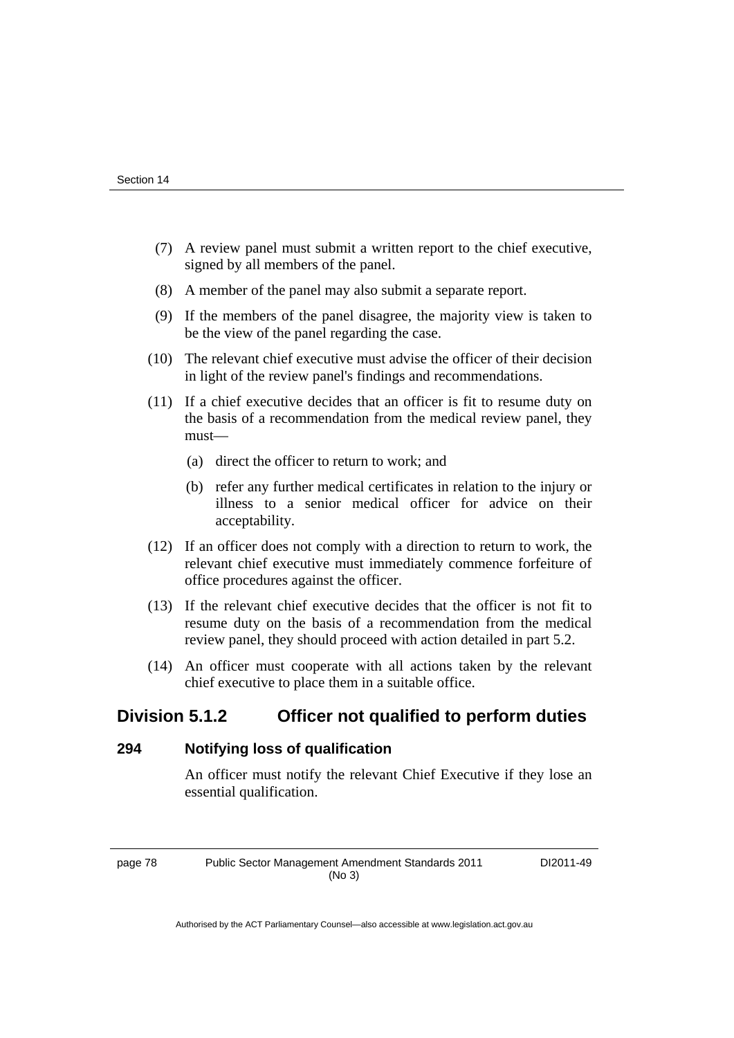- (7) A review panel must submit a written report to the chief executive, signed by all members of the panel.
- (8) A member of the panel may also submit a separate report.
- (9) If the members of the panel disagree, the majority view is taken to be the view of the panel regarding the case.
- (10) The relevant chief executive must advise the officer of their decision in light of the review panel's findings and recommendations.
- (11) If a chief executive decides that an officer is fit to resume duty on the basis of a recommendation from the medical review panel, they must—
	- (a) direct the officer to return to work; and
	- (b) refer any further medical certificates in relation to the injury or illness to a senior medical officer for advice on their acceptability.
- (12) If an officer does not comply with a direction to return to work, the relevant chief executive must immediately commence forfeiture of office procedures against the officer.
- (13) If the relevant chief executive decides that the officer is not fit to resume duty on the basis of a recommendation from the medical review panel, they should proceed with action detailed in part 5.2.
- (14) An officer must cooperate with all actions taken by the relevant chief executive to place them in a suitable office.

# **Division 5.1.2 Officer not qualified to perform duties**

### **294 Notifying loss of qualification**

An officer must notify the relevant Chief Executive if they lose an essential qualification.

page 78 Public Sector Management Amendment Standards 2011 (No 3)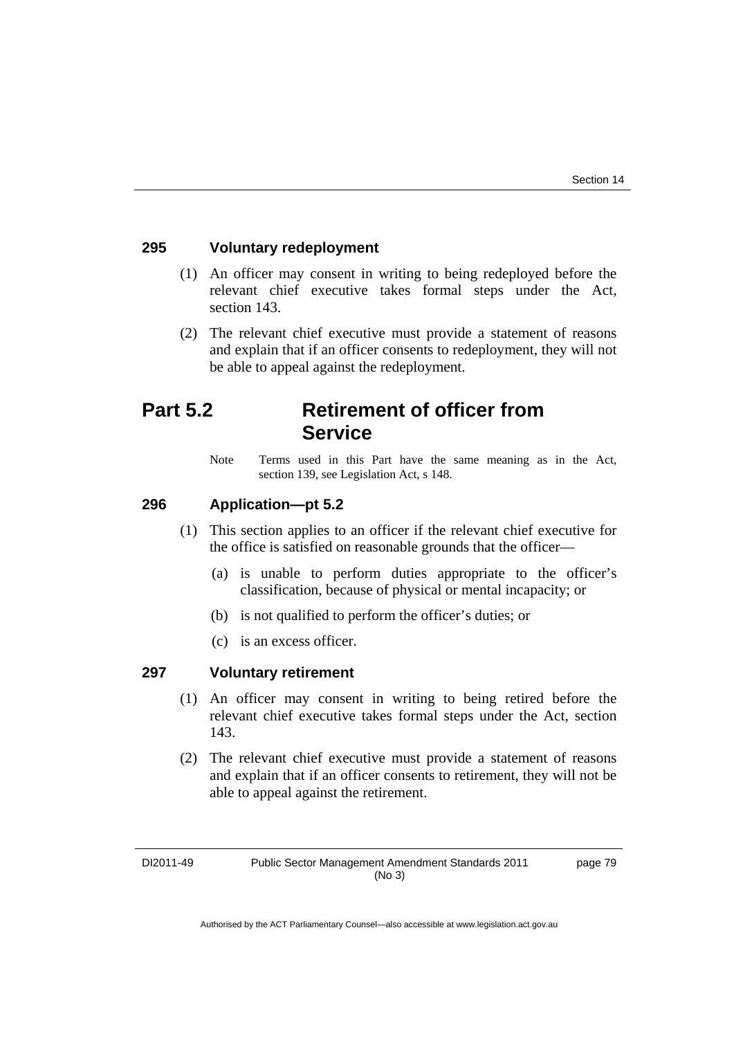### **295 Voluntary redeployment**

- (1) An officer may consent in writing to being redeployed before the relevant chief executive takes formal steps under the Act, section 143.
- (2) The relevant chief executive must provide a statement of reasons and explain that if an officer consents to redeployment, they will not be able to appeal against the redeployment.

# **Part 5.2 Retirement of officer from Service**

Note Terms used in this Part have the same meaning as in the Act, section 139, see Legislation Act, s 148.

### **296 Application—pt 5.2**

- (1) This section applies to an officer if the relevant chief executive for the office is satisfied on reasonable grounds that the officer—
	- (a) is unable to perform duties appropriate to the officer's classification, because of physical or mental incapacity; or
	- (b) is not qualified to perform the officer's duties; or
	- (c) is an excess officer.

#### **297 Voluntary retirement**

- (1) An officer may consent in writing to being retired before the relevant chief executive takes formal steps under the Act, section 143.
- (2) The relevant chief executive must provide a statement of reasons and explain that if an officer consents to retirement, they will not be able to appeal against the retirement.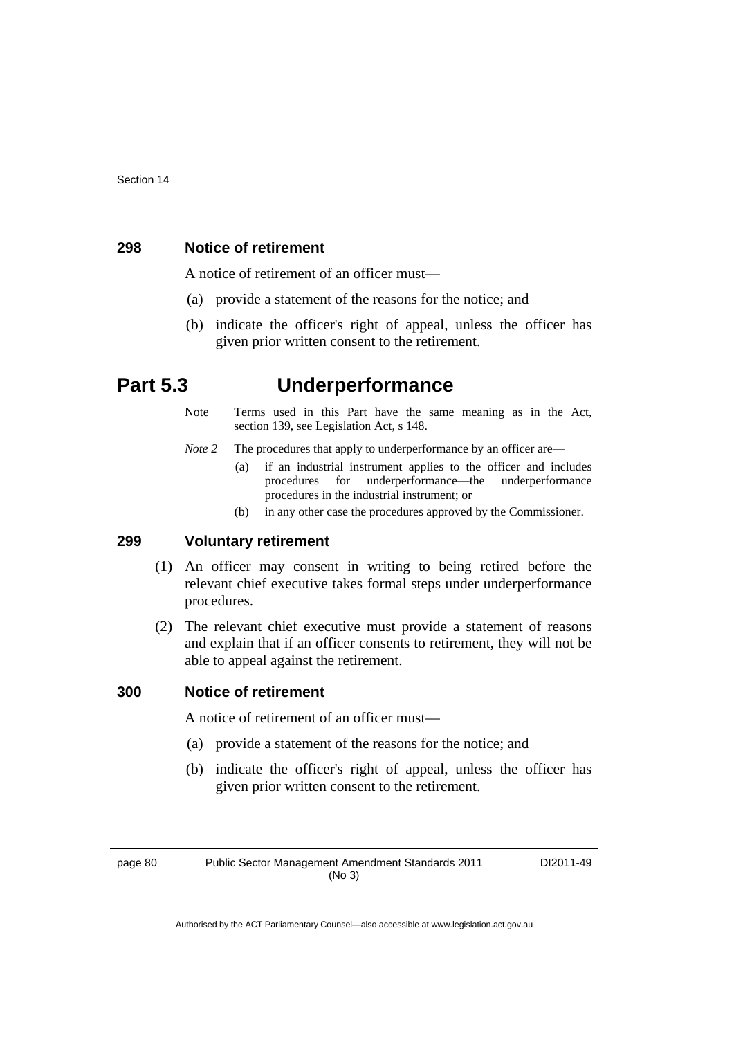### **298 Notice of retirement**

A notice of retirement of an officer must—

- (a) provide a statement of the reasons for the notice; and
- (b) indicate the officer's right of appeal, unless the officer has given prior written consent to the retirement.

# **Part 5.3 Underperformance**

- Note Terms used in this Part have the same meaning as in the Act, section 139, see Legislation Act, s 148.
- *Note 2* The procedures that apply to underperformance by an officer are—
	- (a) if an industrial instrument applies to the officer and includes procedures for underperformance—the underperformance procedures in the industrial instrument; or
	- (b) in any other case the procedures approved by the Commissioner.

#### **299 Voluntary retirement**

- (1) An officer may consent in writing to being retired before the relevant chief executive takes formal steps under underperformance procedures.
- (2) The relevant chief executive must provide a statement of reasons and explain that if an officer consents to retirement, they will not be able to appeal against the retirement.

#### **300 Notice of retirement**

A notice of retirement of an officer must—

- (a) provide a statement of the reasons for the notice; and
- (b) indicate the officer's right of appeal, unless the officer has given prior written consent to the retirement.

page 80 Public Sector Management Amendment Standards 2011 (No 3)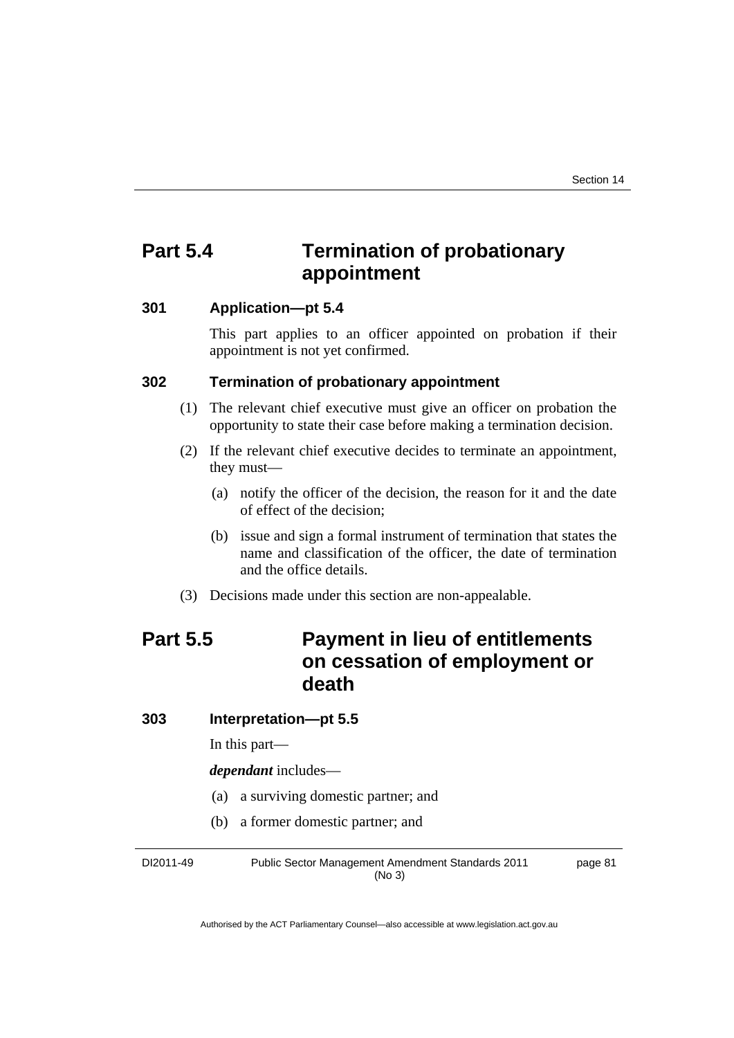# **Part 5.4 Termination of probationary appointment**

## **301 Application—pt 5.4**

This part applies to an officer appointed on probation if their appointment is not yet confirmed.

#### **302 Termination of probationary appointment**

- (1) The relevant chief executive must give an officer on probation the opportunity to state their case before making a termination decision.
- (2) If the relevant chief executive decides to terminate an appointment, they must—
	- (a) notify the officer of the decision, the reason for it and the date of effect of the decision;
	- (b) issue and sign a formal instrument of termination that states the name and classification of the officer, the date of termination and the office details.
- (3) Decisions made under this section are non-appealable.

# **Part 5.5 Payment in lieu of entitlements on cessation of employment or death**

**303 Interpretation—pt 5.5** 

In this part—

*dependant* includes—

- (a) a surviving domestic partner; and
- (b) a former domestic partner; and

DI2011-49 Public Sector Management Amendment Standards 2011 (No 3) page 81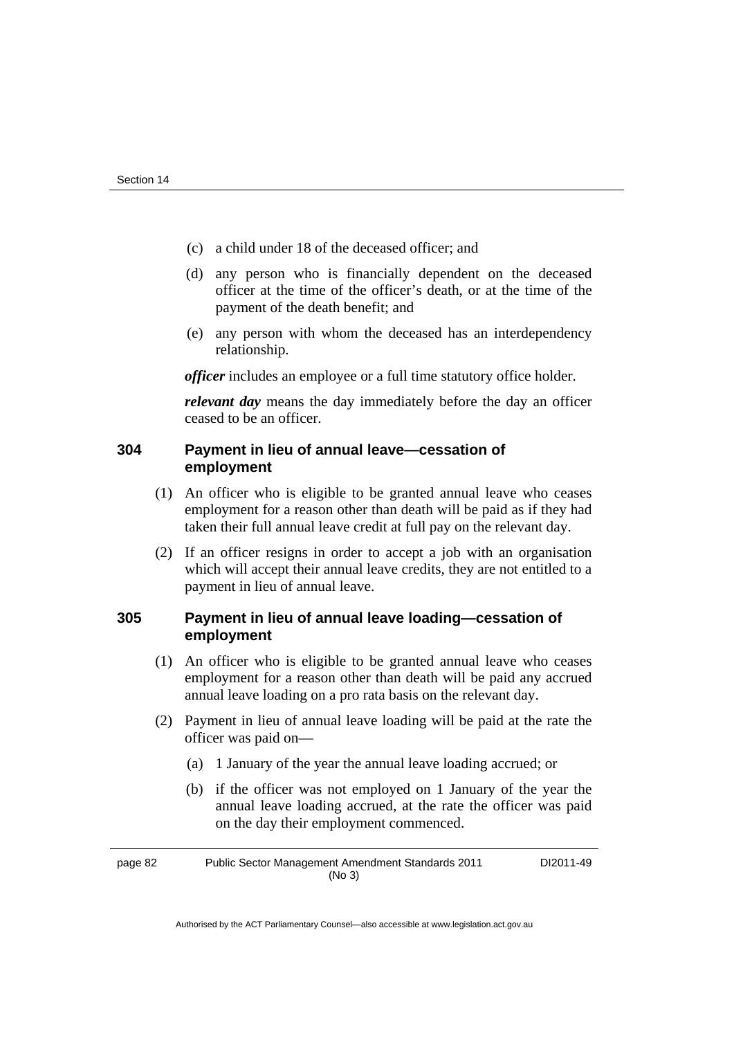- (c) a child under 18 of the deceased officer; and
- (d) any person who is financially dependent on the deceased officer at the time of the officer's death, or at the time of the payment of the death benefit; and
- (e) any person with whom the deceased has an interdependency relationship.

*officer* includes an employee or a full time statutory office holder.

*relevant day* means the day immediately before the day an officer ceased to be an officer.

## **304 Payment in lieu of annual leave—cessation of employment**

- (1) An officer who is eligible to be granted annual leave who ceases employment for a reason other than death will be paid as if they had taken their full annual leave credit at full pay on the relevant day.
- (2) If an officer resigns in order to accept a job with an organisation which will accept their annual leave credits, they are not entitled to a payment in lieu of annual leave.

# **305 Payment in lieu of annual leave loading—cessation of employment**

- (1) An officer who is eligible to be granted annual leave who ceases employment for a reason other than death will be paid any accrued annual leave loading on a pro rata basis on the relevant day.
- (2) Payment in lieu of annual leave loading will be paid at the rate the officer was paid on—
	- (a) 1 January of the year the annual leave loading accrued; or
	- (b) if the officer was not employed on 1 January of the year the annual leave loading accrued, at the rate the officer was paid on the day their employment commenced.

page 82 Public Sector Management Amendment Standards 2011 (No 3) DI2011-49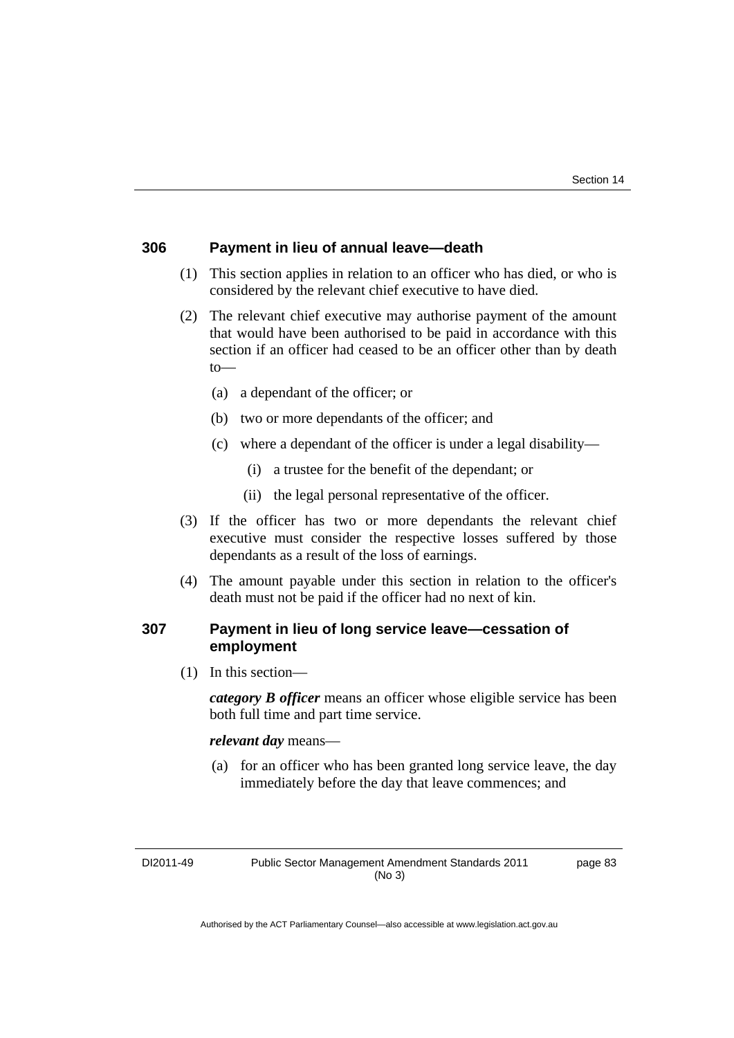#### **306 Payment in lieu of annual leave—death**

- (1) This section applies in relation to an officer who has died, or who is considered by the relevant chief executive to have died.
- (2) The relevant chief executive may authorise payment of the amount that would have been authorised to be paid in accordance with this section if an officer had ceased to be an officer other than by death  $to$ —
	- (a) a dependant of the officer; or
	- (b) two or more dependants of the officer; and
	- (c) where a dependant of the officer is under a legal disability—
		- (i) a trustee for the benefit of the dependant; or
		- (ii) the legal personal representative of the officer.
- (3) If the officer has two or more dependants the relevant chief executive must consider the respective losses suffered by those dependants as a result of the loss of earnings.
- (4) The amount payable under this section in relation to the officer's death must not be paid if the officer had no next of kin.

#### **307 Payment in lieu of long service leave—cessation of employment**

(1) In this section—

*category B officer* means an officer whose eligible service has been both full time and part time service.

*relevant day* means—

 (a) for an officer who has been granted long service leave, the day immediately before the day that leave commences; and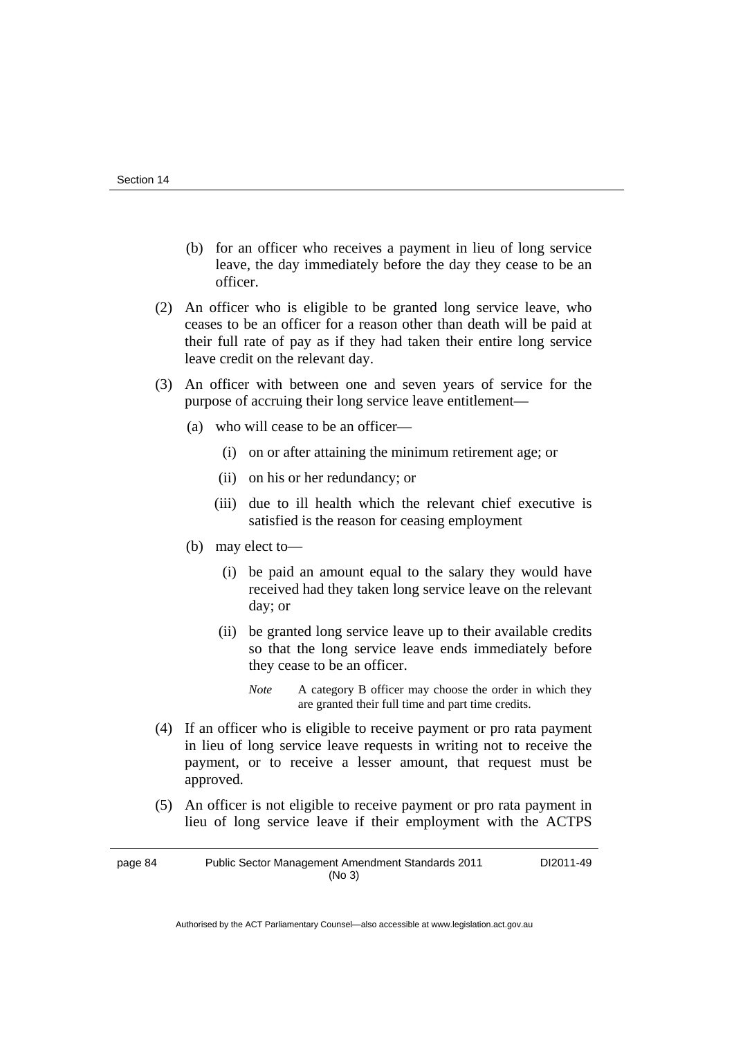- (b) for an officer who receives a payment in lieu of long service leave, the day immediately before the day they cease to be an officer.
- (2) An officer who is eligible to be granted long service leave, who ceases to be an officer for a reason other than death will be paid at their full rate of pay as if they had taken their entire long service leave credit on the relevant day.
- (3) An officer with between one and seven years of service for the purpose of accruing their long service leave entitlement—
	- (a) who will cease to be an officer—
		- (i) on or after attaining the minimum retirement age; or
		- (ii) on his or her redundancy; or
		- (iii) due to ill health which the relevant chief executive is satisfied is the reason for ceasing employment
	- (b) may elect to—
		- (i) be paid an amount equal to the salary they would have received had they taken long service leave on the relevant day; or
		- (ii) be granted long service leave up to their available credits so that the long service leave ends immediately before they cease to be an officer.
			- *Note* A category B officer may choose the order in which they are granted their full time and part time credits.
- (4) If an officer who is eligible to receive payment or pro rata payment in lieu of long service leave requests in writing not to receive the payment, or to receive a lesser amount, that request must be approved.
- (5) An officer is not eligible to receive payment or pro rata payment in lieu of long service leave if their employment with the ACTPS

page 84 Public Sector Management Amendment Standards 2011 (No 3) DI2011-49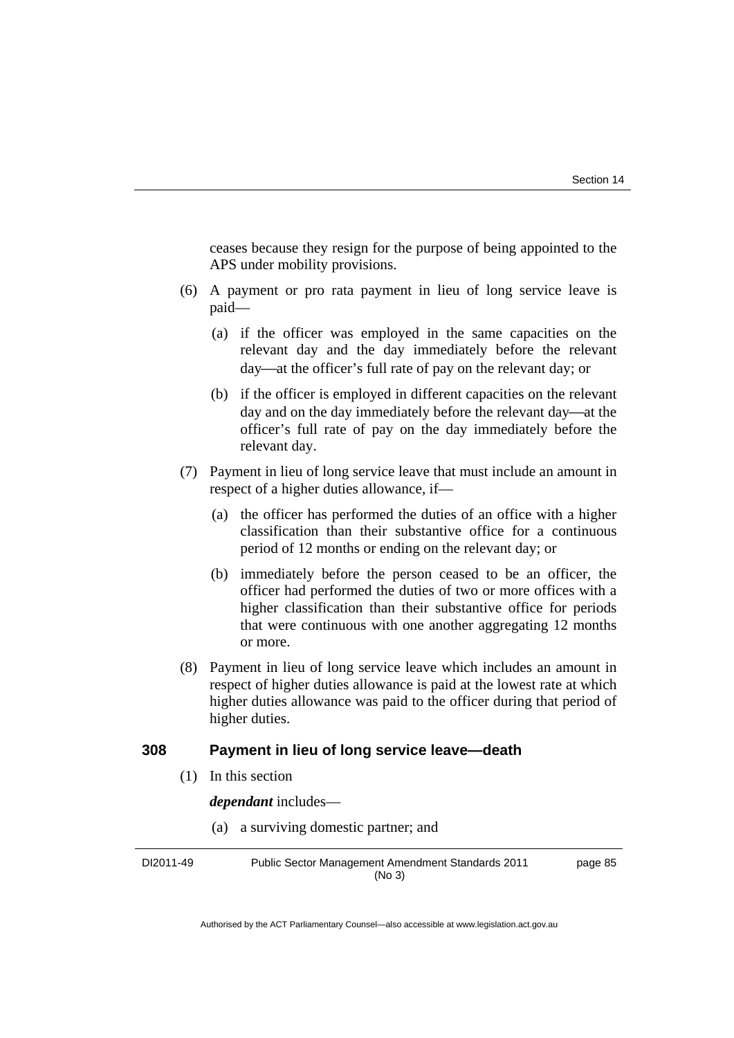ceases because they resign for the purpose of being appointed to the APS under mobility provisions.

- (6) A payment or pro rata payment in lieu of long service leave is paid—
	- (a) if the officer was employed in the same capacities on the relevant day and the day immediately before the relevant day—at the officer's full rate of pay on the relevant day; or
	- (b) if the officer is employed in different capacities on the relevant day and on the day immediately before the relevant day—at the officer's full rate of pay on the day immediately before the relevant day.
- (7) Payment in lieu of long service leave that must include an amount in respect of a higher duties allowance, if—
	- (a) the officer has performed the duties of an office with a higher classification than their substantive office for a continuous period of 12 months or ending on the relevant day; or
	- (b) immediately before the person ceased to be an officer, the officer had performed the duties of two or more offices with a higher classification than their substantive office for periods that were continuous with one another aggregating 12 months or more.
- (8) Payment in lieu of long service leave which includes an amount in respect of higher duties allowance is paid at the lowest rate at which higher duties allowance was paid to the officer during that period of higher duties.

#### **308 Payment in lieu of long service leave—death**

(1) In this section

*dependant* includes—

(a) a surviving domestic partner; and

DI2011-49 Public Sector Management Amendment Standards 2011 (No 3) page 85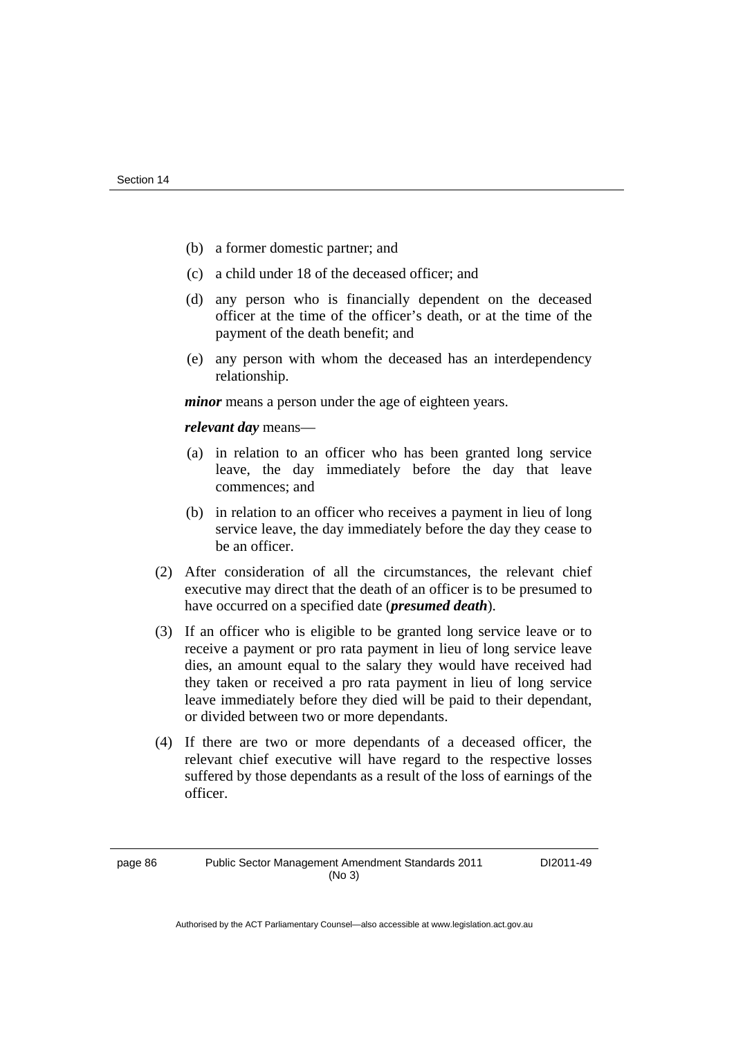- (b) a former domestic partner; and
- (c) a child under 18 of the deceased officer; and
- (d) any person who is financially dependent on the deceased officer at the time of the officer's death, or at the time of the payment of the death benefit; and
- (e) any person with whom the deceased has an interdependency relationship.

*minor* means a person under the age of eighteen years.

*relevant day* means—

- (a) in relation to an officer who has been granted long service leave, the day immediately before the day that leave commences; and
- (b) in relation to an officer who receives a payment in lieu of long service leave, the day immediately before the day they cease to be an officer.
- (2) After consideration of all the circumstances, the relevant chief executive may direct that the death of an officer is to be presumed to have occurred on a specified date (*presumed death*).
- (3) If an officer who is eligible to be granted long service leave or to receive a payment or pro rata payment in lieu of long service leave dies, an amount equal to the salary they would have received had they taken or received a pro rata payment in lieu of long service leave immediately before they died will be paid to their dependant, or divided between two or more dependants.
- (4) If there are two or more dependants of a deceased officer, the relevant chief executive will have regard to the respective losses suffered by those dependants as a result of the loss of earnings of the officer.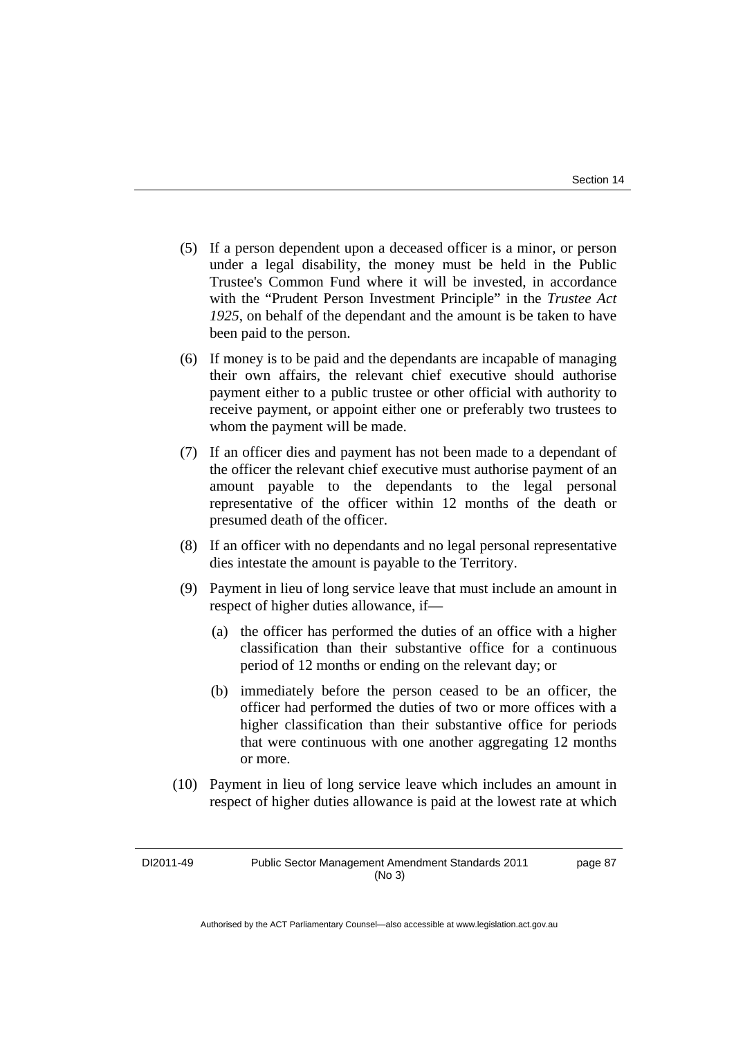- (5) If a person dependent upon a deceased officer is a minor, or person under a legal disability, the money must be held in the Public Trustee's Common Fund where it will be invested, in accordance with the "Prudent Person Investment Principle" in the *Trustee Act 1925*, on behalf of the dependant and the amount is be taken to have been paid to the person.
- (6) If money is to be paid and the dependants are incapable of managing their own affairs, the relevant chief executive should authorise payment either to a public trustee or other official with authority to receive payment, or appoint either one or preferably two trustees to whom the payment will be made.
- (7) If an officer dies and payment has not been made to a dependant of the officer the relevant chief executive must authorise payment of an amount payable to the dependants to the legal personal representative of the officer within 12 months of the death or presumed death of the officer.
- (8) If an officer with no dependants and no legal personal representative dies intestate the amount is payable to the Territory.
- (9) Payment in lieu of long service leave that must include an amount in respect of higher duties allowance, if—
	- (a) the officer has performed the duties of an office with a higher classification than their substantive office for a continuous period of 12 months or ending on the relevant day; or
	- (b) immediately before the person ceased to be an officer, the officer had performed the duties of two or more offices with a higher classification than their substantive office for periods that were continuous with one another aggregating 12 months or more.
- (10) Payment in lieu of long service leave which includes an amount in respect of higher duties allowance is paid at the lowest rate at which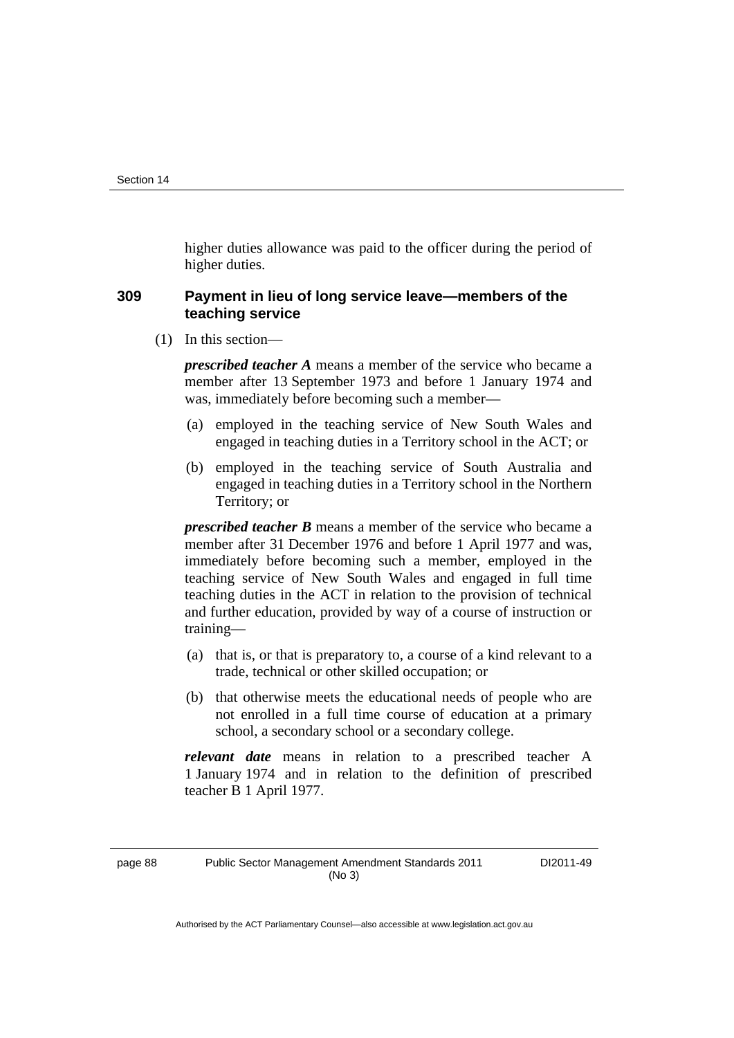higher duties allowance was paid to the officer during the period of higher duties.

### **309 Payment in lieu of long service leave—members of the teaching service**

(1) In this section—

*prescribed teacher A* means a member of the service who became a member after 13 September 1973 and before 1 January 1974 and was, immediately before becoming such a member—

- (a) employed in the teaching service of New South Wales and engaged in teaching duties in a Territory school in the ACT; or
- (b) employed in the teaching service of South Australia and engaged in teaching duties in a Territory school in the Northern Territory; or

*prescribed teacher B* means a member of the service who became a member after 31 December 1976 and before 1 April 1977 and was, immediately before becoming such a member, employed in the teaching service of New South Wales and engaged in full time teaching duties in the ACT in relation to the provision of technical and further education, provided by way of a course of instruction or training—

- (a) that is, or that is preparatory to, a course of a kind relevant to a trade, technical or other skilled occupation; or
- (b) that otherwise meets the educational needs of people who are not enrolled in a full time course of education at a primary school, a secondary school or a secondary college.

*relevant date* means in relation to a prescribed teacher A 1 January 1974 and in relation to the definition of prescribed teacher B 1 April 1977.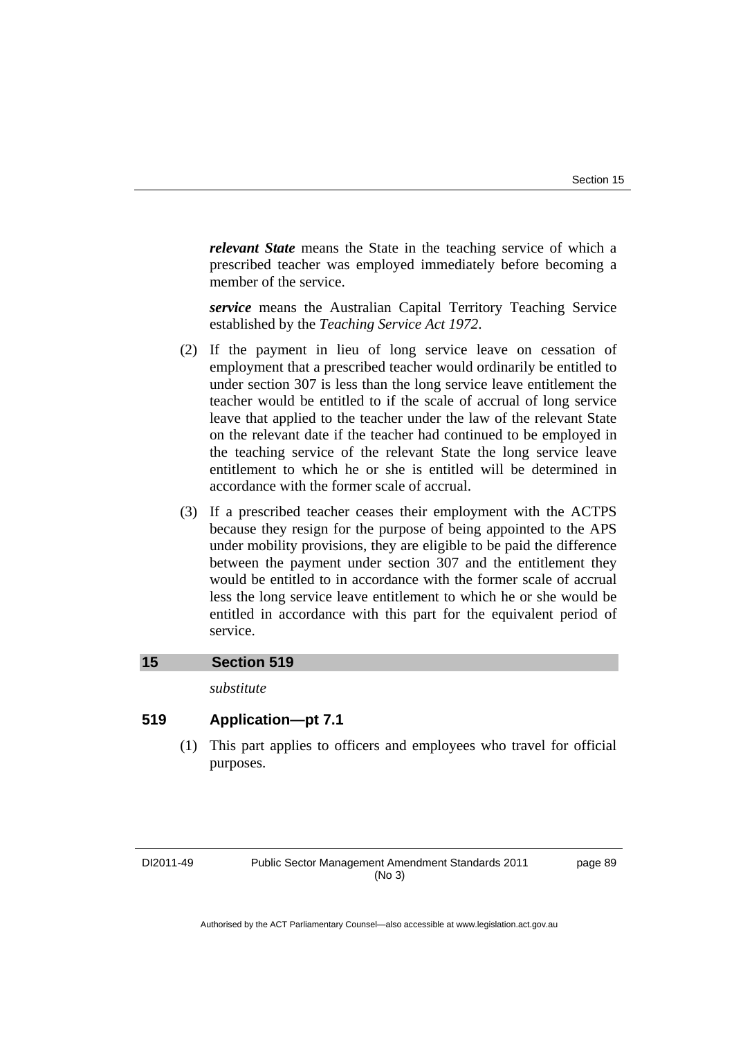*relevant State* means the State in the teaching service of which a prescribed teacher was employed immediately before becoming a member of the service.

*service* means the Australian Capital Territory Teaching Service established by the *Teaching Service Act 1972*.

- (2) If the payment in lieu of long service leave on cessation of employment that a prescribed teacher would ordinarily be entitled to under section 307 is less than the long service leave entitlement the teacher would be entitled to if the scale of accrual of long service leave that applied to the teacher under the law of the relevant State on the relevant date if the teacher had continued to be employed in the teaching service of the relevant State the long service leave entitlement to which he or she is entitled will be determined in accordance with the former scale of accrual.
- (3) If a prescribed teacher ceases their employment with the ACTPS because they resign for the purpose of being appointed to the APS under mobility provisions, they are eligible to be paid the difference between the payment under section 307 and the entitlement they would be entitled to in accordance with the former scale of accrual less the long service leave entitlement to which he or she would be entitled in accordance with this part for the equivalent period of service.

#### **15 Section 519**

*substitute* 

### **519 Application—pt 7.1**

 (1) This part applies to officers and employees who travel for official purposes.

DI2011-49 Public Sector Management Amendment Standards 2011 (No 3)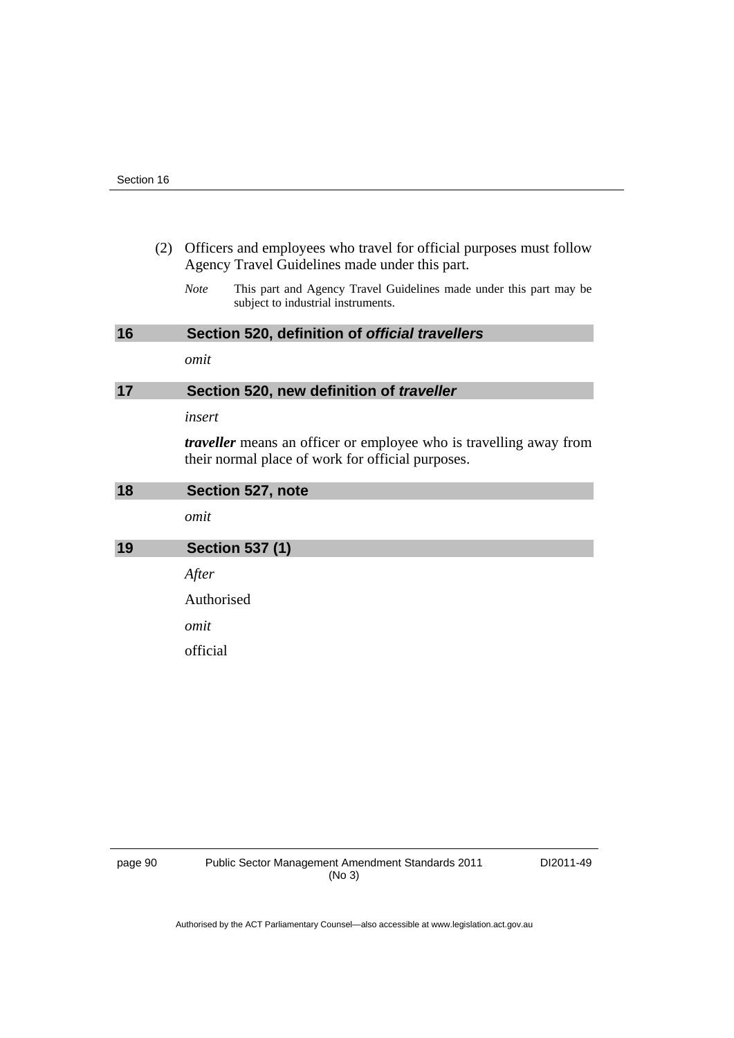| (2) Officers and employees who travel for official purposes must follow |
|-------------------------------------------------------------------------|
| Agency Travel Guidelines made under this part.                          |

*Note* This part and Agency Travel Guidelines made under this part may be subject to industrial instruments.

| 16 | Section 520, definition of official travellers  |  |  |
|----|-------------------------------------------------|--|--|
|    | omit                                            |  |  |
| 17 | Section 520, new definition of <i>traveller</i> |  |  |

*insert* 

*traveller* means an officer or employee who is travelling away from their normal place of work for official purposes.

| 18 | Section 527, note      |
|----|------------------------|
|    | omit                   |
| 19 | <b>Section 537 (1)</b> |
|    | After                  |
|    | Authorised             |
|    | omit                   |
|    | official               |
|    |                        |

page 90 Public Sector Management Amendment Standards 2011 (No 3)

DI2011-49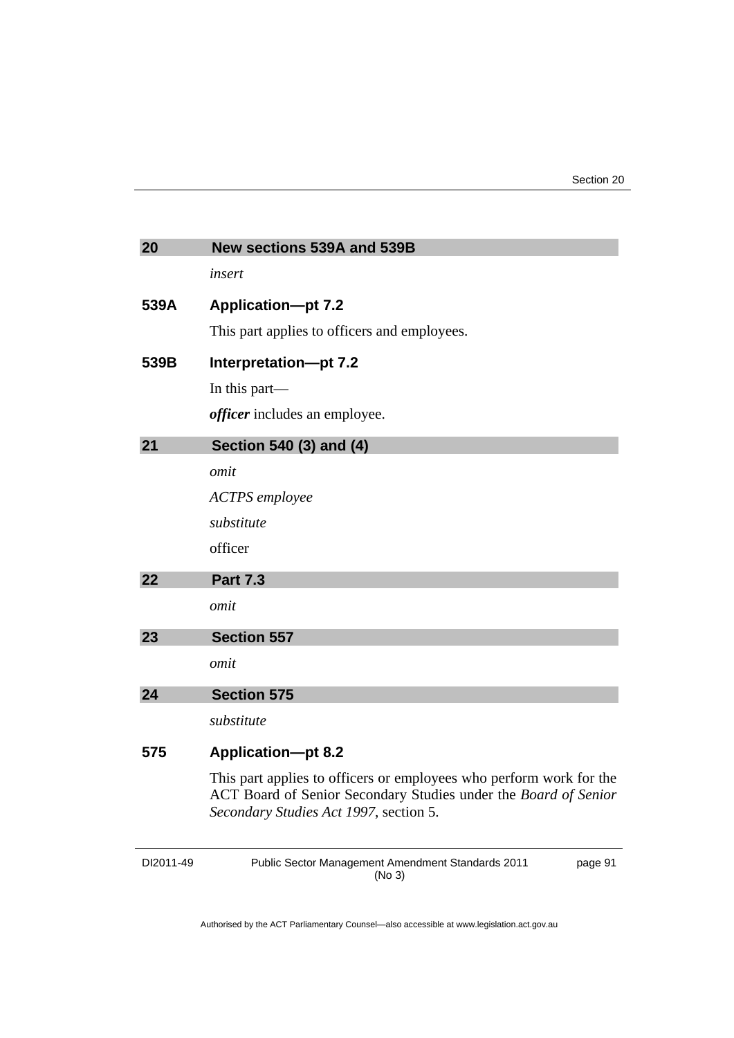| 20   | New sections 539A and 539B                                                                                                                                                       |
|------|----------------------------------------------------------------------------------------------------------------------------------------------------------------------------------|
|      | insert                                                                                                                                                                           |
| 539A | <b>Application-pt 7.2</b>                                                                                                                                                        |
|      | This part applies to officers and employees.                                                                                                                                     |
| 539B | Interpretation-pt 7.2                                                                                                                                                            |
|      | In this part—                                                                                                                                                                    |
|      | <i>officer</i> includes an employee.                                                                                                                                             |
| 21   | Section 540 (3) and (4)                                                                                                                                                          |
|      | omit                                                                                                                                                                             |
|      | <b>ACTPS</b> employee                                                                                                                                                            |
|      | substitute                                                                                                                                                                       |
|      | officer                                                                                                                                                                          |
| 22   | <b>Part 7.3</b>                                                                                                                                                                  |
|      | omit                                                                                                                                                                             |
| 23   | <b>Section 557</b>                                                                                                                                                               |
|      | omit                                                                                                                                                                             |
| 24   | <b>Section 575</b>                                                                                                                                                               |
|      | substitute                                                                                                                                                                       |
| 575  | <b>Application-pt 8.2</b>                                                                                                                                                        |
|      | This part applies to officers or employees who perform work for the<br>ACT Board of Senior Secondary Studies under the Board of Senior<br>Secondary Studies Act 1997, section 5. |

| DI2011-49 | <b>Public Sector Management Amendment Standards 2011</b> |  |
|-----------|----------------------------------------------------------|--|
|           | (No 3)                                                   |  |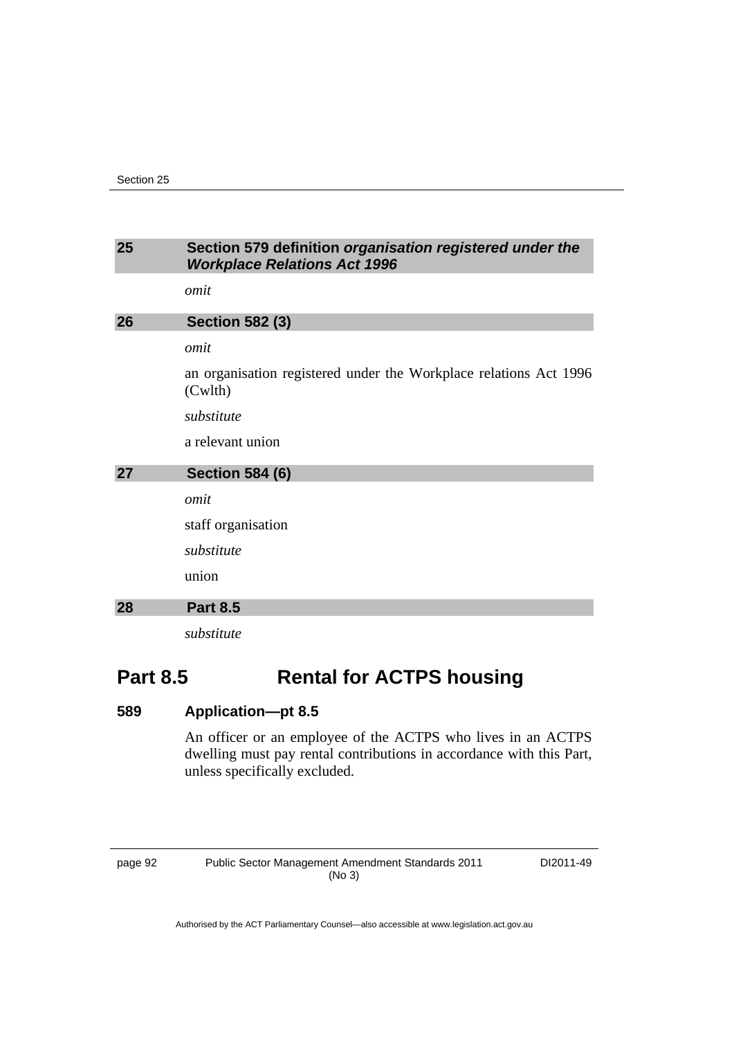# **25 Section 579 definition** *organisation registered under the Workplace Relations Act 1996 omit*  **26 Section 582 (3)**  *omit*  an organisation registered under the Workplace relations Act 1996 (Cwlth) *substitute*  a relevant union **27 Section 584 (6)**  *omit*  staff organisation *substitute*  union **28 Part 8.5**  *substitute*

# **Part 8.5 Rental for ACTPS housing**

# **589 Application—pt 8.5**

An officer or an employee of the ACTPS who lives in an ACTPS dwelling must pay rental contributions in accordance with this Part, unless specifically excluded.

page 92 Public Sector Management Amendment Standards 2011 (No 3)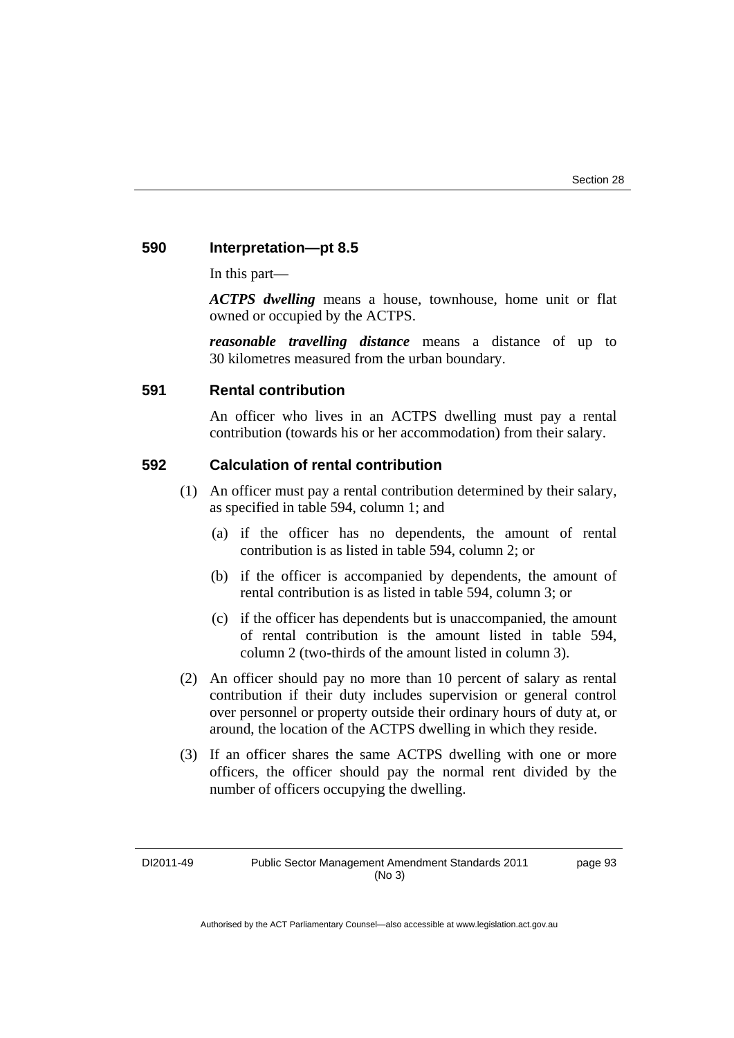#### **590 Interpretation—pt 8.5**

In this part—

*ACTPS dwelling* means a house, townhouse, home unit or flat owned or occupied by the ACTPS.

*reasonable travelling distance* means a distance of up to 30 kilometres measured from the urban boundary.

#### **591 Rental contribution**

An officer who lives in an ACTPS dwelling must pay a rental contribution (towards his or her accommodation) from their salary.

#### **592 Calculation of rental contribution**

- (1) An officer must pay a rental contribution determined by their salary, as specified in table 594, column 1; and
	- (a) if the officer has no dependents, the amount of rental contribution is as listed in table 594, column 2; or
	- (b) if the officer is accompanied by dependents, the amount of rental contribution is as listed in table 594, column 3; or
	- (c) if the officer has dependents but is unaccompanied, the amount of rental contribution is the amount listed in table 594, column 2 (two-thirds of the amount listed in column 3).
- (2) An officer should pay no more than 10 percent of salary as rental contribution if their duty includes supervision or general control over personnel or property outside their ordinary hours of duty at, or around, the location of the ACTPS dwelling in which they reside.
- (3) If an officer shares the same ACTPS dwelling with one or more officers, the officer should pay the normal rent divided by the number of officers occupying the dwelling.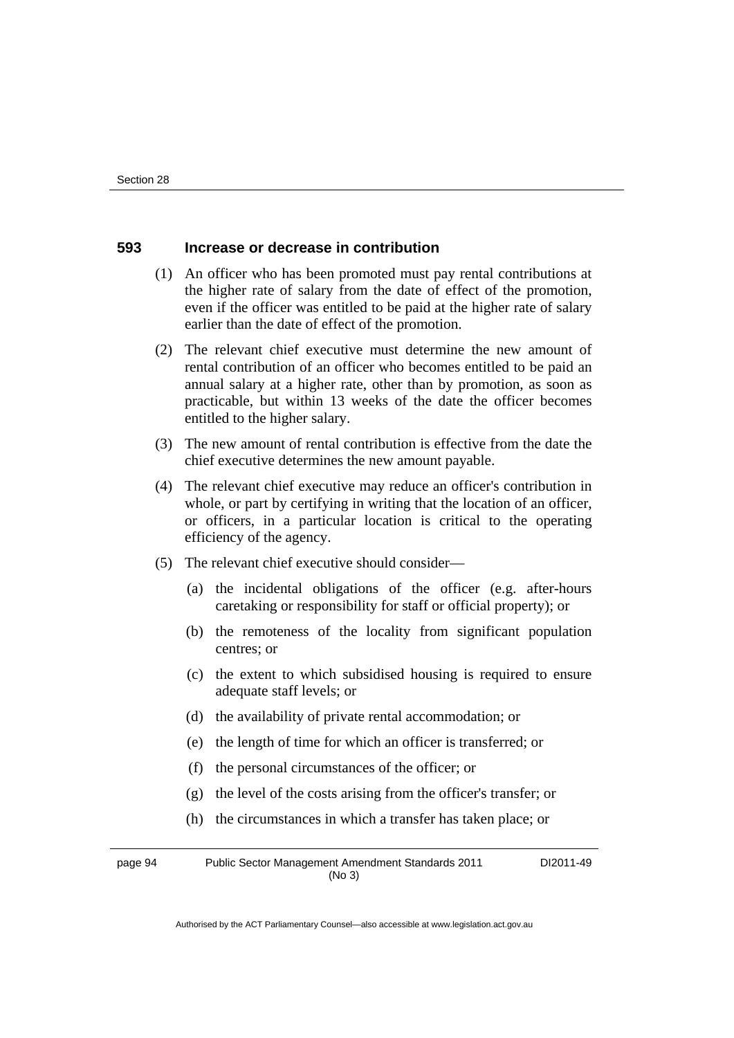#### **593 Increase or decrease in contribution**

- (1) An officer who has been promoted must pay rental contributions at the higher rate of salary from the date of effect of the promotion, even if the officer was entitled to be paid at the higher rate of salary earlier than the date of effect of the promotion.
- (2) The relevant chief executive must determine the new amount of rental contribution of an officer who becomes entitled to be paid an annual salary at a higher rate, other than by promotion, as soon as practicable, but within 13 weeks of the date the officer becomes entitled to the higher salary.
- (3) The new amount of rental contribution is effective from the date the chief executive determines the new amount payable.
- (4) The relevant chief executive may reduce an officer's contribution in whole, or part by certifying in writing that the location of an officer, or officers, in a particular location is critical to the operating efficiency of the agency.
- (5) The relevant chief executive should consider—
	- (a) the incidental obligations of the officer (e.g. after-hours caretaking or responsibility for staff or official property); or
	- (b) the remoteness of the locality from significant population centres; or
	- (c) the extent to which subsidised housing is required to ensure adequate staff levels; or
	- (d) the availability of private rental accommodation; or
	- (e) the length of time for which an officer is transferred; or
	- (f) the personal circumstances of the officer; or
	- (g) the level of the costs arising from the officer's transfer; or
	- (h) the circumstances in which a transfer has taken place; or

page 94 Public Sector Management Amendment Standards 2011 (No 3) DI2011-49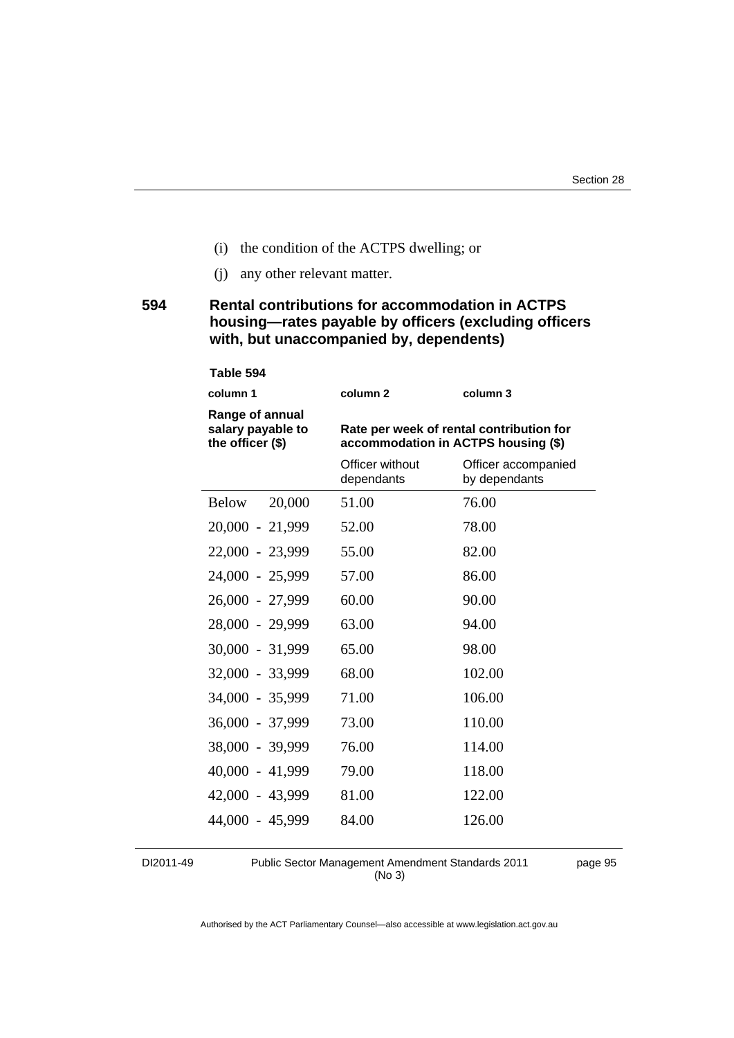- (i) the condition of the ACTPS dwelling; or
- (j) any other relevant matter.

# **594 Rental contributions for accommodation in ACTPS housing—rates payable by officers (excluding officers with, but unaccompanied by, dependents)**

#### **Table 594**

| column 1                                                 | column <sub>2</sub>                                                             | column 3                             |
|----------------------------------------------------------|---------------------------------------------------------------------------------|--------------------------------------|
| Range of annual<br>salary payable to<br>the officer (\$) | Rate per week of rental contribution for<br>accommodation in ACTPS housing (\$) |                                      |
|                                                          | Officer without<br>dependants                                                   | Officer accompanied<br>by dependants |
| 20,000<br><b>Below</b>                                   | 51.00                                                                           | 76.00                                |
| 20,000 - 21,999                                          | 52.00                                                                           | 78.00                                |
| 22,000 - 23,999                                          | 55.00                                                                           | 82.00                                |
| 24,000 - 25,999                                          | 57.00                                                                           | 86.00                                |
| 26,000 - 27,999                                          | 60.00                                                                           | 90.00                                |
| 28,000 - 29,999                                          | 63.00                                                                           | 94.00                                |
| 30,000 - 31,999                                          | 65.00                                                                           | 98.00                                |
| 32,000 - 33,999                                          | 68.00                                                                           | 102.00                               |
| 34,000 - 35,999                                          | 71.00                                                                           | 106.00                               |
| 36,000 - 37,999                                          | 73.00                                                                           | 110.00                               |
| 38,000 - 39,999                                          | 76.00                                                                           | 114.00                               |
| 40,000 - 41,999                                          | 79.00                                                                           | 118.00                               |
| 42,000 - 43,999                                          | 81.00                                                                           | 122.00                               |
| 44,000 - 45,999                                          | 84.00                                                                           | 126.00                               |

DI2011-49 Public Sector Management Amendment Standards 2011 (No 3)

page 95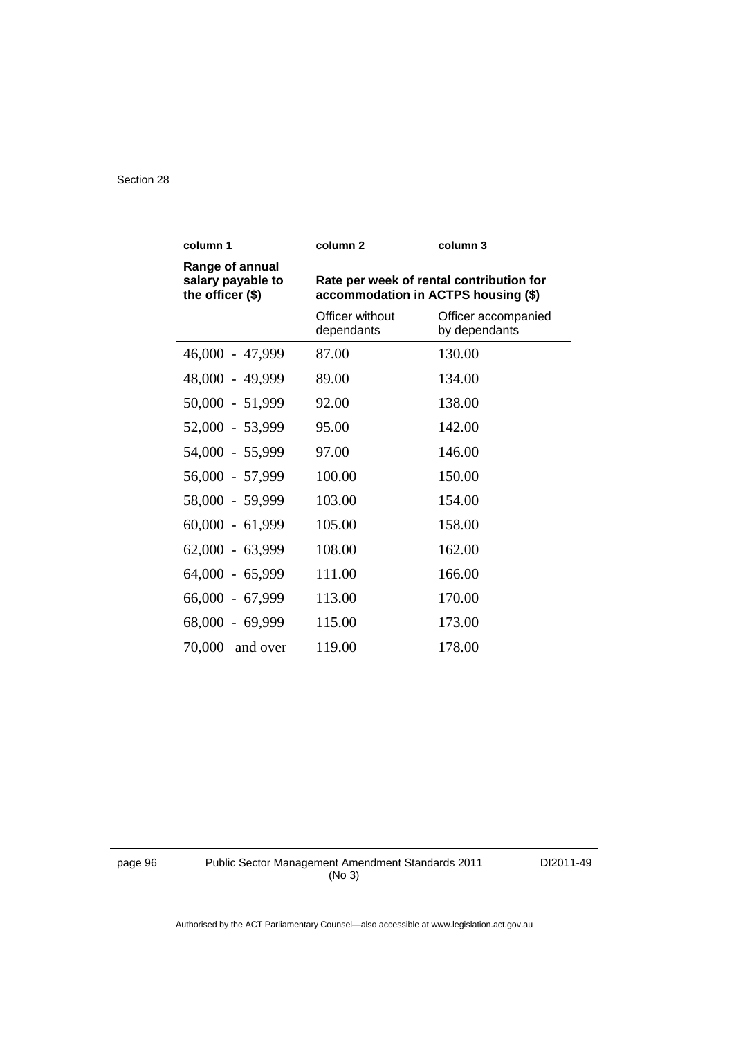| column 1                                                 | column <sub>2</sub>                                                             | column 3                             |
|----------------------------------------------------------|---------------------------------------------------------------------------------|--------------------------------------|
| Range of annual<br>salary payable to<br>the officer (\$) | Rate per week of rental contribution for<br>accommodation in ACTPS housing (\$) |                                      |
|                                                          | Officer without<br>dependants                                                   | Officer accompanied<br>by dependants |
| 46,000 - 47,999                                          | 87.00                                                                           | 130.00                               |
| 48,000 - 49,999                                          | 89.00                                                                           | 134.00                               |
| $50,000 - 51,999$                                        | 92.00                                                                           | 138.00                               |
| 52,000 - 53,999                                          | 95.00                                                                           | 142.00                               |
| 54,000 - 55,999                                          | 97.00                                                                           | 146.00                               |
| 56,000 - 57,999                                          | 100.00                                                                          | 150.00                               |
| 58,000 - 59,999                                          | 103.00                                                                          | 154.00                               |
| $60,000 - 61,999$                                        | 105.00                                                                          | 158.00                               |
| $62,000 - 63,999$                                        | 108.00                                                                          | 162.00                               |
| $64,000 - 65,999$                                        | 111.00                                                                          | 166.00                               |
| $66,000 - 67,999$                                        | 113.00                                                                          | 170.00                               |
| 68,000 - 69,999                                          | 115.00                                                                          | 173.00                               |
| $70,000$ and over                                        | 119.00                                                                          | 178.00                               |

page 96 Public Sector Management Amendment Standards 2011 (No 3)

DI2011-49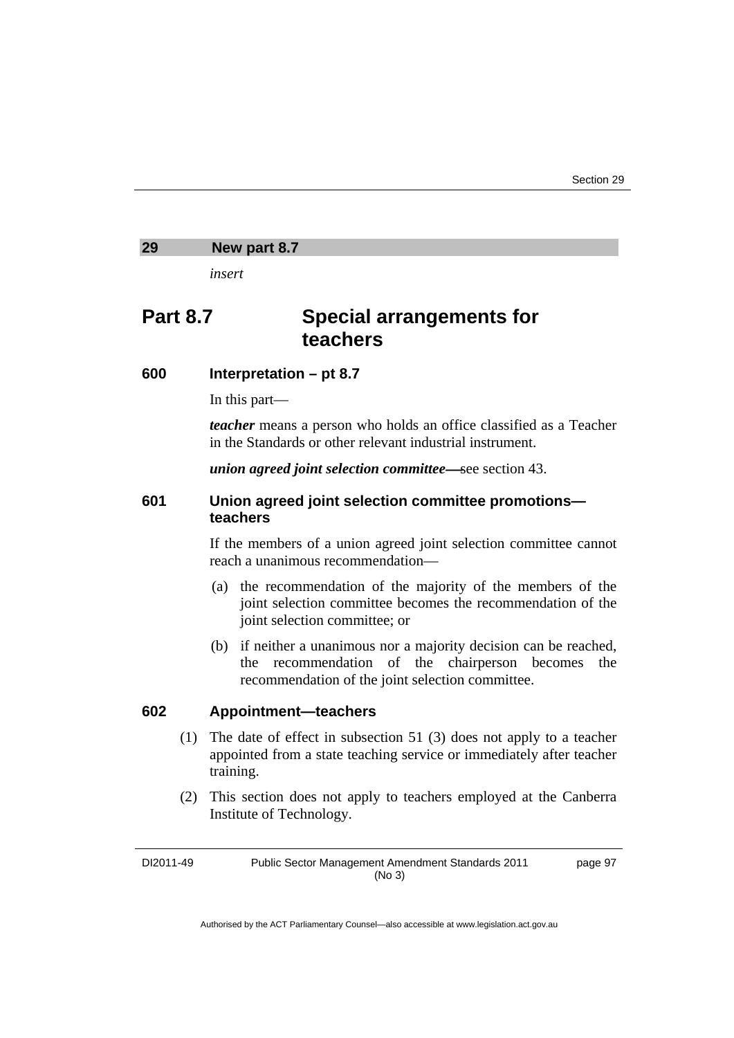#### **29 New part 8.7**

*insert* 

# **Part 8.7 Special arrangements for teachers**

#### **600 Interpretation – pt 8.7**

In this part—

*teacher* means a person who holds an office classified as a Teacher in the Standards or other relevant industrial instrument.

*union agreed joint selection committee*—see section 43.

# **601 Union agreed joint selection committee promotions teachers**

If the members of a union agreed joint selection committee cannot reach a unanimous recommendation—

- (a) the recommendation of the majority of the members of the joint selection committee becomes the recommendation of the joint selection committee; or
- (b) if neither a unanimous nor a majority decision can be reached, the recommendation of the chairperson becomes the recommendation of the joint selection committee.

#### **602 Appointment—teachers**

- (1) The date of effect in subsection 51 (3) does not apply to a teacher appointed from a state teaching service or immediately after teacher training.
- (2) This section does not apply to teachers employed at the Canberra Institute of Technology.

DI2011-49 Public Sector Management Amendment Standards 2011 (No 3) page 97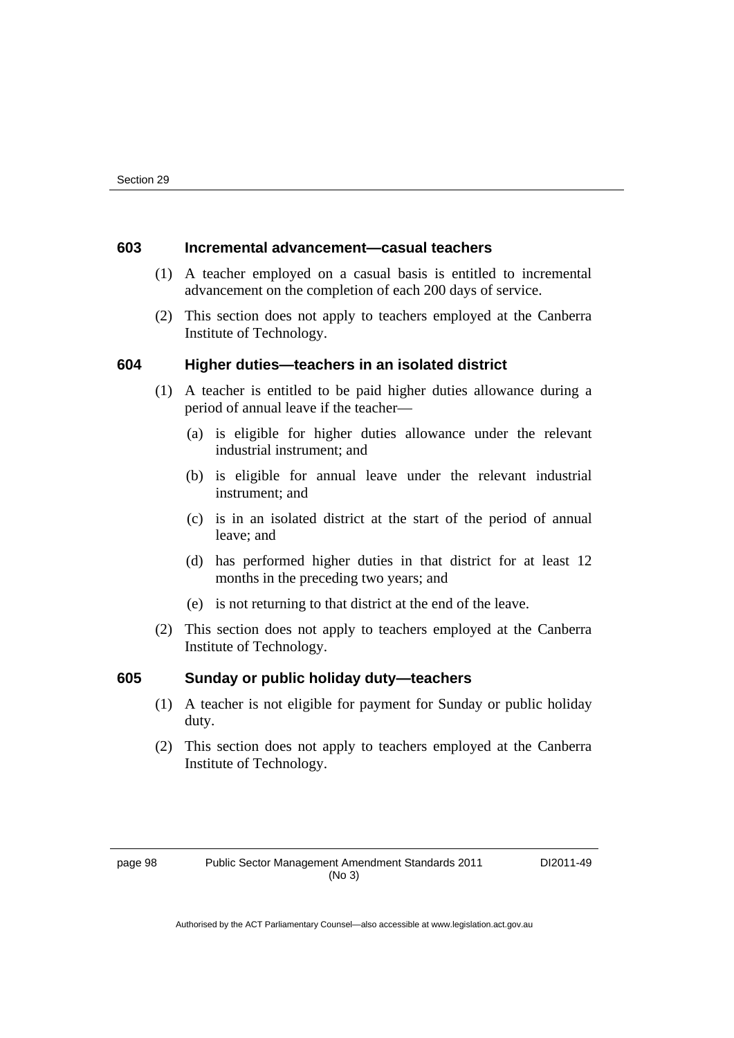#### **603 Incremental advancement—casual teachers**

- (1) A teacher employed on a casual basis is entitled to incremental advancement on the completion of each 200 days of service.
- (2) This section does not apply to teachers employed at the Canberra Institute of Technology.

#### **604 Higher duties—teachers in an isolated district**

- (1) A teacher is entitled to be paid higher duties allowance during a period of annual leave if the teacher—
	- (a) is eligible for higher duties allowance under the relevant industrial instrument; and
	- (b) is eligible for annual leave under the relevant industrial instrument; and
	- (c) is in an isolated district at the start of the period of annual leave; and
	- (d) has performed higher duties in that district for at least 12 months in the preceding two years; and
	- (e) is not returning to that district at the end of the leave.
- (2) This section does not apply to teachers employed at the Canberra Institute of Technology.

#### **605 Sunday or public holiday duty—teachers**

- (1) A teacher is not eligible for payment for Sunday or public holiday duty.
- (2) This section does not apply to teachers employed at the Canberra Institute of Technology.

page 98 Public Sector Management Amendment Standards 2011 (No 3)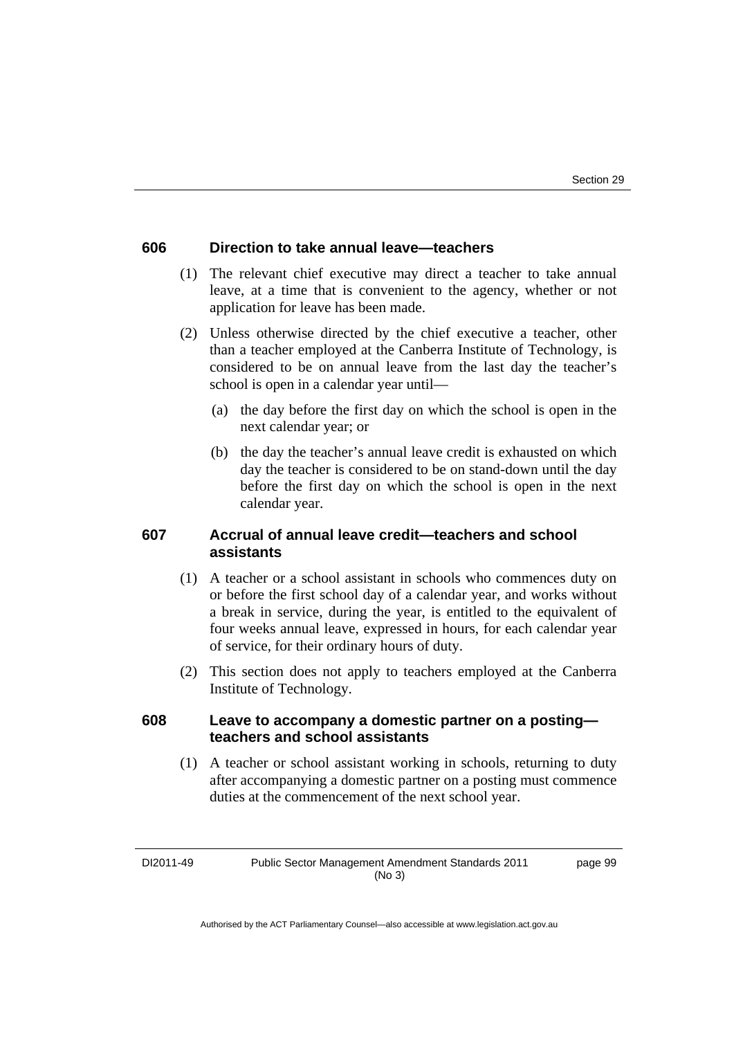#### **606 Direction to take annual leave—teachers**

- (1) The relevant chief executive may direct a teacher to take annual leave, at a time that is convenient to the agency, whether or not application for leave has been made.
- (2) Unless otherwise directed by the chief executive a teacher, other than a teacher employed at the Canberra Institute of Technology, is considered to be on annual leave from the last day the teacher's school is open in a calendar year until—
	- (a) the day before the first day on which the school is open in the next calendar year; or
	- (b) the day the teacher's annual leave credit is exhausted on which day the teacher is considered to be on stand-down until the day before the first day on which the school is open in the next calendar year.

## **607 Accrual of annual leave credit—teachers and school assistants**

- (1) A teacher or a school assistant in schools who commences duty on or before the first school day of a calendar year, and works without a break in service, during the year, is entitled to the equivalent of four weeks annual leave, expressed in hours, for each calendar year of service, for their ordinary hours of duty.
- (2) This section does not apply to teachers employed at the Canberra Institute of Technology.

### **608 Leave to accompany a domestic partner on a posting teachers and school assistants**

 (1) A teacher or school assistant working in schools, returning to duty after accompanying a domestic partner on a posting must commence duties at the commencement of the next school year.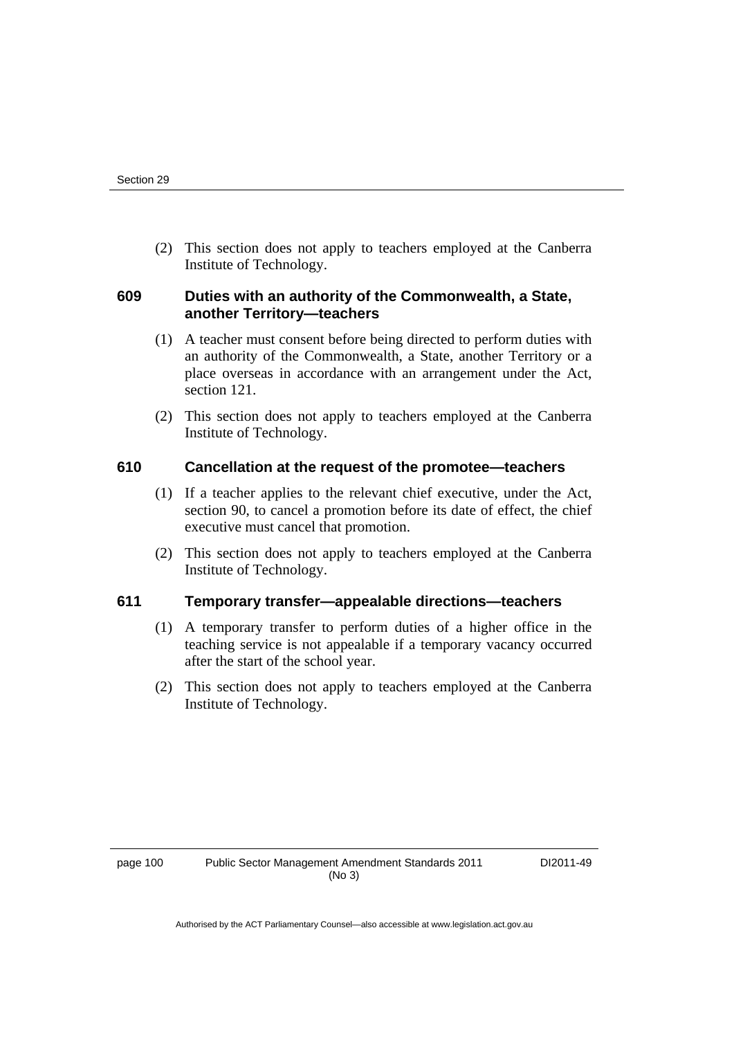(2) This section does not apply to teachers employed at the Canberra Institute of Technology.

# **609 Duties with an authority of the Commonwealth, a State, another Territory—teachers**

- (1) A teacher must consent before being directed to perform duties with an authority of the Commonwealth, a State, another Territory or a place overseas in accordance with an arrangement under the Act, section 121.
- (2) This section does not apply to teachers employed at the Canberra Institute of Technology.

### **610 Cancellation at the request of the promotee—teachers**

- (1) If a teacher applies to the relevant chief executive, under the Act, section 90, to cancel a promotion before its date of effect, the chief executive must cancel that promotion.
- (2) This section does not apply to teachers employed at the Canberra Institute of Technology.

# **611 Temporary transfer—appealable directions—teachers**

- (1) A temporary transfer to perform duties of a higher office in the teaching service is not appealable if a temporary vacancy occurred after the start of the school year.
- (2) This section does not apply to teachers employed at the Canberra Institute of Technology.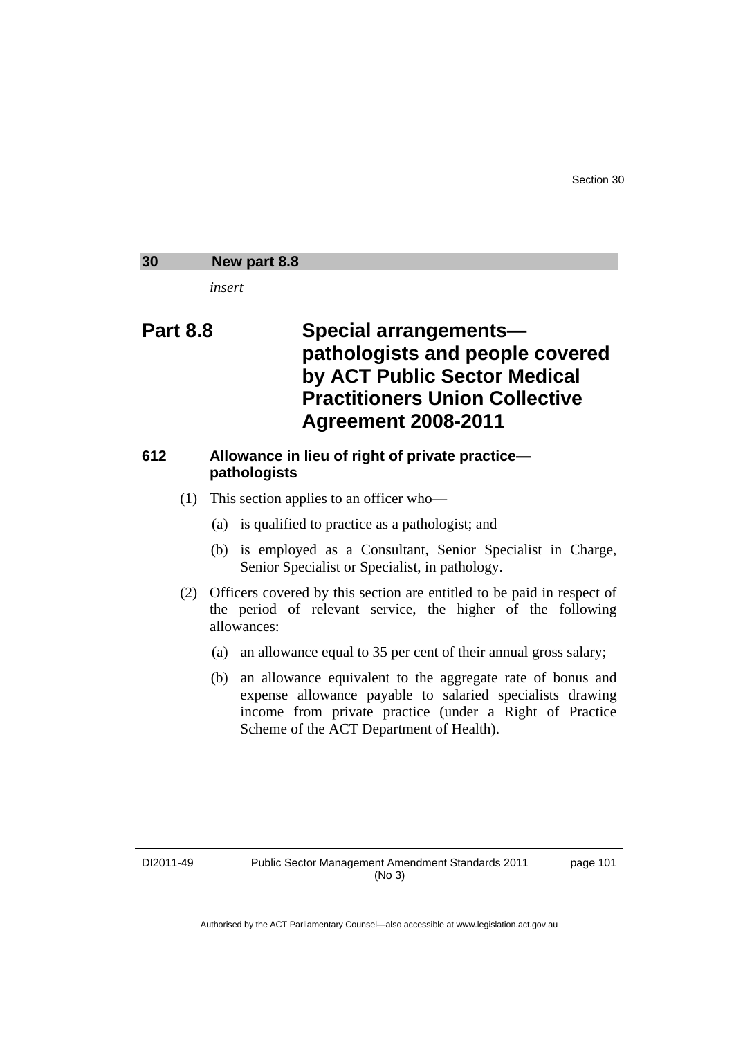# **30 New part 8.8**  *insert*  **Part 8.8 Special arrangements pathologists and people covered by ACT Public Sector Medical Practitioners Union Collective Agreement 2008-2011 612 Allowance in lieu of right of private practice pathologists**  (1) This section applies to an officer who— (a) is qualified to practice as a pathologist; and (b) is employed as a Consultant, Senior Specialist in Charge, Senior Specialist or Specialist, in pathology. (2) Officers covered by this section are entitled to be paid in respect of the period of relevant service, the higher of the following allowances: (a) an allowance equal to 35 per cent of their annual gross salary; (b) an allowance equivalent to the aggregate rate of bonus and expense allowance payable to salaried specialists drawing income from private practice (under a Right of Practice Scheme of the ACT Department of Health).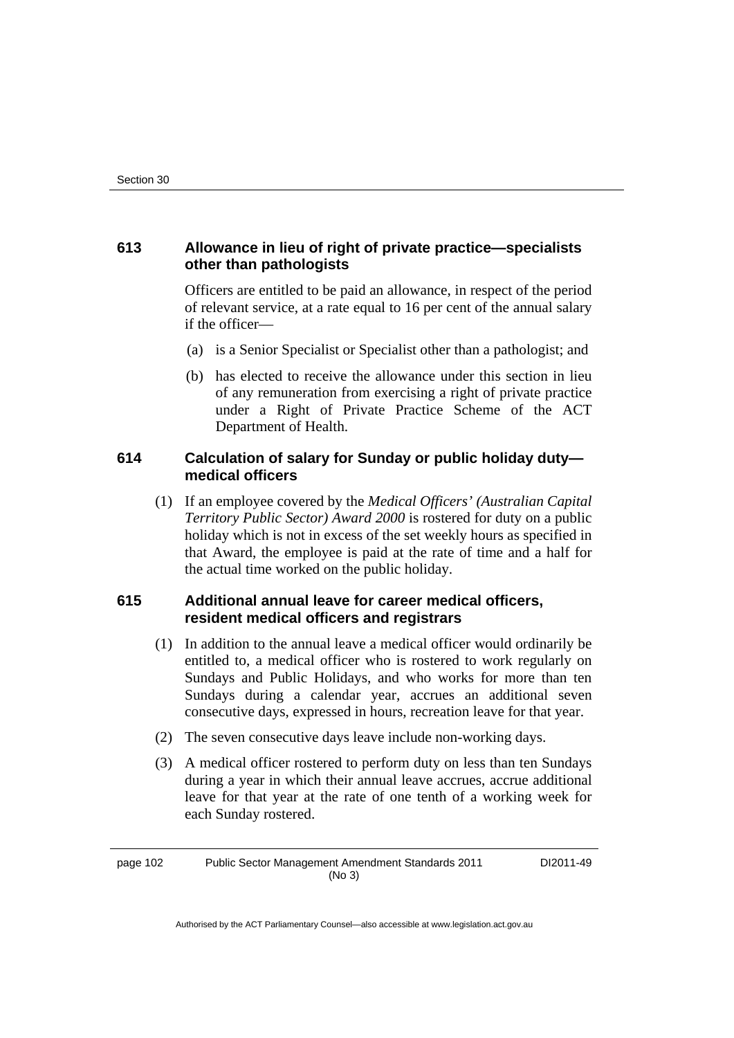# **613 Allowance in lieu of right of private practice—specialists other than pathologists**

Officers are entitled to be paid an allowance, in respect of the period of relevant service, at a rate equal to 16 per cent of the annual salary if the officer—

- (a) is a Senior Specialist or Specialist other than a pathologist; and
- (b) has elected to receive the allowance under this section in lieu of any remuneration from exercising a right of private practice under a Right of Private Practice Scheme of the ACT Department of Health.

### **614 Calculation of salary for Sunday or public holiday duty medical officers**

 (1) If an employee covered by the *Medical Officers' (Australian Capital Territory Public Sector) Award 2000* is rostered for duty on a public holiday which is not in excess of the set weekly hours as specified in that Award, the employee is paid at the rate of time and a half for the actual time worked on the public holiday.

# **615 Additional annual leave for career medical officers, resident medical officers and registrars**

- (1) In addition to the annual leave a medical officer would ordinarily be entitled to, a medical officer who is rostered to work regularly on Sundays and Public Holidays, and who works for more than ten Sundays during a calendar year, accrues an additional seven consecutive days, expressed in hours, recreation leave for that year.
- (2) The seven consecutive days leave include non-working days.
- (3) A medical officer rostered to perform duty on less than ten Sundays during a year in which their annual leave accrues, accrue additional leave for that year at the rate of one tenth of a working week for each Sunday rostered.

page 102 Public Sector Management Amendment Standards 2011 (No 3)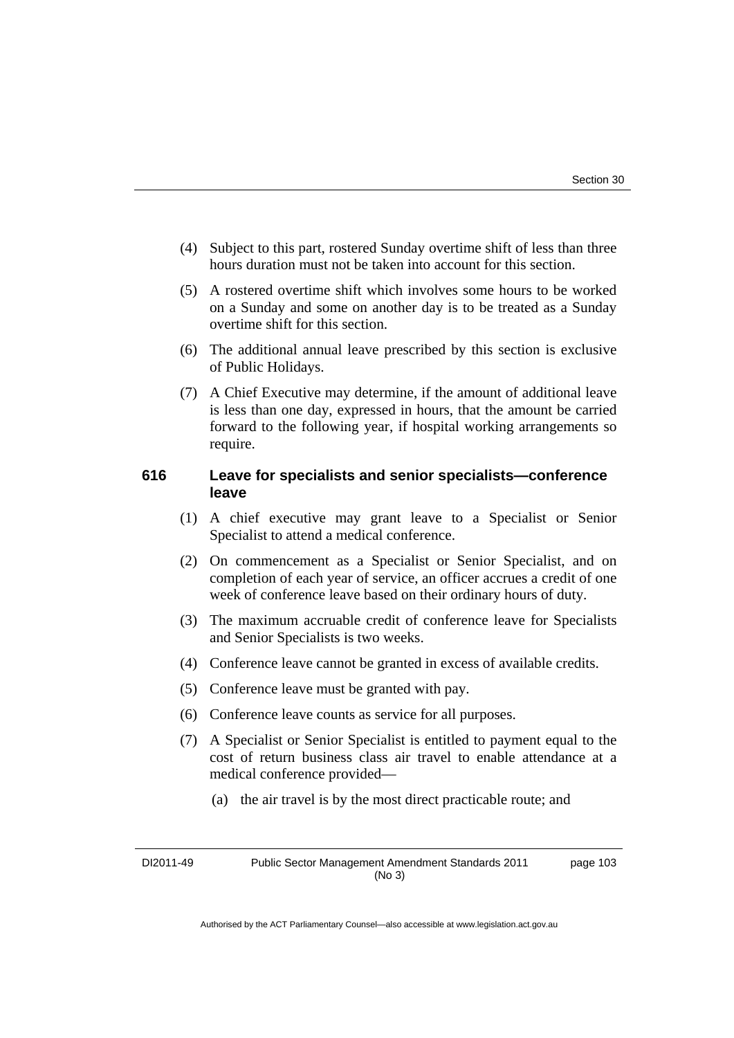- (4) Subject to this part, rostered Sunday overtime shift of less than three hours duration must not be taken into account for this section.
- (5) A rostered overtime shift which involves some hours to be worked on a Sunday and some on another day is to be treated as a Sunday overtime shift for this section.
- (6) The additional annual leave prescribed by this section is exclusive of Public Holidays.
- (7) A Chief Executive may determine, if the amount of additional leave is less than one day, expressed in hours, that the amount be carried forward to the following year, if hospital working arrangements so require.

#### **616 Leave for specialists and senior specialists—conference leave**

- (1) A chief executive may grant leave to a Specialist or Senior Specialist to attend a medical conference.
- (2) On commencement as a Specialist or Senior Specialist, and on completion of each year of service, an officer accrues a credit of one week of conference leave based on their ordinary hours of duty.
- (3) The maximum accruable credit of conference leave for Specialists and Senior Specialists is two weeks.
- (4) Conference leave cannot be granted in excess of available credits.
- (5) Conference leave must be granted with pay.
- (6) Conference leave counts as service for all purposes.
- (7) A Specialist or Senior Specialist is entitled to payment equal to the cost of return business class air travel to enable attendance at a medical conference provided—
	- (a) the air travel is by the most direct practicable route; and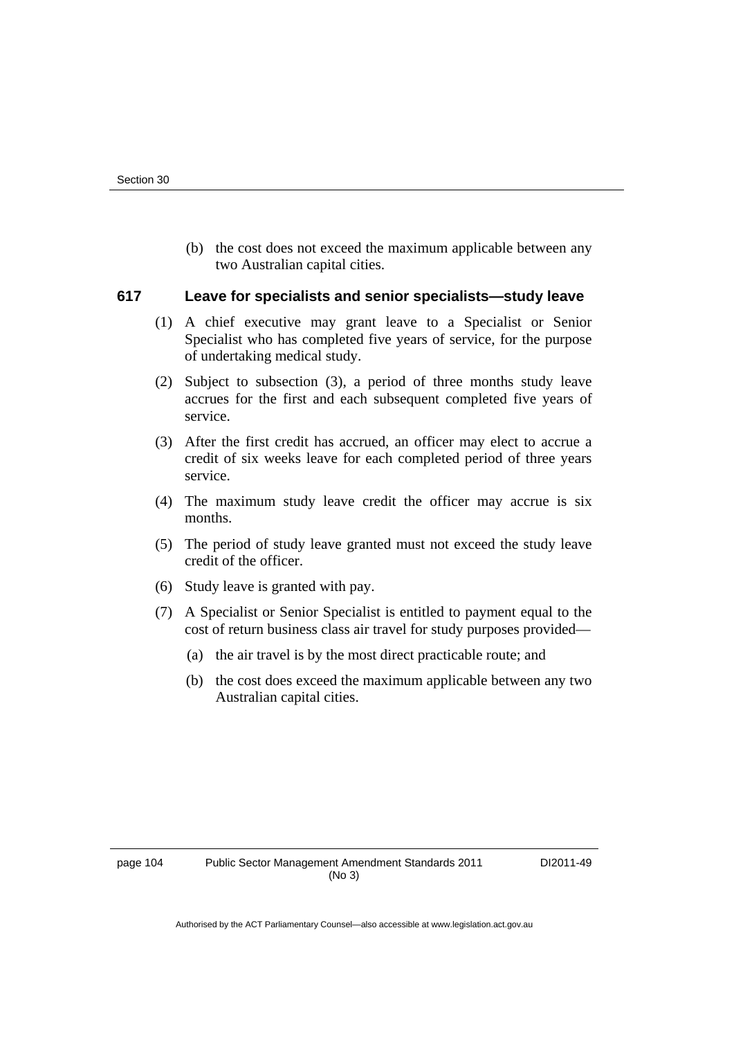(b) the cost does not exceed the maximum applicable between any two Australian capital cities.

#### **617 Leave for specialists and senior specialists—study leave**

- (1) A chief executive may grant leave to a Specialist or Senior Specialist who has completed five years of service, for the purpose of undertaking medical study.
- (2) Subject to subsection (3), a period of three months study leave accrues for the first and each subsequent completed five years of service.
- (3) After the first credit has accrued, an officer may elect to accrue a credit of six weeks leave for each completed period of three years service.
- (4) The maximum study leave credit the officer may accrue is six months.
- (5) The period of study leave granted must not exceed the study leave credit of the officer.
- (6) Study leave is granted with pay.
- (7) A Specialist or Senior Specialist is entitled to payment equal to the cost of return business class air travel for study purposes provided—
	- (a) the air travel is by the most direct practicable route; and
	- (b) the cost does exceed the maximum applicable between any two Australian capital cities.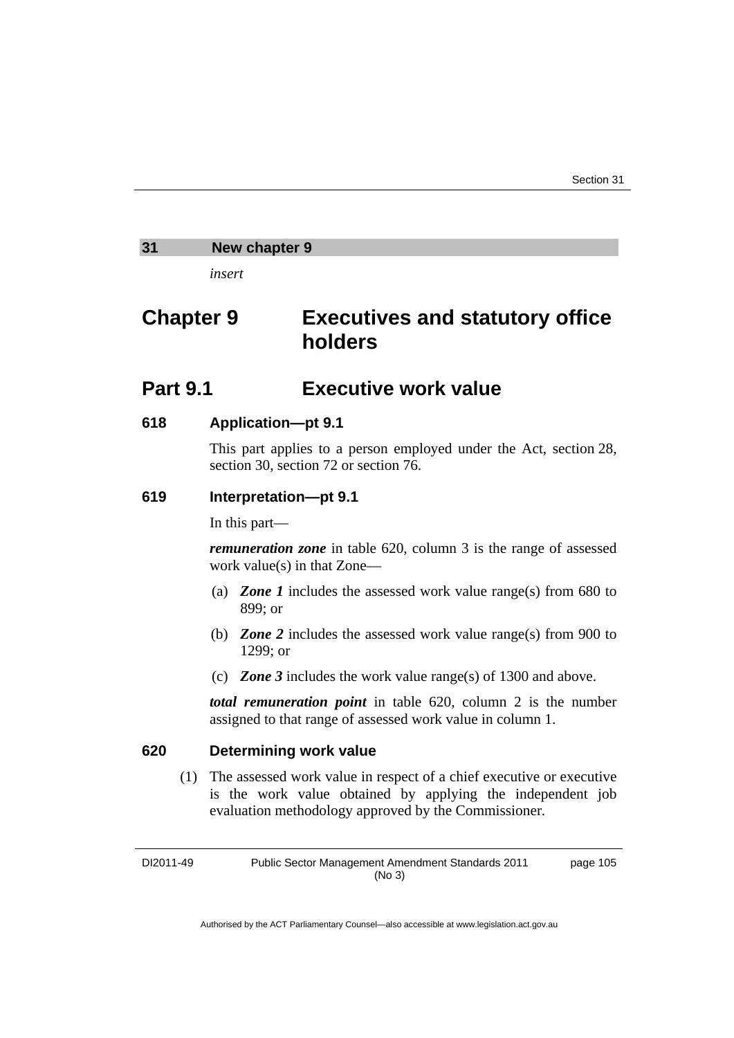#### **31 New chapter 9**

*insert* 

# **Chapter 9 Executives and statutory office holders**

## **Part 9.1 Executive work value**

#### **618 Application—pt 9.1**

This part applies to a person employed under the Act, section 28, section 30, section 72 or section 76.

#### **619 Interpretation—pt 9.1**

In this part—

*remuneration zone* in table 620, column 3 is the range of assessed work value(s) in that Zone—

- (a) *Zone 1* includes the assessed work value range(s) from 680 to 899; or
- (b) *Zone 2* includes the assessed work value range(s) from 900 to 1299; or
- (c) *Zone 3* includes the work value range(s) of 1300 and above.

*total remuneration point* in table 620, column 2 is the number assigned to that range of assessed work value in column 1.

#### **620 Determining work value**

 (1) The assessed work value in respect of a chief executive or executive is the work value obtained by applying the independent job evaluation methodology approved by the Commissioner*.*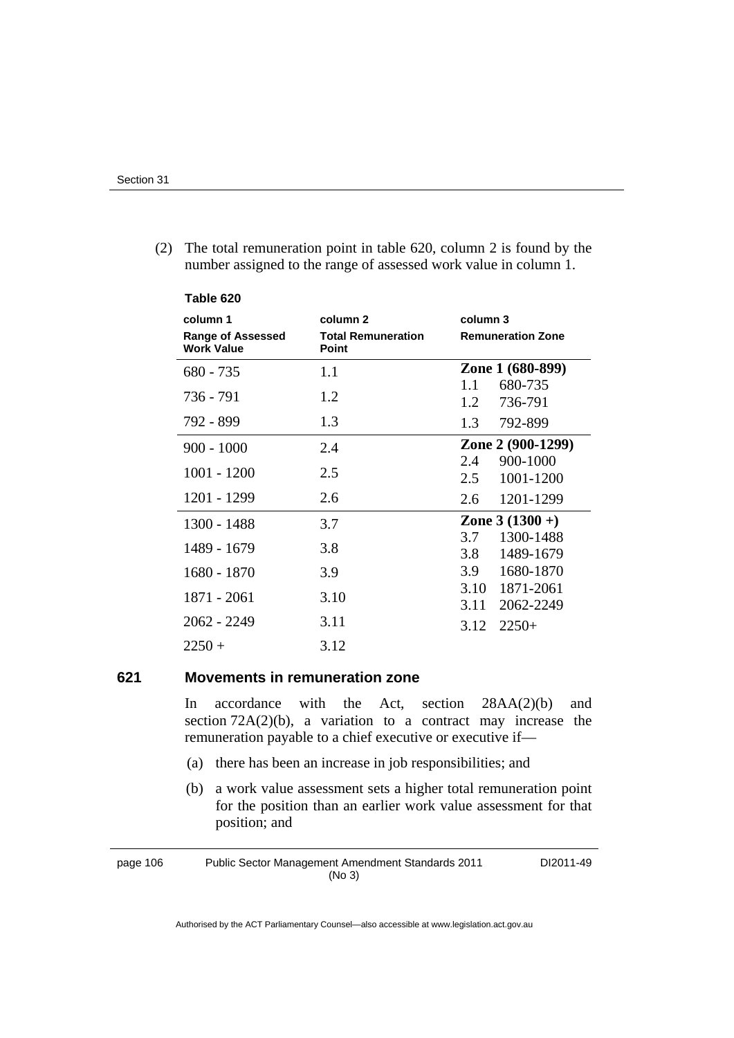| Table 620                                                 |                                                |                                        |
|-----------------------------------------------------------|------------------------------------------------|----------------------------------------|
| column 1<br><b>Range of Assessed</b><br><b>Work Value</b> | column 2<br><b>Total Remuneration</b><br>Point | column 3<br><b>Remuneration Zone</b>   |
| $680 - 735$                                               | 1.1                                            | Zone 1 (680-899)                       |
| 736 - 791                                                 | 1.2                                            | 680-735<br>1.1<br>736-791<br>1.2       |
| 792 - 899                                                 | 1.3                                            | 1.3<br>792-899                         |
| $900 - 1000$                                              | 2.4                                            | Zone 2 (900-1299)<br>900-1000<br>2.4   |
| $1001 - 1200$                                             | 2.5                                            | 1001-1200<br>2.5                       |
| 1201 - 1299                                               | 2.6                                            | 1201-1299<br>2.6                       |
| 1300 - 1488                                               | 3.7                                            | Zone $3(1300 + )$                      |
| 1489 - 1679                                               | 3.8                                            | 1300-1488<br>3.7<br>3.8<br>1489-1679   |
| 1680 - 1870                                               | 3.9                                            | 1680-1870<br>3.9                       |
| 1871 - 2061                                               | 3.10                                           | 1871-2061<br>3.10<br>2062-2249<br>3.11 |
| $2062 - 2249$                                             | 3.11                                           | 3.12<br>$2250+$                        |
| $2250 +$                                                  | 3.12                                           |                                        |

 (2) The total remuneration point in table 620, column 2 is found by the number assigned to the range of assessed work value in column 1.

#### **621 Movements in remuneration zone**

In accordance with the Act, section 28AA(2)(b) and section  $72A(2)(b)$ , a variation to a contract may increase the remuneration payable to a chief executive or executive if—

- (a) there has been an increase in job responsibilities; and
- (b) a work value assessment sets a higher total remuneration point for the position than an earlier work value assessment for that position; and

page 106 Public Sector Management Amendment Standards 2011 (No 3) DI2011-49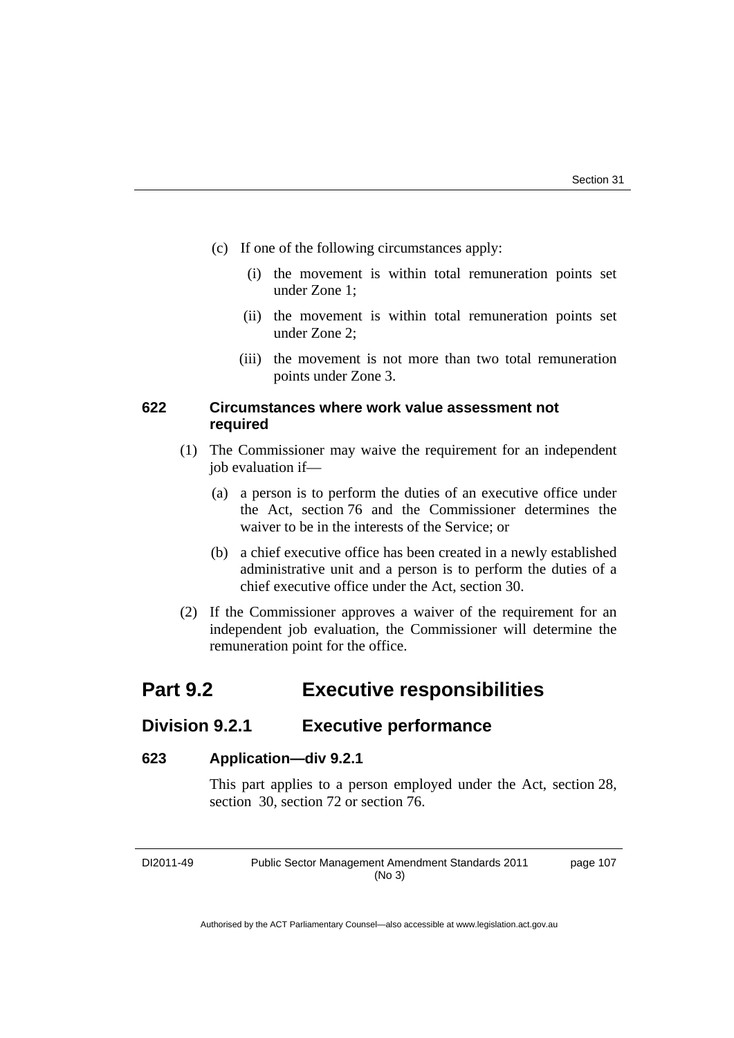- (c) If one of the following circumstances apply:
	- (i) the movement is within total remuneration points set under Zone 1;
	- (ii) the movement is within total remuneration points set under Zone 2;
	- (iii) the movement is not more than two total remuneration points under Zone 3.

#### **622 Circumstances where work value assessment not required**

- (1) The Commissioner may waive the requirement for an independent job evaluation if—
	- (a) a person is to perform the duties of an executive office under the Act, section 76 and the Commissioner determines the waiver to be in the interests of the Service; or
	- (b) a chief executive office has been created in a newly established administrative unit and a person is to perform the duties of a chief executive office under the Act, section 30.
- (2) If the Commissioner approves a waiver of the requirement for an independent job evaluation, the Commissioner will determine the remuneration point for the office.

# **Part 9.2 Executive responsibilities**

### **Division 9.2.1 Executive performance**

#### **623 Application—div 9.2.1**

This part applies to a person employed under the Act, section 28, section 30, section 72 or section 76.

DI2011-49 Public Sector Management Amendment Standards 2011 (No 3)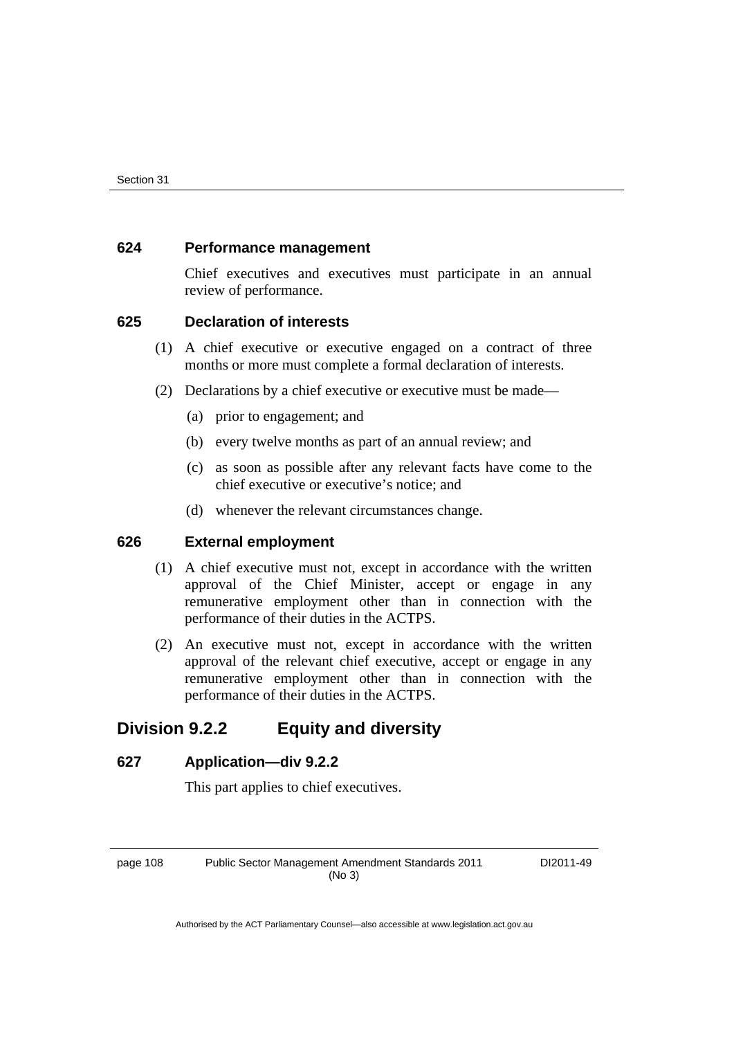#### **624 Performance management**

Chief executives and executives must participate in an annual review of performance.

#### **625 Declaration of interests**

- (1) A chief executive or executive engaged on a contract of three months or more must complete a formal declaration of interests.
- (2) Declarations by a chief executive or executive must be made—
	- (a) prior to engagement; and
	- (b) every twelve months as part of an annual review; and
	- (c) as soon as possible after any relevant facts have come to the chief executive or executive's notice; and
	- (d) whenever the relevant circumstances change.

#### **626 External employment**

- (1) A chief executive must not, except in accordance with the written approval of the Chief Minister, accept or engage in any remunerative employment other than in connection with the performance of their duties in the ACTPS.
- (2) An executive must not, except in accordance with the written approval of the relevant chief executive, accept or engage in any remunerative employment other than in connection with the performance of their duties in the ACTPS.

## **Division 9.2.2 Equity and diversity**

#### **627 Application—div 9.2.2**

This part applies to chief executives.

page 108 Public Sector Management Amendment Standards 2011 (No 3)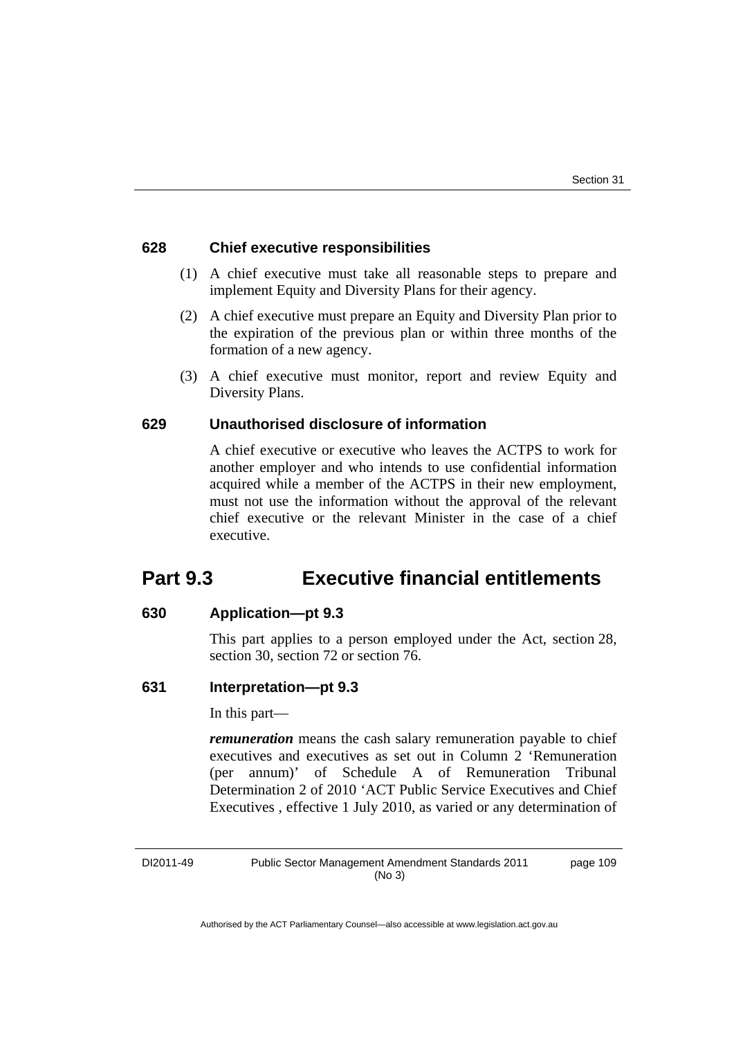#### **628 Chief executive responsibilities**

- (1) A chief executive must take all reasonable steps to prepare and implement Equity and Diversity Plans for their agency.
- (2) A chief executive must prepare an Equity and Diversity Plan prior to the expiration of the previous plan or within three months of the formation of a new agency.
- (3) A chief executive must monitor, report and review Equity and Diversity Plans.

#### **629 Unauthorised disclosure of information**

A chief executive or executive who leaves the ACTPS to work for another employer and who intends to use confidential information acquired while a member of the ACTPS in their new employment, must not use the information without the approval of the relevant chief executive or the relevant Minister in the case of a chief executive.

# **Part 9.3 Executive financial entitlements**

#### **630 Application—pt 9.3**

This part applies to a person employed under the Act, section 28, section 30, section 72 or section 76.

#### **631 Interpretation—pt 9.3**

In this part—

*remuneration* means the cash salary remuneration payable to chief executives and executives as set out in Column 2 'Remuneration (per annum)' of Schedule A of Remuneration Tribunal Determination 2 of 2010 'ACT Public Service Executives and Chief Executives , effective 1 July 2010, as varied or any determination of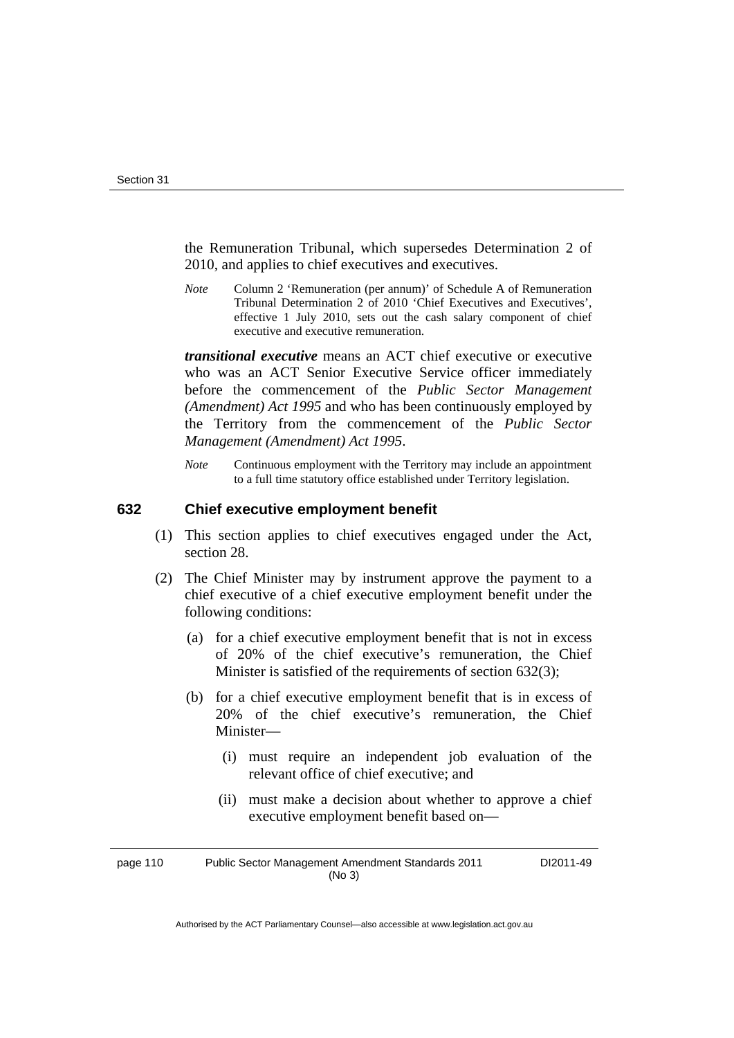the Remuneration Tribunal, which supersedes Determination 2 of 2010, and applies to chief executives and executives.

*Note* Column 2 'Remuneration (per annum)' of Schedule A of Remuneration Tribunal Determination 2 of 2010 'Chief Executives and Executives', effective 1 July 2010, sets out the cash salary component of chief executive and executive remuneration.

*transitional executive* means an ACT chief executive or executive who was an ACT Senior Executive Service officer immediately before the commencement of the *Public Sector Management (Amendment) Act 1995* and who has been continuously employed by the Territory from the commencement of the *Public Sector Management (Amendment) Act 1995*.

*Note* Continuous employment with the Territory may include an appointment to a full time statutory office established under Territory legislation.

#### **632 Chief executive employment benefit**

- (1) This section applies to chief executives engaged under the Act, section 28.
- (2) The Chief Minister may by instrument approve the payment to a chief executive of a chief executive employment benefit under the following conditions:
	- (a) for a chief executive employment benefit that is not in excess of 20% of the chief executive's remuneration, the Chief Minister is satisfied of the requirements of section 632(3);
	- (b) for a chief executive employment benefit that is in excess of 20% of the chief executive's remuneration, the Chief Minister—
		- (i) must require an independent job evaluation of the relevant office of chief executive; and
		- (ii) must make a decision about whether to approve a chief executive employment benefit based on—

page 110 Public Sector Management Amendment Standards 2011 (No 3) DI2011-49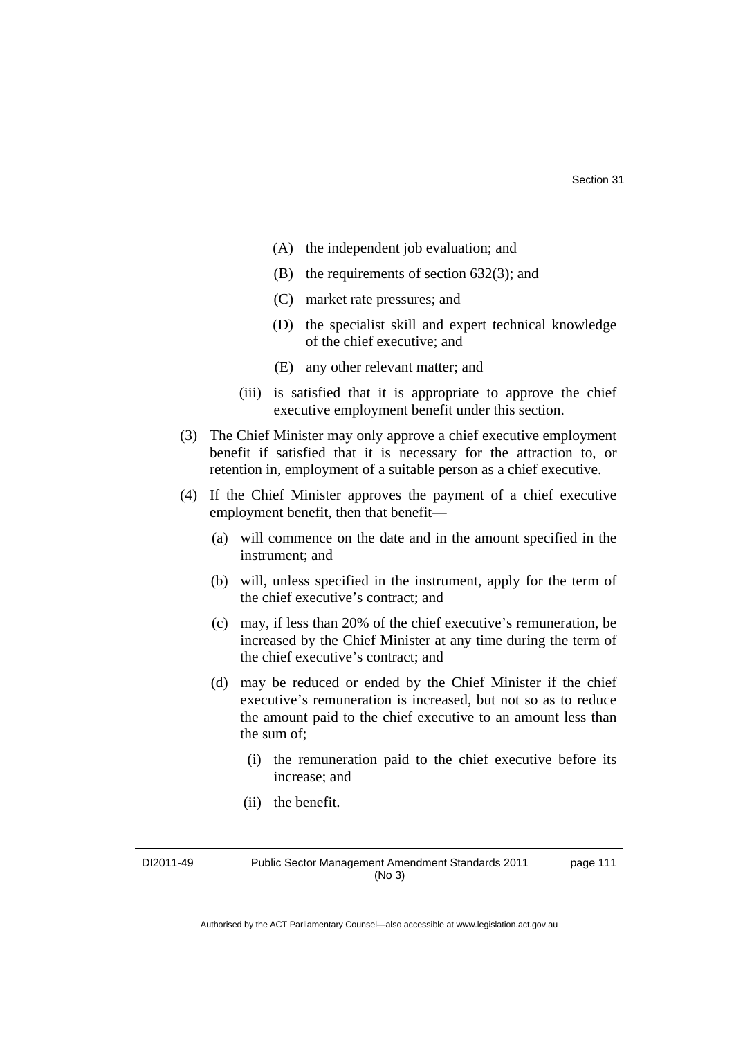- (A) the independent job evaluation; and
- (B) the requirements of section 632(3); and
- (C) market rate pressures; and
- (D) the specialist skill and expert technical knowledge of the chief executive; and
- (E) any other relevant matter; and
- (iii) is satisfied that it is appropriate to approve the chief executive employment benefit under this section.
- (3) The Chief Minister may only approve a chief executive employment benefit if satisfied that it is necessary for the attraction to, or retention in, employment of a suitable person as a chief executive.
- (4) If the Chief Minister approves the payment of a chief executive employment benefit, then that benefit—
	- (a) will commence on the date and in the amount specified in the instrument; and
	- (b) will, unless specified in the instrument, apply for the term of the chief executive's contract; and
	- (c) may, if less than 20% of the chief executive's remuneration, be increased by the Chief Minister at any time during the term of the chief executive's contract; and
	- (d) may be reduced or ended by the Chief Minister if the chief executive's remuneration is increased, but not so as to reduce the amount paid to the chief executive to an amount less than the sum of;
		- (i) the remuneration paid to the chief executive before its increase; and
		- (ii) the benefit.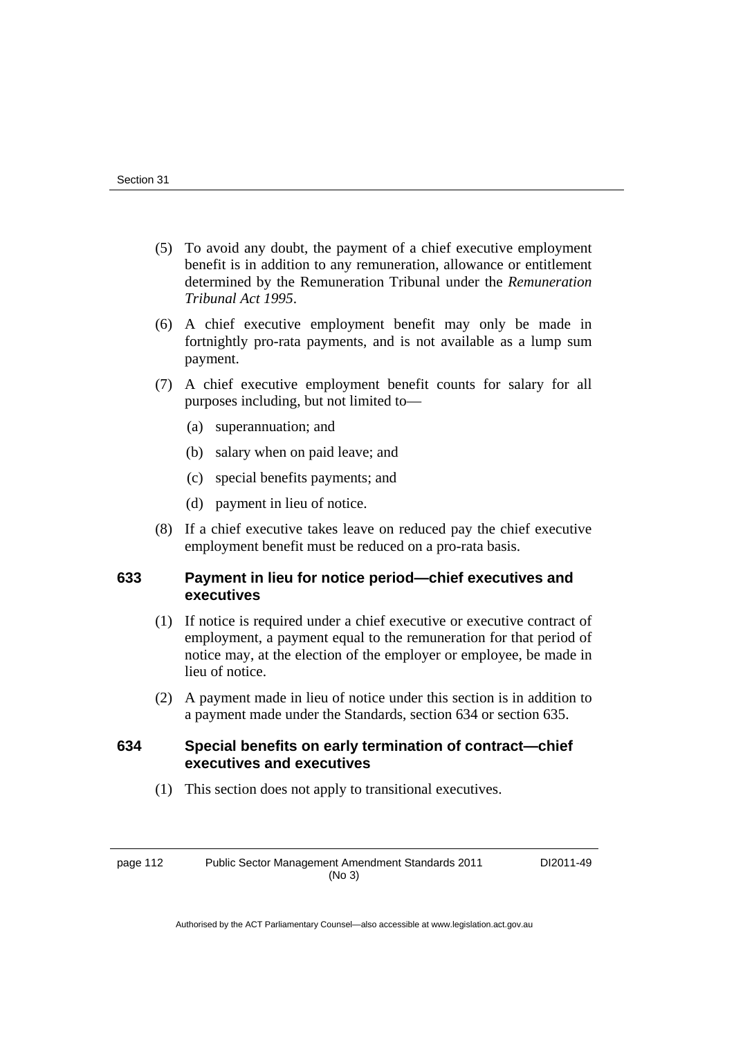- (5) To avoid any doubt, the payment of a chief executive employment benefit is in addition to any remuneration, allowance or entitlement determined by the Remuneration Tribunal under the *Remuneration Tribunal Act 1995*.
- (6) A chief executive employment benefit may only be made in fortnightly pro-rata payments, and is not available as a lump sum payment.
- (7) A chief executive employment benefit counts for salary for all purposes including, but not limited to—
	- (a) superannuation; and
	- (b) salary when on paid leave; and
	- (c) special benefits payments; and
	- (d) payment in lieu of notice.
- (8) If a chief executive takes leave on reduced pay the chief executive employment benefit must be reduced on a pro-rata basis.

#### **633 Payment in lieu for notice period—chief executives and executives**

- (1) If notice is required under a chief executive or executive contract of employment, a payment equal to the remuneration for that period of notice may, at the election of the employer or employee, be made in lieu of notice.
- (2) A payment made in lieu of notice under this section is in addition to a payment made under the Standards, section 634 or section 635.

#### **634 Special benefits on early termination of contract—chief executives and executives**

(1) This section does not apply to transitional executives.

page 112 Public Sector Management Amendment Standards 2011 (No 3)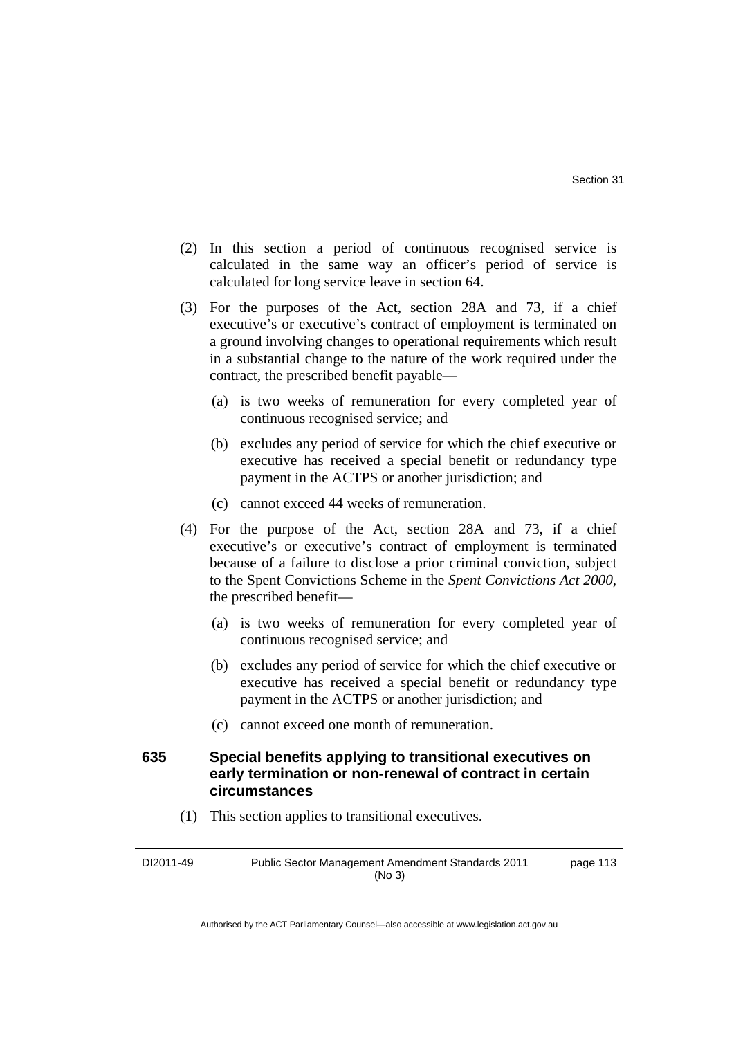- (2) In this section a period of continuous recognised service is calculated in the same way an officer's period of service is calculated for long service leave in section 64.
- (3) For the purposes of the Act, section 28A and 73, if a chief executive's or executive's contract of employment is terminated on a ground involving changes to operational requirements which result in a substantial change to the nature of the work required under the contract, the prescribed benefit payable—
	- (a) is two weeks of remuneration for every completed year of continuous recognised service; and
	- (b) excludes any period of service for which the chief executive or executive has received a special benefit or redundancy type payment in the ACTPS or another jurisdiction; and
	- (c) cannot exceed 44 weeks of remuneration.
- (4) For the purpose of the Act, section 28A and 73, if a chief executive's or executive's contract of employment is terminated because of a failure to disclose a prior criminal conviction, subject to the Spent Convictions Scheme in the *Spent Convictions Act 2000*, the prescribed benefit—
	- (a) is two weeks of remuneration for every completed year of continuous recognised service; and
	- (b) excludes any period of service for which the chief executive or executive has received a special benefit or redundancy type payment in the ACTPS or another jurisdiction; and
	- (c) cannot exceed one month of remuneration.

#### **635 Special benefits applying to transitional executives on early termination or non-renewal of contract in certain circumstances**

(1) This section applies to transitional executives.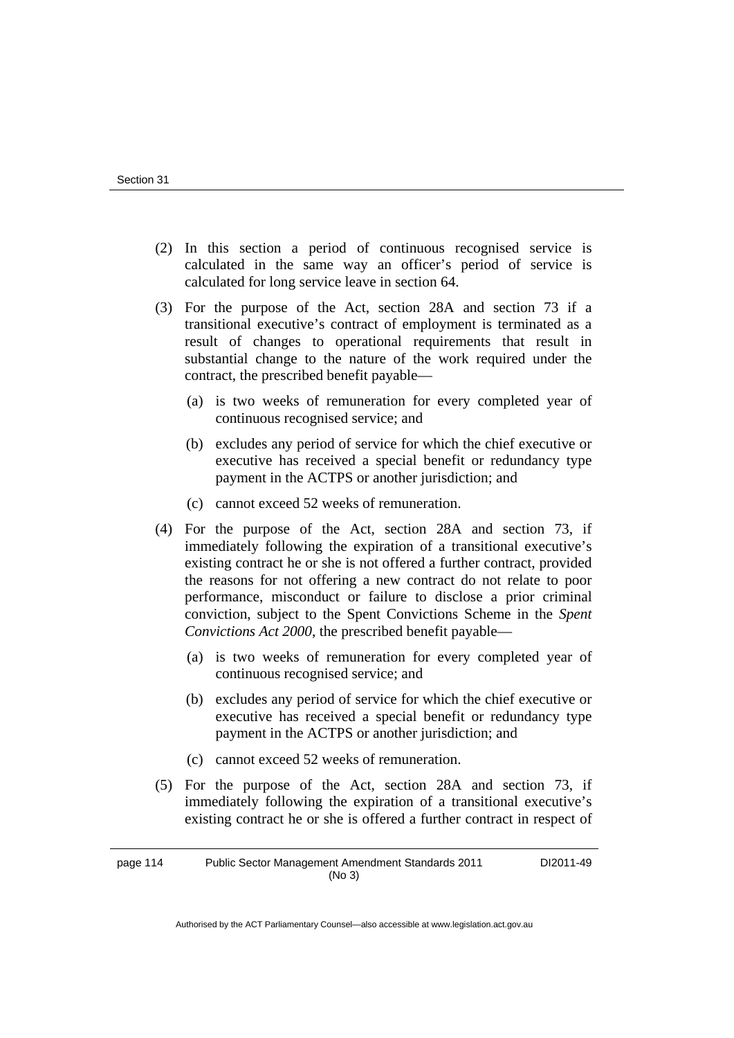- (2) In this section a period of continuous recognised service is calculated in the same way an officer's period of service is calculated for long service leave in section 64.
- (3) For the purpose of the Act, section 28A and section 73 if a transitional executive's contract of employment is terminated as a result of changes to operational requirements that result in substantial change to the nature of the work required under the contract, the prescribed benefit payable—
	- (a) is two weeks of remuneration for every completed year of continuous recognised service; and
	- (b) excludes any period of service for which the chief executive or executive has received a special benefit or redundancy type payment in the ACTPS or another jurisdiction; and
	- (c) cannot exceed 52 weeks of remuneration.
- (4) For the purpose of the Act, section 28A and section 73, if immediately following the expiration of a transitional executive's existing contract he or she is not offered a further contract, provided the reasons for not offering a new contract do not relate to poor performance, misconduct or failure to disclose a prior criminal conviction, subject to the Spent Convictions Scheme in the *Spent Convictions Act 2000*, the prescribed benefit payable—
	- (a) is two weeks of remuneration for every completed year of continuous recognised service; and
	- (b) excludes any period of service for which the chief executive or executive has received a special benefit or redundancy type payment in the ACTPS or another jurisdiction; and
	- (c) cannot exceed 52 weeks of remuneration.
- (5) For the purpose of the Act, section 28A and section 73, if immediately following the expiration of a transitional executive's existing contract he or she is offered a further contract in respect of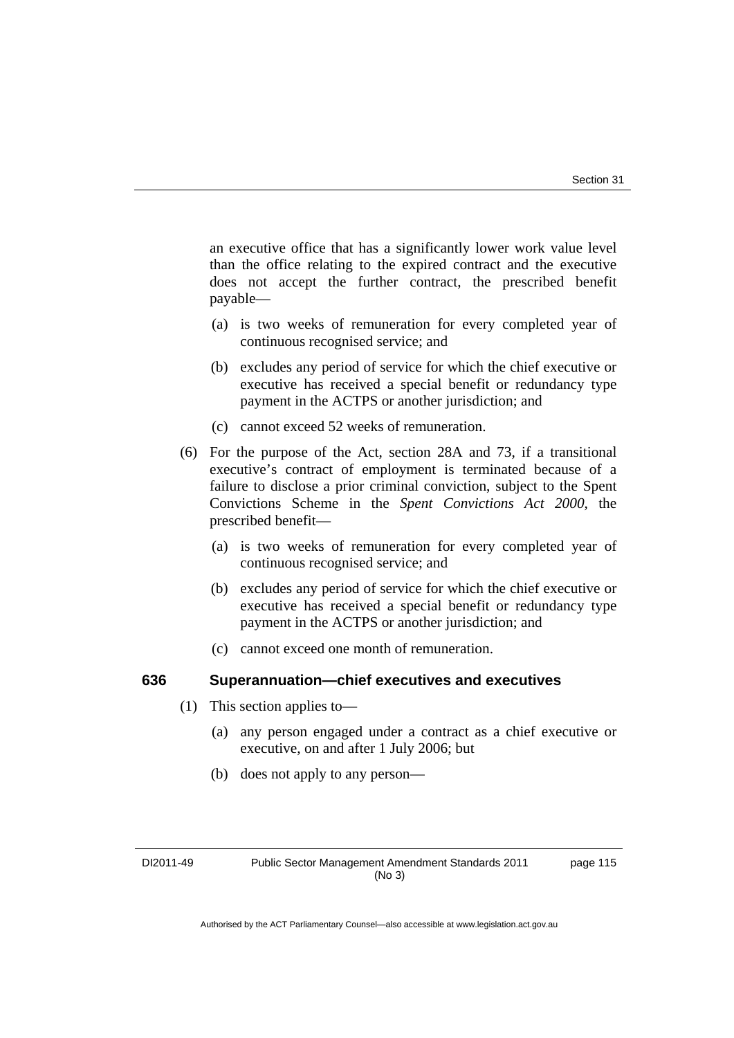an executive office that has a significantly lower work value level than the office relating to the expired contract and the executive does not accept the further contract, the prescribed benefit payable—

- (a) is two weeks of remuneration for every completed year of continuous recognised service; and
- (b) excludes any period of service for which the chief executive or executive has received a special benefit or redundancy type payment in the ACTPS or another jurisdiction; and
- (c) cannot exceed 52 weeks of remuneration.
- (6) For the purpose of the Act, section 28A and 73, if a transitional executive's contract of employment is terminated because of a failure to disclose a prior criminal conviction, subject to the Spent Convictions Scheme in the *Spent Convictions Act 2000*, the prescribed benefit—
	- (a) is two weeks of remuneration for every completed year of continuous recognised service; and
	- (b) excludes any period of service for which the chief executive or executive has received a special benefit or redundancy type payment in the ACTPS or another jurisdiction; and
	- (c) cannot exceed one month of remuneration.

#### **636 Superannuation—chief executives and executives**

- (1) This section applies to—
	- (a) any person engaged under a contract as a chief executive or executive, on and after 1 July 2006; but
	- (b) does not apply to any person—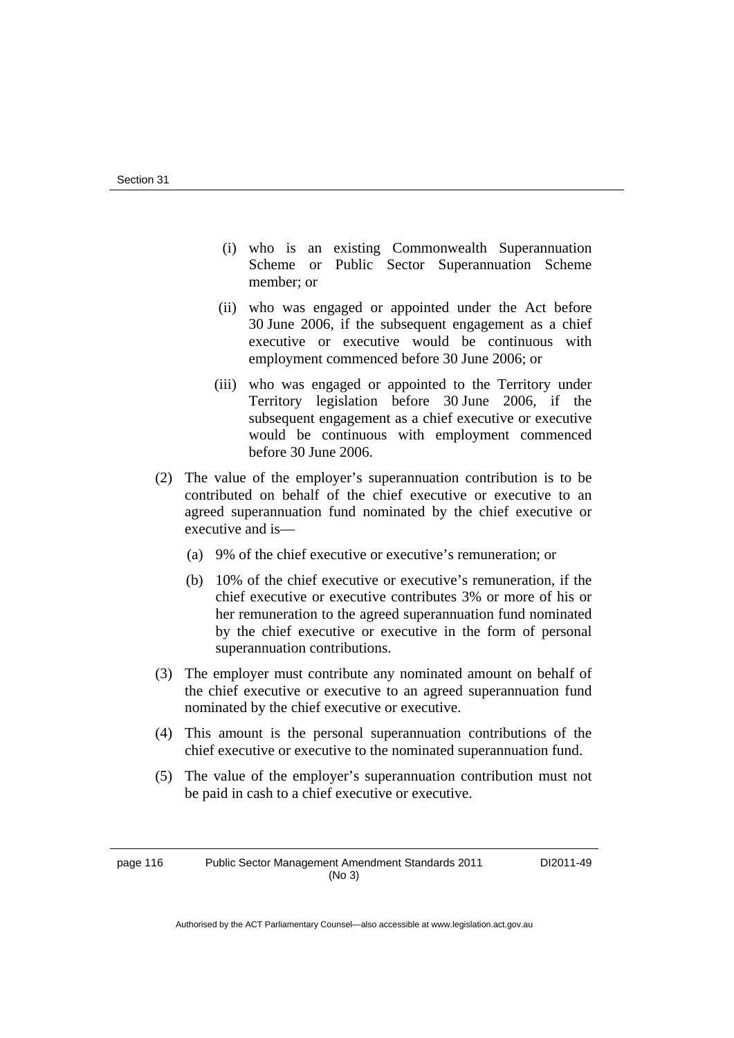- (i) who is an existing Commonwealth Superannuation Scheme or Public Sector Superannuation Scheme member; or
- (ii) who was engaged or appointed under the Act before 30 June 2006, if the subsequent engagement as a chief executive or executive would be continuous with employment commenced before 30 June 2006; or
- (iii) who was engaged or appointed to the Territory under Territory legislation before 30 June 2006, if the subsequent engagement as a chief executive or executive would be continuous with employment commenced before 30 June 2006.
- (2) The value of the employer's superannuation contribution is to be contributed on behalf of the chief executive or executive to an agreed superannuation fund nominated by the chief executive or executive and is—
	- (a) 9% of the chief executive or executive's remuneration; or
	- (b) 10% of the chief executive or executive's remuneration, if the chief executive or executive contributes 3% or more of his or her remuneration to the agreed superannuation fund nominated by the chief executive or executive in the form of personal superannuation contributions.
- (3) The employer must contribute any nominated amount on behalf of the chief executive or executive to an agreed superannuation fund nominated by the chief executive or executive.
- (4) This amount is the personal superannuation contributions of the chief executive or executive to the nominated superannuation fund.
- (5) The value of the employer's superannuation contribution must not be paid in cash to a chief executive or executive.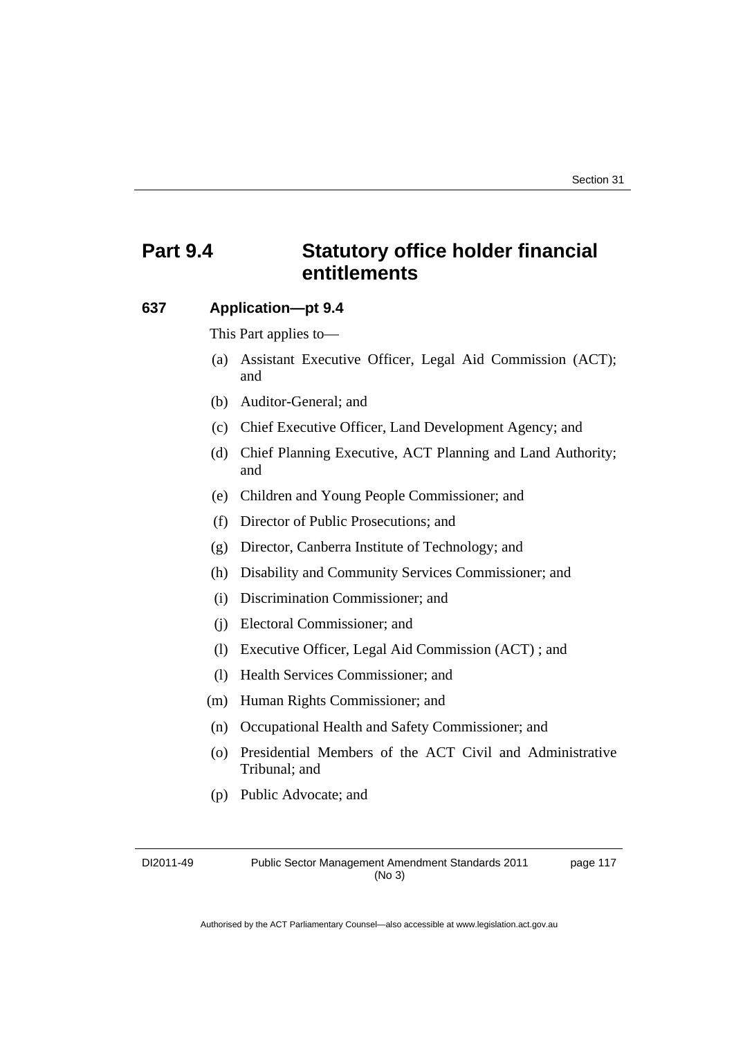# **Part 9.4 Statutory office holder financial entitlements**

#### **637 Application—pt 9.4**

This Part applies to—

- (a) Assistant Executive Officer, Legal Aid Commission (ACT); and
- (b) Auditor-General; and
- (c) Chief Executive Officer, Land Development Agency; and
- (d) Chief Planning Executive, ACT Planning and Land Authority; and
- (e) Children and Young People Commissioner; and
- (f) Director of Public Prosecutions; and
- (g) Director, Canberra Institute of Technology; and
- (h) Disability and Community Services Commissioner; and
- (i) Discrimination Commissioner; and
- (j) Electoral Commissioner; and
- (l) Executive Officer, Legal Aid Commission (ACT) ; and
- (l) Health Services Commissioner; and
- (m) Human Rights Commissioner; and
- (n) Occupational Health and Safety Commissioner; and
- (o) Presidential Members of the ACT Civil and Administrative Tribunal; and
- (p) Public Advocate; and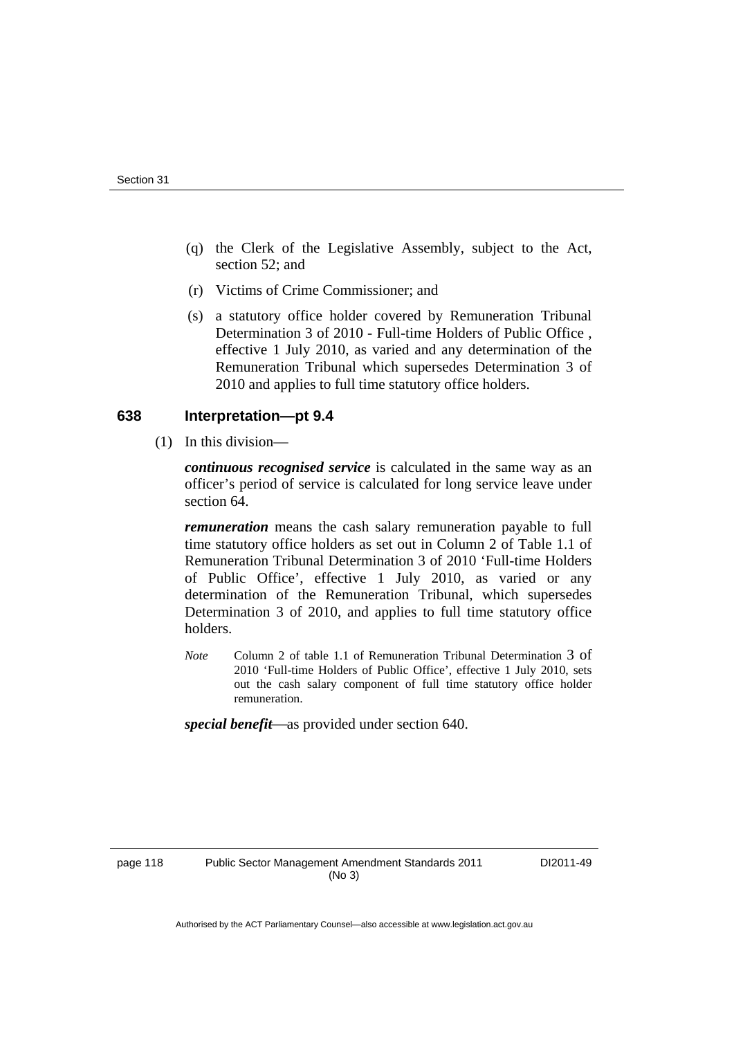- (q) the Clerk of the Legislative Assembly, subject to the Act, section 52; and
- (r) Victims of Crime Commissioner; and
- (s) a statutory office holder covered by Remuneration Tribunal Determination 3 of 2010 - Full-time Holders of Public Office , effective 1 July 2010, as varied and any determination of the Remuneration Tribunal which supersedes Determination 3 of 2010 and applies to full time statutory office holders.

#### **638 Interpretation—pt 9.4**

(1) In this division—

*continuous recognised service* is calculated in the same way as an officer's period of service is calculated for long service leave under section 64.

*remuneration* means the cash salary remuneration payable to full time statutory office holders as set out in Column 2 of Table 1.1 of Remuneration Tribunal Determination 3 of 2010 'Full-time Holders of Public Office', effective 1 July 2010, as varied or any determination of the Remuneration Tribunal, which supersedes Determination 3 of 2010, and applies to full time statutory office holders.

*Note* Column 2 of table 1.1 of Remuneration Tribunal Determination 3 of 2010 'Full-time Holders of Public Office', effective 1 July 2010, sets out the cash salary component of full time statutory office holder remuneration.

special benefit—as provided under section 640.

page 118 Public Sector Management Amendment Standards 2011 (No 3)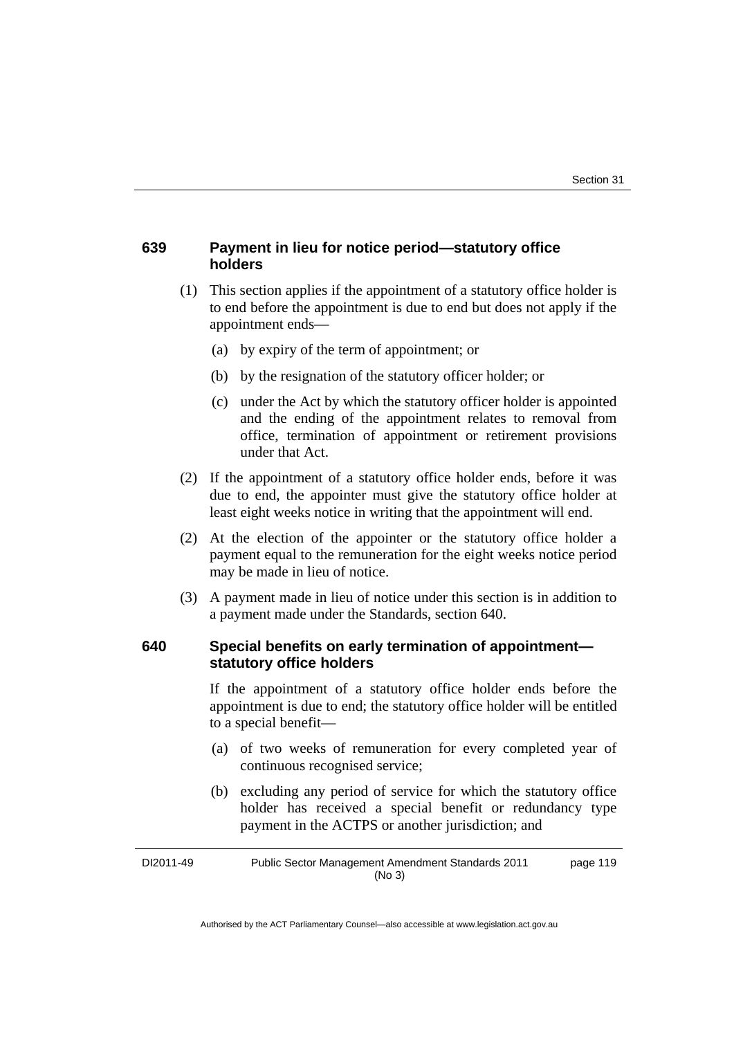#### **639 Payment in lieu for notice period—statutory office holders**

- (1) This section applies if the appointment of a statutory office holder is to end before the appointment is due to end but does not apply if the appointment ends—
	- (a) by expiry of the term of appointment; or
	- (b) by the resignation of the statutory officer holder; or
	- (c) under the Act by which the statutory officer holder is appointed and the ending of the appointment relates to removal from office, termination of appointment or retirement provisions under that Act.
- (2) If the appointment of a statutory office holder ends, before it was due to end, the appointer must give the statutory office holder at least eight weeks notice in writing that the appointment will end.
- (2) At the election of the appointer or the statutory office holder a payment equal to the remuneration for the eight weeks notice period may be made in lieu of notice.
- (3) A payment made in lieu of notice under this section is in addition to a payment made under the Standards, section 640.

#### **640 Special benefits on early termination of appointment statutory office holders**

If the appointment of a statutory office holder ends before the appointment is due to end; the statutory office holder will be entitled to a special benefit—

- (a) of two weeks of remuneration for every completed year of continuous recognised service;
- (b) excluding any period of service for which the statutory office holder has received a special benefit or redundancy type payment in the ACTPS or another jurisdiction; and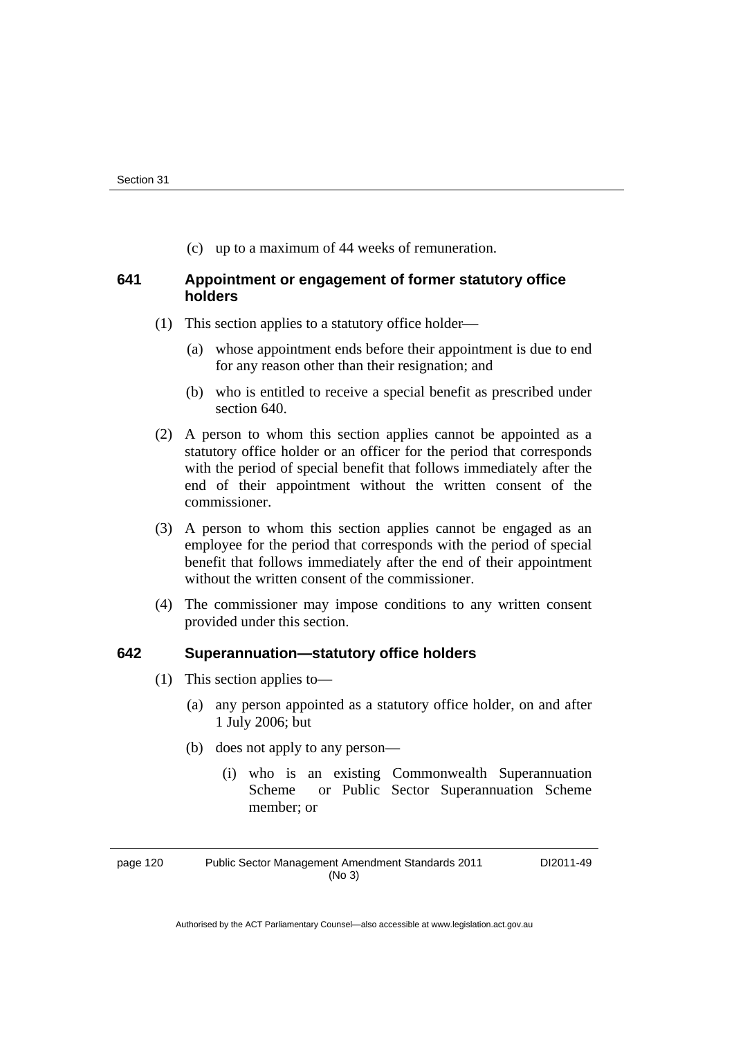(c) up to a maximum of 44 weeks of remuneration.

#### **641 Appointment or engagement of former statutory office holders**

- (1) This section applies to a statutory office holder—
	- (a) whose appointment ends before their appointment is due to end for any reason other than their resignation; and
	- (b) who is entitled to receive a special benefit as prescribed under section 640.
- (2) A person to whom this section applies cannot be appointed as a statutory office holder or an officer for the period that corresponds with the period of special benefit that follows immediately after the end of their appointment without the written consent of the commissioner.
- (3) A person to whom this section applies cannot be engaged as an employee for the period that corresponds with the period of special benefit that follows immediately after the end of their appointment without the written consent of the commissioner.
- (4) The commissioner may impose conditions to any written consent provided under this section.

#### **642 Superannuation—statutory office holders**

- (1) This section applies to—
	- (a) any person appointed as a statutory office holder, on and after 1 July 2006; but
	- (b) does not apply to any person—
		- (i) who is an existing Commonwealth Superannuation Scheme or Public Sector Superannuation Scheme member; or

page 120 Public Sector Management Amendment Standards 2011 (No 3)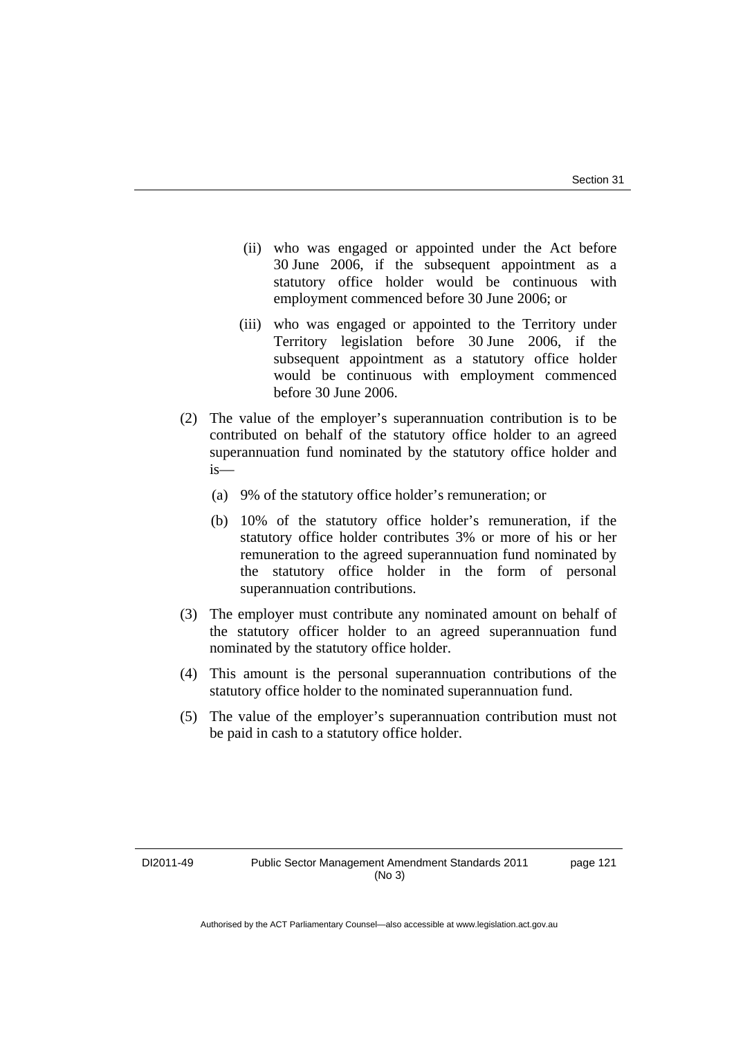- (ii) who was engaged or appointed under the Act before 30 June 2006, if the subsequent appointment as a statutory office holder would be continuous with employment commenced before 30 June 2006; or
- (iii) who was engaged or appointed to the Territory under Territory legislation before 30 June 2006, if the subsequent appointment as a statutory office holder would be continuous with employment commenced before 30 June 2006.
- (2) The value of the employer's superannuation contribution is to be contributed on behalf of the statutory office holder to an agreed superannuation fund nominated by the statutory office holder and is—
	- (a) 9% of the statutory office holder's remuneration; or
	- (b) 10% of the statutory office holder's remuneration, if the statutory office holder contributes 3% or more of his or her remuneration to the agreed superannuation fund nominated by the statutory office holder in the form of personal superannuation contributions.
- (3) The employer must contribute any nominated amount on behalf of the statutory officer holder to an agreed superannuation fund nominated by the statutory office holder.
- (4) This amount is the personal superannuation contributions of the statutory office holder to the nominated superannuation fund.
- (5) The value of the employer's superannuation contribution must not be paid in cash to a statutory office holder.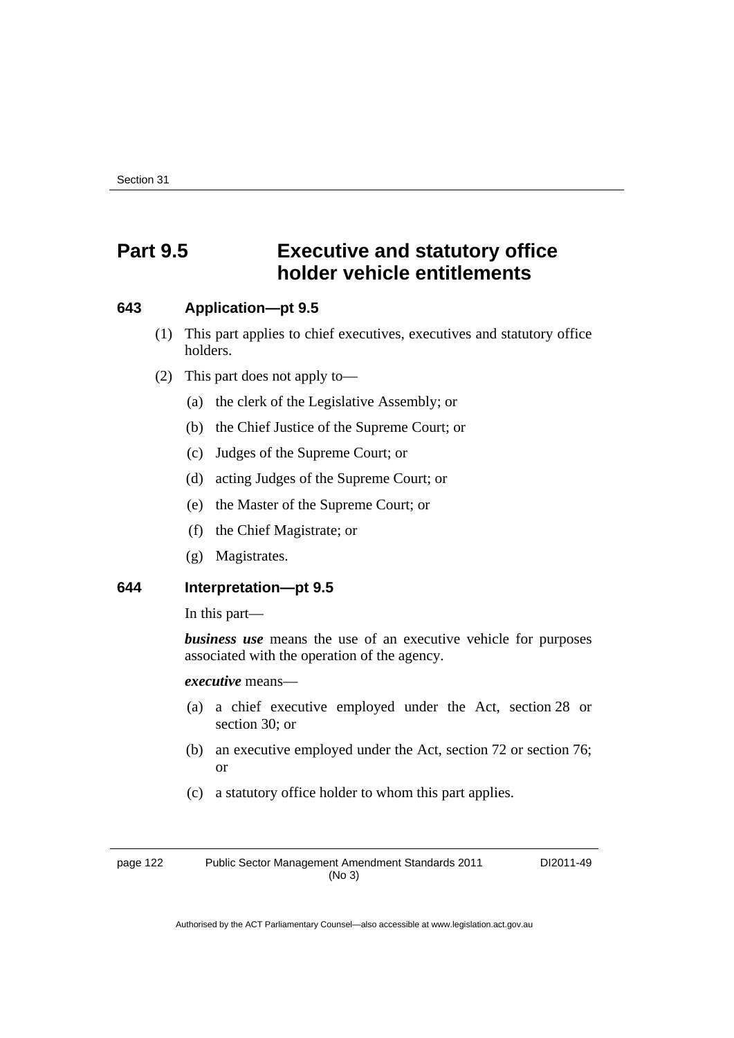# **Part 9.5 Executive and statutory office holder vehicle entitlements**

#### **643 Application—pt 9.5**

- (1) This part applies to chief executives, executives and statutory office holders.
- (2) This part does not apply to—
	- (a) the clerk of the Legislative Assembly; or
	- (b) the Chief Justice of the Supreme Court; or
	- (c) Judges of the Supreme Court; or
	- (d) acting Judges of the Supreme Court; or
	- (e) the Master of the Supreme Court; or
	- (f) the Chief Magistrate; or
	- (g) Magistrates.

### **644 Interpretation—pt 9.5**

In this part—

*business use* means the use of an executive vehicle for purposes associated with the operation of the agency.

*executive* means—

- (a) a chief executive employed under the Act, section 28 or section 30; or
- (b) an executive employed under the Act, section 72 or section 76; or
- (c) a statutory office holder to whom this part applies.

page 122 Public Sector Management Amendment Standards 2011 (No 3)

DI2011-49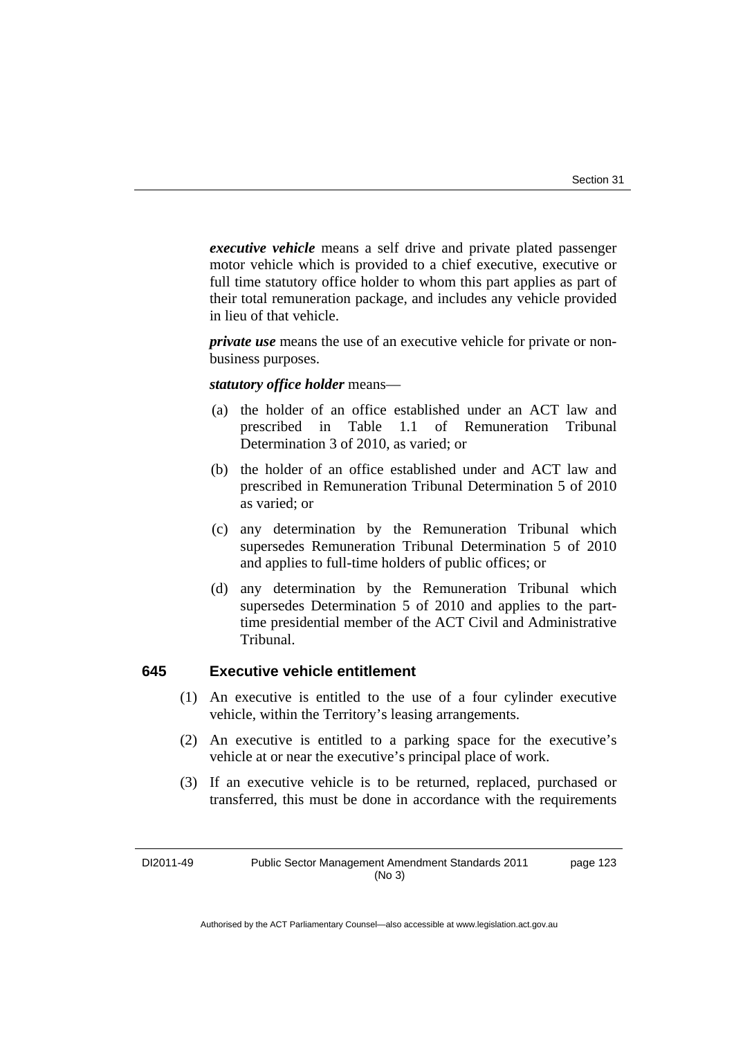*executive vehicle* means a self drive and private plated passenger motor vehicle which is provided to a chief executive, executive or full time statutory office holder to whom this part applies as part of their total remuneration package, and includes any vehicle provided in lieu of that vehicle.

*private use* means the use of an executive vehicle for private or nonbusiness purposes.

#### *statutory office holder* means—

- (a) the holder of an office established under an ACT law and prescribed in Table 1.1 of Remuneration Tribunal Determination 3 of 2010, as varied; or
- (b) the holder of an office established under and ACT law and prescribed in Remuneration Tribunal Determination 5 of 2010 as varied; or
- (c) any determination by the Remuneration Tribunal which supersedes Remuneration Tribunal Determination 5 of 2010 and applies to full-time holders of public offices; or
- (d) any determination by the Remuneration Tribunal which supersedes Determination 5 of 2010 and applies to the parttime presidential member of the ACT Civil and Administrative Tribunal.

#### **645 Executive vehicle entitlement**

- (1) An executive is entitled to the use of a four cylinder executive vehicle, within the Territory's leasing arrangements.
- (2) An executive is entitled to a parking space for the executive's vehicle at or near the executive's principal place of work.
- (3) If an executive vehicle is to be returned, replaced, purchased or transferred, this must be done in accordance with the requirements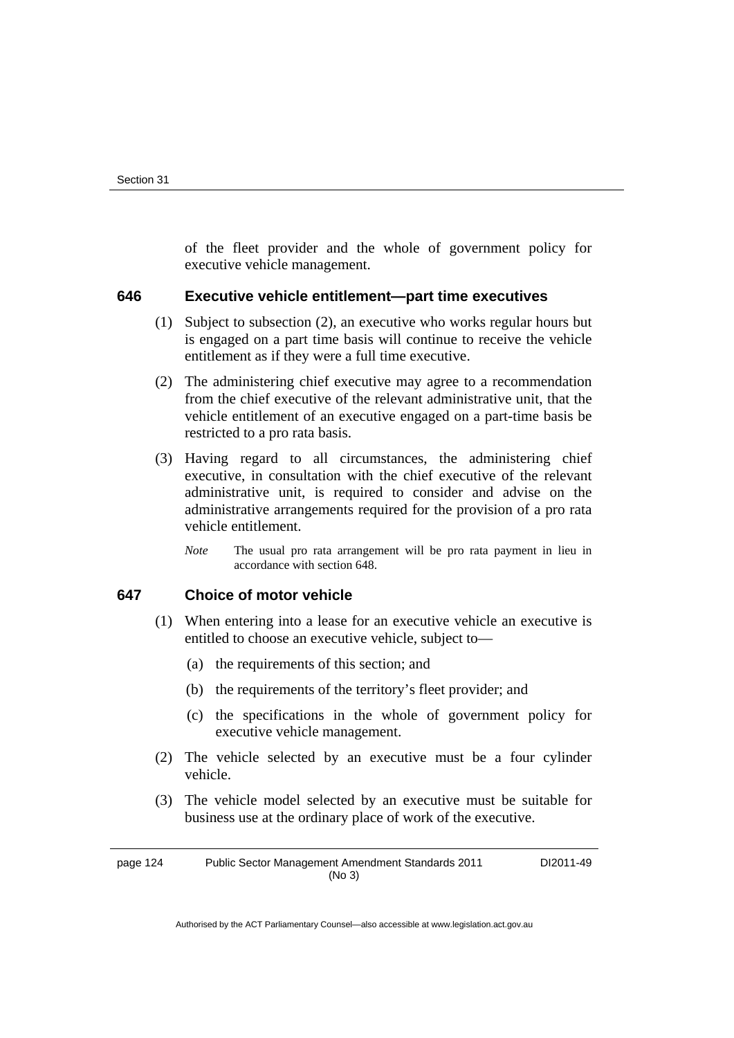of the fleet provider and the whole of government policy for executive vehicle management.

#### **646 Executive vehicle entitlement—part time executives**

- (1) Subject to subsection (2), an executive who works regular hours but is engaged on a part time basis will continue to receive the vehicle entitlement as if they were a full time executive.
- (2) The administering chief executive may agree to a recommendation from the chief executive of the relevant administrative unit, that the vehicle entitlement of an executive engaged on a part-time basis be restricted to a pro rata basis.
- (3) Having regard to all circumstances, the administering chief executive, in consultation with the chief executive of the relevant administrative unit, is required to consider and advise on the administrative arrangements required for the provision of a pro rata vehicle entitlement.
	- *Note* The usual pro rata arrangement will be pro rata payment in lieu in accordance with section 648.

#### **647 Choice of motor vehicle**

- (1) When entering into a lease for an executive vehicle an executive is entitled to choose an executive vehicle, subject to—
	- (a) the requirements of this section; and
	- (b) the requirements of the territory's fleet provider; and
	- (c) the specifications in the whole of government policy for executive vehicle management.
- (2) The vehicle selected by an executive must be a four cylinder vehicle.
- (3) The vehicle model selected by an executive must be suitable for business use at the ordinary place of work of the executive.

page 124 Public Sector Management Amendment Standards 2011 (No 3) DI2011-49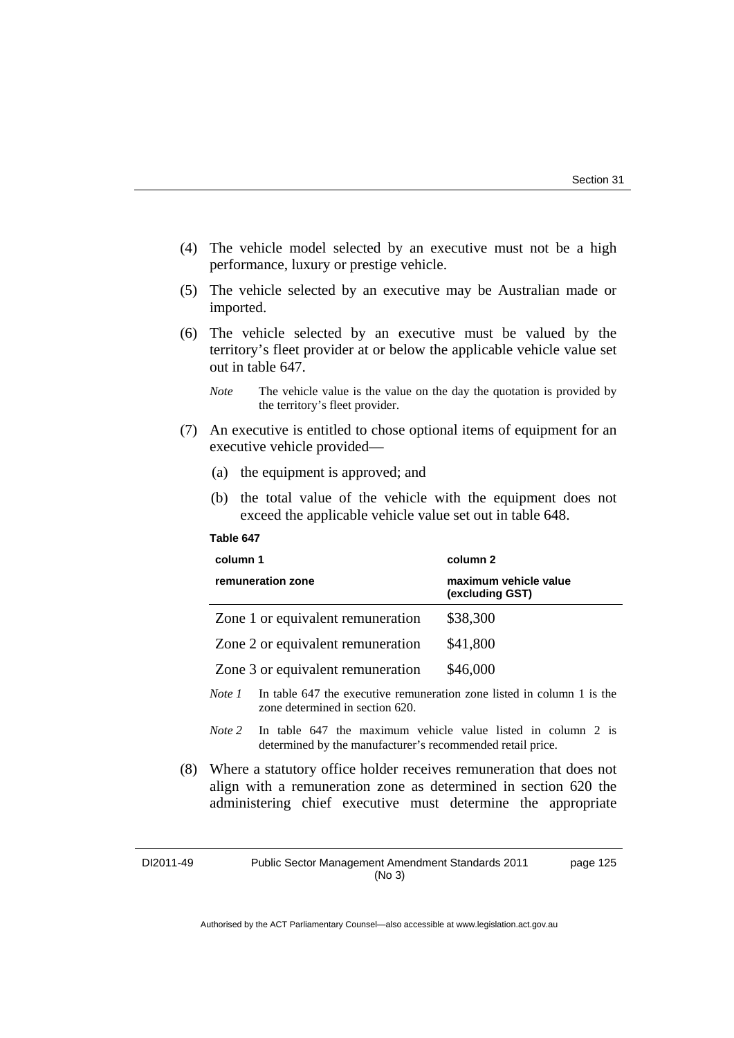page 125

- (4) The vehicle model selected by an executive must not be a high performance, luxury or prestige vehicle.
- (5) The vehicle selected by an executive may be Australian made or imported.
- (6) The vehicle selected by an executive must be valued by the territory's fleet provider at or below the applicable vehicle value set out in table 647.
	- *Note* The vehicle value is the value on the day the quotation is provided by the territory's fleet provider.
- (7) An executive is entitled to chose optional items of equipment for an executive vehicle provided—
	- (a) the equipment is approved; and
	- (b) the total value of the vehicle with the equipment does not exceed the applicable vehicle value set out in table 648.

#### **Table 647**

| column 1                                                                                     | column 2                                 |  |
|----------------------------------------------------------------------------------------------|------------------------------------------|--|
| remuneration zone                                                                            | maximum vehicle value<br>(excluding GST) |  |
| Zone 1 or equivalent remuneration                                                            | \$38,300                                 |  |
| Zone 2 or equivalent remuneration                                                            | \$41,800                                 |  |
| Zone 3 or equivalent remuneration                                                            | \$46,000                                 |  |
| In table 647 the executive remuneration zone listed in column 1 is the<br>N <sub>ofo</sub> 1 |                                          |  |

- *Note 1* In table 647 the executive remuneration zone listed in column 1 is the zone determined in section 620.
- *Note* 2 In table 647 the maximum vehicle value listed in column 2 is determined by the manufacturer's recommended retail price.
- (8) Where a statutory office holder receives remuneration that does not align with a remuneration zone as determined in section 620 the administering chief executive must determine the appropriate

DI2011-49 Public Sector Management Amendment Standards 2011 (No 3)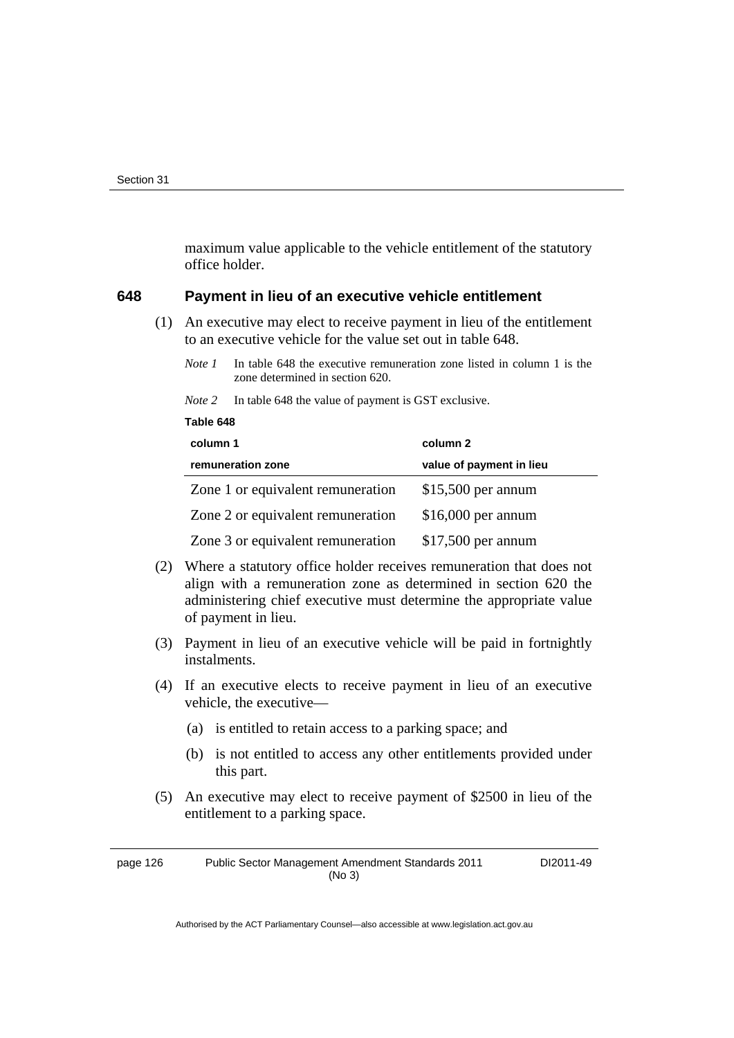**Table 648** 

maximum value applicable to the vehicle entitlement of the statutory office holder.

#### **648 Payment in lieu of an executive vehicle entitlement**

 (1) An executive may elect to receive payment in lieu of the entitlement to an executive vehicle for the value set out in table 648.

*Note 2* In table 648 the value of payment is GST exclusive.

| column 1                          | column 2                 |  |  |
|-----------------------------------|--------------------------|--|--|
| remuneration zone                 | value of payment in lieu |  |  |
| Zone 1 or equivalent remuneration | $$15,500$ per annum      |  |  |
| Zone 2 or equivalent remuneration | $$16,000$ per annum      |  |  |
| Zone 3 or equivalent remuneration | $$17,500$ per annum      |  |  |

- (2) Where a statutory office holder receives remuneration that does not align with a remuneration zone as determined in section 620 the administering chief executive must determine the appropriate value of payment in lieu.
- (3) Payment in lieu of an executive vehicle will be paid in fortnightly instalments.
- (4) If an executive elects to receive payment in lieu of an executive vehicle, the executive—
	- (a) is entitled to retain access to a parking space; and
	- (b) is not entitled to access any other entitlements provided under this part.
- (5) An executive may elect to receive payment of \$2500 in lieu of the entitlement to a parking space.

page 126 Public Sector Management Amendment Standards 2011 (No 3)

DI2011-49

*Note 1* In table 648 the executive remuneration zone listed in column 1 is the zone determined in section 620.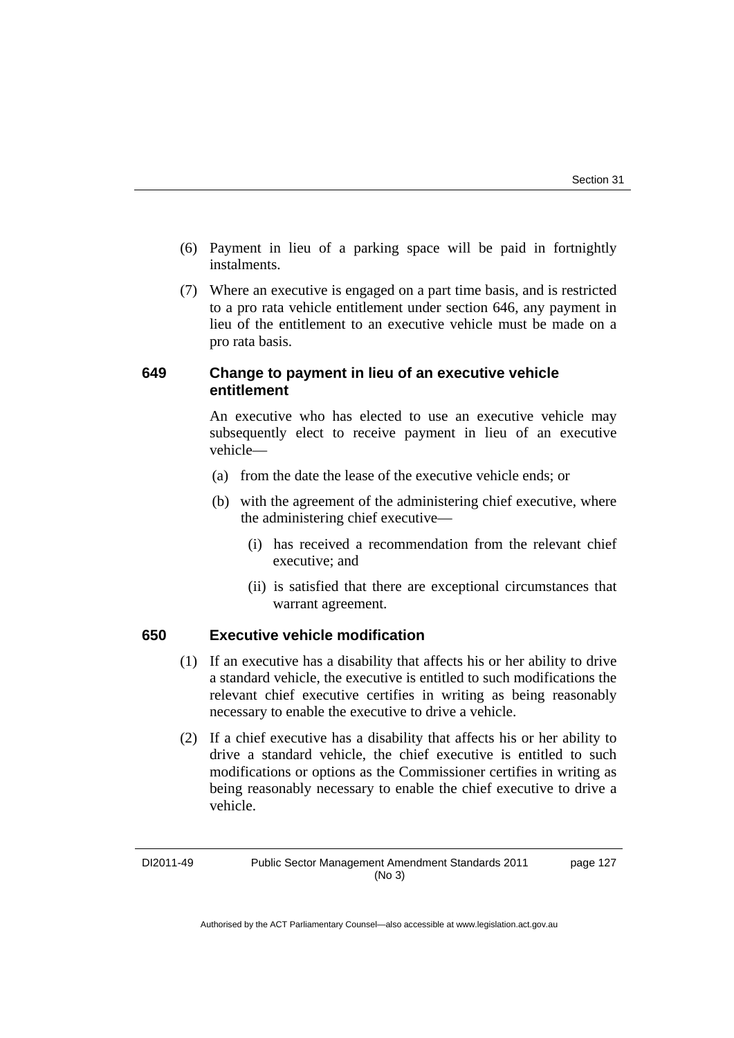- (6) Payment in lieu of a parking space will be paid in fortnightly instalments.
- (7) Where an executive is engaged on a part time basis, and is restricted to a pro rata vehicle entitlement under section 646, any payment in lieu of the entitlement to an executive vehicle must be made on a pro rata basis.

### **649 Change to payment in lieu of an executive vehicle entitlement**

 An executive who has elected to use an executive vehicle may subsequently elect to receive payment in lieu of an executive vehicle—

- (a) from the date the lease of the executive vehicle ends; or
- (b) with the agreement of the administering chief executive, where the administering chief executive—
	- (i) has received a recommendation from the relevant chief executive; and
	- (ii) is satisfied that there are exceptional circumstances that warrant agreement.

#### **650 Executive vehicle modification**

- (1) If an executive has a disability that affects his or her ability to drive a standard vehicle, the executive is entitled to such modifications the relevant chief executive certifies in writing as being reasonably necessary to enable the executive to drive a vehicle.
- (2) If a chief executive has a disability that affects his or her ability to drive a standard vehicle, the chief executive is entitled to such modifications or options as the Commissioner certifies in writing as being reasonably necessary to enable the chief executive to drive a vehicle.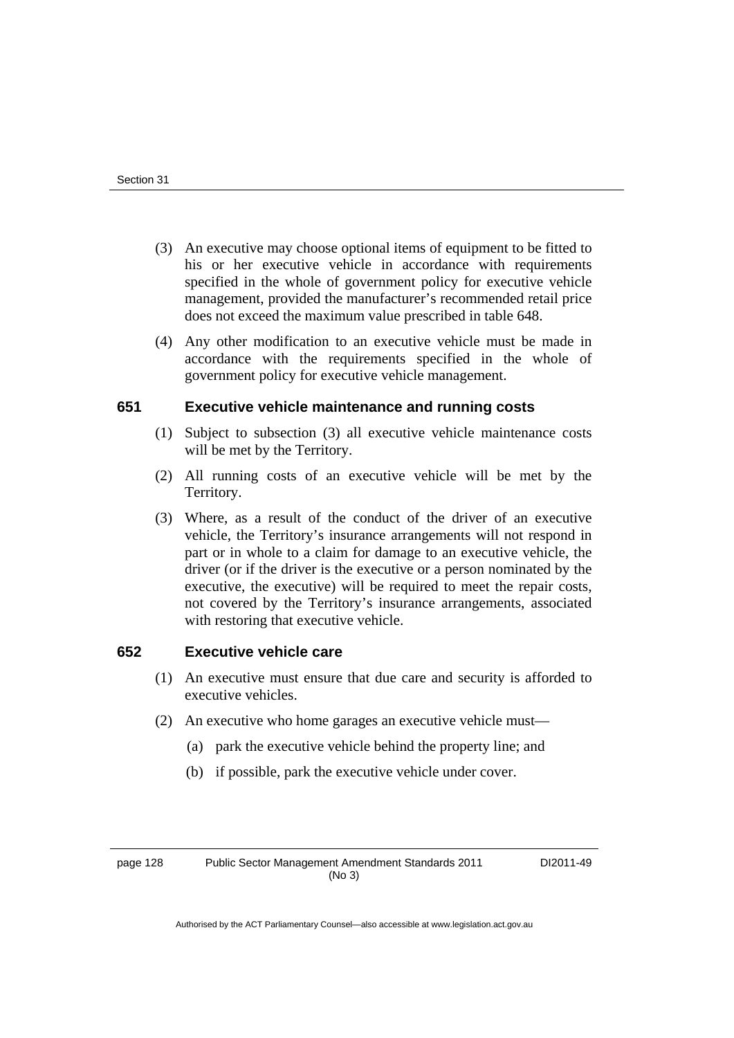- (3) An executive may choose optional items of equipment to be fitted to his or her executive vehicle in accordance with requirements specified in the whole of government policy for executive vehicle management, provided the manufacturer's recommended retail price does not exceed the maximum value prescribed in table 648.
- (4) Any other modification to an executive vehicle must be made in accordance with the requirements specified in the whole of government policy for executive vehicle management.

#### **651 Executive vehicle maintenance and running costs**

- (1) Subject to subsection (3) all executive vehicle maintenance costs will be met by the Territory.
- (2) All running costs of an executive vehicle will be met by the Territory.
- (3) Where, as a result of the conduct of the driver of an executive vehicle, the Territory's insurance arrangements will not respond in part or in whole to a claim for damage to an executive vehicle, the driver (or if the driver is the executive or a person nominated by the executive, the executive) will be required to meet the repair costs, not covered by the Territory's insurance arrangements, associated with restoring that executive vehicle.

#### **652 Executive vehicle care**

- (1) An executive must ensure that due care and security is afforded to executive vehicles.
- (2) An executive who home garages an executive vehicle must—
	- (a) park the executive vehicle behind the property line; and
	- (b) if possible, park the executive vehicle under cover.

page 128 Public Sector Management Amendment Standards 2011 (No 3)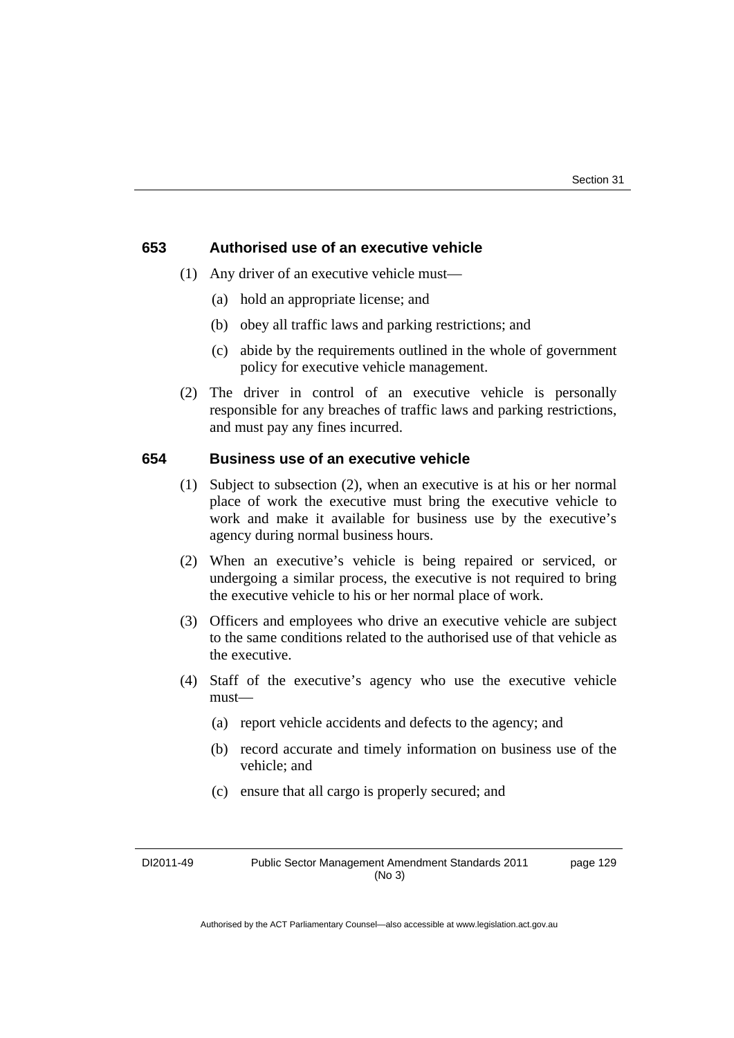#### **653 Authorised use of an executive vehicle**

- (1) Any driver of an executive vehicle must—
	- (a) hold an appropriate license; and
	- (b) obey all traffic laws and parking restrictions; and
	- (c) abide by the requirements outlined in the whole of government policy for executive vehicle management.
- (2) The driver in control of an executive vehicle is personally responsible for any breaches of traffic laws and parking restrictions, and must pay any fines incurred.

#### **654 Business use of an executive vehicle**

- (1) Subject to subsection (2), when an executive is at his or her normal place of work the executive must bring the executive vehicle to work and make it available for business use by the executive's agency during normal business hours.
- (2) When an executive's vehicle is being repaired or serviced, or undergoing a similar process, the executive is not required to bring the executive vehicle to his or her normal place of work.
- (3) Officers and employees who drive an executive vehicle are subject to the same conditions related to the authorised use of that vehicle as the executive.
- (4) Staff of the executive's agency who use the executive vehicle must—
	- (a) report vehicle accidents and defects to the agency; and
	- (b) record accurate and timely information on business use of the vehicle; and
	- (c) ensure that all cargo is properly secured; and

DI2011-49 Public Sector Management Amendment Standards 2011 (No 3)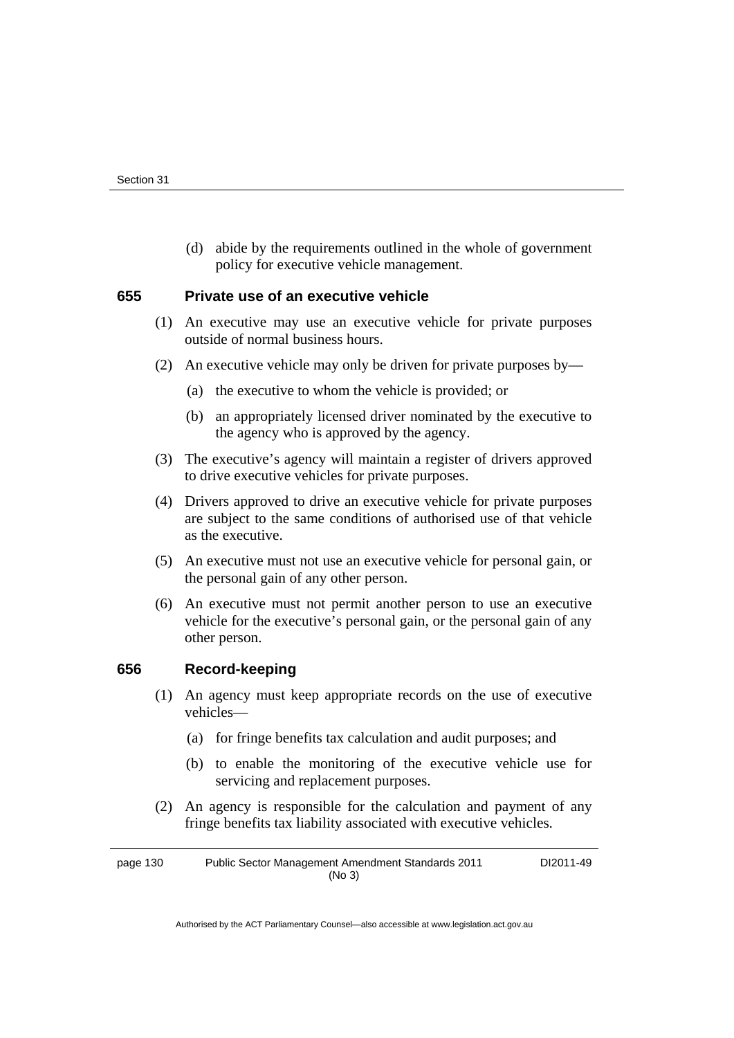(d) abide by the requirements outlined in the whole of government policy for executive vehicle management.

#### **655 Private use of an executive vehicle**

- (1) An executive may use an executive vehicle for private purposes outside of normal business hours.
- (2) An executive vehicle may only be driven for private purposes by—
	- (a) the executive to whom the vehicle is provided; or
	- (b) an appropriately licensed driver nominated by the executive to the agency who is approved by the agency.
- (3) The executive's agency will maintain a register of drivers approved to drive executive vehicles for private purposes.
- (4) Drivers approved to drive an executive vehicle for private purposes are subject to the same conditions of authorised use of that vehicle as the executive.
- (5) An executive must not use an executive vehicle for personal gain, or the personal gain of any other person.
- (6) An executive must not permit another person to use an executive vehicle for the executive's personal gain, or the personal gain of any other person.

#### **656 Record-keeping**

- (1) An agency must keep appropriate records on the use of executive vehicles—
	- (a) for fringe benefits tax calculation and audit purposes; and
	- (b) to enable the monitoring of the executive vehicle use for servicing and replacement purposes.
- (2) An agency is responsible for the calculation and payment of any fringe benefits tax liability associated with executive vehicles.

page 130 Public Sector Management Amendment Standards 2011 (No 3) DI2011-49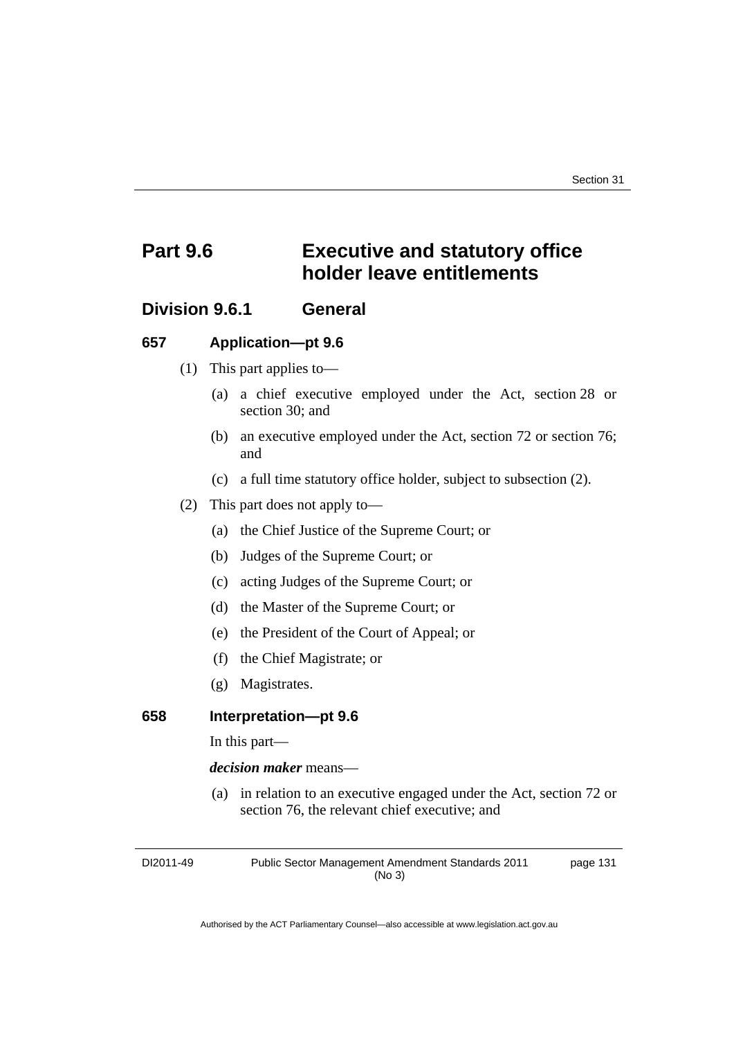# **Part 9.6 Executive and statutory office holder leave entitlements**

### **Division 9.6.1 General**

#### **657 Application—pt 9.6**

- (1) This part applies to—
	- (a) a chief executive employed under the Act, section 28 or section 30; and
	- (b) an executive employed under the Act, section 72 or section 76; and
	- (c) a full time statutory office holder, subject to subsection (2).
- (2) This part does not apply to—
	- (a) the Chief Justice of the Supreme Court; or
	- (b) Judges of the Supreme Court; or
	- (c) acting Judges of the Supreme Court; or
	- (d) the Master of the Supreme Court; or
	- (e) the President of the Court of Appeal; or
	- (f) the Chief Magistrate; or
	- (g) Magistrates.

#### **658 Interpretation—pt 9.6**

In this part—

*decision maker* means—

 (a) in relation to an executive engaged under the Act, section 72 or section 76, the relevant chief executive; and

DI2011-49 Public Sector Management Amendment Standards 2011 (No 3) page 131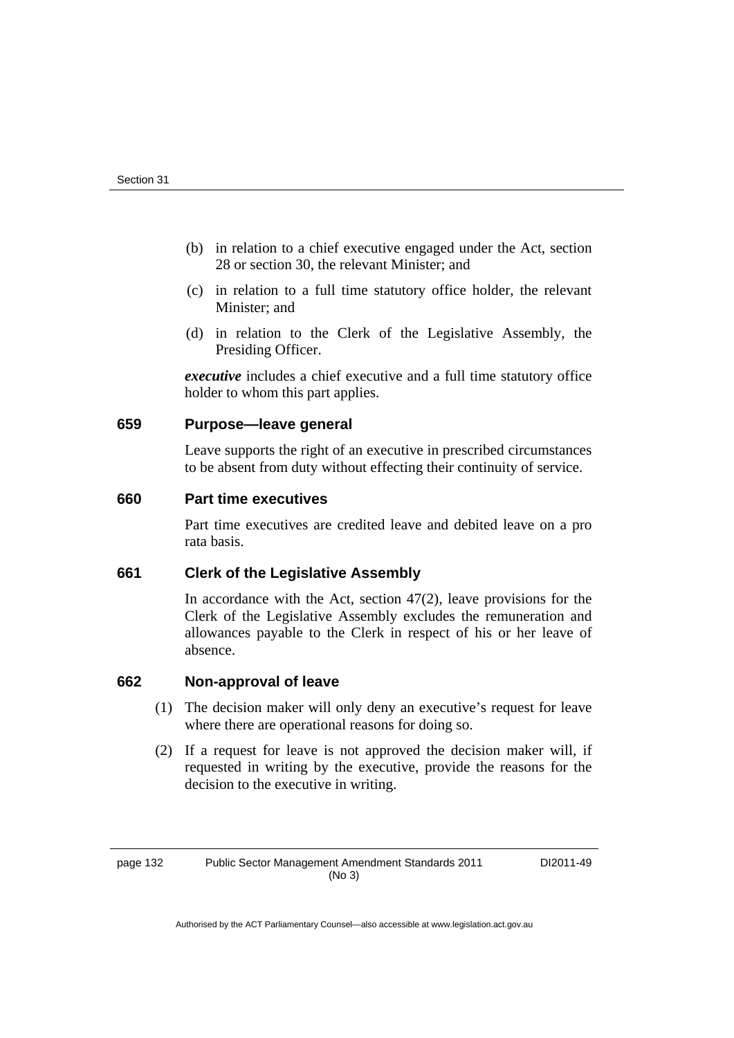- (b) in relation to a chief executive engaged under the Act, section 28 or section 30, the relevant Minister; and
- (c) in relation to a full time statutory office holder, the relevant Minister; and
- (d) in relation to the Clerk of the Legislative Assembly, the Presiding Officer.

*executive* includes a chief executive and a full time statutory office holder to whom this part applies.

#### **659 Purpose—leave general**

Leave supports the right of an executive in prescribed circumstances to be absent from duty without effecting their continuity of service.

#### **660 Part time executives**

Part time executives are credited leave and debited leave on a pro rata basis.

#### **661 Clerk of the Legislative Assembly**

In accordance with the Act, section  $47(2)$ , leave provisions for the Clerk of the Legislative Assembly excludes the remuneration and allowances payable to the Clerk in respect of his or her leave of absence.

#### **662 Non-approval of leave**

- (1) The decision maker will only deny an executive's request for leave where there are operational reasons for doing so.
- (2) If a request for leave is not approved the decision maker will, if requested in writing by the executive, provide the reasons for the decision to the executive in writing.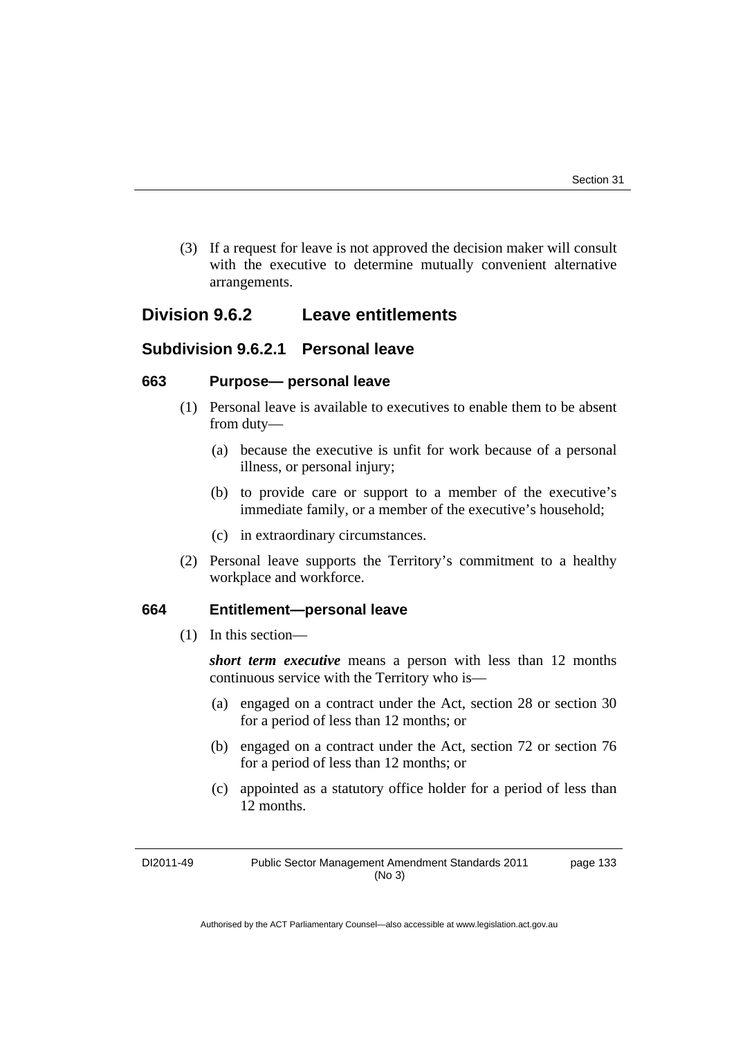(3) If a request for leave is not approved the decision maker will consult with the executive to determine mutually convenient alternative arrangements.

### **Division 9.6.2 Leave entitlements**

### **Subdivision 9.6.2.1 Personal leave**

#### **663 Purpose— personal leave**

- (1) Personal leave is available to executives to enable them to be absent from duty—
	- (a) because the executive is unfit for work because of a personal illness, or personal injury;
	- (b) to provide care or support to a member of the executive's immediate family, or a member of the executive's household;
	- (c) in extraordinary circumstances.
- (2) Personal leave supports the Territory's commitment to a healthy workplace and workforce.

#### **664 Entitlement—personal leave**

(1) In this section—

*short term executive* means a person with less than 12 months continuous service with the Territory who is—

- (a) engaged on a contract under the Act, section 28 or section 30 for a period of less than 12 months; or
- (b) engaged on a contract under the Act, section 72 or section 76 for a period of less than 12 months; or
- (c) appointed as a statutory office holder for a period of less than 12 months.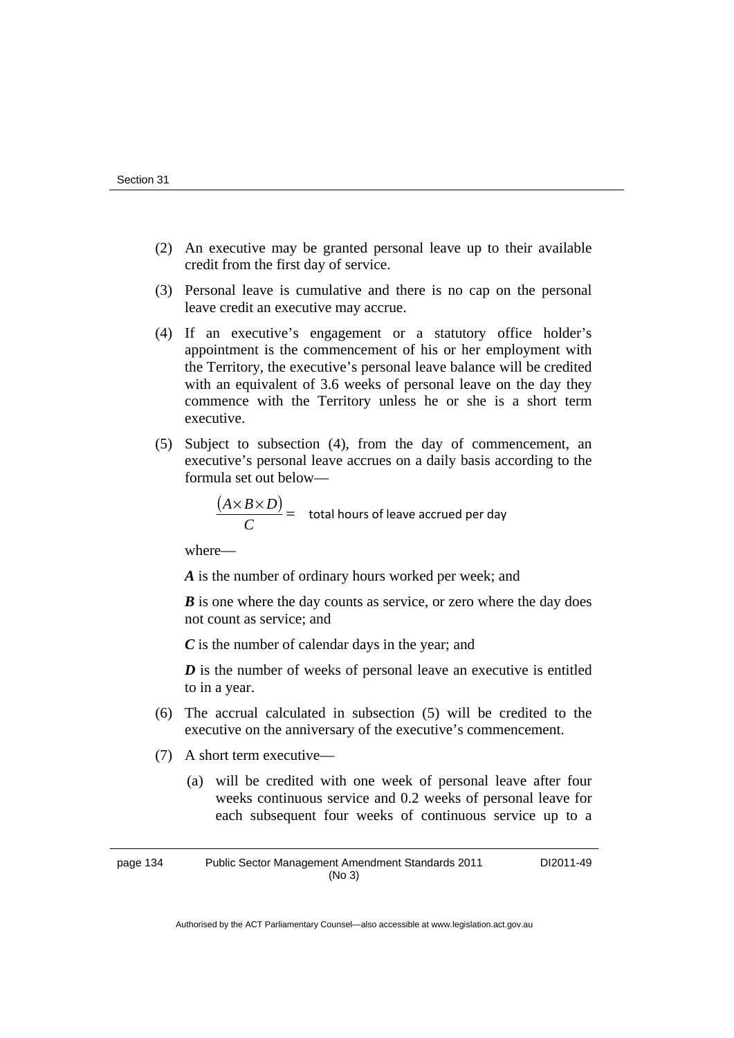- (2) An executive may be granted personal leave up to their available credit from the first day of service.
- (3) Personal leave is cumulative and there is no cap on the personal leave credit an executive may accrue.
- (4) If an executive's engagement or a statutory office holder's appointment is the commencement of his or her employment with the Territory, the executive's personal leave balance will be credited with an equivalent of 3.6 weeks of personal leave on the day they commence with the Territory unless he or she is a short term executive.
- (5) Subject to subsection (4), from the day of commencement, an executive's personal leave accrues on a daily basis according to the formula set out below—

$$
\frac{(A \times B \times D)}{C} =
$$
 total hours of leave accrued per day

where—

*A* is the number of ordinary hours worked per week; and

*B* is one where the day counts as service, or zero where the day does not count as service; and

*C* is the number of calendar days in the year; and

*D* is the number of weeks of personal leave an executive is entitled to in a year.

- (6) The accrual calculated in subsection (5) will be credited to the executive on the anniversary of the executive's commencement.
- (7) A short term executive—
	- (a) will be credited with one week of personal leave after four weeks continuous service and 0.2 weeks of personal leave for each subsequent four weeks of continuous service up to a

page 134 Public Sector Management Amendment Standards 2011 (No 3)

DI2011-49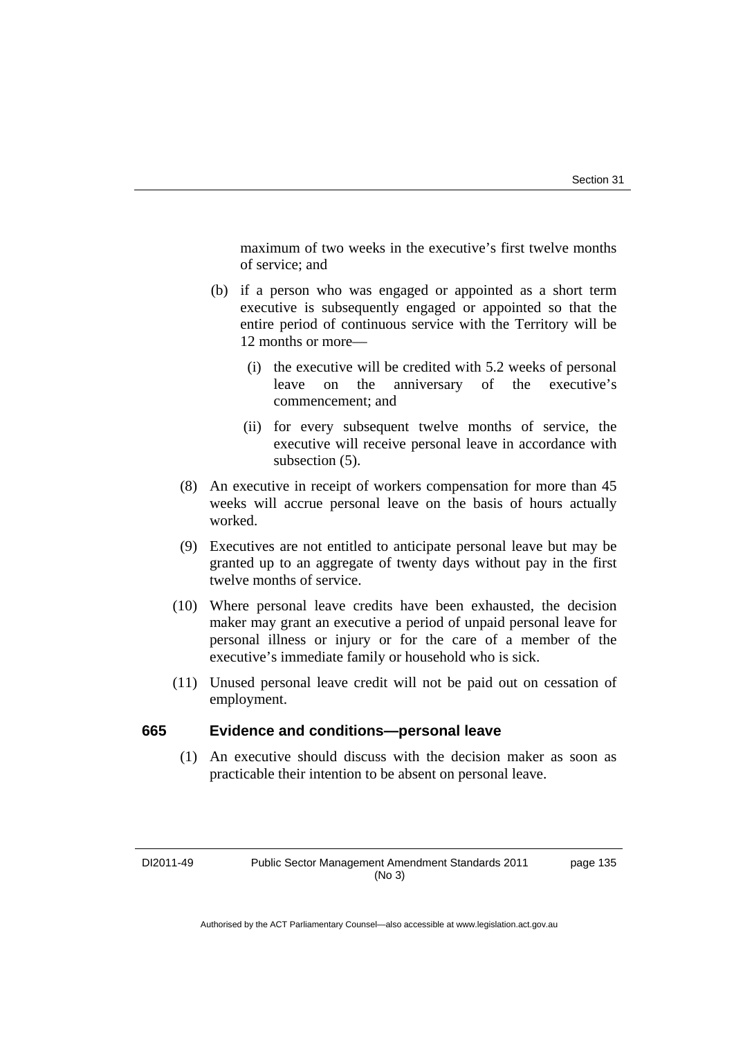maximum of two weeks in the executive's first twelve months of service; and

- (b) if a person who was engaged or appointed as a short term executive is subsequently engaged or appointed so that the entire period of continuous service with the Territory will be 12 months or more—
	- (i) the executive will be credited with 5.2 weeks of personal leave on the anniversary of the executive's commencement; and
	- (ii) for every subsequent twelve months of service, the executive will receive personal leave in accordance with subsection (5).
- (8) An executive in receipt of workers compensation for more than 45 weeks will accrue personal leave on the basis of hours actually worked.
- (9) Executives are not entitled to anticipate personal leave but may be granted up to an aggregate of twenty days without pay in the first twelve months of service.
- (10) Where personal leave credits have been exhausted, the decision maker may grant an executive a period of unpaid personal leave for personal illness or injury or for the care of a member of the executive's immediate family or household who is sick.
- (11) Unused personal leave credit will not be paid out on cessation of employment.

#### **665 Evidence and conditions—personal leave**

 (1) An executive should discuss with the decision maker as soon as practicable their intention to be absent on personal leave.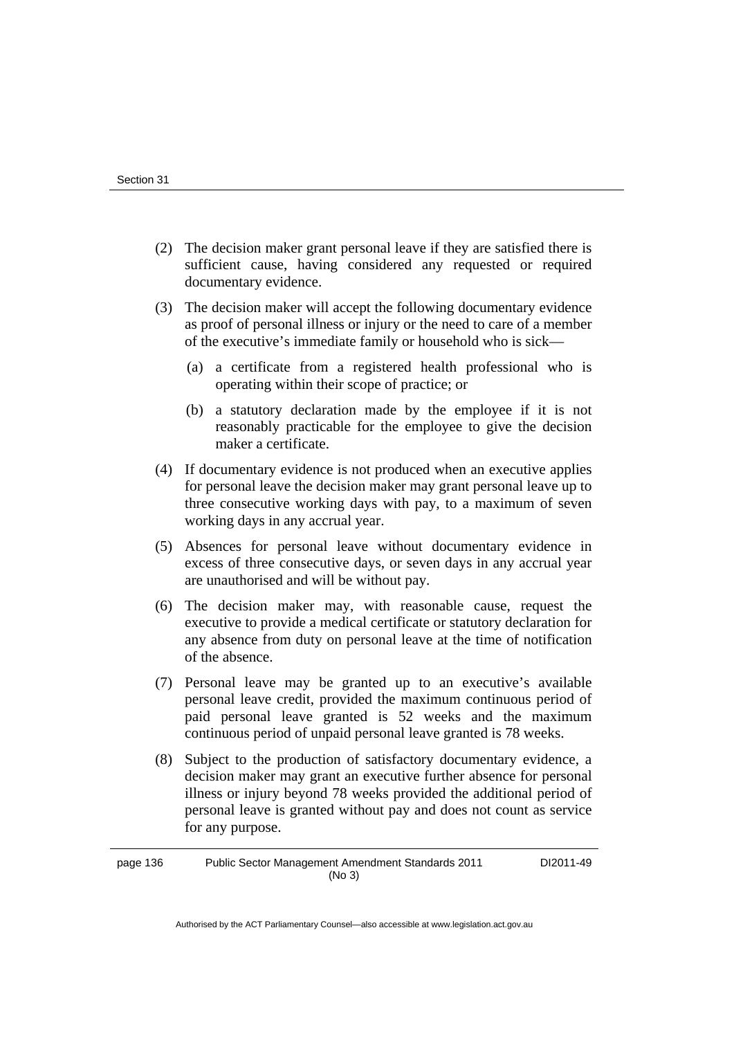- (2) The decision maker grant personal leave if they are satisfied there is sufficient cause, having considered any requested or required documentary evidence.
- (3) The decision maker will accept the following documentary evidence as proof of personal illness or injury or the need to care of a member of the executive's immediate family or household who is sick—
	- (a) a certificate from a registered health professional who is operating within their scope of practice; or
	- (b) a statutory declaration made by the employee if it is not reasonably practicable for the employee to give the decision maker a certificate.
- (4) If documentary evidence is not produced when an executive applies for personal leave the decision maker may grant personal leave up to three consecutive working days with pay, to a maximum of seven working days in any accrual year.
- (5) Absences for personal leave without documentary evidence in excess of three consecutive days, or seven days in any accrual year are unauthorised and will be without pay.
- (6) The decision maker may, with reasonable cause, request the executive to provide a medical certificate or statutory declaration for any absence from duty on personal leave at the time of notification of the absence.
- (7) Personal leave may be granted up to an executive's available personal leave credit, provided the maximum continuous period of paid personal leave granted is 52 weeks and the maximum continuous period of unpaid personal leave granted is 78 weeks.
- (8) Subject to the production of satisfactory documentary evidence, a decision maker may grant an executive further absence for personal illness or injury beyond 78 weeks provided the additional period of personal leave is granted without pay and does not count as service for any purpose.

page 136 Public Sector Management Amendment Standards 2011 (No 3) DI2011-49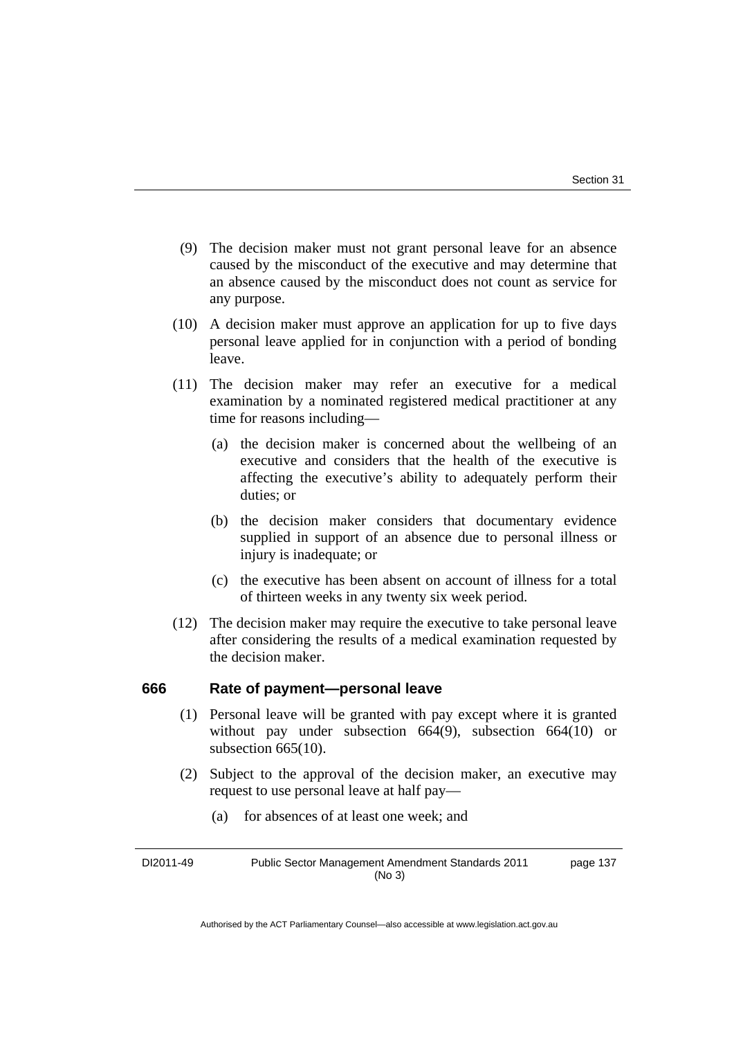- (9) The decision maker must not grant personal leave for an absence caused by the misconduct of the executive and may determine that an absence caused by the misconduct does not count as service for any purpose.
- (10) A decision maker must approve an application for up to five days personal leave applied for in conjunction with a period of bonding leave.
- (11) The decision maker may refer an executive for a medical examination by a nominated registered medical practitioner at any time for reasons including—
	- (a) the decision maker is concerned about the wellbeing of an executive and considers that the health of the executive is affecting the executive's ability to adequately perform their duties; or
	- (b) the decision maker considers that documentary evidence supplied in support of an absence due to personal illness or injury is inadequate; or
	- (c) the executive has been absent on account of illness for a total of thirteen weeks in any twenty six week period.
- (12) The decision maker may require the executive to take personal leave after considering the results of a medical examination requested by the decision maker.

#### **666 Rate of payment—personal leave**

- (1) Personal leave will be granted with pay except where it is granted without pay under subsection 664(9), subsection 664(10) or subsection 665(10).
- (2) Subject to the approval of the decision maker, an executive may request to use personal leave at half pay—
	- (a) for absences of at least one week; and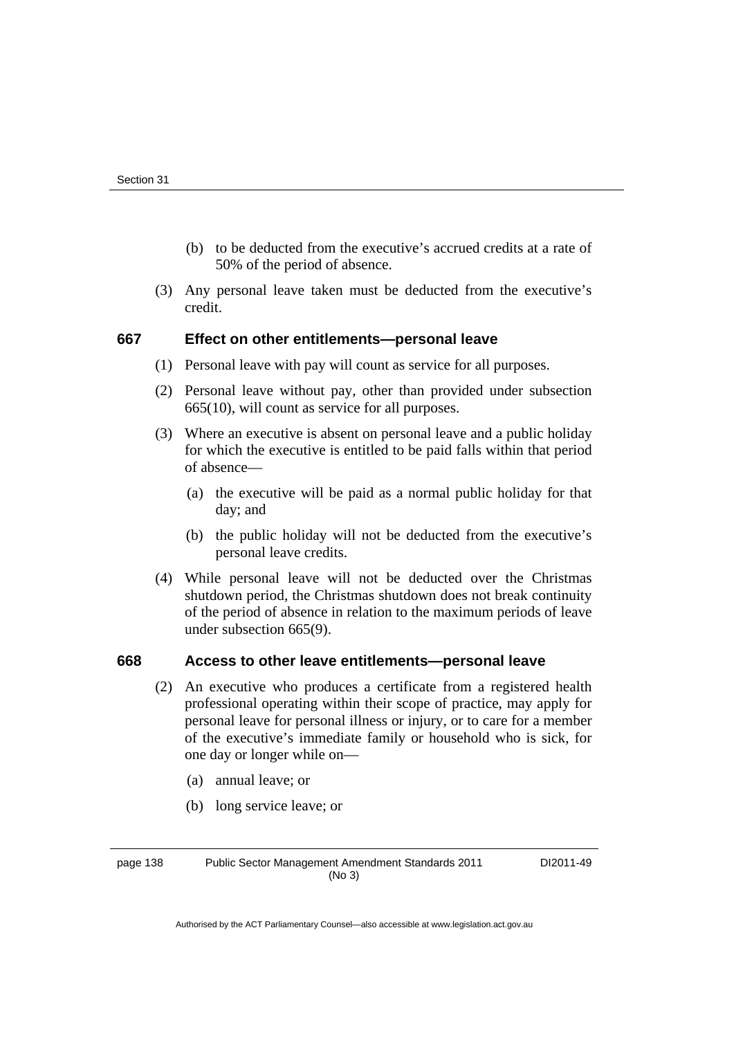- (b) to be deducted from the executive's accrued credits at a rate of 50% of the period of absence.
- (3) Any personal leave taken must be deducted from the executive's credit.

#### **667 Effect on other entitlements—personal leave**

- (1) Personal leave with pay will count as service for all purposes.
- (2) Personal leave without pay, other than provided under subsection 665(10), will count as service for all purposes.
- (3) Where an executive is absent on personal leave and a public holiday for which the executive is entitled to be paid falls within that period of absence—
	- (a) the executive will be paid as a normal public holiday for that day; and
	- (b) the public holiday will not be deducted from the executive's personal leave credits.
- (4) While personal leave will not be deducted over the Christmas shutdown period, the Christmas shutdown does not break continuity of the period of absence in relation to the maximum periods of leave under subsection 665(9).

#### **668 Access to other leave entitlements—personal leave**

- (2) An executive who produces a certificate from a registered health professional operating within their scope of practice, may apply for personal leave for personal illness or injury, or to care for a member of the executive's immediate family or household who is sick, for one day or longer while on—
	- (a) annual leave; or
	- (b) long service leave; or

page 138 Public Sector Management Amendment Standards 2011 (No 3)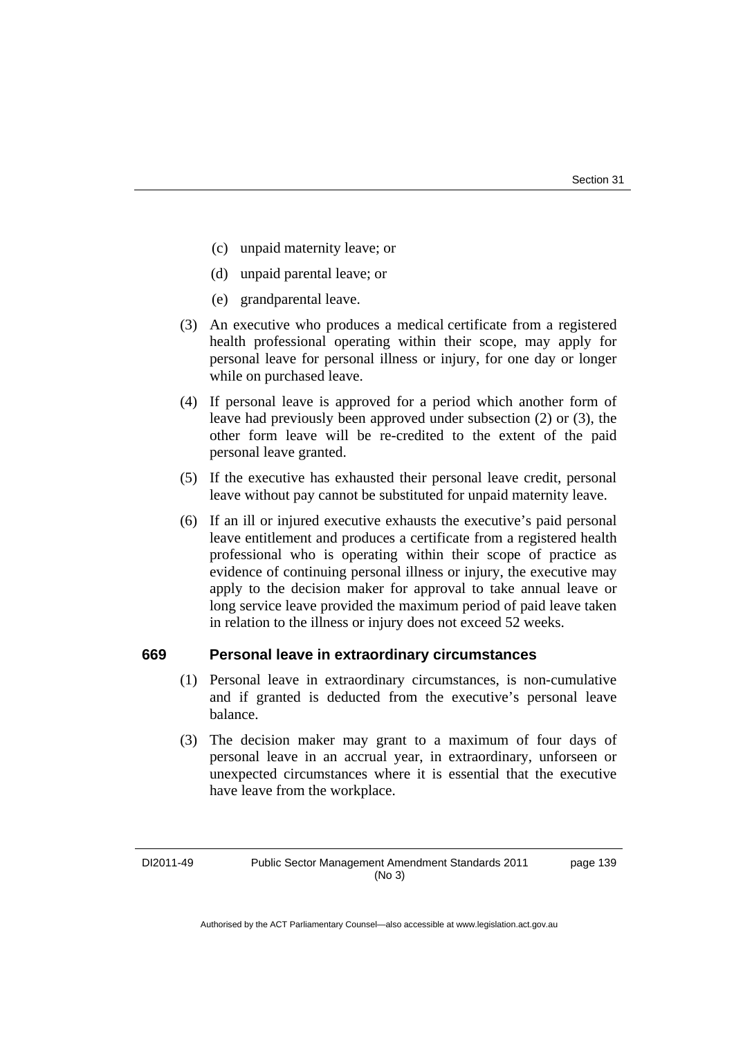- (c) unpaid maternity leave; or
- (d) unpaid parental leave; or
- (e) grandparental leave.
- (3) An executive who produces a medical certificate from a registered health professional operating within their scope, may apply for personal leave for personal illness or injury, for one day or longer while on purchased leave.
- (4) If personal leave is approved for a period which another form of leave had previously been approved under subsection (2) or (3), the other form leave will be re-credited to the extent of the paid personal leave granted.
- (5) If the executive has exhausted their personal leave credit, personal leave without pay cannot be substituted for unpaid maternity leave.
- (6) If an ill or injured executive exhausts the executive's paid personal leave entitlement and produces a certificate from a registered health professional who is operating within their scope of practice as evidence of continuing personal illness or injury, the executive may apply to the decision maker for approval to take annual leave or long service leave provided the maximum period of paid leave taken in relation to the illness or injury does not exceed 52 weeks.

#### **669 Personal leave in extraordinary circumstances**

- (1) Personal leave in extraordinary circumstances, is non-cumulative and if granted is deducted from the executive's personal leave balance.
- (3) The decision maker may grant to a maximum of four days of personal leave in an accrual year, in extraordinary, unforseen or unexpected circumstances where it is essential that the executive have leave from the workplace.

page 139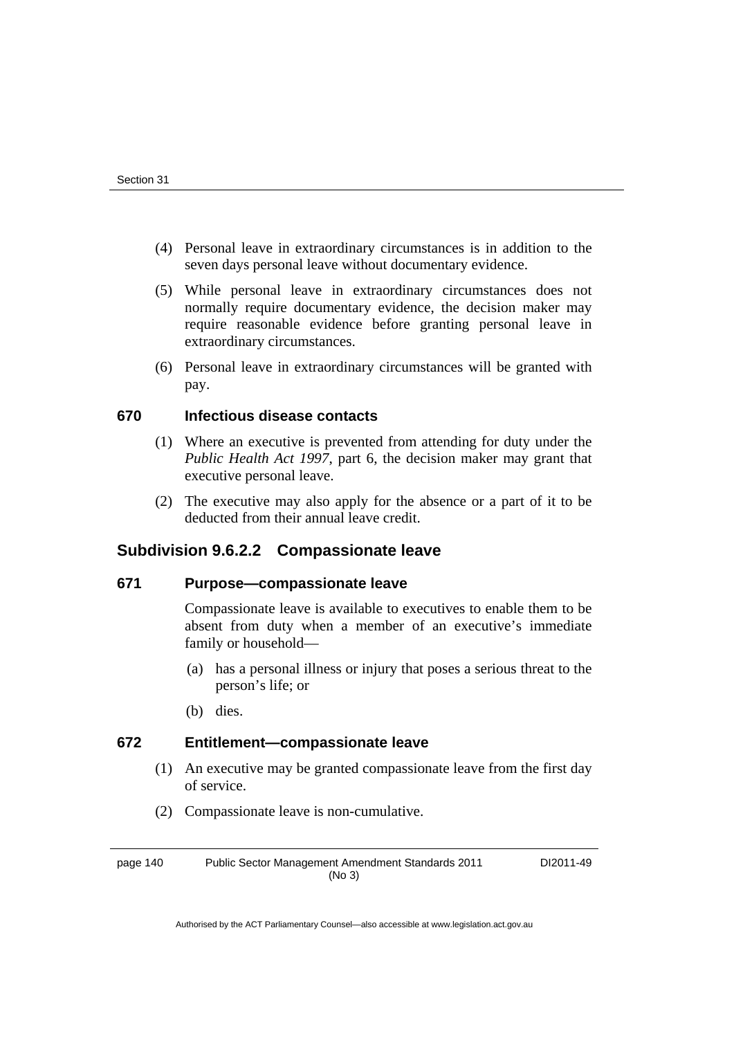- (4) Personal leave in extraordinary circumstances is in addition to the seven days personal leave without documentary evidence.
- (5) While personal leave in extraordinary circumstances does not normally require documentary evidence, the decision maker may require reasonable evidence before granting personal leave in extraordinary circumstances.
- (6) Personal leave in extraordinary circumstances will be granted with pay.

# **670 Infectious disease contacts**

- (1) Where an executive is prevented from attending for duty under the *Public Health Act 1997*, part 6, the decision maker may grant that executive personal leave.
- (2) The executive may also apply for the absence or a part of it to be deducted from their annual leave credit.

# **Subdivision 9.6.2.2 Compassionate leave**

## **671 Purpose—compassionate leave**

Compassionate leave is available to executives to enable them to be absent from duty when a member of an executive's immediate family or household—

- (a) has a personal illness or injury that poses a serious threat to the person's life; or
- (b) dies.

# **672 Entitlement—compassionate leave**

- (1) An executive may be granted compassionate leave from the first day of service.
- (2) Compassionate leave is non-cumulative.

page 140 Public Sector Management Amendment Standards 2011 (No 3) DI2011-49

Authorised by the ACT Parliamentary Counsel—also accessible at www.legislation.act.gov.au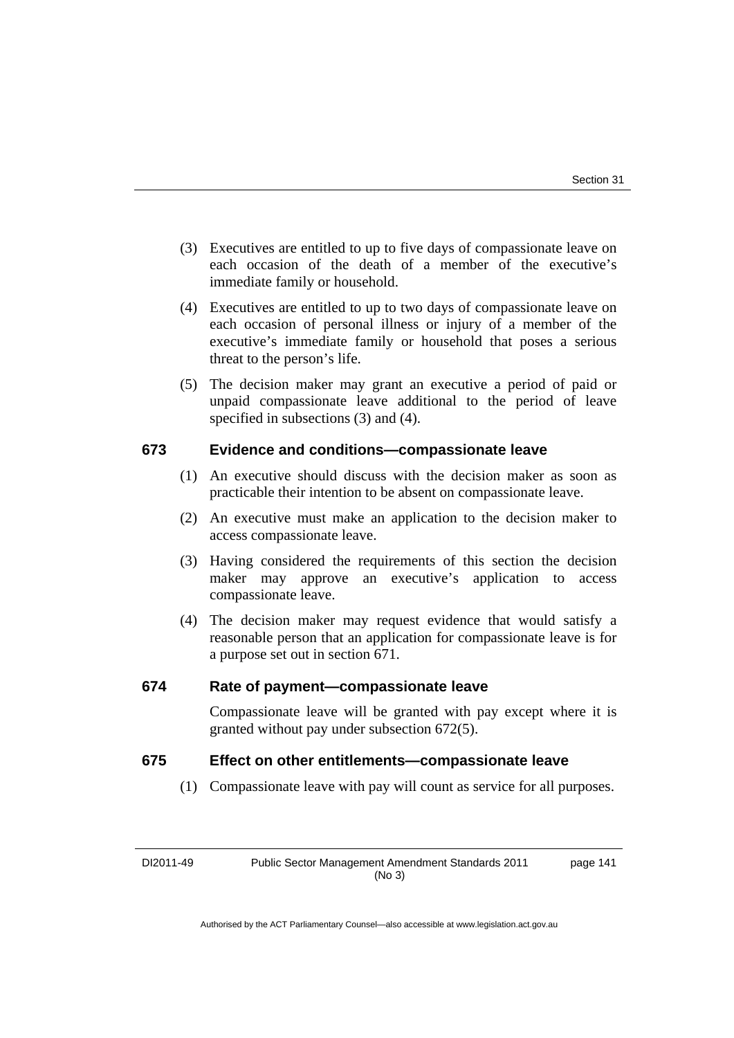- (3) Executives are entitled to up to five days of compassionate leave on each occasion of the death of a member of the executive's immediate family or household.
- (4) Executives are entitled to up to two days of compassionate leave on each occasion of personal illness or injury of a member of the executive's immediate family or household that poses a serious threat to the person's life.
- (5) The decision maker may grant an executive a period of paid or unpaid compassionate leave additional to the period of leave specified in subsections (3) and (4).

# **673 Evidence and conditions—compassionate leave**

- (1) An executive should discuss with the decision maker as soon as practicable their intention to be absent on compassionate leave.
- (2) An executive must make an application to the decision maker to access compassionate leave.
- (3) Having considered the requirements of this section the decision maker may approve an executive's application to access compassionate leave.
- (4) The decision maker may request evidence that would satisfy a reasonable person that an application for compassionate leave is for a purpose set out in section 671.

# **674 Rate of payment—compassionate leave**

Compassionate leave will be granted with pay except where it is granted without pay under subsection 672(5).

# **675 Effect on other entitlements—compassionate leave**

(1) Compassionate leave with pay will count as service for all purposes.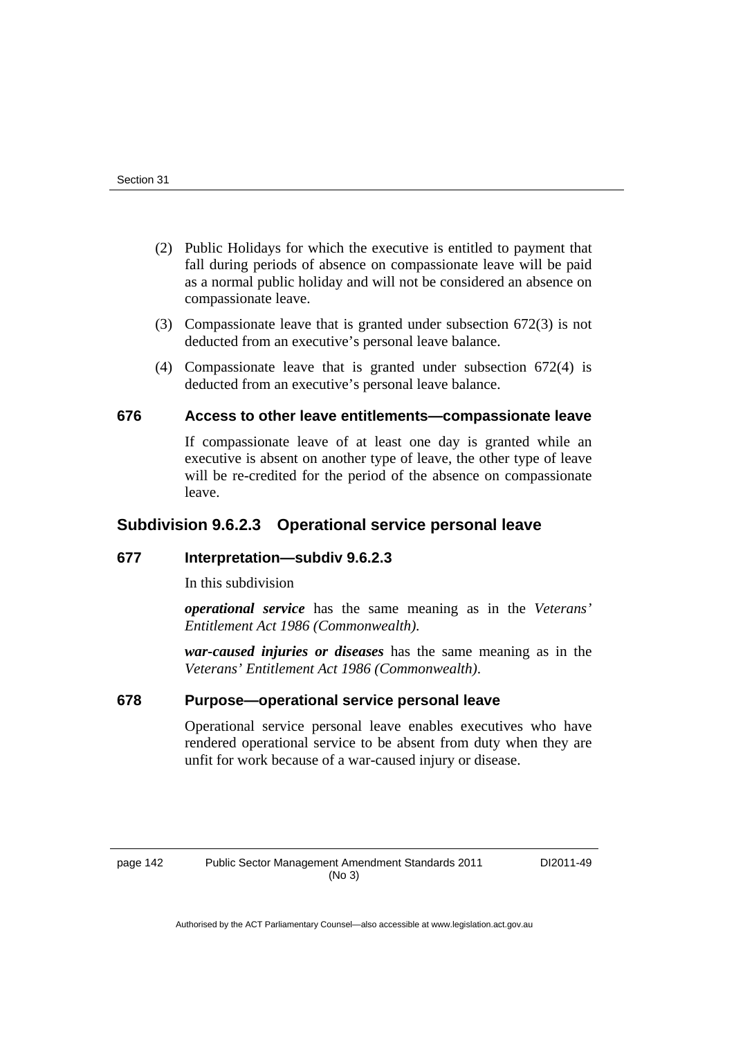- (2) Public Holidays for which the executive is entitled to payment that fall during periods of absence on compassionate leave will be paid as a normal public holiday and will not be considered an absence on compassionate leave.
- (3) Compassionate leave that is granted under subsection 672(3) is not deducted from an executive's personal leave balance.
- (4) Compassionate leave that is granted under subsection 672(4) is deducted from an executive's personal leave balance.

# **676 Access to other leave entitlements—compassionate leave**

If compassionate leave of at least one day is granted while an executive is absent on another type of leave, the other type of leave will be re-credited for the period of the absence on compassionate leave.

# **Subdivision 9.6.2.3 Operational service personal leave**

## **677 Interpretation—subdiv 9.6.2.3**

In this subdivision

*operational service* has the same meaning as in the *Veterans' Entitlement Act 1986 (Commonwealth)*.

*war-caused injuries or diseases* has the same meaning as in the *Veterans' Entitlement Act 1986 (Commonwealth)*.

# **678 Purpose—operational service personal leave**

Operational service personal leave enables executives who have rendered operational service to be absent from duty when they are unfit for work because of a war-caused injury or disease.

page 142 Public Sector Management Amendment Standards 2011 (No 3)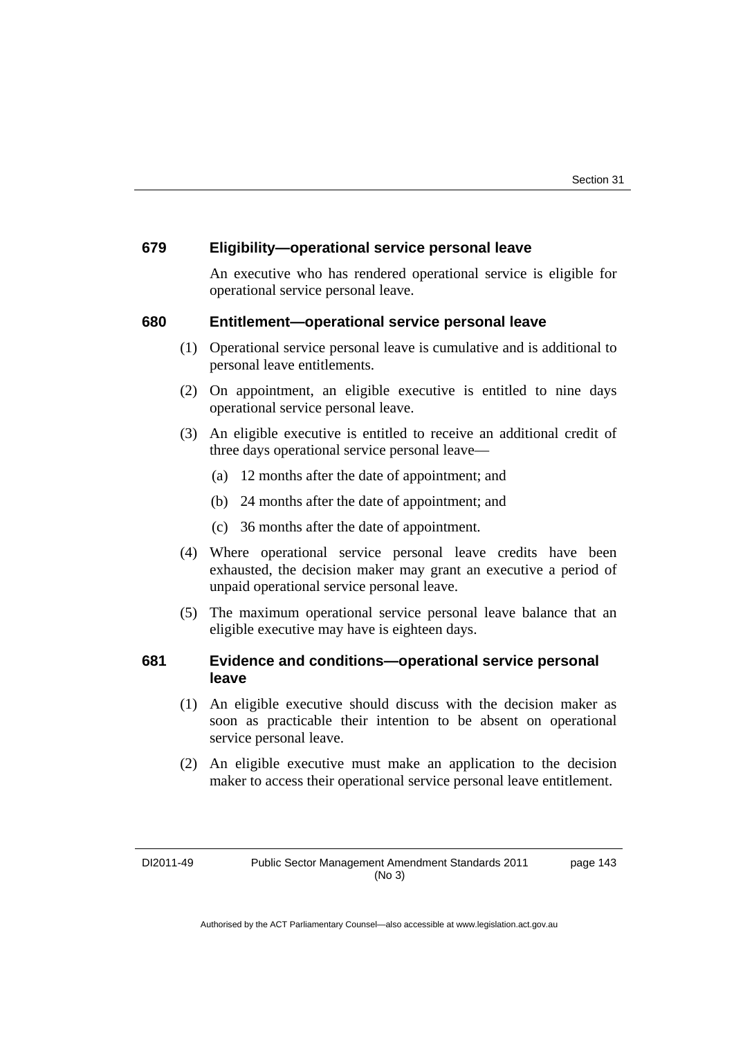# **679 Eligibility—operational service personal leave**

An executive who has rendered operational service is eligible for operational service personal leave.

#### **680 Entitlement—operational service personal leave**

- (1) Operational service personal leave is cumulative and is additional to personal leave entitlements.
- (2) On appointment, an eligible executive is entitled to nine days operational service personal leave.
- (3) An eligible executive is entitled to receive an additional credit of three days operational service personal leave—
	- (a) 12 months after the date of appointment; and
	- (b) 24 months after the date of appointment; and
	- (c) 36 months after the date of appointment.
- (4) Where operational service personal leave credits have been exhausted, the decision maker may grant an executive a period of unpaid operational service personal leave.
- (5) The maximum operational service personal leave balance that an eligible executive may have is eighteen days.

## **681 Evidence and conditions—operational service personal leave**

- (1) An eligible executive should discuss with the decision maker as soon as practicable their intention to be absent on operational service personal leave.
- (2) An eligible executive must make an application to the decision maker to access their operational service personal leave entitlement.

page 143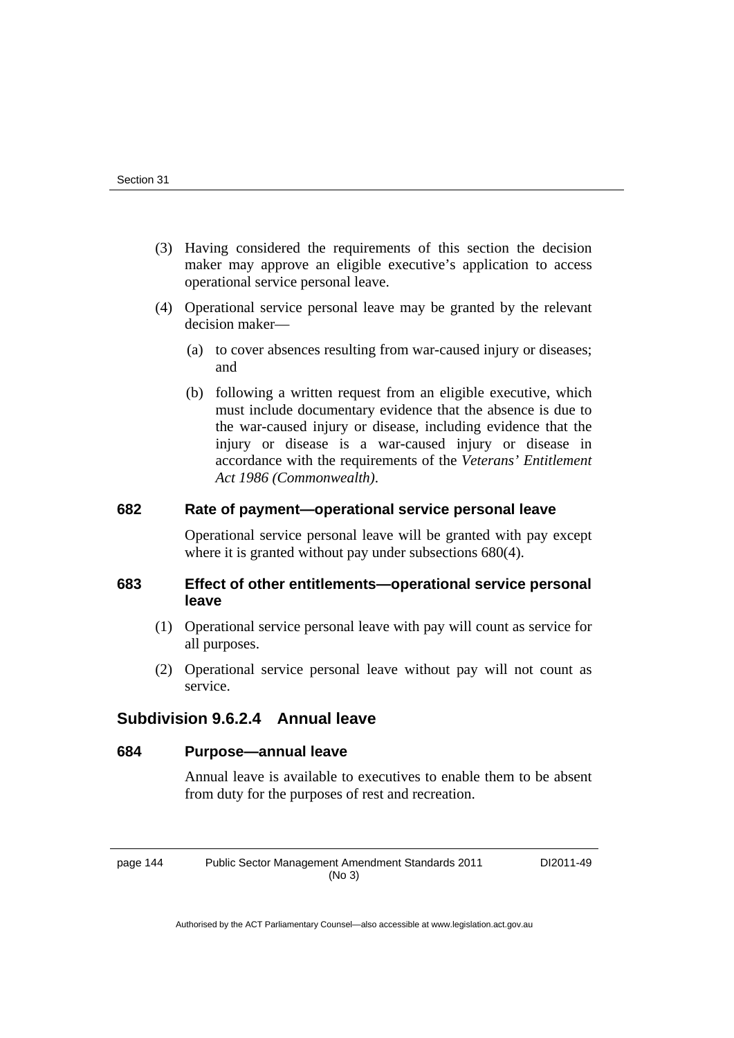- (3) Having considered the requirements of this section the decision maker may approve an eligible executive's application to access operational service personal leave.
- (4) Operational service personal leave may be granted by the relevant decision maker—
	- (a) to cover absences resulting from war-caused injury or diseases; and
	- (b) following a written request from an eligible executive, which must include documentary evidence that the absence is due to the war-caused injury or disease, including evidence that the injury or disease is a war-caused injury or disease in accordance with the requirements of the *Veterans' Entitlement Act 1986 (Commonwealth)*.

# **682 Rate of payment—operational service personal leave**

Operational service personal leave will be granted with pay except where it is granted without pay under subsections 680(4).

# **683 Effect of other entitlements—operational service personal leave**

- (1) Operational service personal leave with pay will count as service for all purposes.
- (2) Operational service personal leave without pay will not count as service.

# **Subdivision 9.6.2.4 Annual leave**

## **684 Purpose—annual leave**

Annual leave is available to executives to enable them to be absent from duty for the purposes of rest and recreation.

page 144 Public Sector Management Amendment Standards 2011 (No 3)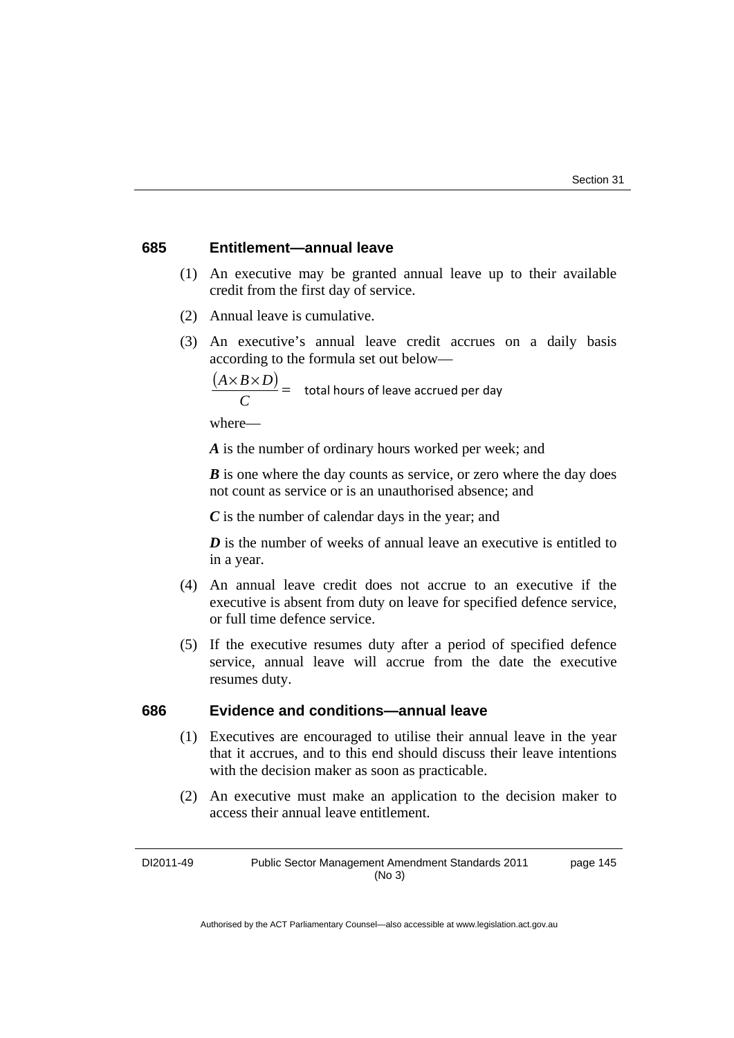## **685 Entitlement—annual leave**

- (1) An executive may be granted annual leave up to their available credit from the first day of service.
- (2) Annual leave is cumulative.
- (3) An executive's annual leave credit accrues on a daily basis according to the formula set out below—

$$
\frac{(A \times B \times D)}{C} = \text{total hours of leave accrued per day}
$$

where—

*A* is the number of ordinary hours worked per week; and

*B* is one where the day counts as service, or zero where the day does not count as service or is an unauthorised absence; and

*C* is the number of calendar days in the year; and

*D* is the number of weeks of annual leave an executive is entitled to in a year.

- (4) An annual leave credit does not accrue to an executive if the executive is absent from duty on leave for specified defence service, or full time defence service.
- (5) If the executive resumes duty after a period of specified defence service, annual leave will accrue from the date the executive resumes duty.

# **686 Evidence and conditions—annual leave**

- (1) Executives are encouraged to utilise their annual leave in the year that it accrues, and to this end should discuss their leave intentions with the decision maker as soon as practicable.
- (2) An executive must make an application to the decision maker to access their annual leave entitlement.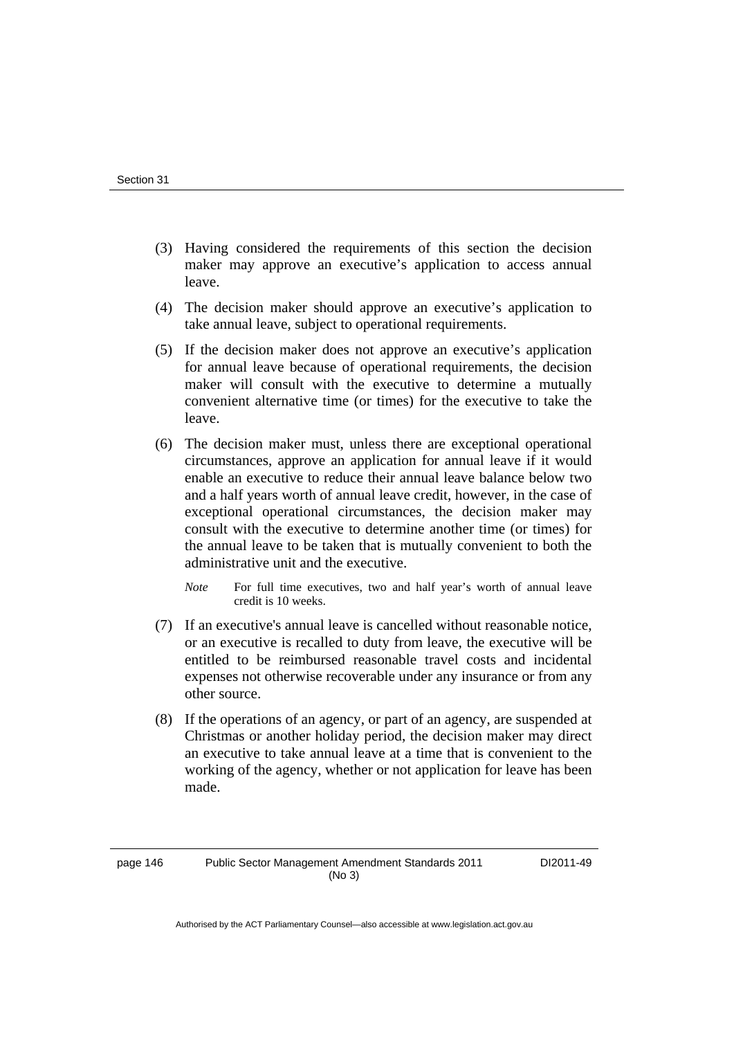- (3) Having considered the requirements of this section the decision maker may approve an executive's application to access annual leave.
- (4) The decision maker should approve an executive's application to take annual leave, subject to operational requirements.
- (5) If the decision maker does not approve an executive's application for annual leave because of operational requirements, the decision maker will consult with the executive to determine a mutually convenient alternative time (or times) for the executive to take the leave.
- (6) The decision maker must, unless there are exceptional operational circumstances, approve an application for annual leave if it would enable an executive to reduce their annual leave balance below two and a half years worth of annual leave credit, however, in the case of exceptional operational circumstances, the decision maker may consult with the executive to determine another time (or times) for the annual leave to be taken that is mutually convenient to both the administrative unit and the executive.
	- *Note* For full time executives, two and half year's worth of annual leave credit is 10 weeks.
- (7) If an executive's annual leave is cancelled without reasonable notice, or an executive is recalled to duty from leave, the executive will be entitled to be reimbursed reasonable travel costs and incidental expenses not otherwise recoverable under any insurance or from any other source.
- (8) If the operations of an agency, or part of an agency, are suspended at Christmas or another holiday period, the decision maker may direct an executive to take annual leave at a time that is convenient to the working of the agency, whether or not application for leave has been made.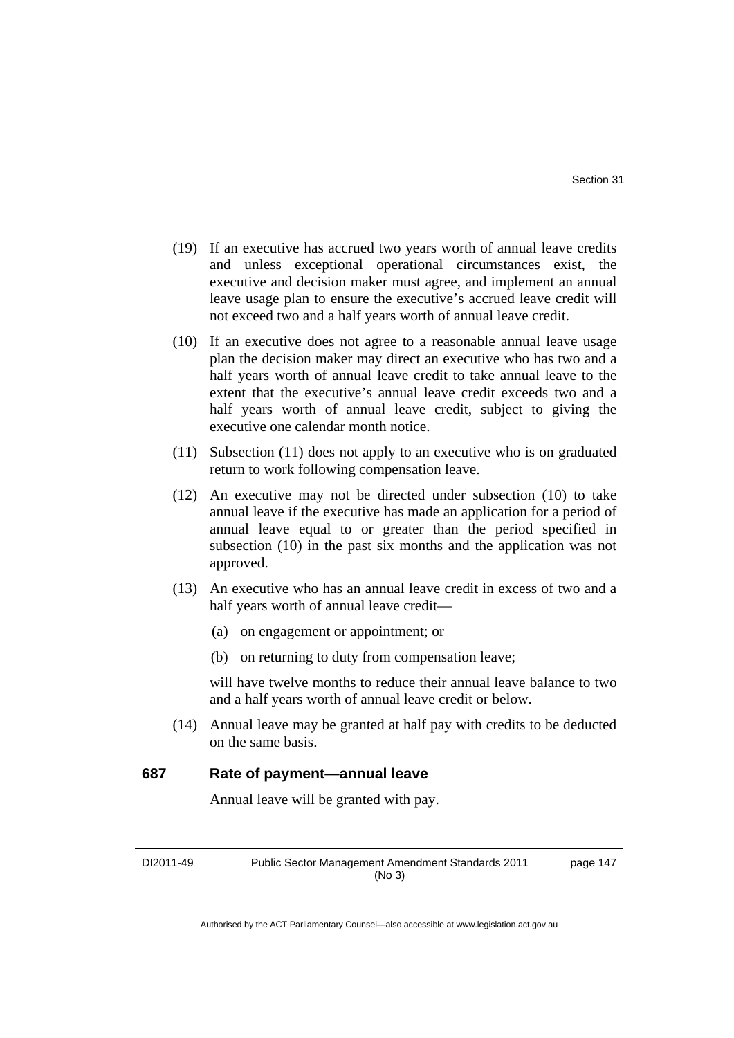- (19) If an executive has accrued two years worth of annual leave credits and unless exceptional operational circumstances exist, the executive and decision maker must agree, and implement an annual leave usage plan to ensure the executive's accrued leave credit will not exceed two and a half years worth of annual leave credit.
- (10) If an executive does not agree to a reasonable annual leave usage plan the decision maker may direct an executive who has two and a half years worth of annual leave credit to take annual leave to the extent that the executive's annual leave credit exceeds two and a half years worth of annual leave credit, subject to giving the executive one calendar month notice.
- (11) Subsection (11) does not apply to an executive who is on graduated return to work following compensation leave.
- (12) An executive may not be directed under subsection (10) to take annual leave if the executive has made an application for a period of annual leave equal to or greater than the period specified in subsection (10) in the past six months and the application was not approved.
- (13) An executive who has an annual leave credit in excess of two and a half years worth of annual leave credit—
	- (a) on engagement or appointment; or
	- (b) on returning to duty from compensation leave;

will have twelve months to reduce their annual leave balance to two and a half years worth of annual leave credit or below.

 (14) Annual leave may be granted at half pay with credits to be deducted on the same basis.

#### **687 Rate of payment—annual leave**

Annual leave will be granted with pay.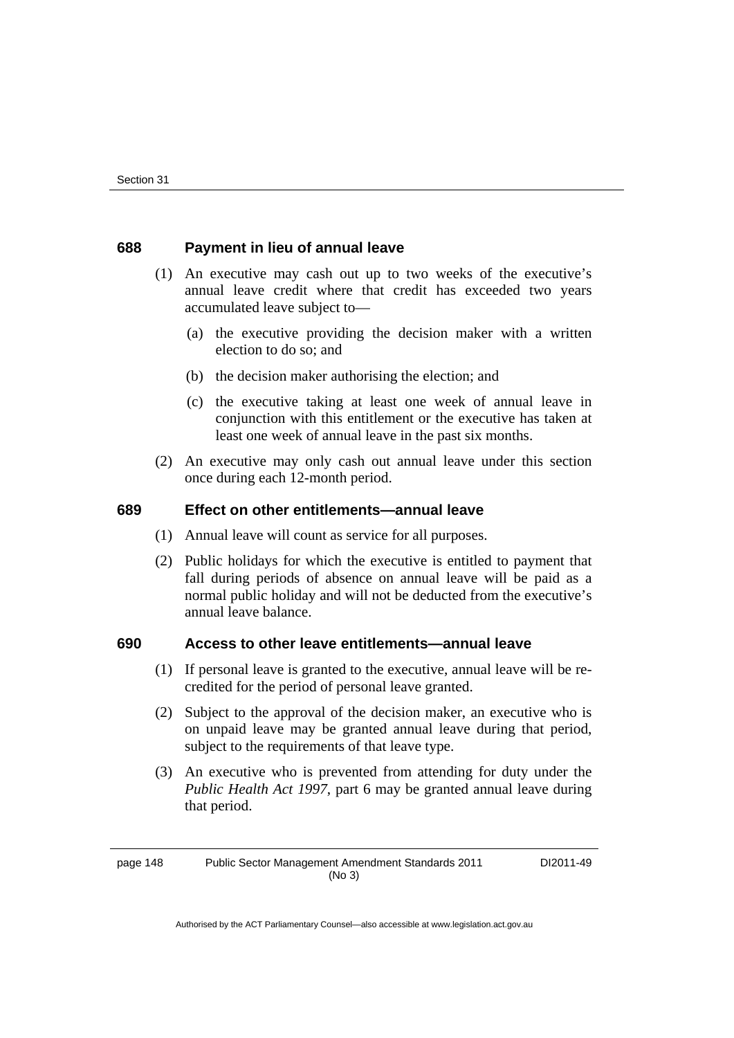## **688 Payment in lieu of annual leave**

- (1) An executive may cash out up to two weeks of the executive's annual leave credit where that credit has exceeded two years accumulated leave subject to—
	- (a) the executive providing the decision maker with a written election to do so; and
	- (b) the decision maker authorising the election; and
	- (c) the executive taking at least one week of annual leave in conjunction with this entitlement or the executive has taken at least one week of annual leave in the past six months.
- (2) An executive may only cash out annual leave under this section once during each 12-month period.

## **689 Effect on other entitlements—annual leave**

- (1) Annual leave will count as service for all purposes.
- (2) Public holidays for which the executive is entitled to payment that fall during periods of absence on annual leave will be paid as a normal public holiday and will not be deducted from the executive's annual leave balance.

# **690 Access to other leave entitlements—annual leave**

- (1) If personal leave is granted to the executive, annual leave will be recredited for the period of personal leave granted.
- (2) Subject to the approval of the decision maker, an executive who is on unpaid leave may be granted annual leave during that period, subject to the requirements of that leave type.
- (3) An executive who is prevented from attending for duty under the *Public Health Act 1997*, part 6 may be granted annual leave during that period.

page 148 Public Sector Management Amendment Standards 2011 (No 3)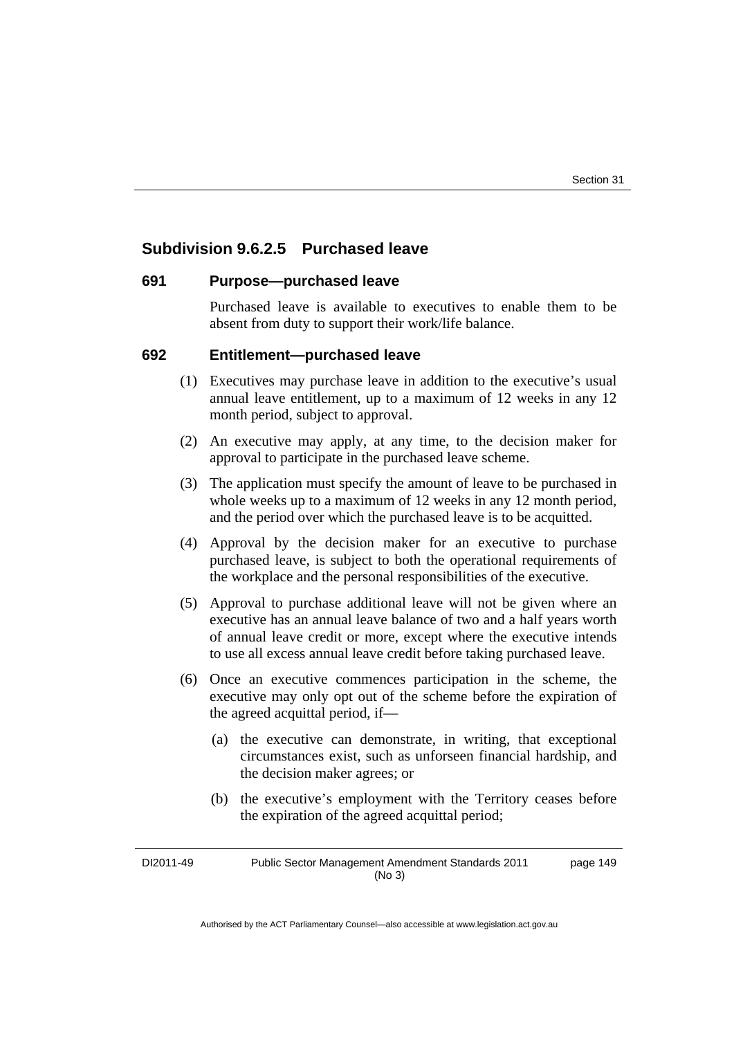# **Subdivision 9.6.2.5 Purchased leave**

#### **691 Purpose—purchased leave**

Purchased leave is available to executives to enable them to be absent from duty to support their work/life balance.

## **692 Entitlement—purchased leave**

- (1) Executives may purchase leave in addition to the executive's usual annual leave entitlement, up to a maximum of 12 weeks in any 12 month period, subject to approval.
- (2) An executive may apply, at any time, to the decision maker for approval to participate in the purchased leave scheme.
- (3) The application must specify the amount of leave to be purchased in whole weeks up to a maximum of 12 weeks in any 12 month period, and the period over which the purchased leave is to be acquitted.
- (4) Approval by the decision maker for an executive to purchase purchased leave, is subject to both the operational requirements of the workplace and the personal responsibilities of the executive.
- (5) Approval to purchase additional leave will not be given where an executive has an annual leave balance of two and a half years worth of annual leave credit or more, except where the executive intends to use all excess annual leave credit before taking purchased leave.
- (6) Once an executive commences participation in the scheme, the executive may only opt out of the scheme before the expiration of the agreed acquittal period, if—
	- (a) the executive can demonstrate, in writing, that exceptional circumstances exist, such as unforseen financial hardship, and the decision maker agrees; or
	- (b) the executive's employment with the Territory ceases before the expiration of the agreed acquittal period;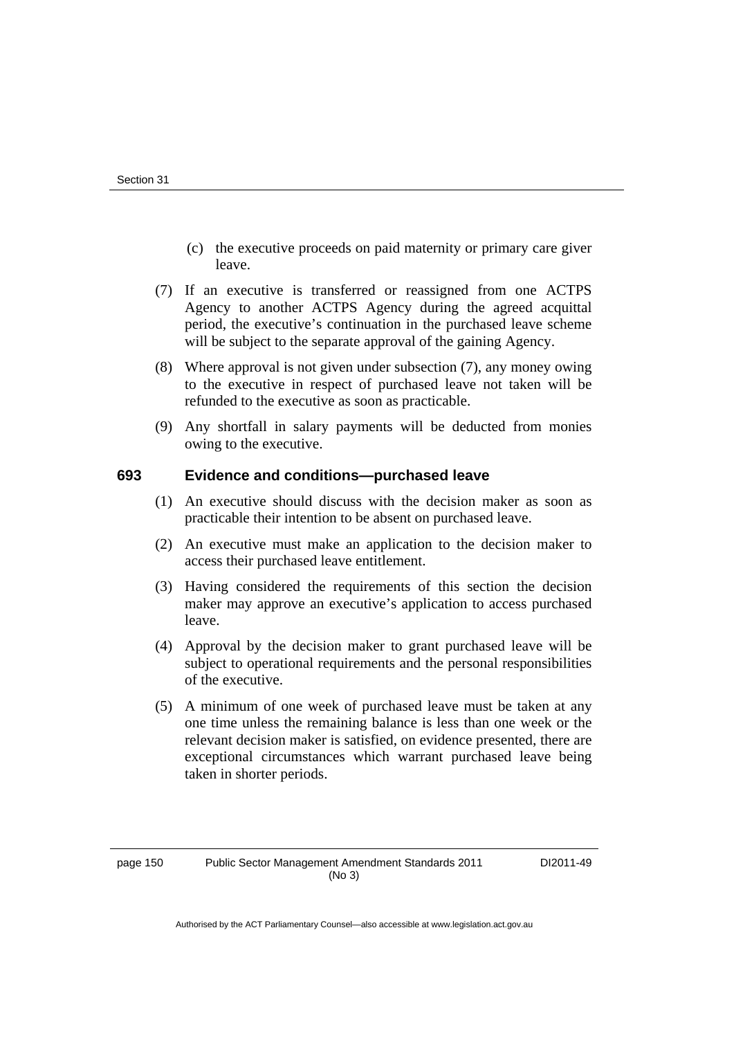- (c) the executive proceeds on paid maternity or primary care giver leave.
- (7) If an executive is transferred or reassigned from one ACTPS Agency to another ACTPS Agency during the agreed acquittal period, the executive's continuation in the purchased leave scheme will be subject to the separate approval of the gaining Agency.
- (8) Where approval is not given under subsection (7), any money owing to the executive in respect of purchased leave not taken will be refunded to the executive as soon as practicable.
- (9) Any shortfall in salary payments will be deducted from monies owing to the executive.

## **693 Evidence and conditions—purchased leave**

- (1) An executive should discuss with the decision maker as soon as practicable their intention to be absent on purchased leave.
- (2) An executive must make an application to the decision maker to access their purchased leave entitlement.
- (3) Having considered the requirements of this section the decision maker may approve an executive's application to access purchased leave.
- (4) Approval by the decision maker to grant purchased leave will be subject to operational requirements and the personal responsibilities of the executive.
- (5) A minimum of one week of purchased leave must be taken at any one time unless the remaining balance is less than one week or the relevant decision maker is satisfied, on evidence presented, there are exceptional circumstances which warrant purchased leave being taken in shorter periods.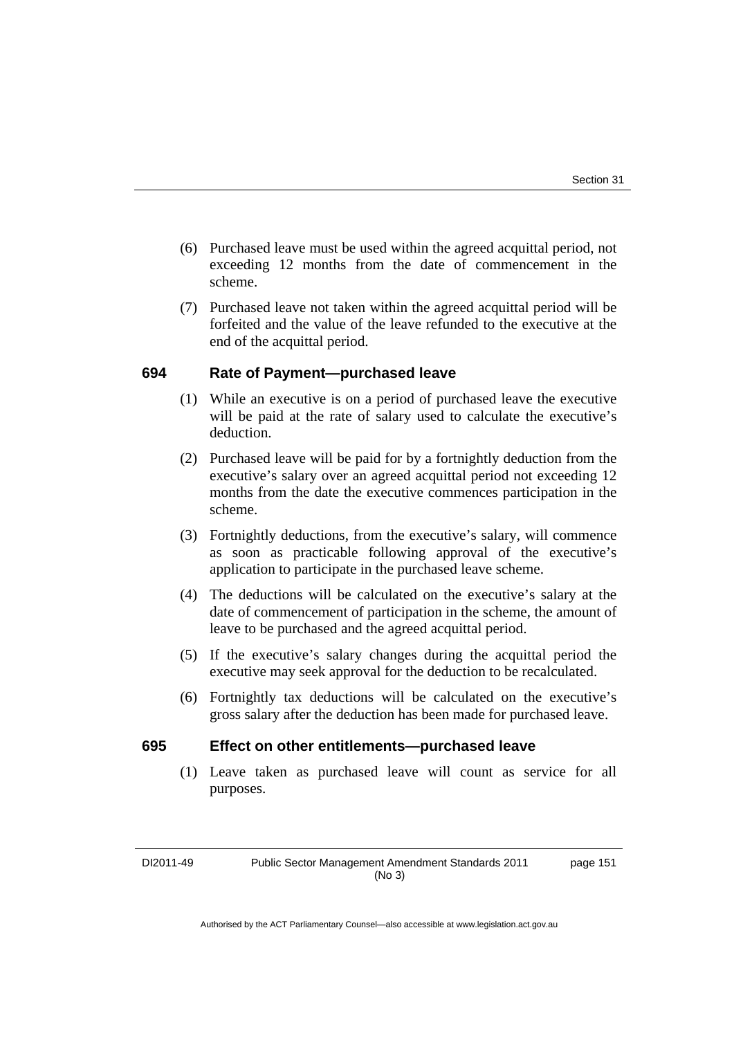- (6) Purchased leave must be used within the agreed acquittal period, not exceeding 12 months from the date of commencement in the scheme.
- (7) Purchased leave not taken within the agreed acquittal period will be forfeited and the value of the leave refunded to the executive at the end of the acquittal period.

# **694 Rate of Payment—purchased leave**

- (1) While an executive is on a period of purchased leave the executive will be paid at the rate of salary used to calculate the executive's deduction.
- (2) Purchased leave will be paid for by a fortnightly deduction from the executive's salary over an agreed acquittal period not exceeding 12 months from the date the executive commences participation in the scheme.
- (3) Fortnightly deductions, from the executive's salary, will commence as soon as practicable following approval of the executive's application to participate in the purchased leave scheme.
- (4) The deductions will be calculated on the executive's salary at the date of commencement of participation in the scheme, the amount of leave to be purchased and the agreed acquittal period.
- (5) If the executive's salary changes during the acquittal period the executive may seek approval for the deduction to be recalculated.
- (6) Fortnightly tax deductions will be calculated on the executive's gross salary after the deduction has been made for purchased leave.

# **695 Effect on other entitlements—purchased leave**

 (1) Leave taken as purchased leave will count as service for all purposes.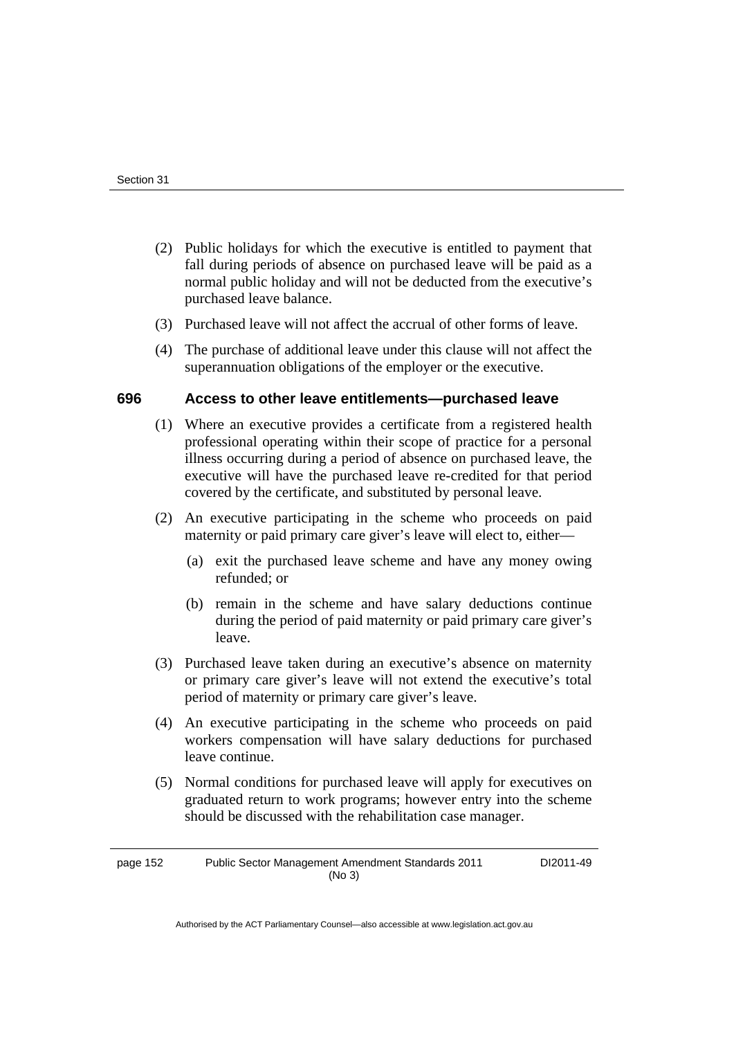- (2) Public holidays for which the executive is entitled to payment that fall during periods of absence on purchased leave will be paid as a normal public holiday and will not be deducted from the executive's purchased leave balance.
- (3) Purchased leave will not affect the accrual of other forms of leave.
- (4) The purchase of additional leave under this clause will not affect the superannuation obligations of the employer or the executive.

# **696 Access to other leave entitlements—purchased leave**

- (1) Where an executive provides a certificate from a registered health professional operating within their scope of practice for a personal illness occurring during a period of absence on purchased leave, the executive will have the purchased leave re-credited for that period covered by the certificate, and substituted by personal leave.
- (2) An executive participating in the scheme who proceeds on paid maternity or paid primary care giver's leave will elect to, either—
	- (a) exit the purchased leave scheme and have any money owing refunded; or
	- (b) remain in the scheme and have salary deductions continue during the period of paid maternity or paid primary care giver's leave.
- (3) Purchased leave taken during an executive's absence on maternity or primary care giver's leave will not extend the executive's total period of maternity or primary care giver's leave.
- (4) An executive participating in the scheme who proceeds on paid workers compensation will have salary deductions for purchased leave continue.
- (5) Normal conditions for purchased leave will apply for executives on graduated return to work programs; however entry into the scheme should be discussed with the rehabilitation case manager.

page 152 Public Sector Management Amendment Standards 2011 (No 3)

DI2011-49

Authorised by the ACT Parliamentary Counsel—also accessible at www.legislation.act.gov.au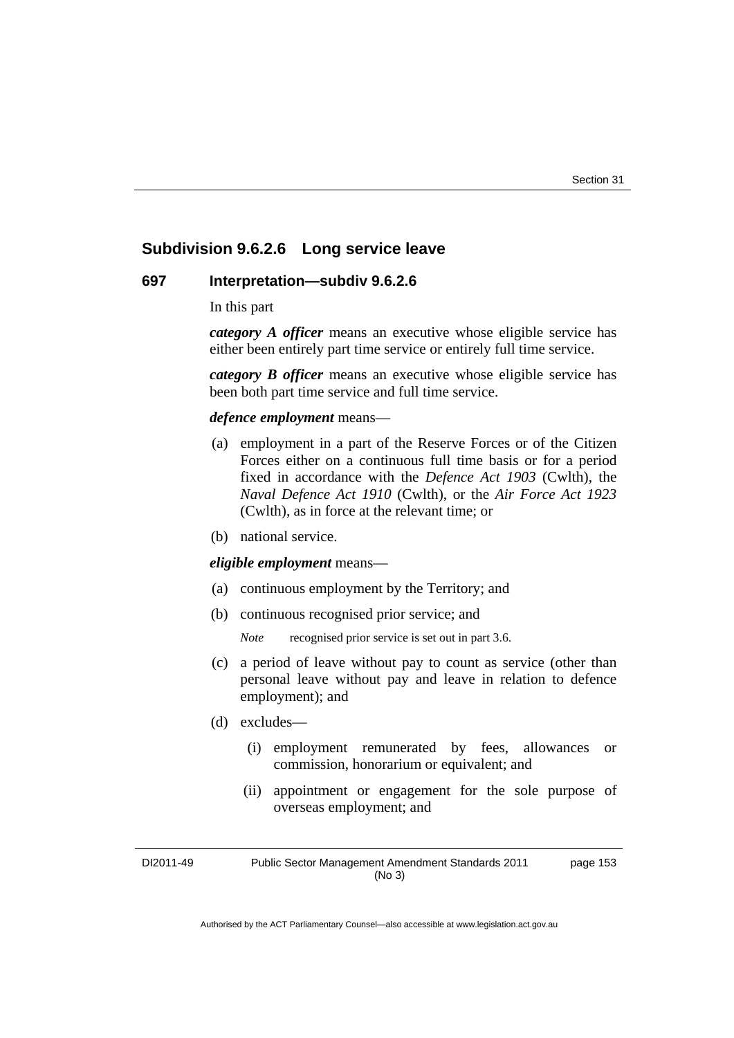# **Subdivision 9.6.2.6 Long service leave**

#### **697 Interpretation—subdiv 9.6.2.6**

In this part

*category A officer* means an executive whose eligible service has either been entirely part time service or entirely full time service.

*category B officer* means an executive whose eligible service has been both part time service and full time service.

#### *defence employment* means—

- (a) employment in a part of the Reserve Forces or of the Citizen Forces either on a continuous full time basis or for a period fixed in accordance with the *Defence Act 1903* (Cwlth), the *Naval Defence Act 1910* (Cwlth), or the *Air Force Act 1923*  (Cwlth), as in force at the relevant time; or
- (b) national service.

#### *eligible employment* means—

- (a) continuous employment by the Territory; and
- (b) continuous recognised prior service; and

*Note* recognised prior service is set out in part 3.6.

- (c) a period of leave without pay to count as service (other than personal leave without pay and leave in relation to defence employment); and
- (d) excludes—
	- (i) employment remunerated by fees, allowances or commission, honorarium or equivalent; and
	- (ii) appointment or engagement for the sole purpose of overseas employment; and

DI2011-49 Public Sector Management Amendment Standards 2011 (No 3) page 153

Authorised by the ACT Parliamentary Counsel—also accessible at www.legislation.act.gov.au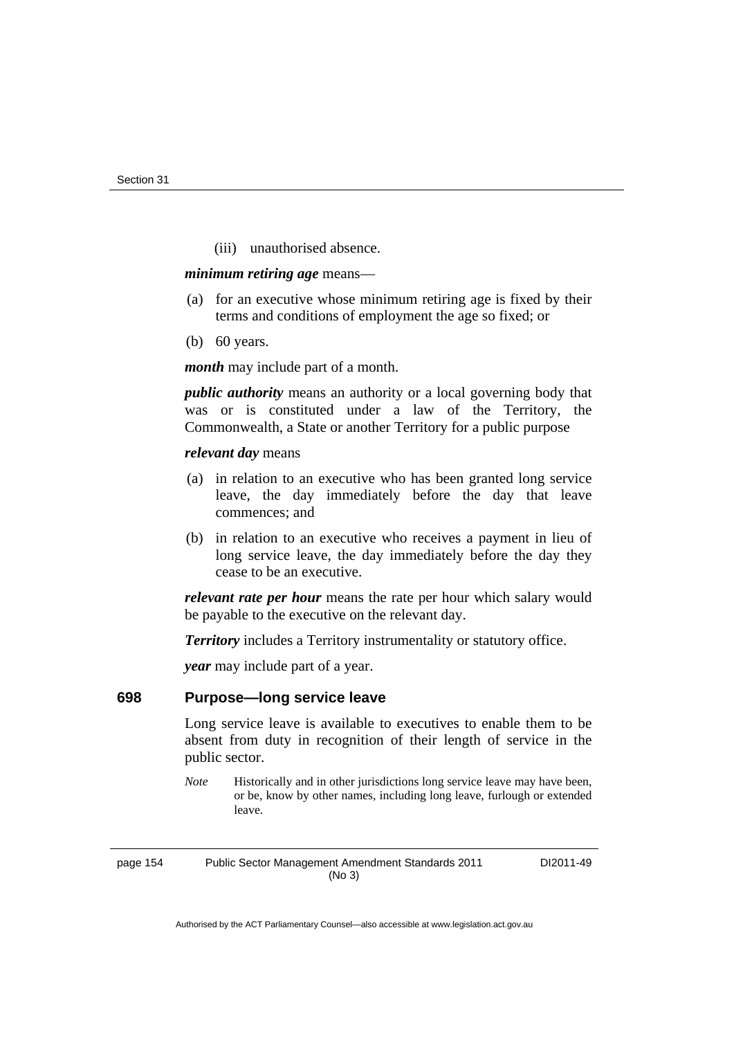(iii) unauthorised absence.

#### *minimum retiring age* means—

- (a) for an executive whose minimum retiring age is fixed by their terms and conditions of employment the age so fixed; or
- (b) 60 years.

*month* may include part of a month.

*public authority* means an authority or a local governing body that was or is constituted under a law of the Territory, the Commonwealth, a State or another Territory for a public purpose

## *relevant day* means

- (a) in relation to an executive who has been granted long service leave, the day immediately before the day that leave commences; and
- (b) in relation to an executive who receives a payment in lieu of long service leave, the day immediately before the day they cease to be an executive.

*relevant rate per hour* means the rate per hour which salary would be payable to the executive on the relevant day.

*Territory* includes a Territory instrumentality or statutory office.

*year* may include part of a year.

# **698 Purpose—long service leave**

Long service leave is available to executives to enable them to be absent from duty in recognition of their length of service in the public sector.

*Note* Historically and in other jurisdictions long service leave may have been, or be, know by other names, including long leave, furlough or extended leave.

page 154 Public Sector Management Amendment Standards 2011 (No 3)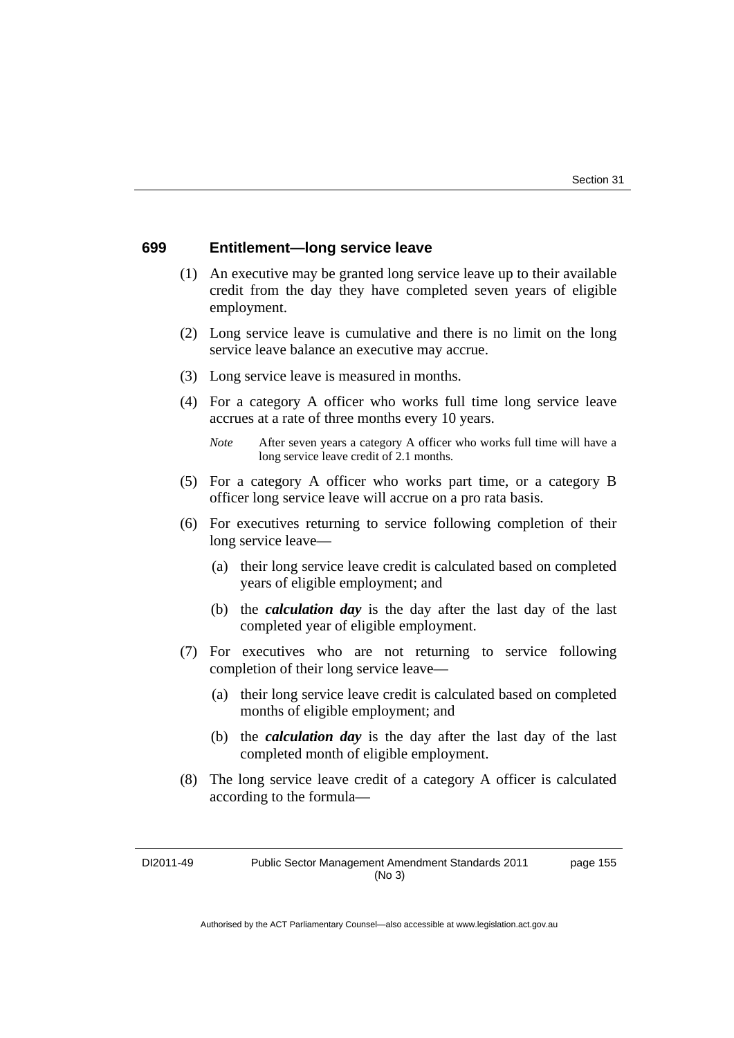## **699 Entitlement—long service leave**

- (1) An executive may be granted long service leave up to their available credit from the day they have completed seven years of eligible employment.
- (2) Long service leave is cumulative and there is no limit on the long service leave balance an executive may accrue.
- (3) Long service leave is measured in months.
- (4) For a category A officer who works full time long service leave accrues at a rate of three months every 10 years.
	- *Note* After seven years a category A officer who works full time will have a long service leave credit of 2.1 months.
- (5) For a category A officer who works part time, or a category B officer long service leave will accrue on a pro rata basis.
- (6) For executives returning to service following completion of their long service leave—
	- (a) their long service leave credit is calculated based on completed years of eligible employment; and
	- (b) the *calculation day* is the day after the last day of the last completed year of eligible employment.
- (7) For executives who are not returning to service following completion of their long service leave—
	- (a) their long service leave credit is calculated based on completed months of eligible employment; and
	- (b) the *calculation day* is the day after the last day of the last completed month of eligible employment.
- (8) The long service leave credit of a category A officer is calculated according to the formula—

page 155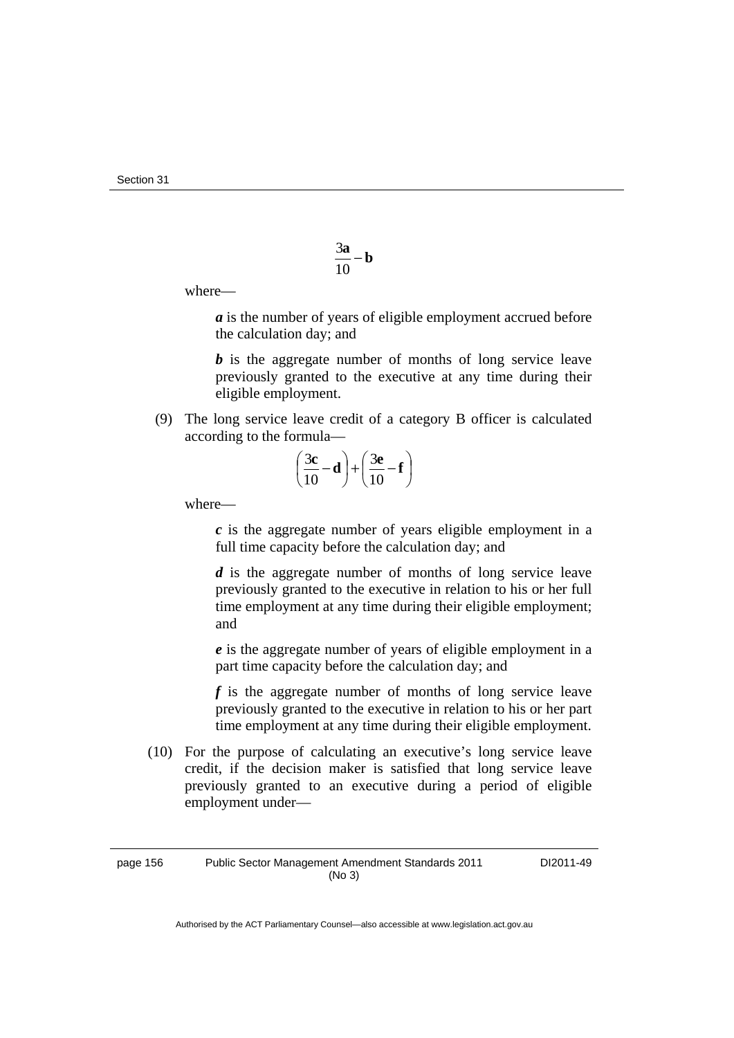$$
\frac{3\mathbf{a}}{10} - \mathbf{b}
$$

where—

*a* is the number of years of eligible employment accrued before the calculation day; and

*b* is the aggregate number of months of long service leave previously granted to the executive at any time during their eligible employment.

 (9) The long service leave credit of a category B officer is calculated according to the formula—

$$
\left(\frac{3c}{10} - d\right) + \left(\frac{3e}{10} - f\right)
$$

where—

 *c* is the aggregate number of years eligible employment in a full time capacity before the calculation day; and

 *d* is the aggregate number of months of long service leave previously granted to the executive in relation to his or her full time employment at any time during their eligible employment; and

 *e* is the aggregate number of years of eligible employment in a part time capacity before the calculation day; and

 *f* is the aggregate number of months of long service leave previously granted to the executive in relation to his or her part time employment at any time during their eligible employment.

 (10) For the purpose of calculating an executive's long service leave credit, if the decision maker is satisfied that long service leave previously granted to an executive during a period of eligible employment under—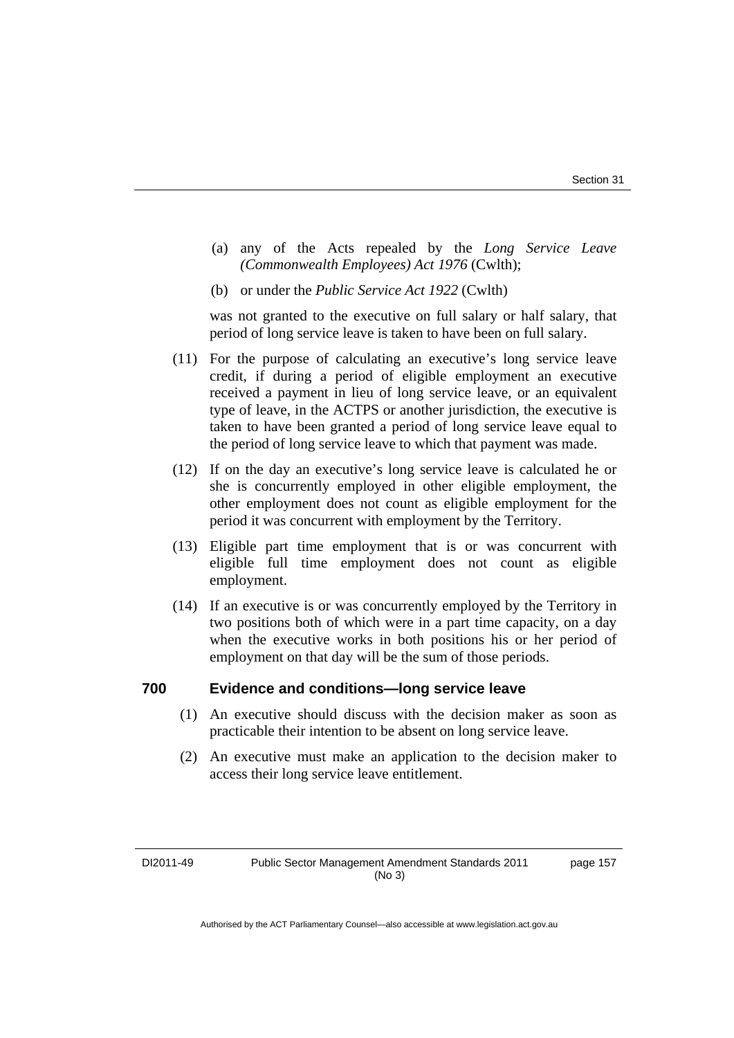- (a) any of the Acts repealed by the *Long Service Leave (Commonwealth Employees) Act 1976* (Cwlth);
- (b) or under the *Public Service Act 1922* (Cwlth)

was not granted to the executive on full salary or half salary, that period of long service leave is taken to have been on full salary.

- (11) For the purpose of calculating an executive's long service leave credit, if during a period of eligible employment an executive received a payment in lieu of long service leave, or an equivalent type of leave, in the ACTPS or another jurisdiction, the executive is taken to have been granted a period of long service leave equal to the period of long service leave to which that payment was made.
- (12) If on the day an executive's long service leave is calculated he or she is concurrently employed in other eligible employment, the other employment does not count as eligible employment for the period it was concurrent with employment by the Territory.
- (13) Eligible part time employment that is or was concurrent with eligible full time employment does not count as eligible employment.
- (14) If an executive is or was concurrently employed by the Territory in two positions both of which were in a part time capacity, on a day when the executive works in both positions his or her period of employment on that day will be the sum of those periods.

## **700 Evidence and conditions—long service leave**

- (1) An executive should discuss with the decision maker as soon as practicable their intention to be absent on long service leave.
- (2) An executive must make an application to the decision maker to access their long service leave entitlement.

page 157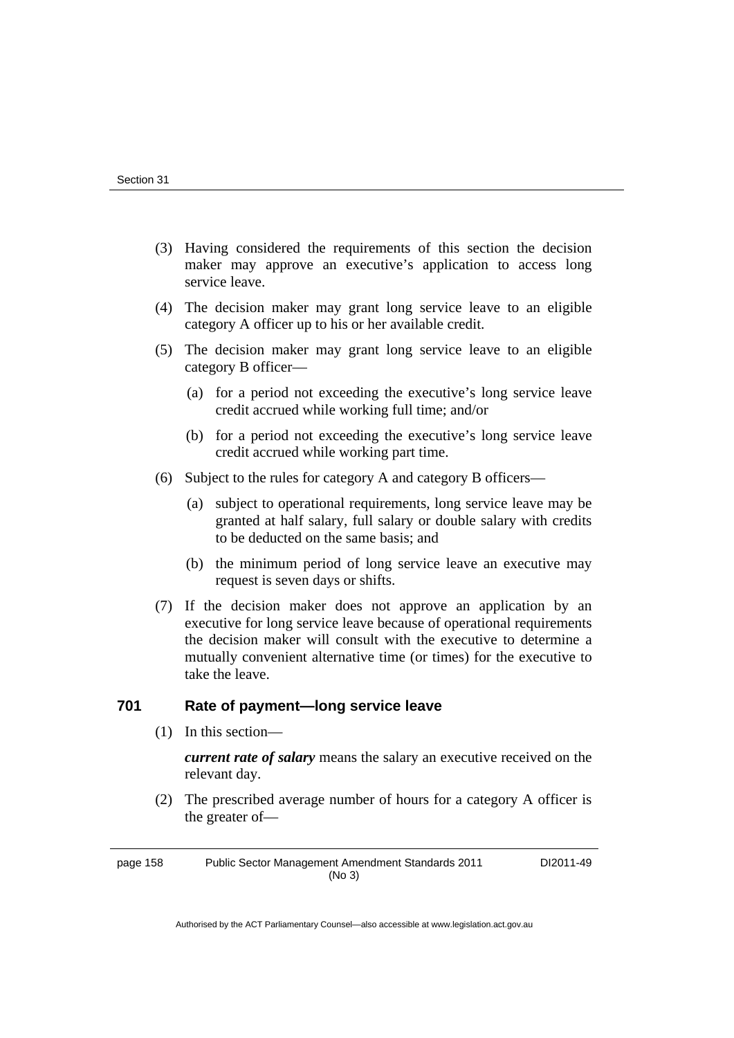- (3) Having considered the requirements of this section the decision maker may approve an executive's application to access long service leave.
- (4) The decision maker may grant long service leave to an eligible category A officer up to his or her available credit.
- (5) The decision maker may grant long service leave to an eligible category B officer—
	- (a) for a period not exceeding the executive's long service leave credit accrued while working full time; and/or
	- (b) for a period not exceeding the executive's long service leave credit accrued while working part time.
- (6) Subject to the rules for category A and category B officers—
	- (a) subject to operational requirements, long service leave may be granted at half salary, full salary or double salary with credits to be deducted on the same basis; and
	- (b) the minimum period of long service leave an executive may request is seven days or shifts.
- (7) If the decision maker does not approve an application by an executive for long service leave because of operational requirements the decision maker will consult with the executive to determine a mutually convenient alternative time (or times) for the executive to take the leave.

# **701 Rate of payment—long service leave**

(1) In this section—

*current rate of salary* means the salary an executive received on the relevant day.

 (2) The prescribed average number of hours for a category A officer is the greater of—

page 158 Public Sector Management Amendment Standards 2011 (No 3)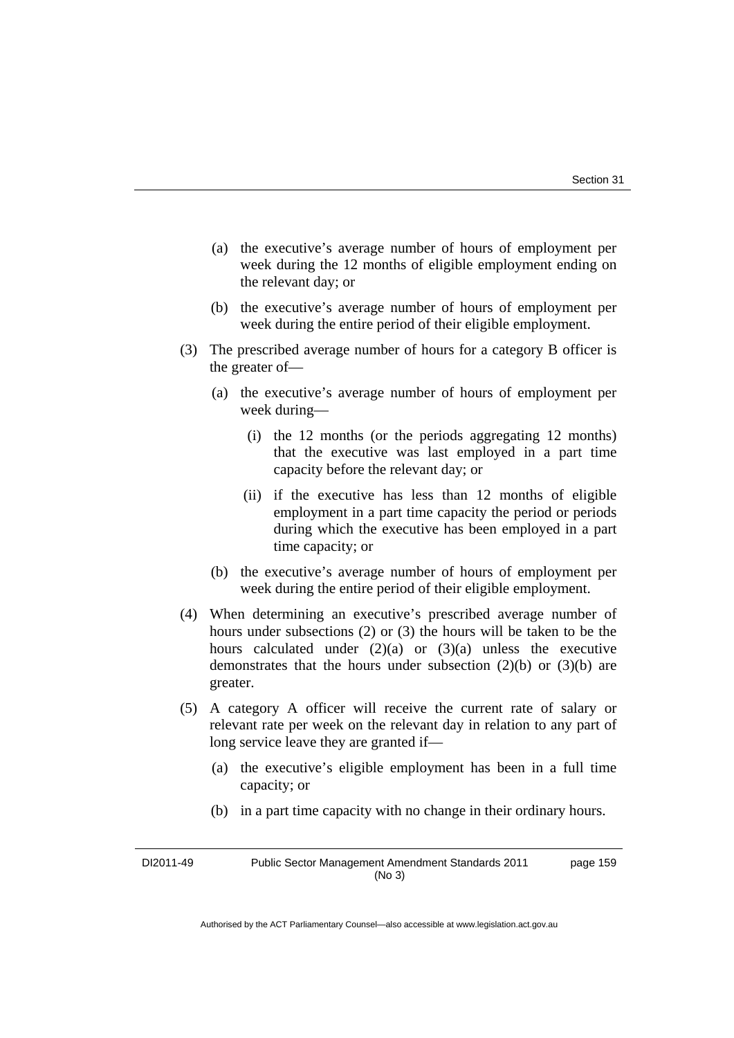- (a) the executive's average number of hours of employment per week during the 12 months of eligible employment ending on the relevant day; or
- (b) the executive's average number of hours of employment per week during the entire period of their eligible employment.
- (3) The prescribed average number of hours for a category B officer is the greater of—
	- (a) the executive's average number of hours of employment per week during—
		- (i) the 12 months (or the periods aggregating 12 months) that the executive was last employed in a part time capacity before the relevant day; or
		- (ii) if the executive has less than 12 months of eligible employment in a part time capacity the period or periods during which the executive has been employed in a part time capacity; or
	- (b) the executive's average number of hours of employment per week during the entire period of their eligible employment.
- (4) When determining an executive's prescribed average number of hours under subsections (2) or (3) the hours will be taken to be the hours calculated under  $(2)(a)$  or  $(3)(a)$  unless the executive demonstrates that the hours under subsection  $(2)(b)$  or  $(3)(b)$  are greater.
- (5) A category A officer will receive the current rate of salary or relevant rate per week on the relevant day in relation to any part of long service leave they are granted if—
	- (a) the executive's eligible employment has been in a full time capacity; or
	- (b) in a part time capacity with no change in their ordinary hours.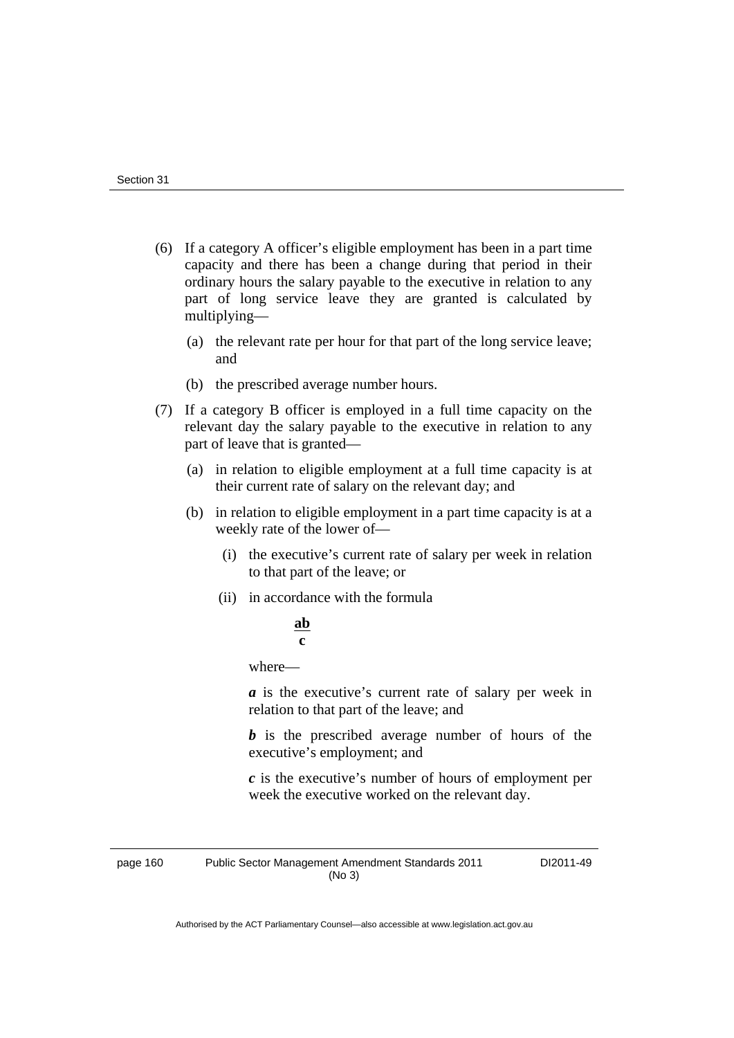- (6) If a category A officer's eligible employment has been in a part time capacity and there has been a change during that period in their ordinary hours the salary payable to the executive in relation to any part of long service leave they are granted is calculated by multiplying—
	- (a) the relevant rate per hour for that part of the long service leave; and
	- (b) the prescribed average number hours.
- (7) If a category B officer is employed in a full time capacity on the relevant day the salary payable to the executive in relation to any part of leave that is granted—
	- (a) in relation to eligible employment at a full time capacity is at their current rate of salary on the relevant day; and
	- (b) in relation to eligible employment in a part time capacity is at a weekly rate of the lower of—
		- (i) the executive's current rate of salary per week in relation to that part of the leave; or
		- (ii) in accordance with the formula

#### **ab c**

where—

 *a* is the executive's current rate of salary per week in relation to that part of the leave; and

*b* is the prescribed average number of hours of the executive's employment; and

 *c* is the executive's number of hours of employment per week the executive worked on the relevant day.

page 160 Public Sector Management Amendment Standards 2011 (No 3)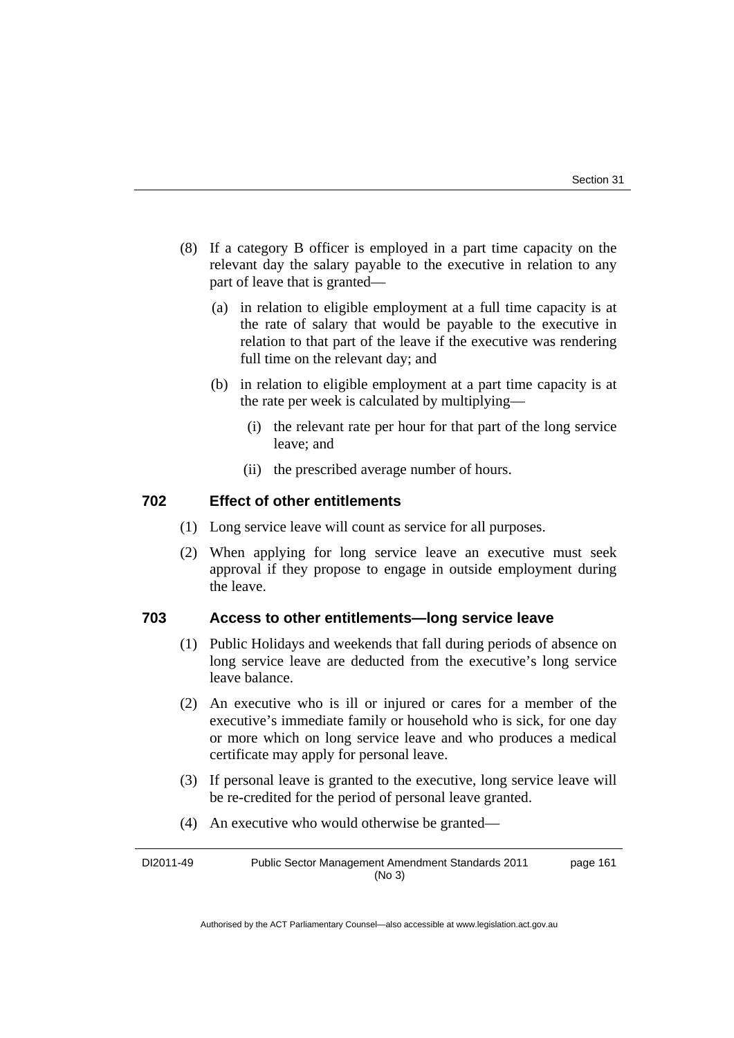- (8) If a category B officer is employed in a part time capacity on the relevant day the salary payable to the executive in relation to any part of leave that is granted—
	- (a) in relation to eligible employment at a full time capacity is at the rate of salary that would be payable to the executive in relation to that part of the leave if the executive was rendering full time on the relevant day; and
	- (b) in relation to eligible employment at a part time capacity is at the rate per week is calculated by multiplying—
		- (i) the relevant rate per hour for that part of the long service leave; and
		- (ii) the prescribed average number of hours.

# **702 Effect of other entitlements**

- (1) Long service leave will count as service for all purposes.
- (2) When applying for long service leave an executive must seek approval if they propose to engage in outside employment during the leave.

# **703 Access to other entitlements—long service leave**

- (1) Public Holidays and weekends that fall during periods of absence on long service leave are deducted from the executive's long service leave balance.
- (2) An executive who is ill or injured or cares for a member of the executive's immediate family or household who is sick, for one day or more which on long service leave and who produces a medical certificate may apply for personal leave.
- (3) If personal leave is granted to the executive, long service leave will be re-credited for the period of personal leave granted.
- (4) An executive who would otherwise be granted—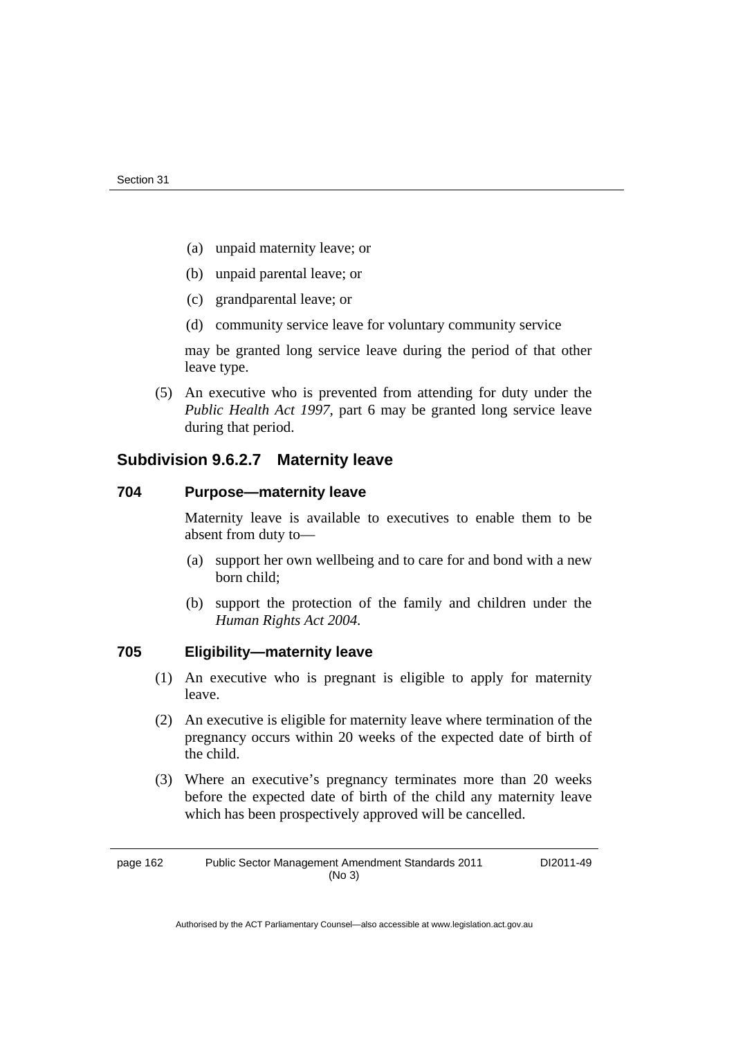- (a) unpaid maternity leave; or
- (b) unpaid parental leave; or
- (c) grandparental leave; or
- (d) community service leave for voluntary community service

may be granted long service leave during the period of that other leave type.

 (5) An executive who is prevented from attending for duty under the *Public Health Act 1997*, part 6 may be granted long service leave during that period.

# **Subdivision 9.6.2.7 Maternity leave**

#### **704 Purpose—maternity leave**

Maternity leave is available to executives to enable them to be absent from duty to—

- (a) support her own wellbeing and to care for and bond with a new born child;
- (b) support the protection of the family and children under the *Human Rights Act 2004.*

## **705 Eligibility—maternity leave**

- (1) An executive who is pregnant is eligible to apply for maternity leave.
- (2) An executive is eligible for maternity leave where termination of the pregnancy occurs within 20 weeks of the expected date of birth of the child.
- (3) Where an executive's pregnancy terminates more than 20 weeks before the expected date of birth of the child any maternity leave which has been prospectively approved will be cancelled.

page 162 Public Sector Management Amendment Standards 2011 (No 3) DI2011-49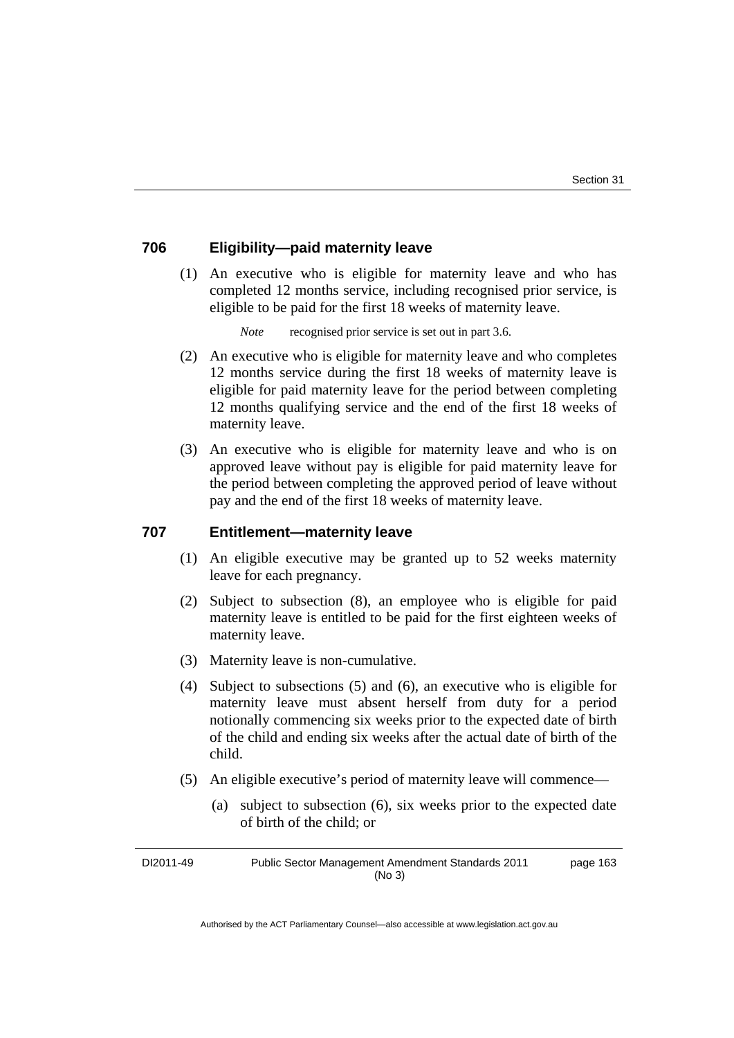# **706 Eligibility—paid maternity leave**

 (1) An executive who is eligible for maternity leave and who has completed 12 months service, including recognised prior service, is eligible to be paid for the first 18 weeks of maternity leave.

*Note* recognised prior service is set out in part 3.6.

- (2) An executive who is eligible for maternity leave and who completes 12 months service during the first 18 weeks of maternity leave is eligible for paid maternity leave for the period between completing 12 months qualifying service and the end of the first 18 weeks of maternity leave.
- (3) An executive who is eligible for maternity leave and who is on approved leave without pay is eligible for paid maternity leave for the period between completing the approved period of leave without pay and the end of the first 18 weeks of maternity leave.

## **707 Entitlement—maternity leave**

- (1) An eligible executive may be granted up to 52 weeks maternity leave for each pregnancy.
- (2) Subject to subsection (8), an employee who is eligible for paid maternity leave is entitled to be paid for the first eighteen weeks of maternity leave.
- (3) Maternity leave is non-cumulative.
- (4) Subject to subsections (5) and (6), an executive who is eligible for maternity leave must absent herself from duty for a period notionally commencing six weeks prior to the expected date of birth of the child and ending six weeks after the actual date of birth of the child.
- (5) An eligible executive's period of maternity leave will commence—
	- (a) subject to subsection (6), six weeks prior to the expected date of birth of the child; or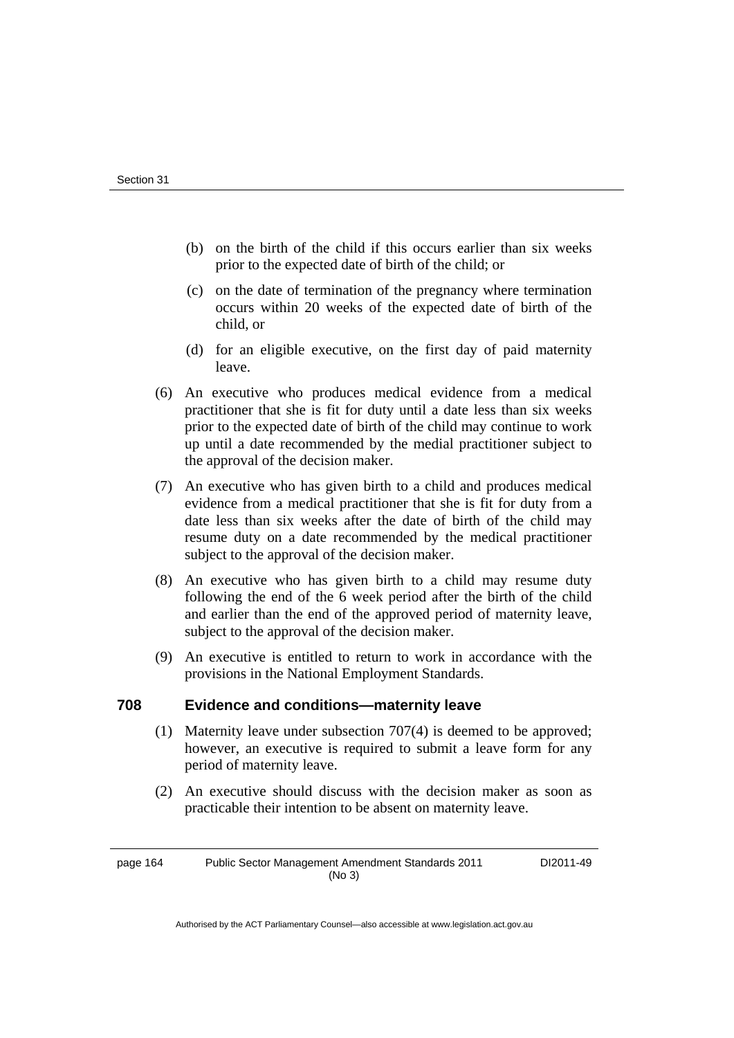- (b) on the birth of the child if this occurs earlier than six weeks prior to the expected date of birth of the child; or
- (c) on the date of termination of the pregnancy where termination occurs within 20 weeks of the expected date of birth of the child, or
- (d) for an eligible executive, on the first day of paid maternity leave.
- (6) An executive who produces medical evidence from a medical practitioner that she is fit for duty until a date less than six weeks prior to the expected date of birth of the child may continue to work up until a date recommended by the medial practitioner subject to the approval of the decision maker.
- (7) An executive who has given birth to a child and produces medical evidence from a medical practitioner that she is fit for duty from a date less than six weeks after the date of birth of the child may resume duty on a date recommended by the medical practitioner subject to the approval of the decision maker.
- (8) An executive who has given birth to a child may resume duty following the end of the 6 week period after the birth of the child and earlier than the end of the approved period of maternity leave, subject to the approval of the decision maker.
- (9) An executive is entitled to return to work in accordance with the provisions in the National Employment Standards.

# **708 Evidence and conditions—maternity leave**

- (1) Maternity leave under subsection 707(4) is deemed to be approved; however, an executive is required to submit a leave form for any period of maternity leave.
- (2) An executive should discuss with the decision maker as soon as practicable their intention to be absent on maternity leave.

page 164 Public Sector Management Amendment Standards 2011 (No 3)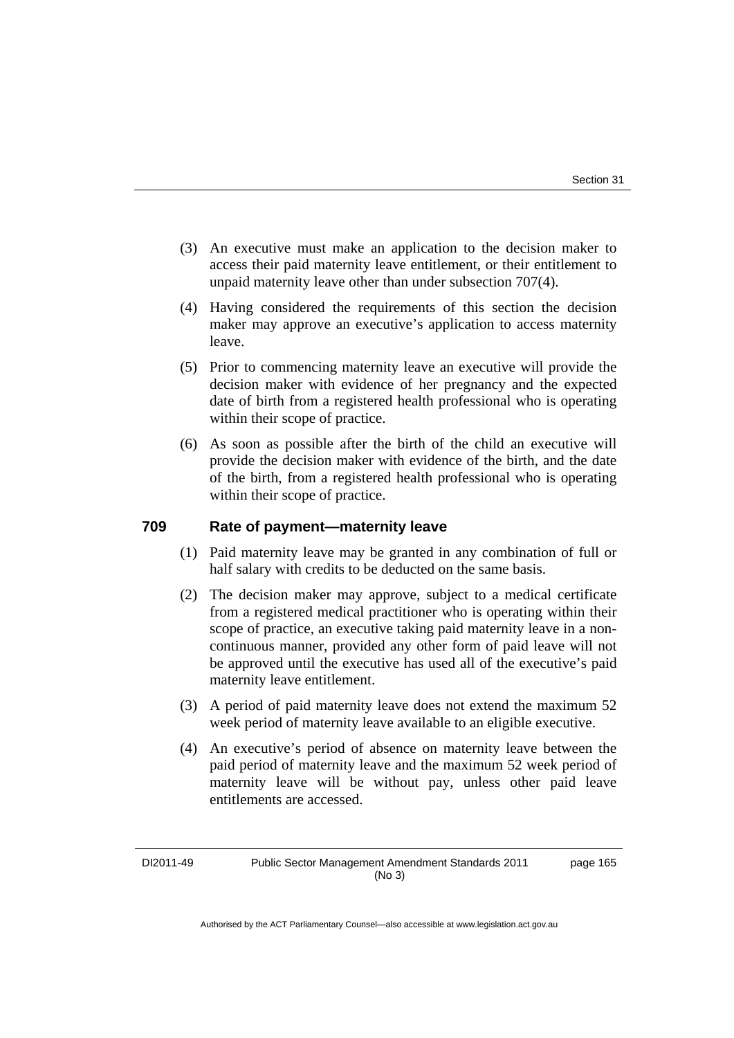- (3) An executive must make an application to the decision maker to access their paid maternity leave entitlement, or their entitlement to unpaid maternity leave other than under subsection 707(4).
- (4) Having considered the requirements of this section the decision maker may approve an executive's application to access maternity leave.
- (5) Prior to commencing maternity leave an executive will provide the decision maker with evidence of her pregnancy and the expected date of birth from a registered health professional who is operating within their scope of practice.
- (6) As soon as possible after the birth of the child an executive will provide the decision maker with evidence of the birth, and the date of the birth, from a registered health professional who is operating within their scope of practice.

# **709 Rate of payment—maternity leave**

- (1) Paid maternity leave may be granted in any combination of full or half salary with credits to be deducted on the same basis.
- (2) The decision maker may approve, subject to a medical certificate from a registered medical practitioner who is operating within their scope of practice, an executive taking paid maternity leave in a noncontinuous manner, provided any other form of paid leave will not be approved until the executive has used all of the executive's paid maternity leave entitlement.
- (3) A period of paid maternity leave does not extend the maximum 52 week period of maternity leave available to an eligible executive.
- (4) An executive's period of absence on maternity leave between the paid period of maternity leave and the maximum 52 week period of maternity leave will be without pay, unless other paid leave entitlements are accessed.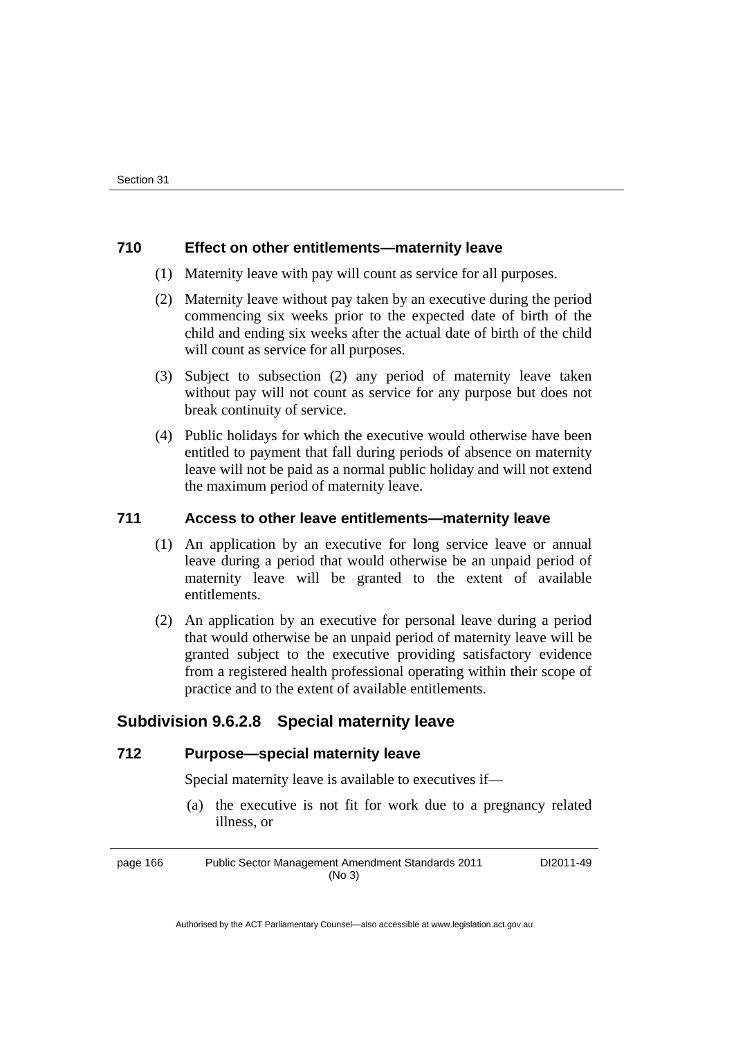# **710 Effect on other entitlements—maternity leave**

- (1) Maternity leave with pay will count as service for all purposes.
- (2) Maternity leave without pay taken by an executive during the period commencing six weeks prior to the expected date of birth of the child and ending six weeks after the actual date of birth of the child will count as service for all purposes.
- (3) Subject to subsection (2) any period of maternity leave taken without pay will not count as service for any purpose but does not break continuity of service.
- (4) Public holidays for which the executive would otherwise have been entitled to payment that fall during periods of absence on maternity leave will not be paid as a normal public holiday and will not extend the maximum period of maternity leave.

# **711 Access to other leave entitlements—maternity leave**

- (1) An application by an executive for long service leave or annual leave during a period that would otherwise be an unpaid period of maternity leave will be granted to the extent of available entitlements.
- (2) An application by an executive for personal leave during a period that would otherwise be an unpaid period of maternity leave will be granted subject to the executive providing satisfactory evidence from a registered health professional operating within their scope of practice and to the extent of available entitlements.

# **Subdivision 9.6.2.8 Special maternity leave**

# **712 Purpose—special maternity leave**

Special maternity leave is available to executives if—

 (a) the executive is not fit for work due to a pregnancy related illness, or

page 166 Public Sector Management Amendment Standards 2011 (No 3) DI2011-49

Authorised by the ACT Parliamentary Counsel—also accessible at www.legislation.act.gov.au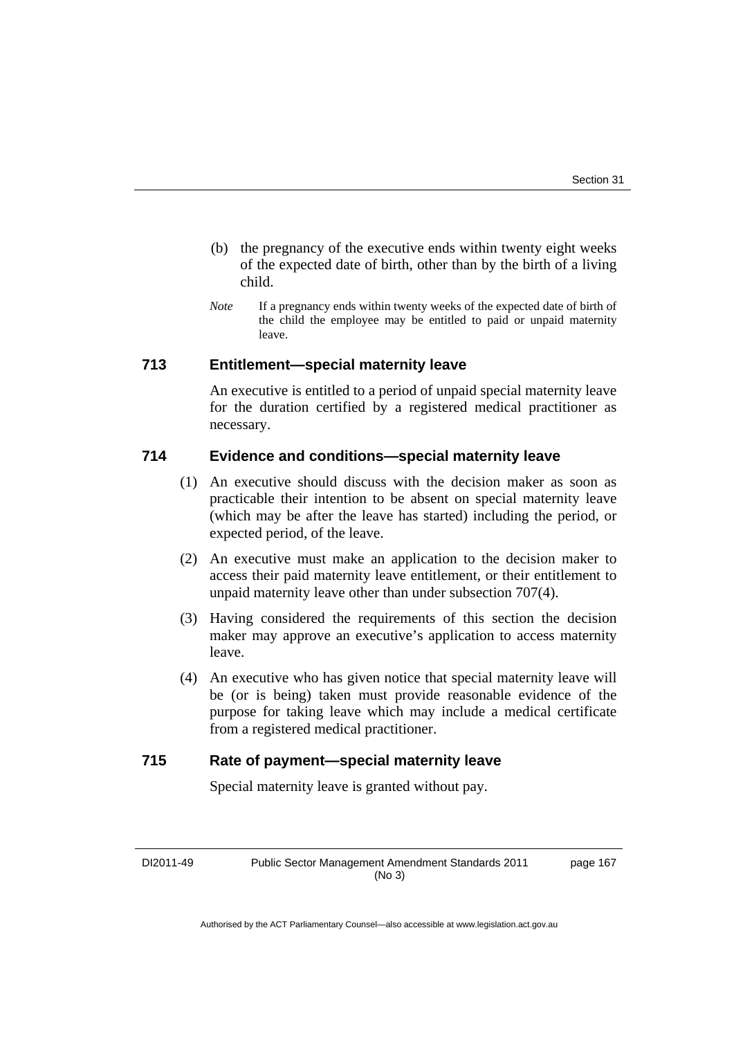- (b) the pregnancy of the executive ends within twenty eight weeks of the expected date of birth, other than by the birth of a living child.
- *Note* If a pregnancy ends within twenty weeks of the expected date of birth of the child the employee may be entitled to paid or unpaid maternity leave.

# **713 Entitlement—special maternity leave**

An executive is entitled to a period of unpaid special maternity leave for the duration certified by a registered medical practitioner as necessary.

# **714 Evidence and conditions—special maternity leave**

- (1) An executive should discuss with the decision maker as soon as practicable their intention to be absent on special maternity leave (which may be after the leave has started) including the period, or expected period, of the leave.
- (2) An executive must make an application to the decision maker to access their paid maternity leave entitlement, or their entitlement to unpaid maternity leave other than under subsection 707(4).
- (3) Having considered the requirements of this section the decision maker may approve an executive's application to access maternity leave.
- (4) An executive who has given notice that special maternity leave will be (or is being) taken must provide reasonable evidence of the purpose for taking leave which may include a medical certificate from a registered medical practitioner.

# **715 Rate of payment—special maternity leave**

Special maternity leave is granted without pay.

DI2011-49 Public Sector Management Amendment Standards 2011 (No 3)

page 167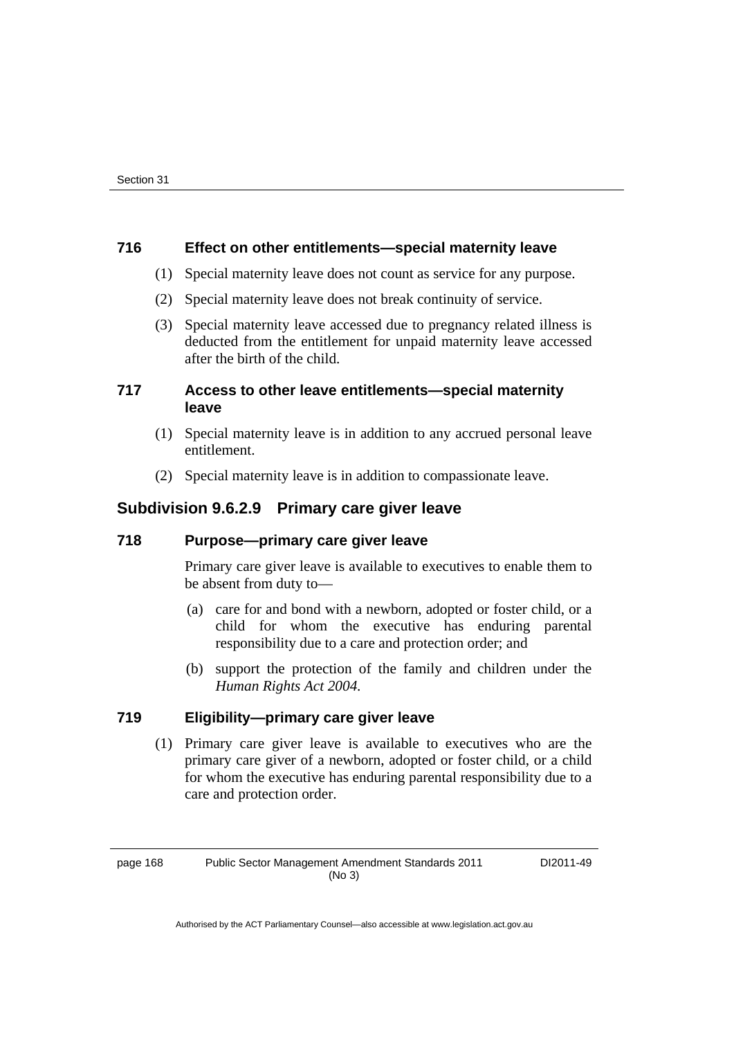# **716 Effect on other entitlements—special maternity leave**

- (1) Special maternity leave does not count as service for any purpose.
- (2) Special maternity leave does not break continuity of service.
- (3) Special maternity leave accessed due to pregnancy related illness is deducted from the entitlement for unpaid maternity leave accessed after the birth of the child.

# **717 Access to other leave entitlements—special maternity leave**

- (1) Special maternity leave is in addition to any accrued personal leave entitlement.
- (2) Special maternity leave is in addition to compassionate leave.

# **Subdivision 9.6.2.9 Primary care giver leave**

# **718 Purpose—primary care giver leave**

Primary care giver leave is available to executives to enable them to be absent from duty to—

- (a) care for and bond with a newborn, adopted or foster child, or a child for whom the executive has enduring parental responsibility due to a care and protection order; and
- (b) support the protection of the family and children under the *Human Rights Act 2004.*

# **719 Eligibility—primary care giver leave**

 (1) Primary care giver leave is available to executives who are the primary care giver of a newborn, adopted or foster child, or a child for whom the executive has enduring parental responsibility due to a care and protection order.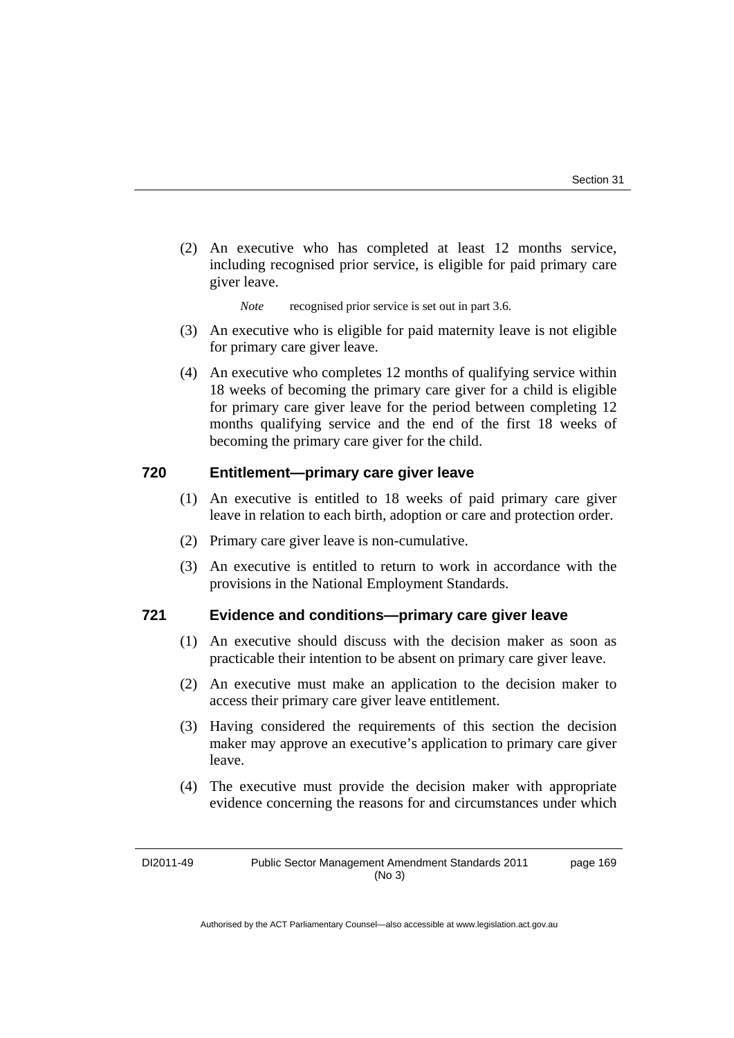(2) An executive who has completed at least 12 months service, including recognised prior service, is eligible for paid primary care giver leave.

*Note* recognised prior service is set out in part 3.6.

- (3) An executive who is eligible for paid maternity leave is not eligible for primary care giver leave.
- (4) An executive who completes 12 months of qualifying service within 18 weeks of becoming the primary care giver for a child is eligible for primary care giver leave for the period between completing 12 months qualifying service and the end of the first 18 weeks of becoming the primary care giver for the child.

# **720 Entitlement—primary care giver leave**

- (1) An executive is entitled to 18 weeks of paid primary care giver leave in relation to each birth, adoption or care and protection order.
- (2) Primary care giver leave is non-cumulative.
- (3) An executive is entitled to return to work in accordance with the provisions in the National Employment Standards.

# **721 Evidence and conditions—primary care giver leave**

- (1) An executive should discuss with the decision maker as soon as practicable their intention to be absent on primary care giver leave.
- (2) An executive must make an application to the decision maker to access their primary care giver leave entitlement.
- (3) Having considered the requirements of this section the decision maker may approve an executive's application to primary care giver leave.
- (4) The executive must provide the decision maker with appropriate evidence concerning the reasons for and circumstances under which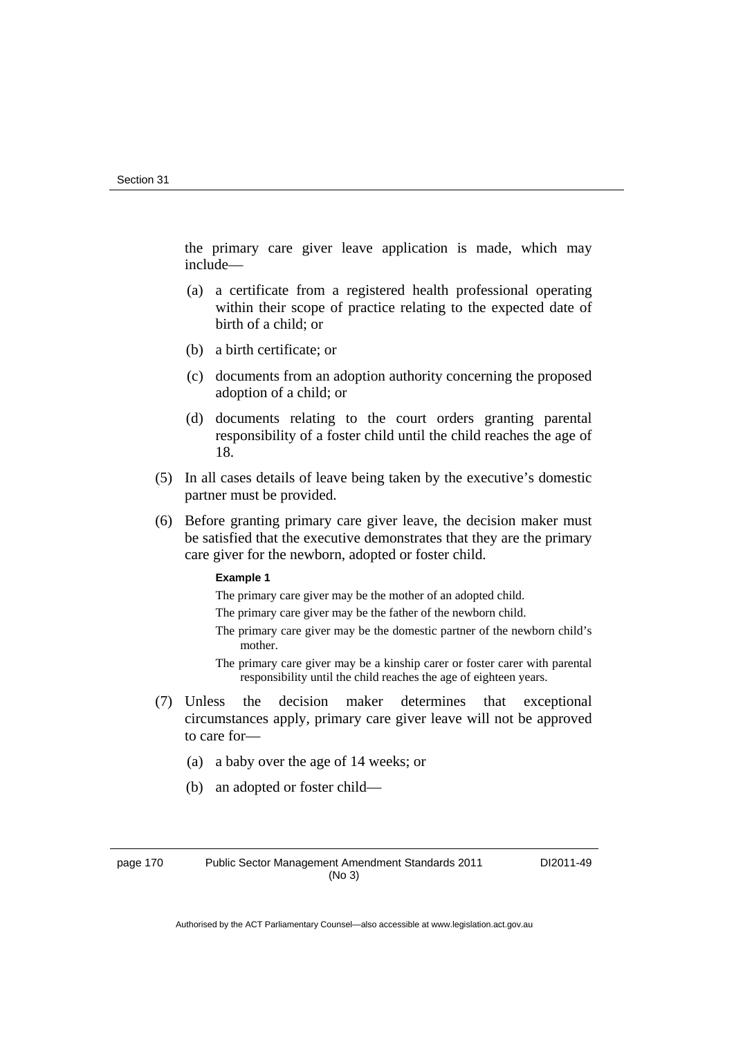the primary care giver leave application is made, which may include—

- (a) a certificate from a registered health professional operating within their scope of practice relating to the expected date of birth of a child; or
- (b) a birth certificate; or
- (c) documents from an adoption authority concerning the proposed adoption of a child; or
- (d) documents relating to the court orders granting parental responsibility of a foster child until the child reaches the age of 18.
- (5) In all cases details of leave being taken by the executive's domestic partner must be provided.
- (6) Before granting primary care giver leave, the decision maker must be satisfied that the executive demonstrates that they are the primary care giver for the newborn, adopted or foster child.

#### **Example 1**

The primary care giver may be the mother of an adopted child.

- The primary care giver may be the father of the newborn child.
- The primary care giver may be the domestic partner of the newborn child's mother.
- The primary care giver may be a kinship carer or foster carer with parental responsibility until the child reaches the age of eighteen years.
- (7) Unless the decision maker determines that exceptional circumstances apply, primary care giver leave will not be approved to care for—
	- (a) a baby over the age of 14 weeks; or
	- (b) an adopted or foster child—

page 170 Public Sector Management Amendment Standards 2011 (No 3)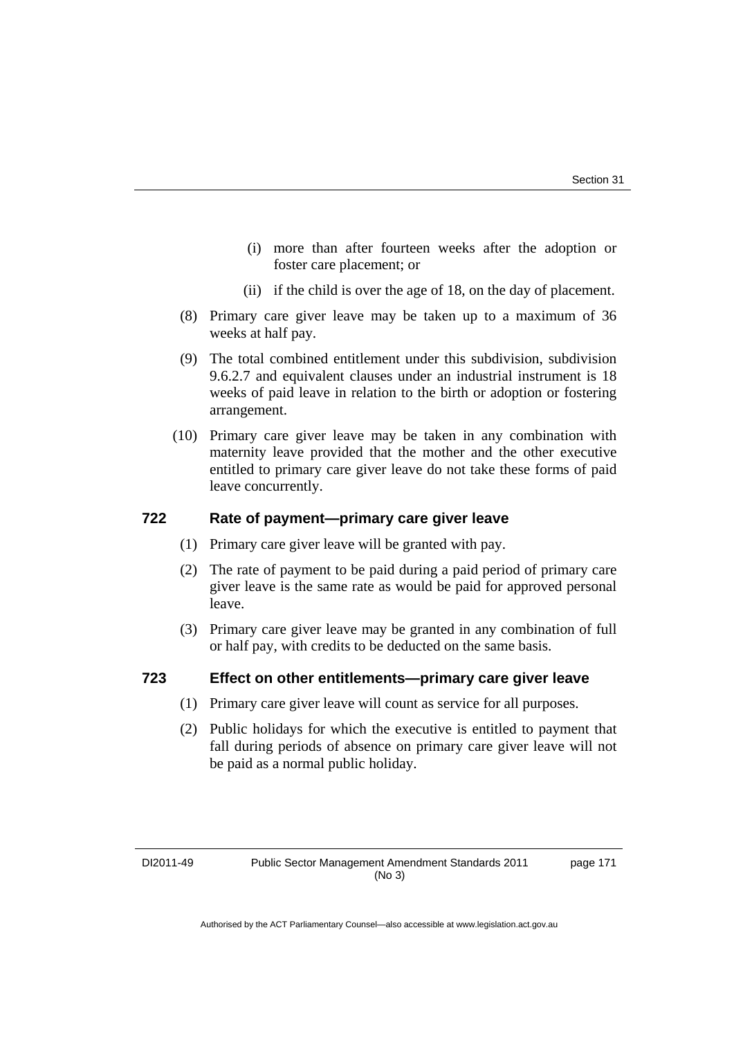- (i) more than after fourteen weeks after the adoption or foster care placement; or
- (ii) if the child is over the age of 18, on the day of placement.
- (8) Primary care giver leave may be taken up to a maximum of 36 weeks at half pay.
- (9) The total combined entitlement under this subdivision, subdivision 9.6.2.7 and equivalent clauses under an industrial instrument is 18 weeks of paid leave in relation to the birth or adoption or fostering arrangement.
- (10) Primary care giver leave may be taken in any combination with maternity leave provided that the mother and the other executive entitled to primary care giver leave do not take these forms of paid leave concurrently.

# **722 Rate of payment—primary care giver leave**

- (1) Primary care giver leave will be granted with pay.
- (2) The rate of payment to be paid during a paid period of primary care giver leave is the same rate as would be paid for approved personal leave.
- (3) Primary care giver leave may be granted in any combination of full or half pay, with credits to be deducted on the same basis.

# **723 Effect on other entitlements—primary care giver leave**

- (1) Primary care giver leave will count as service for all purposes.
- (2) Public holidays for which the executive is entitled to payment that fall during periods of absence on primary care giver leave will not be paid as a normal public holiday.

page 171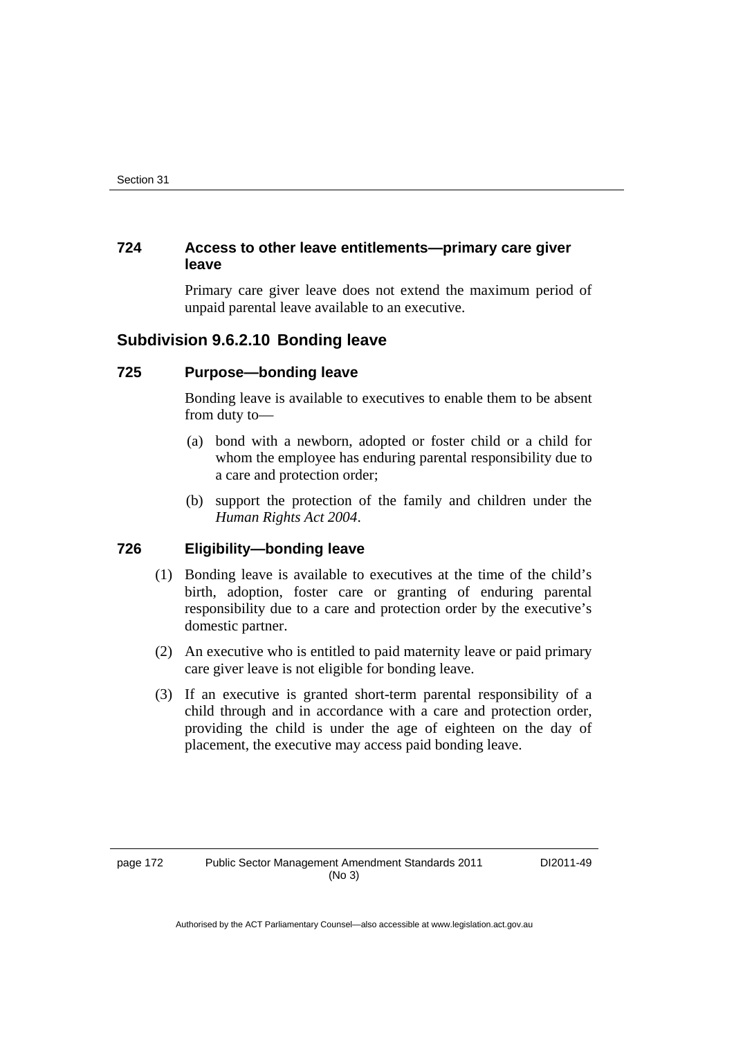# **724 Access to other leave entitlements—primary care giver leave**

Primary care giver leave does not extend the maximum period of unpaid parental leave available to an executive.

# **Subdivision 9.6.2.10 Bonding leave**

# **725 Purpose—bonding leave**

Bonding leave is available to executives to enable them to be absent from duty to—

- (a) bond with a newborn, adopted or foster child or a child for whom the employee has enduring parental responsibility due to a care and protection order;
- (b) support the protection of the family and children under the *Human Rights Act 2004*.

# **726 Eligibility—bonding leave**

- (1) Bonding leave is available to executives at the time of the child's birth, adoption, foster care or granting of enduring parental responsibility due to a care and protection order by the executive's domestic partner.
- (2) An executive who is entitled to paid maternity leave or paid primary care giver leave is not eligible for bonding leave.
- (3) If an executive is granted short-term parental responsibility of a child through and in accordance with a care and protection order, providing the child is under the age of eighteen on the day of placement, the executive may access paid bonding leave.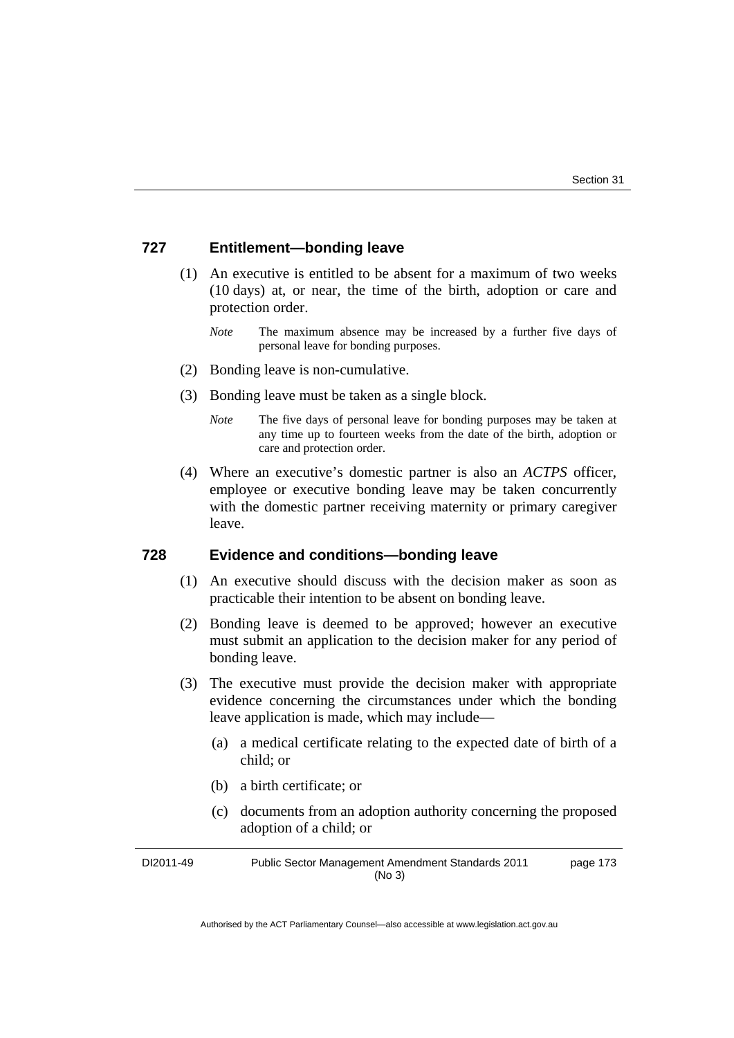# **727 Entitlement—bonding leave**

- (1) An executive is entitled to be absent for a maximum of two weeks (10 days) at, or near, the time of the birth, adoption or care and protection order.
	- *Note* The maximum absence may be increased by a further five days of personal leave for bonding purposes.
- (2) Bonding leave is non-cumulative.
- (3) Bonding leave must be taken as a single block.
	- *Note* The five days of personal leave for bonding purposes may be taken at any time up to fourteen weeks from the date of the birth, adoption or care and protection order.
- (4) Where an executive's domestic partner is also an *ACTPS* officer, employee or executive bonding leave may be taken concurrently with the domestic partner receiving maternity or primary caregiver leave.

# **728 Evidence and conditions—bonding leave**

- (1) An executive should discuss with the decision maker as soon as practicable their intention to be absent on bonding leave.
- (2) Bonding leave is deemed to be approved; however an executive must submit an application to the decision maker for any period of bonding leave.
- (3) The executive must provide the decision maker with appropriate evidence concerning the circumstances under which the bonding leave application is made, which may include—
	- (a) a medical certificate relating to the expected date of birth of a child; or
	- (b) a birth certificate; or
	- (c) documents from an adoption authority concerning the proposed adoption of a child; or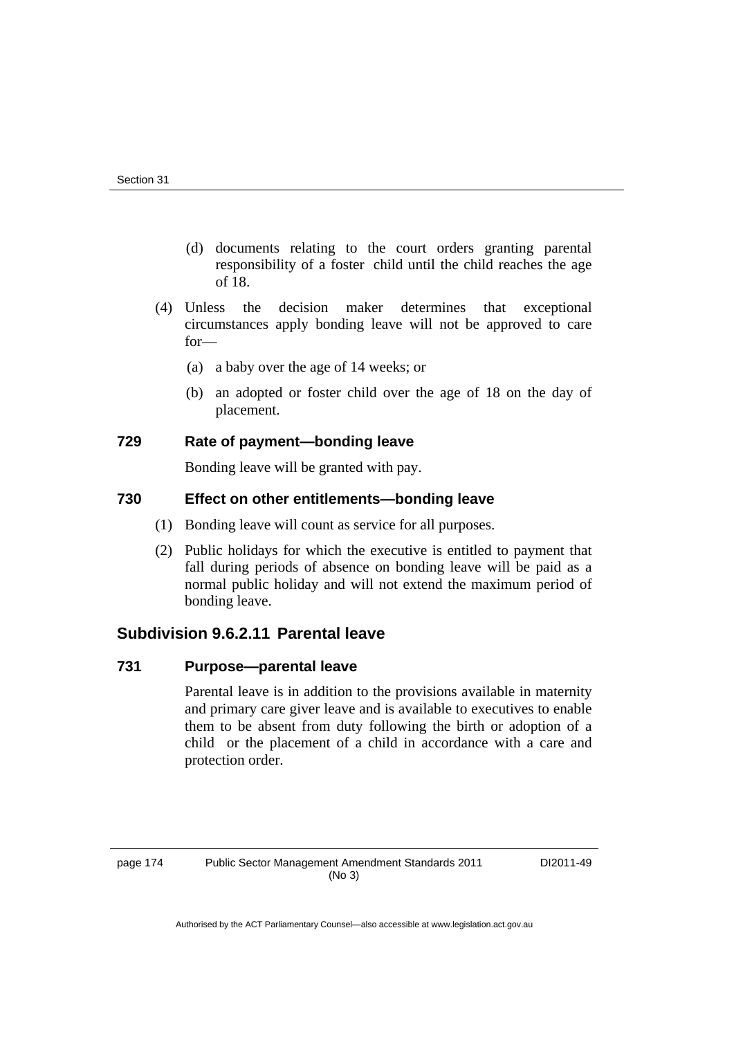- (d) documents relating to the court orders granting parental responsibility of a foster child until the child reaches the age of 18.
- (4) Unless the decision maker determines that exceptional circumstances apply bonding leave will not be approved to care for—
	- (a) a baby over the age of 14 weeks; or
	- (b) an adopted or foster child over the age of 18 on the day of placement.

# **729 Rate of payment—bonding leave**

Bonding leave will be granted with pay.

# **730 Effect on other entitlements—bonding leave**

- (1) Bonding leave will count as service for all purposes.
- (2) Public holidays for which the executive is entitled to payment that fall during periods of absence on bonding leave will be paid as a normal public holiday and will not extend the maximum period of bonding leave.

# **Subdivision 9.6.2.11 Parental leave**

# **731 Purpose—parental leave**

Parental leave is in addition to the provisions available in maternity and primary care giver leave and is available to executives to enable them to be absent from duty following the birth or adoption of a child or the placement of a child in accordance with a care and protection order.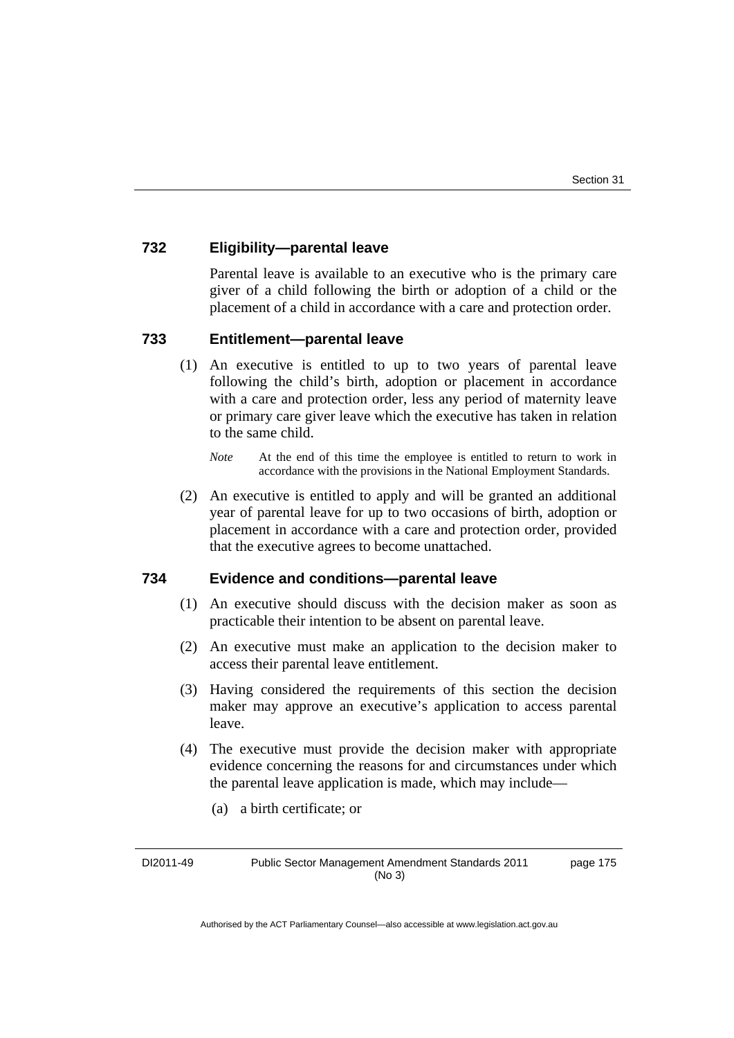### **732 Eligibility—parental leave**

Parental leave is available to an executive who is the primary care giver of a child following the birth or adoption of a child or the placement of a child in accordance with a care and protection order.

### **733 Entitlement—parental leave**

- (1) An executive is entitled to up to two years of parental leave following the child's birth, adoption or placement in accordance with a care and protection order, less any period of maternity leave or primary care giver leave which the executive has taken in relation to the same child.
	- *Note* At the end of this time the employee is entitled to return to work in accordance with the provisions in the National Employment Standards.
- (2) An executive is entitled to apply and will be granted an additional year of parental leave for up to two occasions of birth, adoption or placement in accordance with a care and protection order, provided that the executive agrees to become unattached.

#### **734 Evidence and conditions—parental leave**

- (1) An executive should discuss with the decision maker as soon as practicable their intention to be absent on parental leave.
- (2) An executive must make an application to the decision maker to access their parental leave entitlement.
- (3) Having considered the requirements of this section the decision maker may approve an executive's application to access parental leave.
- (4) The executive must provide the decision maker with appropriate evidence concerning the reasons for and circumstances under which the parental leave application is made, which may include—
	- (a) a birth certificate; or

DI2011-49 Public Sector Management Amendment Standards 2011 (No 3) page 175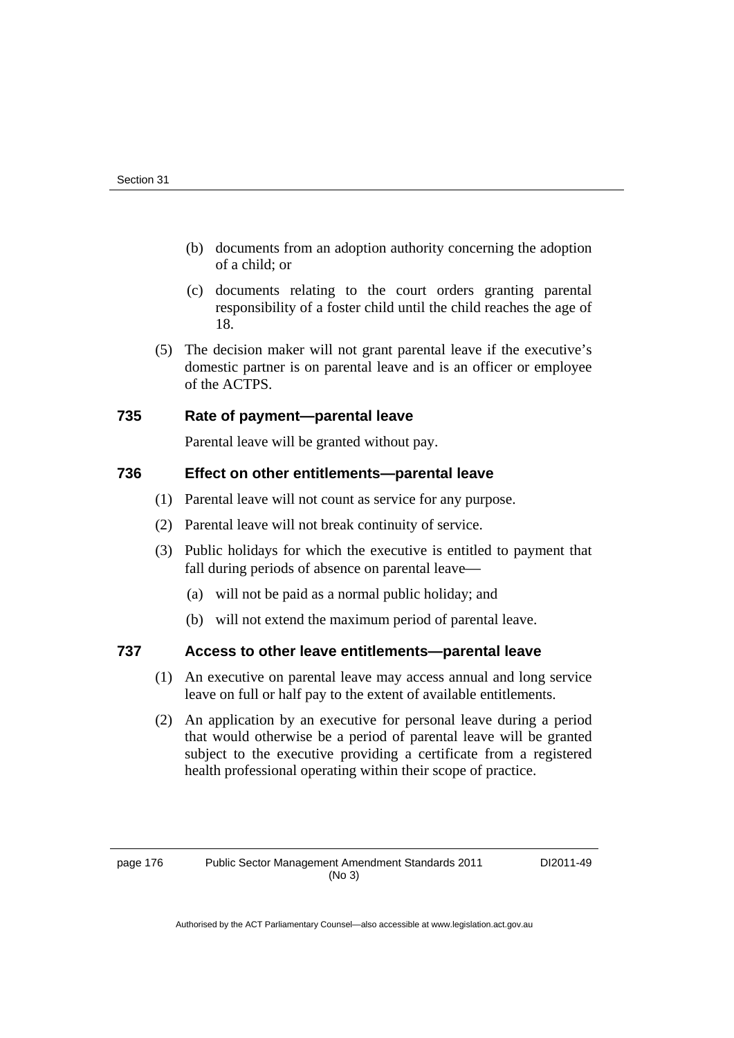- (b) documents from an adoption authority concerning the adoption of a child; or
- (c) documents relating to the court orders granting parental responsibility of a foster child until the child reaches the age of 18.
- (5) The decision maker will not grant parental leave if the executive's domestic partner is on parental leave and is an officer or employee of the ACTPS.

## **735 Rate of payment—parental leave**

Parental leave will be granted without pay.

## **736 Effect on other entitlements—parental leave**

- (1) Parental leave will not count as service for any purpose.
- (2) Parental leave will not break continuity of service.
- (3) Public holidays for which the executive is entitled to payment that fall during periods of absence on parental leave—
	- (a) will not be paid as a normal public holiday; and
	- (b) will not extend the maximum period of parental leave.

# **737 Access to other leave entitlements—parental leave**

- (1) An executive on parental leave may access annual and long service leave on full or half pay to the extent of available entitlements.
- (2) An application by an executive for personal leave during a period that would otherwise be a period of parental leave will be granted subject to the executive providing a certificate from a registered health professional operating within their scope of practice.

DI2011-49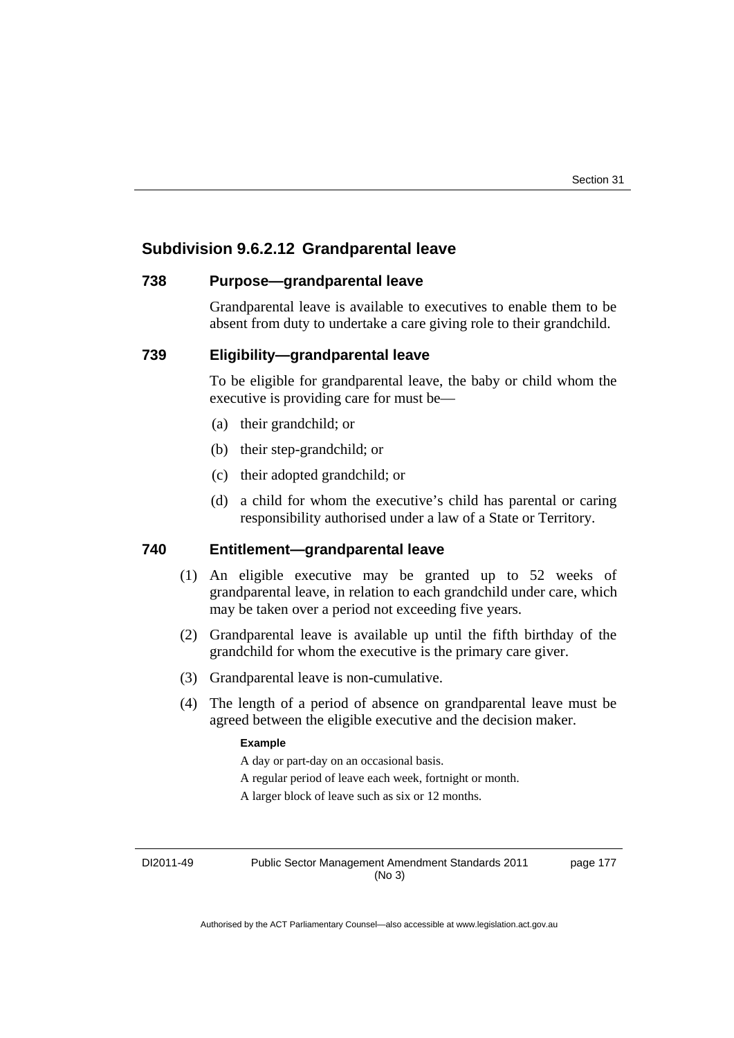# **Subdivision 9.6.2.12 Grandparental leave**

#### **738 Purpose—grandparental leave**

Grandparental leave is available to executives to enable them to be absent from duty to undertake a care giving role to their grandchild.

### **739 Eligibility—grandparental leave**

To be eligible for grandparental leave, the baby or child whom the executive is providing care for must be—

- (a) their grandchild; or
- (b) their step-grandchild; or
- (c) their adopted grandchild; or
- (d) a child for whom the executive's child has parental or caring responsibility authorised under a law of a State or Territory.

## **740 Entitlement—grandparental leave**

- (1) An eligible executive may be granted up to 52 weeks of grandparental leave, in relation to each grandchild under care, which may be taken over a period not exceeding five years.
- (2) Grandparental leave is available up until the fifth birthday of the grandchild for whom the executive is the primary care giver.
- (3) Grandparental leave is non-cumulative.
- (4) The length of a period of absence on grandparental leave must be agreed between the eligible executive and the decision maker.

#### **Example**

A day or part-day on an occasional basis.

A regular period of leave each week, fortnight or month.

A larger block of leave such as six or 12 months.

DI2011-49 Public Sector Management Amendment Standards 2011 (No 3)

page 177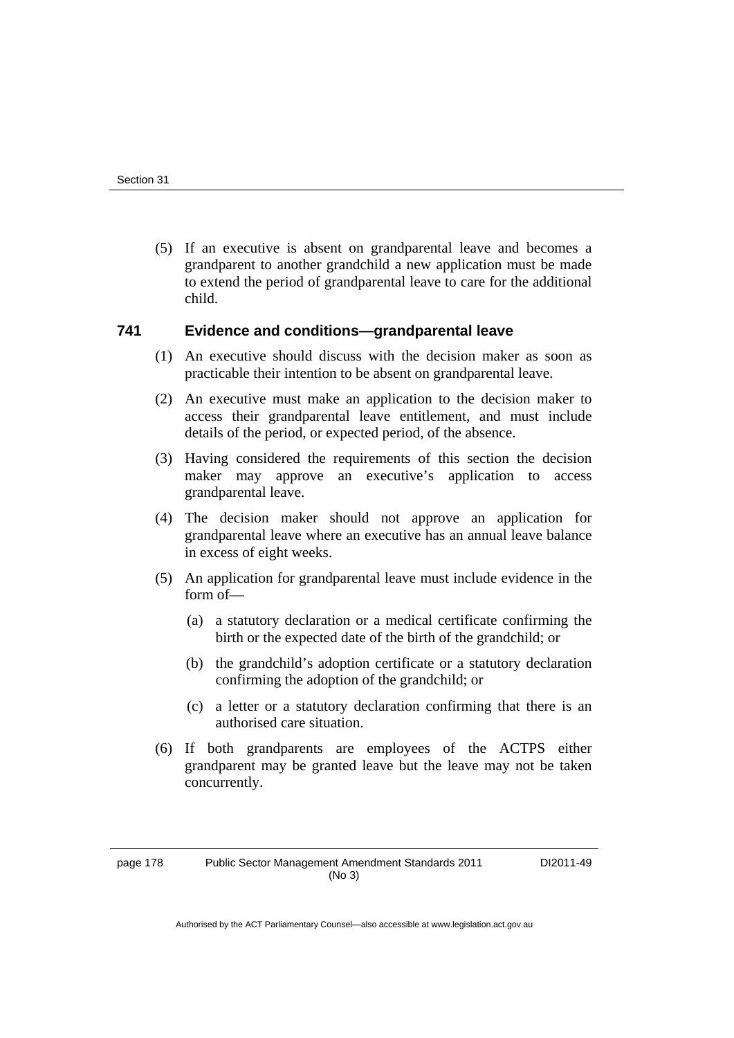(5) If an executive is absent on grandparental leave and becomes a grandparent to another grandchild a new application must be made to extend the period of grandparental leave to care for the additional child.

#### **741 Evidence and conditions—grandparental leave**

- (1) An executive should discuss with the decision maker as soon as practicable their intention to be absent on grandparental leave.
- (2) An executive must make an application to the decision maker to access their grandparental leave entitlement, and must include details of the period, or expected period, of the absence.
- (3) Having considered the requirements of this section the decision maker may approve an executive's application to access grandparental leave.
- (4) The decision maker should not approve an application for grandparental leave where an executive has an annual leave balance in excess of eight weeks.
- (5) An application for grandparental leave must include evidence in the form of—
	- (a) a statutory declaration or a medical certificate confirming the birth or the expected date of the birth of the grandchild; or
	- (b) the grandchild's adoption certificate or a statutory declaration confirming the adoption of the grandchild; or
	- (c) a letter or a statutory declaration confirming that there is an authorised care situation.
- (6) If both grandparents are employees of the ACTPS either grandparent may be granted leave but the leave may not be taken concurrently.

DI2011-49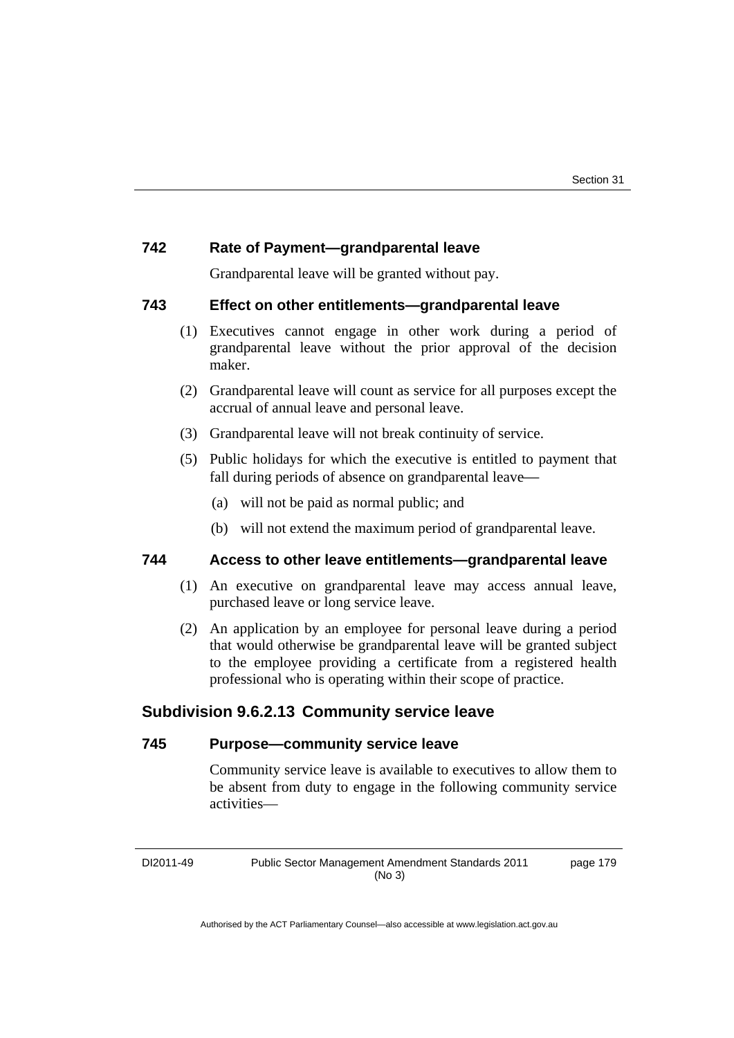### **742 Rate of Payment—grandparental leave**

Grandparental leave will be granted without pay.

#### **743 Effect on other entitlements—grandparental leave**

- (1) Executives cannot engage in other work during a period of grandparental leave without the prior approval of the decision maker.
- (2) Grandparental leave will count as service for all purposes except the accrual of annual leave and personal leave.
- (3) Grandparental leave will not break continuity of service.
- (5) Public holidays for which the executive is entitled to payment that fall during periods of absence on grandparental leave—
	- (a) will not be paid as normal public; and
	- (b) will not extend the maximum period of grandparental leave.

## **744 Access to other leave entitlements—grandparental leave**

- (1) An executive on grandparental leave may access annual leave, purchased leave or long service leave.
- (2) An application by an employee for personal leave during a period that would otherwise be grandparental leave will be granted subject to the employee providing a certificate from a registered health professional who is operating within their scope of practice.

# **Subdivision 9.6.2.13 Community service leave**

#### **745 Purpose—community service leave**

Community service leave is available to executives to allow them to be absent from duty to engage in the following community service activities—

DI2011-49 Public Sector Management Amendment Standards 2011 (No 3) page 179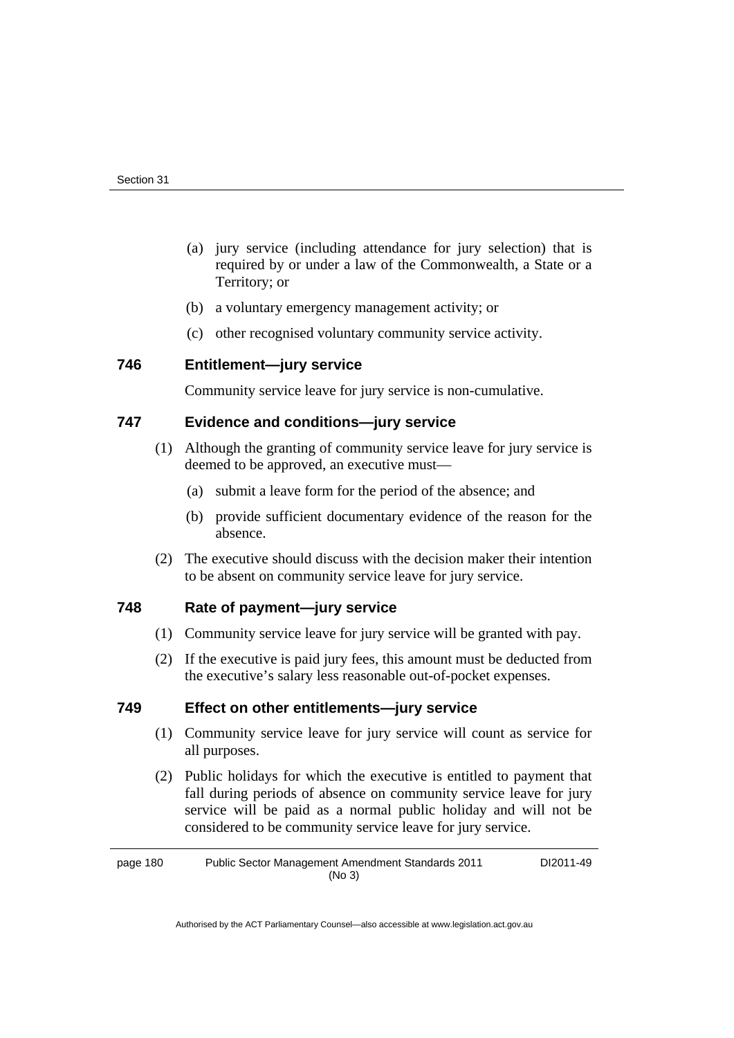- (a) jury service (including attendance for jury selection) that is required by or under a law of the Commonwealth, a State or a Territory; or
- (b) a voluntary emergency management activity; or
- (c) other recognised voluntary community service activity.

## **746 Entitlement—jury service**

Community service leave for jury service is non-cumulative.

## **747 Evidence and conditions—jury service**

- (1) Although the granting of community service leave for jury service is deemed to be approved, an executive must—
	- (a) submit a leave form for the period of the absence; and
	- (b) provide sufficient documentary evidence of the reason for the absence.
- (2) The executive should discuss with the decision maker their intention to be absent on community service leave for jury service.

## **748 Rate of payment—jury service**

- (1) Community service leave for jury service will be granted with pay.
- (2) If the executive is paid jury fees, this amount must be deducted from the executive's salary less reasonable out-of-pocket expenses.

## **749 Effect on other entitlements—jury service**

- (1) Community service leave for jury service will count as service for all purposes.
- (2) Public holidays for which the executive is entitled to payment that fall during periods of absence on community service leave for jury service will be paid as a normal public holiday and will not be considered to be community service leave for jury service.

page 180 Public Sector Management Amendment Standards 2011 (No 3) DI2011-49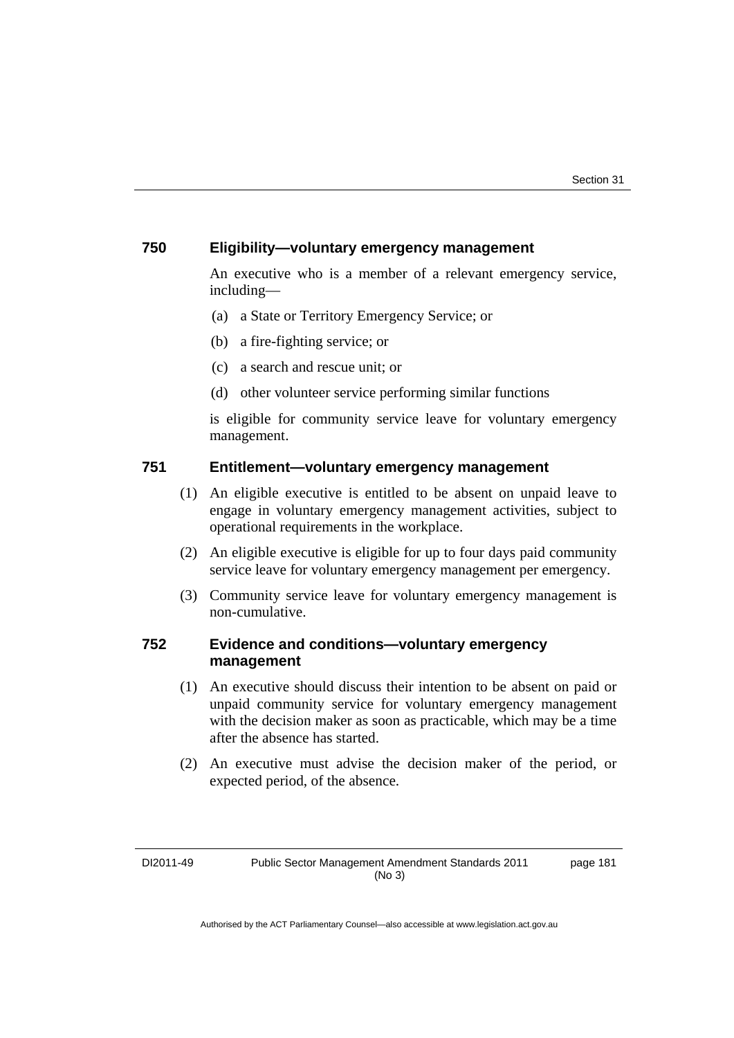## **750 Eligibility—voluntary emergency management**

An executive who is a member of a relevant emergency service, including—

- (a) a State or Territory Emergency Service; or
- (b) a fire-fighting service; or
- (c) a search and rescue unit; or
- (d) other volunteer service performing similar functions

is eligible for community service leave for voluntary emergency management.

## **751 Entitlement—voluntary emergency management**

- (1) An eligible executive is entitled to be absent on unpaid leave to engage in voluntary emergency management activities, subject to operational requirements in the workplace.
- (2) An eligible executive is eligible for up to four days paid community service leave for voluntary emergency management per emergency.
- (3) Community service leave for voluntary emergency management is non-cumulative.

## **752 Evidence and conditions—voluntary emergency management**

- (1) An executive should discuss their intention to be absent on paid or unpaid community service for voluntary emergency management with the decision maker as soon as practicable, which may be a time after the absence has started.
- (2) An executive must advise the decision maker of the period, or expected period, of the absence.

page 181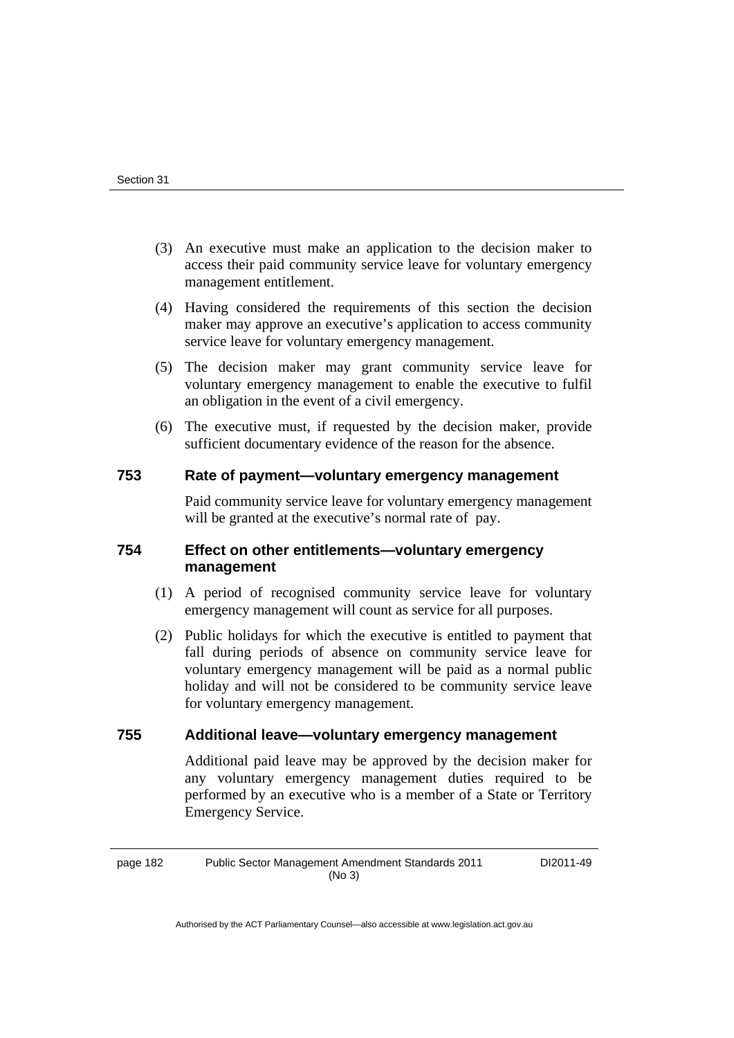- (3) An executive must make an application to the decision maker to access their paid community service leave for voluntary emergency management entitlement.
- (4) Having considered the requirements of this section the decision maker may approve an executive's application to access community service leave for voluntary emergency management.
- (5) The decision maker may grant community service leave for voluntary emergency management to enable the executive to fulfil an obligation in the event of a civil emergency.
- (6) The executive must, if requested by the decision maker, provide sufficient documentary evidence of the reason for the absence.

## **753 Rate of payment—voluntary emergency management**

Paid community service leave for voluntary emergency management will be granted at the executive's normal rate of pay.

# **754 Effect on other entitlements—voluntary emergency management**

- (1) A period of recognised community service leave for voluntary emergency management will count as service for all purposes.
- (2) Public holidays for which the executive is entitled to payment that fall during periods of absence on community service leave for voluntary emergency management will be paid as a normal public holiday and will not be considered to be community service leave for voluntary emergency management.

## **755 Additional leave—voluntary emergency management**

Additional paid leave may be approved by the decision maker for any voluntary emergency management duties required to be performed by an executive who is a member of a State or Territory Emergency Service.

page 182 Public Sector Management Amendment Standards 2011 (No 3)

DI2011-49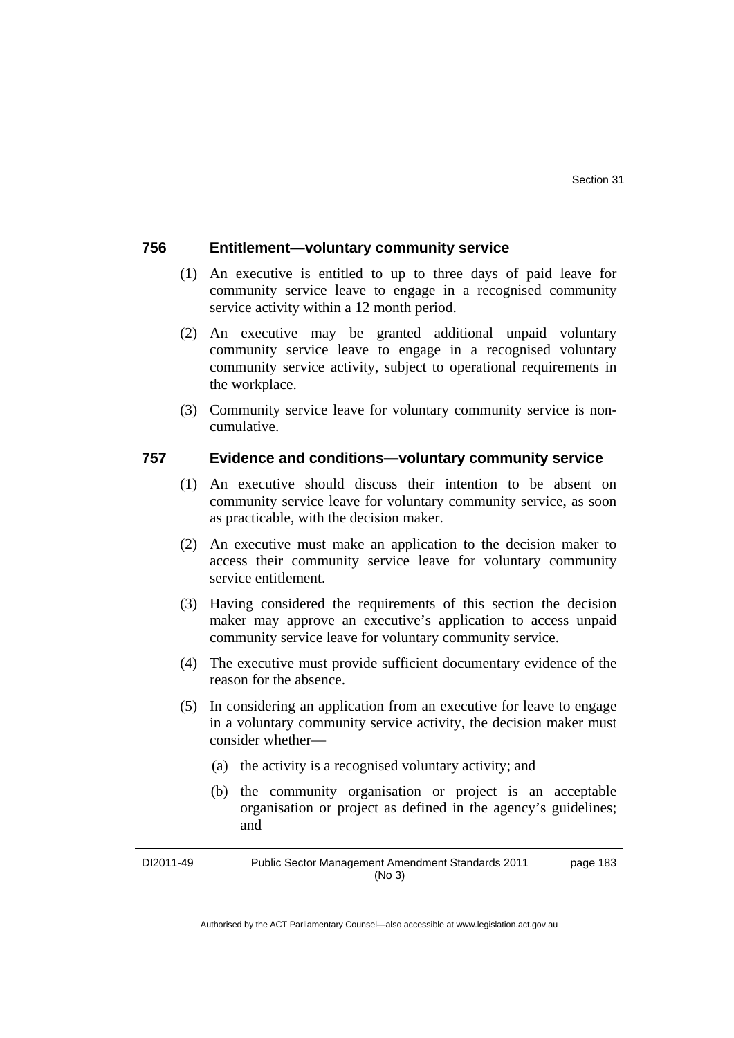### **756 Entitlement—voluntary community service**

- (1) An executive is entitled to up to three days of paid leave for community service leave to engage in a recognised community service activity within a 12 month period.
- (2) An executive may be granted additional unpaid voluntary community service leave to engage in a recognised voluntary community service activity, subject to operational requirements in the workplace.
- (3) Community service leave for voluntary community service is noncumulative.

### **757 Evidence and conditions—voluntary community service**

- (1) An executive should discuss their intention to be absent on community service leave for voluntary community service, as soon as practicable, with the decision maker.
- (2) An executive must make an application to the decision maker to access their community service leave for voluntary community service entitlement.
- (3) Having considered the requirements of this section the decision maker may approve an executive's application to access unpaid community service leave for voluntary community service.
- (4) The executive must provide sufficient documentary evidence of the reason for the absence.
- (5) In considering an application from an executive for leave to engage in a voluntary community service activity, the decision maker must consider whether—
	- (a) the activity is a recognised voluntary activity; and
	- (b) the community organisation or project is an acceptable organisation or project as defined in the agency's guidelines; and

DI2011-49 Public Sector Management Amendment Standards 2011 (No 3) page 183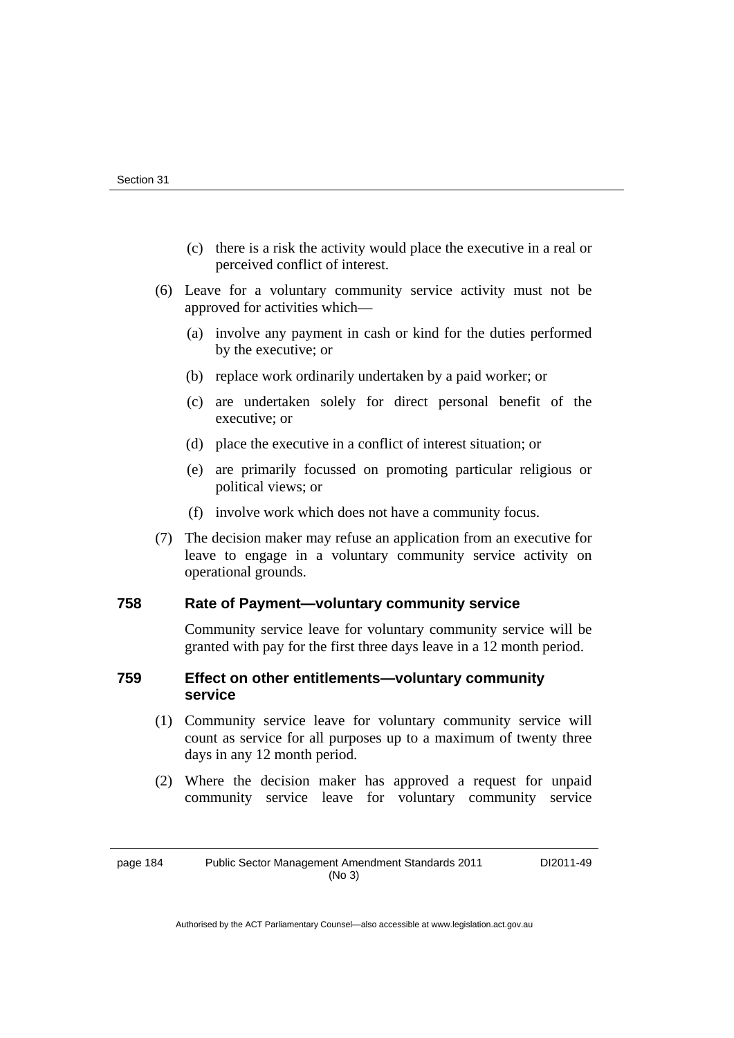- (c) there is a risk the activity would place the executive in a real or perceived conflict of interest.
- (6) Leave for a voluntary community service activity must not be approved for activities which—
	- (a) involve any payment in cash or kind for the duties performed by the executive; or
	- (b) replace work ordinarily undertaken by a paid worker; or
	- (c) are undertaken solely for direct personal benefit of the executive; or
	- (d) place the executive in a conflict of interest situation; or
	- (e) are primarily focussed on promoting particular religious or political views; or
	- (f) involve work which does not have a community focus.
- (7) The decision maker may refuse an application from an executive for leave to engage in a voluntary community service activity on operational grounds.

#### **758 Rate of Payment—voluntary community service**

Community service leave for voluntary community service will be granted with pay for the first three days leave in a 12 month period.

## **759 Effect on other entitlements—voluntary community service**

- (1) Community service leave for voluntary community service will count as service for all purposes up to a maximum of twenty three days in any 12 month period.
- (2) Where the decision maker has approved a request for unpaid community service leave for voluntary community service

page 184 Public Sector Management Amendment Standards 2011 (No 3)

DI2011-49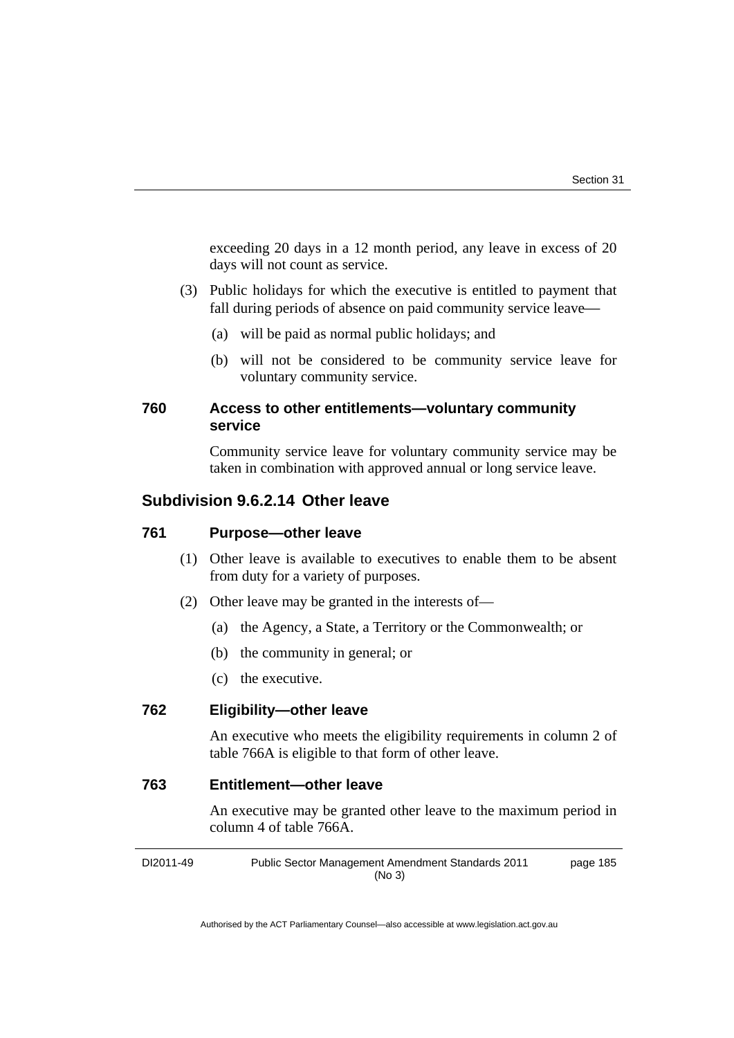exceeding 20 days in a 12 month period, any leave in excess of 20 days will not count as service.

- (3) Public holidays for which the executive is entitled to payment that fall during periods of absence on paid community service leave-
	- (a) will be paid as normal public holidays; and
	- (b) will not be considered to be community service leave for voluntary community service.

## **760 Access to other entitlements—voluntary community service**

Community service leave for voluntary community service may be taken in combination with approved annual or long service leave.

# **Subdivision 9.6.2.14 Other leave**

#### **761 Purpose—other leave**

- (1) Other leave is available to executives to enable them to be absent from duty for a variety of purposes.
- (2) Other leave may be granted in the interests of—
	- (a) the Agency, a State, a Territory or the Commonwealth; or
	- (b) the community in general; or
	- (c) the executive.

### **762 Eligibility—other leave**

 An executive who meets the eligibility requirements in column 2 of table 766A is eligible to that form of other leave.

## **763 Entitlement—other leave**

An executive may be granted other leave to the maximum period in column 4 of table 766A.

DI2011-49 Public Sector Management Amendment Standards 2011 (No 3) page 185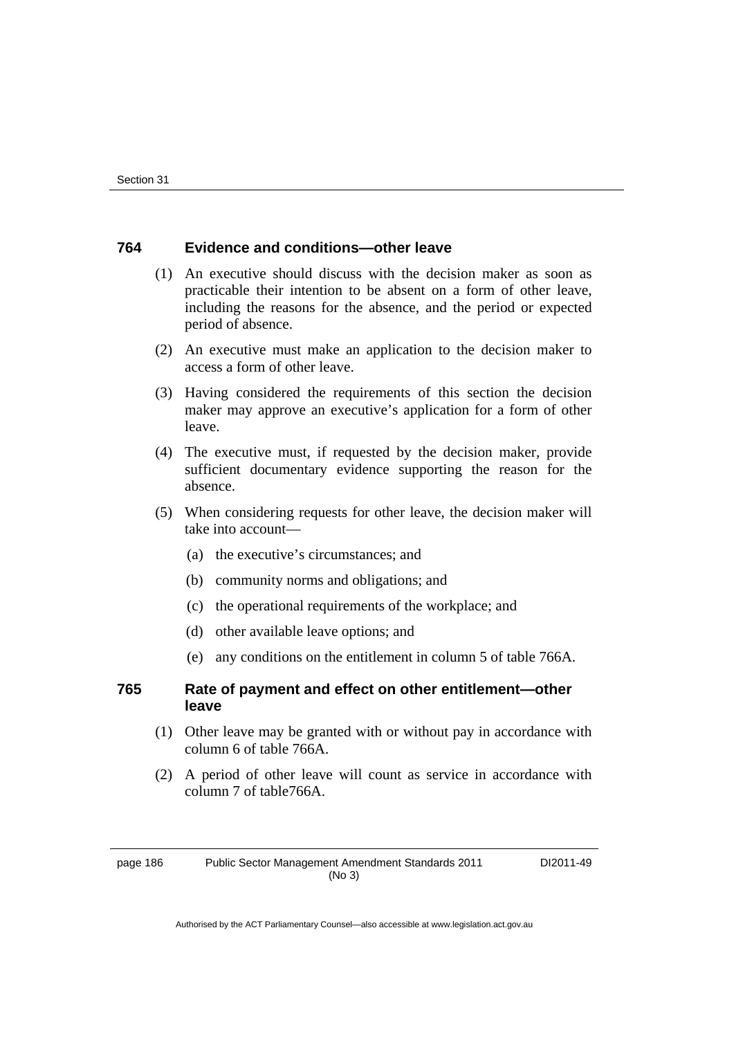### **764 Evidence and conditions—other leave**

- (1) An executive should discuss with the decision maker as soon as practicable their intention to be absent on a form of other leave, including the reasons for the absence, and the period or expected period of absence.
- (2) An executive must make an application to the decision maker to access a form of other leave.
- (3) Having considered the requirements of this section the decision maker may approve an executive's application for a form of other leave.
- (4) The executive must, if requested by the decision maker, provide sufficient documentary evidence supporting the reason for the absence.
- (5) When considering requests for other leave, the decision maker will take into account—
	- (a) the executive's circumstances; and
	- (b) community norms and obligations; and
	- (c) the operational requirements of the workplace; and
	- (d) other available leave options; and
	- (e) any conditions on the entitlement in column 5 of table 766A.

### **765 Rate of payment and effect on other entitlement—other leave**

- (1) Other leave may be granted with or without pay in accordance with column 6 of table 766A.
- (2) A period of other leave will count as service in accordance with column 7 of table766A.

page 186 Public Sector Management Amendment Standards 2011 (No 3)

DI2011-49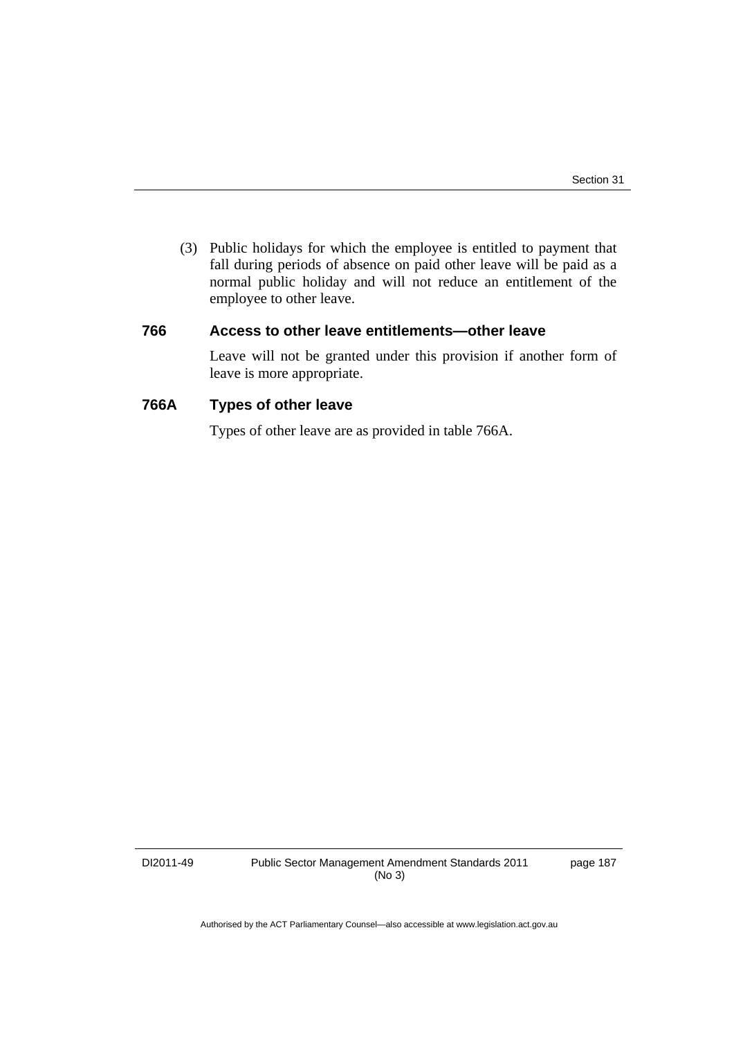(3) Public holidays for which the employee is entitled to payment that fall during periods of absence on paid other leave will be paid as a normal public holiday and will not reduce an entitlement of the employee to other leave.

### **766 Access to other leave entitlements—other leave**

Leave will not be granted under this provision if another form of leave is more appropriate.

## **766A Types of other leave**

Types of other leave are as provided in table 766A.

DI2011-49 Public Sector Management Amendment Standards 2011 (No 3)

page 187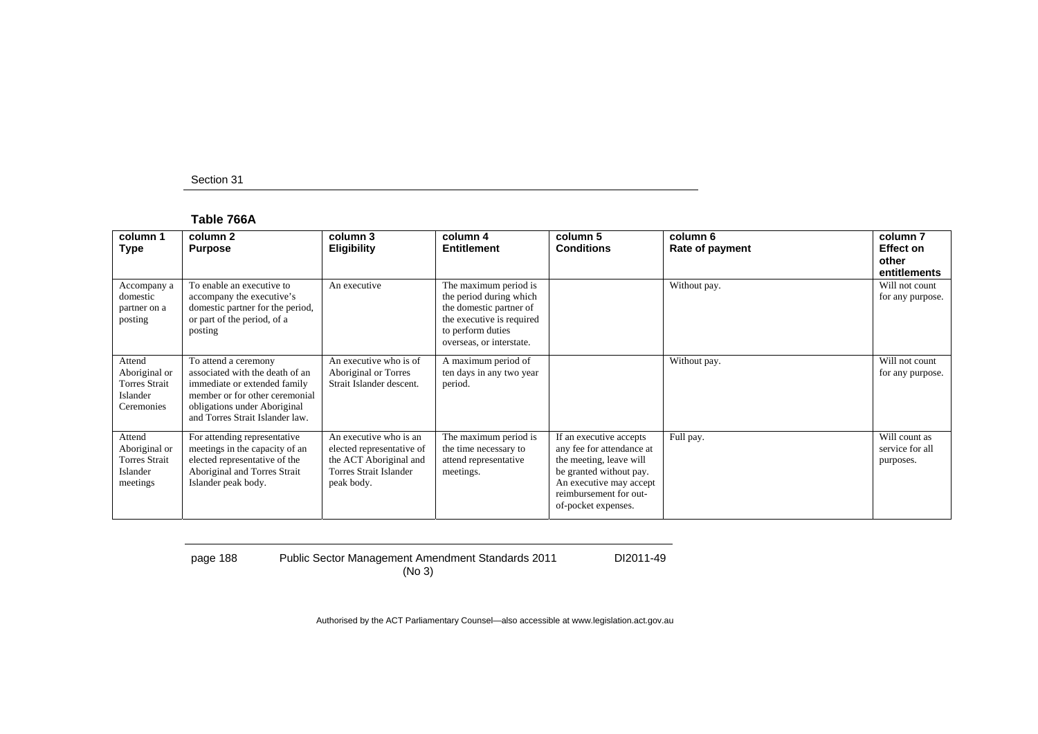#### **Table 766A**

| column 1<br>Type                                                          | column 2<br><b>Purpose</b>                                                                                                                                                                   | column 3<br><b>Eligibility</b>                                                                                        | column 4<br><b>Entitlement</b>                                                                                                                            | column 5<br><b>Conditions</b>                                                                                                                                                          | column 6<br>Rate of payment | column <sub>7</sub><br><b>Effect on</b><br>other<br>entitlements |
|---------------------------------------------------------------------------|----------------------------------------------------------------------------------------------------------------------------------------------------------------------------------------------|-----------------------------------------------------------------------------------------------------------------------|-----------------------------------------------------------------------------------------------------------------------------------------------------------|----------------------------------------------------------------------------------------------------------------------------------------------------------------------------------------|-----------------------------|------------------------------------------------------------------|
| Accompany a<br>domestic<br>partner on a<br>posting                        | To enable an executive to<br>accompany the executive's<br>domestic partner for the period,<br>or part of the period, of a<br>posting                                                         | An executive                                                                                                          | The maximum period is<br>the period during which<br>the domestic partner of<br>the executive is required<br>to perform duties<br>overseas, or interstate. |                                                                                                                                                                                        | Without pay.                | Will not count<br>for any purpose.                               |
| Attend<br>Aboriginal or<br><b>Torres Strait</b><br>Islander<br>Ceremonies | To attend a ceremony<br>associated with the death of an<br>immediate or extended family<br>member or for other ceremonial<br>obligations under Aboriginal<br>and Torres Strait Islander law. | An executive who is of<br>Aboriginal or Torres<br>Strait Islander descent.                                            | A maximum period of<br>ten days in any two year<br>period.                                                                                                |                                                                                                                                                                                        | Without pay.                | Will not count<br>for any purpose.                               |
| Attend<br>Aboriginal or<br><b>Torres Strait</b><br>Islander<br>meetings   | For attending representative<br>meetings in the capacity of an<br>elected representative of the<br>Aboriginal and Torres Strait<br>Islander peak body.                                       | An executive who is an<br>elected representative of<br>the ACT Aboriginal and<br>Torres Strait Islander<br>peak body. | The maximum period is<br>the time necessary to<br>attend representative<br>meetings.                                                                      | If an executive accepts<br>any fee for attendance at<br>the meeting, leave will<br>be granted without pay.<br>An executive may accept<br>reimbursement for out-<br>of-pocket expenses. | Full pay.                   | Will count as<br>service for all<br>purposes.                    |

page 188 Public Sector Management Amendment Standards 2011 (No 3)

DI2011-49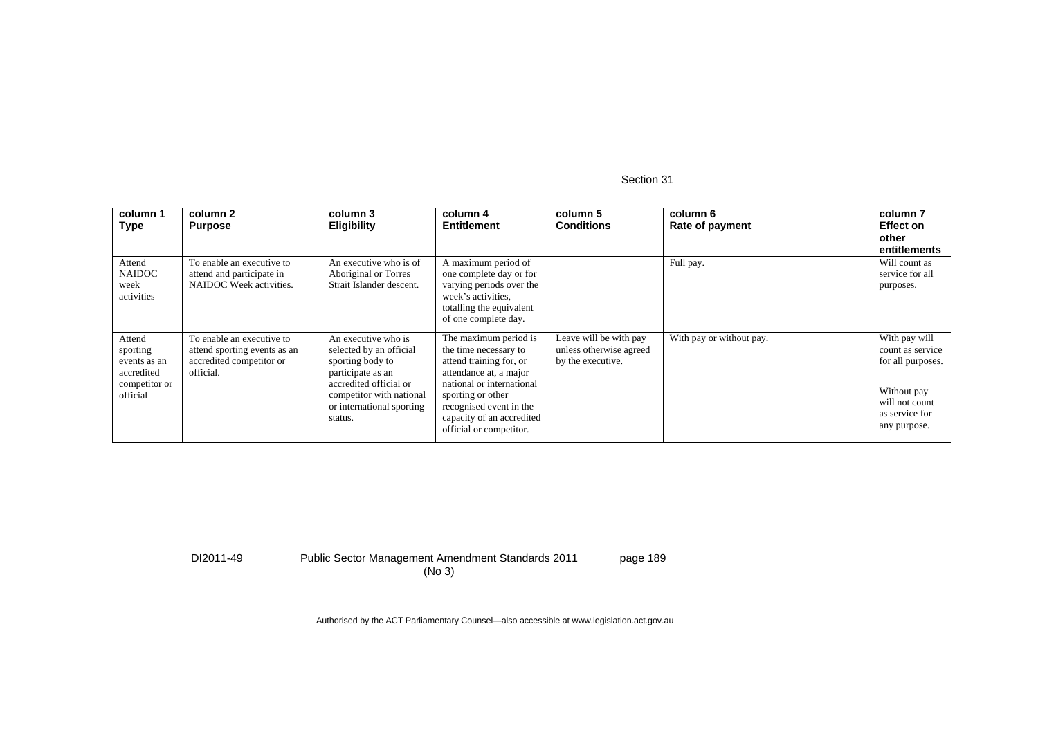| column 1<br><b>Type</b>                                                       | column 2<br><b>Purpose</b>                                                                         | column 3<br><b>Eligibility</b>                                                                                                                                                        | column 4<br><b>Entitlement</b>                                                                                                                                                                                                           | column 5<br><b>Conditions</b>                                          | column 6<br>Rate of payment | column <sub>7</sub><br><b>Effect on</b><br>other<br>entitlements                                                          |
|-------------------------------------------------------------------------------|----------------------------------------------------------------------------------------------------|---------------------------------------------------------------------------------------------------------------------------------------------------------------------------------------|------------------------------------------------------------------------------------------------------------------------------------------------------------------------------------------------------------------------------------------|------------------------------------------------------------------------|-----------------------------|---------------------------------------------------------------------------------------------------------------------------|
| Attend<br><b>NAIDOC</b><br>week<br>activities                                 | To enable an executive to<br>attend and participate in<br>NAIDOC Week activities.                  | An executive who is of<br>Aboriginal or Torres<br>Strait Islander descent.                                                                                                            | A maximum period of<br>one complete day or for<br>varying periods over the<br>week's activities.<br>totalling the equivalent<br>of one complete day.                                                                                     |                                                                        | Full pay.                   | Will count as<br>service for all<br>purposes.                                                                             |
| Attend<br>sporting<br>events as an<br>accredited<br>competitor or<br>official | To enable an executive to<br>attend sporting events as an<br>accredited competitor or<br>official. | An executive who is<br>selected by an official<br>sporting body to<br>participate as an<br>accredited official or<br>competitor with national<br>or international sporting<br>status. | The maximum period is<br>the time necessary to<br>attend training for, or<br>attendance at, a major<br>national or international<br>sporting or other<br>recognised event in the<br>capacity of an accredited<br>official or competitor. | Leave will be with pay<br>unless otherwise agreed<br>by the executive. | With pay or without pay.    | With pay will<br>count as service<br>for all purposes.<br>Without pay<br>will not count<br>as service for<br>any purpose. |

DI2011-49 Public Sector Management Amendment Standards 2011 (No 3) page 189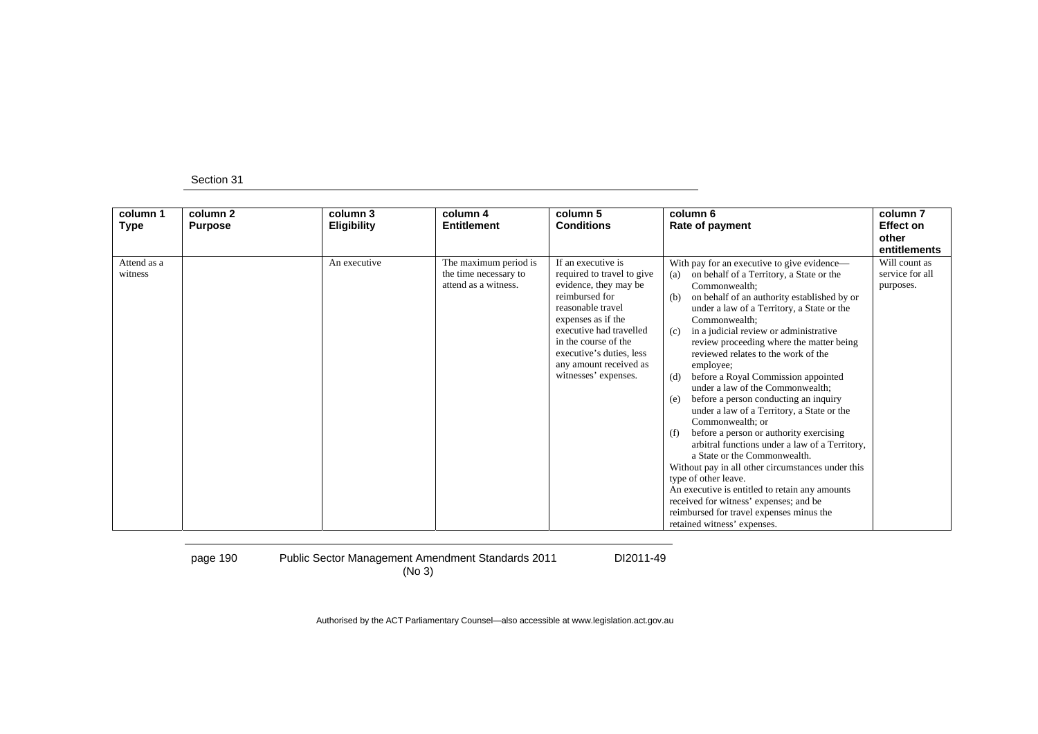| column 1<br><b>Type</b> | column 2<br><b>Purpose</b> | column 3<br><b>Eligibility</b> | column 4<br><b>Entitlement</b>                                         | column 5<br><b>Conditions</b>                                                                                                                                                                                                                                           | column 6<br>Rate of payment                                                                                                                                                                                                                                                                                                                                                                                                                                                                                                                                                                                                                                                                                                                                                                                                                                                                                                                                                       | column <sub>7</sub><br><b>Effect on</b><br>other<br>entitlements |
|-------------------------|----------------------------|--------------------------------|------------------------------------------------------------------------|-------------------------------------------------------------------------------------------------------------------------------------------------------------------------------------------------------------------------------------------------------------------------|-----------------------------------------------------------------------------------------------------------------------------------------------------------------------------------------------------------------------------------------------------------------------------------------------------------------------------------------------------------------------------------------------------------------------------------------------------------------------------------------------------------------------------------------------------------------------------------------------------------------------------------------------------------------------------------------------------------------------------------------------------------------------------------------------------------------------------------------------------------------------------------------------------------------------------------------------------------------------------------|------------------------------------------------------------------|
| Attend as a<br>witness  |                            | An executive                   | The maximum period is<br>the time necessary to<br>attend as a witness. | If an executive is<br>required to travel to give<br>evidence, they may be<br>reimbursed for<br>reasonable travel<br>expenses as if the<br>executive had travelled<br>in the course of the<br>executive's duties, less<br>any amount received as<br>witnesses' expenses. | With pay for an executive to give evidence-<br>on behalf of a Territory, a State or the<br>(a)<br>Commonwealth;<br>on behalf of an authority established by or<br>(b)<br>under a law of a Territory, a State or the<br>Commonwealth:<br>in a judicial review or administrative<br>(c)<br>review proceeding where the matter being<br>reviewed relates to the work of the<br>employee;<br>before a Royal Commission appointed<br>(d)<br>under a law of the Commonwealth;<br>before a person conducting an inquiry<br>(e)<br>under a law of a Territory, a State or the<br>Commonwealth: or<br>before a person or authority exercising<br>(f)<br>arbitral functions under a law of a Territory,<br>a State or the Commonwealth.<br>Without pay in all other circumstances under this<br>type of other leave.<br>An executive is entitled to retain any amounts<br>received for witness' expenses; and be<br>reimbursed for travel expenses minus the<br>retained witness' expenses. | Will count as<br>service for all<br>purposes.                    |

page 190 Public Sector Management Amendment Standards 2011 (No 3)

DI2011-49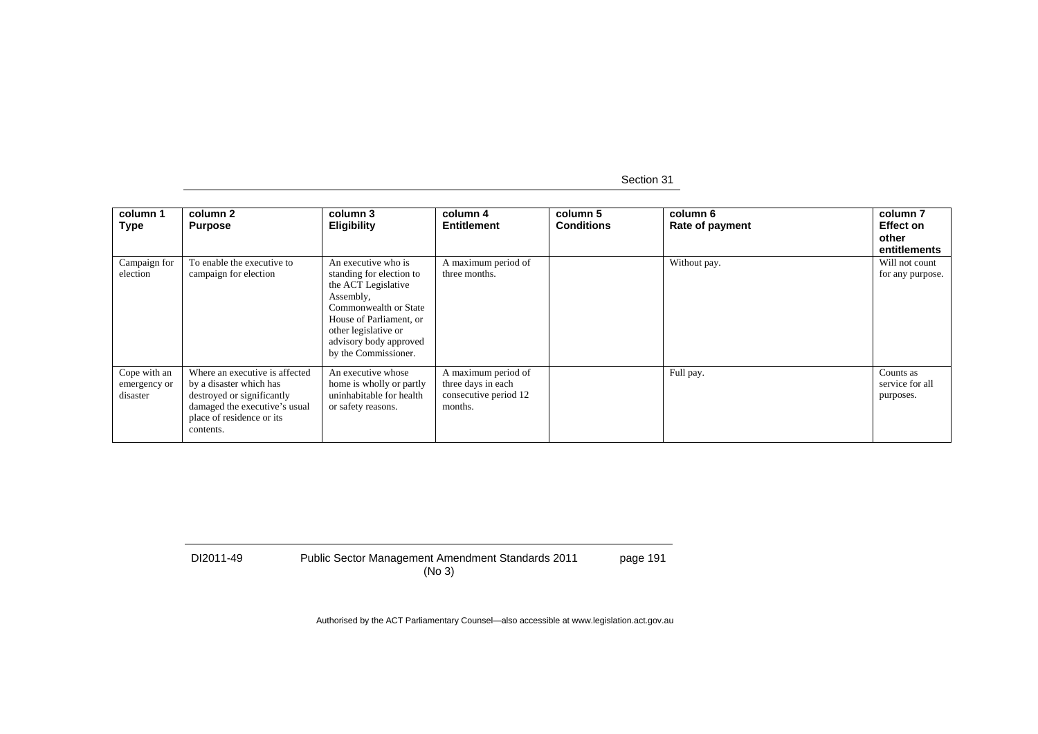| column 1<br><b>Type</b>                  | column 2<br><b>Purpose</b>                                                                                                                                         | column 3<br><b>Eligibility</b>                                                                                                                                                                                    | column 4<br><b>Entitlement</b>                                                | column 5<br><b>Conditions</b> | column 6<br>Rate of payment | column <sub>7</sub><br><b>Effect on</b><br>other<br>entitlements |
|------------------------------------------|--------------------------------------------------------------------------------------------------------------------------------------------------------------------|-------------------------------------------------------------------------------------------------------------------------------------------------------------------------------------------------------------------|-------------------------------------------------------------------------------|-------------------------------|-----------------------------|------------------------------------------------------------------|
| Campaign for<br>election                 | To enable the executive to<br>campaign for election                                                                                                                | An executive who is<br>standing for election to<br>the ACT Legislative<br>Assembly,<br>Commonwealth or State<br>House of Parliament, or<br>other legislative or<br>advisory body approved<br>by the Commissioner. | A maximum period of<br>three months.                                          |                               | Without pay.                | Will not count<br>for any purpose.                               |
| Cope with an<br>emergency or<br>disaster | Where an executive is affected<br>by a disaster which has<br>destroyed or significantly<br>damaged the executive's usual<br>place of residence or its<br>contents. | An executive whose<br>home is wholly or partly<br>uninhabitable for health<br>or safety reasons.                                                                                                                  | A maximum period of<br>three days in each<br>consecutive period 12<br>months. |                               | Full pay.                   | Counts as<br>service for all<br>purposes.                        |

DI2011-49 Public Sector Management Amendment Standards 2011 (No 3) page 191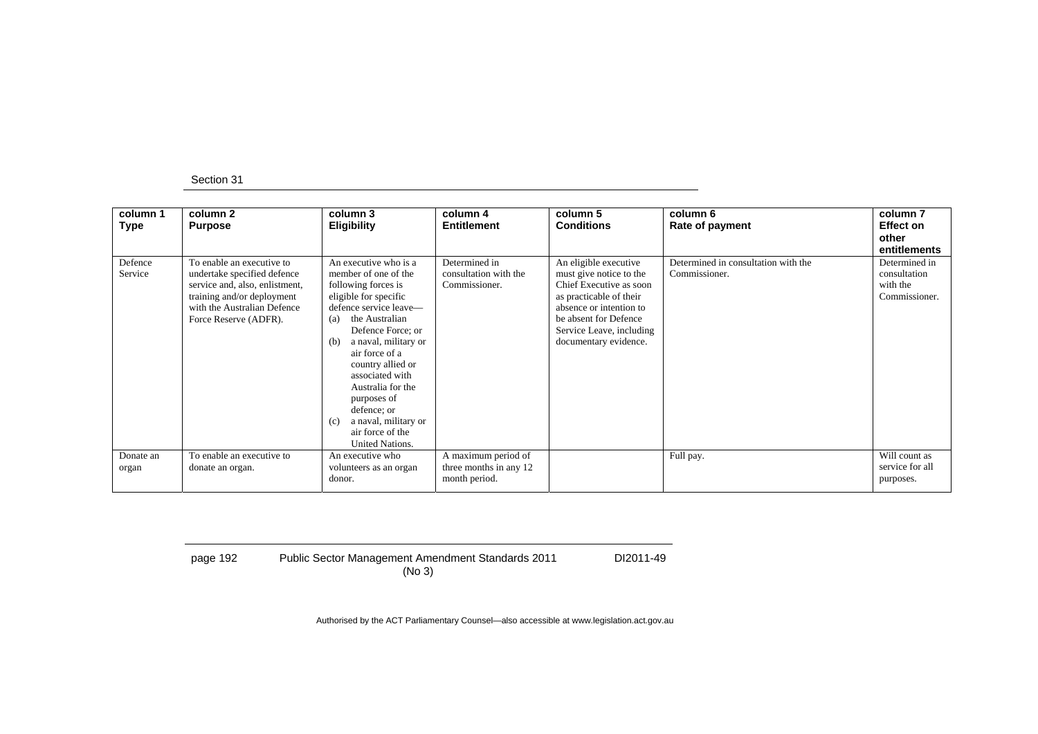| column 1<br>Type   | column 2<br><b>Purpose</b>                                                                                                                                                       | column 3<br>Eligibility                                                                                                                                                                                                                                                                                                                                                                 | column 4<br><b>Entitlement</b>                                 | column 5<br><b>Conditions</b>                                                                                                                                                                                   | column 6<br>Rate of payment                          | column <sub>7</sub><br><b>Effect on</b><br>other<br>entitlements |
|--------------------|----------------------------------------------------------------------------------------------------------------------------------------------------------------------------------|-----------------------------------------------------------------------------------------------------------------------------------------------------------------------------------------------------------------------------------------------------------------------------------------------------------------------------------------------------------------------------------------|----------------------------------------------------------------|-----------------------------------------------------------------------------------------------------------------------------------------------------------------------------------------------------------------|------------------------------------------------------|------------------------------------------------------------------|
| Defence<br>Service | To enable an executive to<br>undertake specified defence<br>service and, also, enlistment,<br>training and/or deployment<br>with the Australian Defence<br>Force Reserve (ADFR). | An executive who is a<br>member of one of the<br>following forces is<br>eligible for specific<br>defence service leave—<br>the Australian<br>(a)<br>Defence Force; or<br>a naval, military or<br>(b)<br>air force of a<br>country allied or<br>associated with<br>Australia for the<br>purposes of<br>defence; or<br>a naval, military or<br>(c)<br>air force of the<br>United Nations. | Determined in<br>consultation with the<br>Commissioner.        | An eligible executive<br>must give notice to the<br>Chief Executive as soon<br>as practicable of their<br>absence or intention to<br>be absent for Defence<br>Service Leave, including<br>documentary evidence. | Determined in consultation with the<br>Commissioner. | Determined in<br>consultation<br>with the<br>Commissioner.       |
| Donate an<br>organ | To enable an executive to<br>donate an organ.                                                                                                                                    | An executive who<br>volunteers as an organ<br>donor.                                                                                                                                                                                                                                                                                                                                    | A maximum period of<br>three months in any 12<br>month period. |                                                                                                                                                                                                                 | Full pay.                                            | Will count as<br>service for all<br>purposes.                    |

page 192 Public Sector Management Amendment Standards 2011 (No 3)

DI2011-49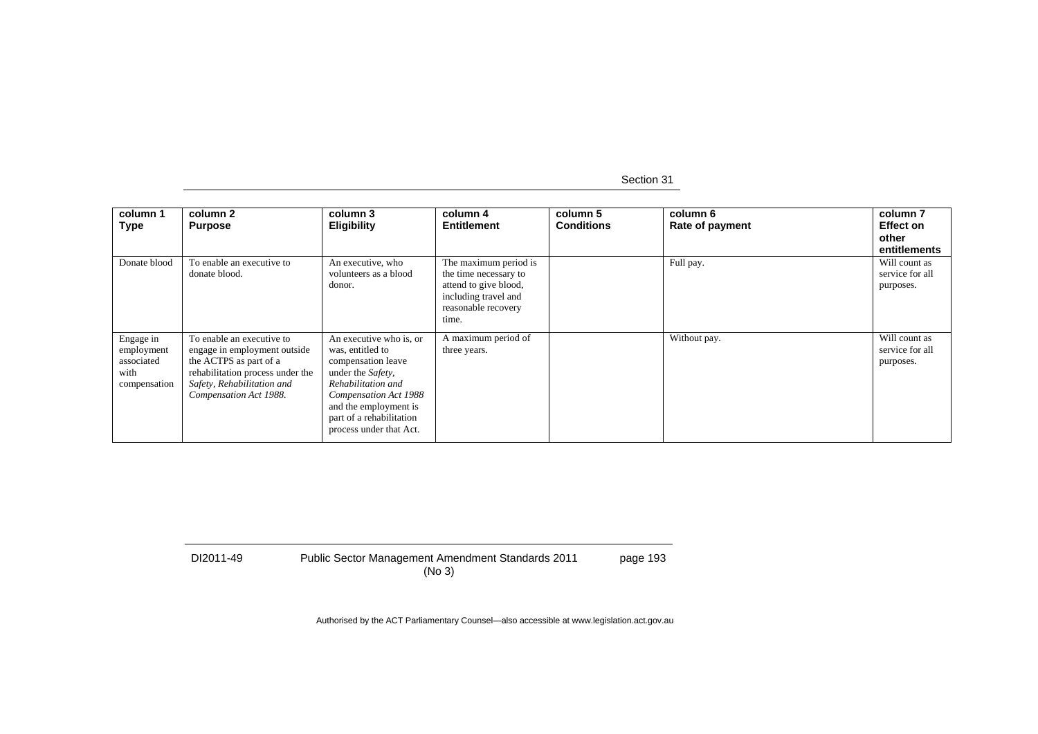| column 1<br><b>Type</b>                                       | column 2<br><b>Purpose</b>                                                                                                                                                      | column 3<br><b>Eligibility</b>                                                                                                                                                                                        | column 4<br><b>Entitlement</b>                                                                                                  | column 5<br><b>Conditions</b> | column 6<br>Rate of payment | column <sub>7</sub><br><b>Effect on</b><br>other<br>entitlements |
|---------------------------------------------------------------|---------------------------------------------------------------------------------------------------------------------------------------------------------------------------------|-----------------------------------------------------------------------------------------------------------------------------------------------------------------------------------------------------------------------|---------------------------------------------------------------------------------------------------------------------------------|-------------------------------|-----------------------------|------------------------------------------------------------------|
| Donate blood                                                  | To enable an executive to<br>donate blood.                                                                                                                                      | An executive, who<br>volunteers as a blood<br>donor.                                                                                                                                                                  | The maximum period is<br>the time necessary to<br>attend to give blood,<br>including travel and<br>reasonable recovery<br>time. |                               | Full pay.                   | Will count as<br>service for all<br>purposes.                    |
| Engage in<br>employment<br>associated<br>with<br>compensation | To enable an executive to<br>engage in employment outside<br>the ACTPS as part of a<br>rehabilitation process under the<br>Safety, Rehabilitation and<br>Compensation Act 1988. | An executive who is, or<br>was, entitled to<br>compensation leave<br>under the Safety,<br>Rehabilitation and<br>Compensation Act 1988<br>and the employment is<br>part of a rehabilitation<br>process under that Act. | A maximum period of<br>three years.                                                                                             |                               | Without pay.                | Will count as<br>service for all<br>purposes.                    |

DI2011-49 Public Sector Management Amendment Standards 2011 (No 3) page 193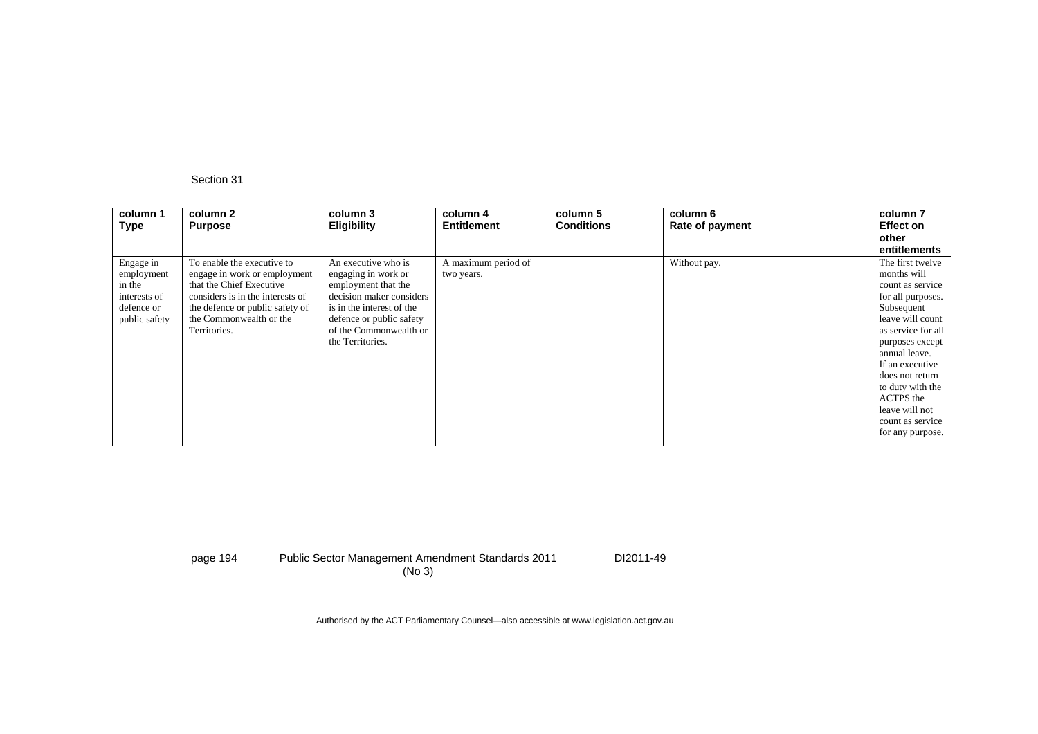| column 1<br><b>Type</b>                                                          | column 2<br><b>Purpose</b>                                                                                                                                                                               | column 3<br><b>Eligibility</b>                                                                                                                                                                       | column 4<br>Entitlement           | column 5<br><b>Conditions</b> | column 6<br>Rate of payment | column 7<br><b>Effect on</b><br>other<br>entitlements                                                                                                                                                                                                                                                 |
|----------------------------------------------------------------------------------|----------------------------------------------------------------------------------------------------------------------------------------------------------------------------------------------------------|------------------------------------------------------------------------------------------------------------------------------------------------------------------------------------------------------|-----------------------------------|-------------------------------|-----------------------------|-------------------------------------------------------------------------------------------------------------------------------------------------------------------------------------------------------------------------------------------------------------------------------------------------------|
| Engage in<br>employment<br>in the<br>interests of<br>defence or<br>public safety | To enable the executive to<br>engage in work or employment<br>that the Chief Executive<br>considers is in the interests of<br>the defence or public safety of<br>the Commonwealth or the<br>Territories. | An executive who is<br>engaging in work or<br>employment that the<br>decision maker considers<br>is in the interest of the<br>defence or public safety<br>of the Commonwealth or<br>the Territories. | A maximum period of<br>two years. |                               | Without pay.                | The first twelve<br>months will<br>count as service<br>for all purposes.<br>Subsequent<br>leave will count<br>as service for all<br>purposes except<br>annual leave.<br>If an executive<br>does not return<br>to duty with the<br>ACTPS the<br>leave will not<br>count as service<br>for any purpose. |

page 194 Public Sector Management Amendment Standards 2011 (No 3) DI2011-49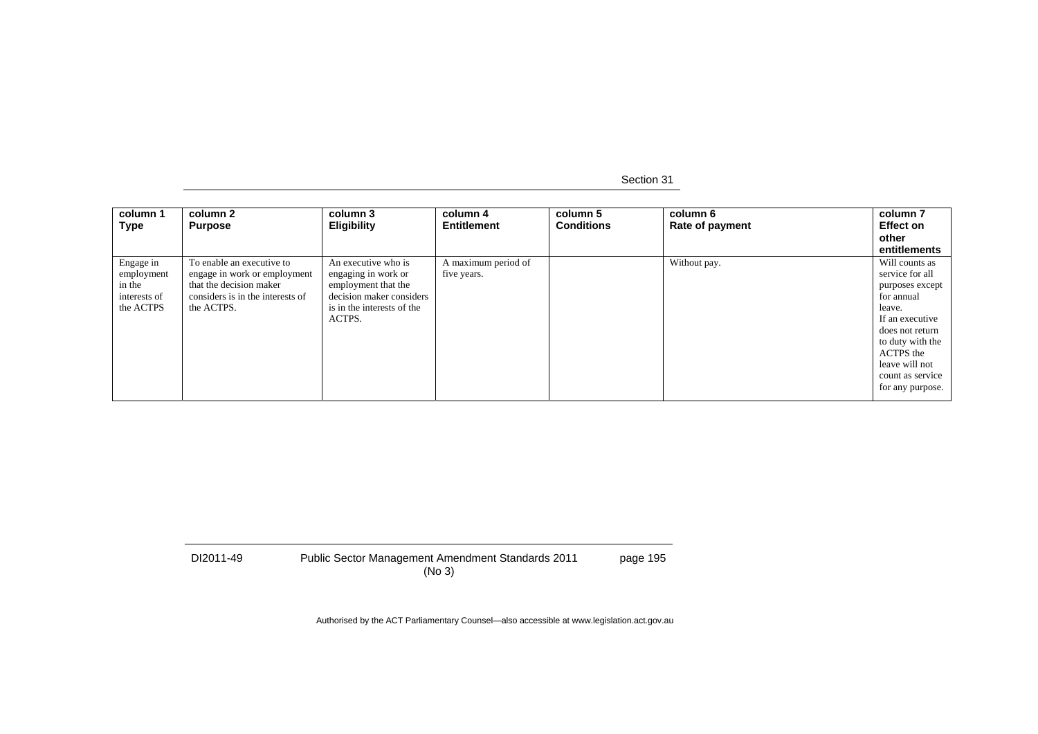| column 1<br>Type                                               | column 2<br><b>Purpose</b>                                                                                                             | column 3<br><b>Eligibility</b>                                                                                                        | column 4<br><b>Entitlement</b>     | column 5<br><b>Conditions</b> | column 6<br>Rate of payment | column 7<br><b>Effect on</b><br>other<br>entitlements                                                                                                                                                         |
|----------------------------------------------------------------|----------------------------------------------------------------------------------------------------------------------------------------|---------------------------------------------------------------------------------------------------------------------------------------|------------------------------------|-------------------------------|-----------------------------|---------------------------------------------------------------------------------------------------------------------------------------------------------------------------------------------------------------|
| Engage in<br>employment<br>in the<br>interests of<br>the ACTPS | To enable an executive to<br>engage in work or employment<br>that the decision maker<br>considers is in the interests of<br>the ACTPS. | An executive who is<br>engaging in work or<br>employment that the<br>decision maker considers<br>is in the interests of the<br>ACTPS. | A maximum period of<br>five years. |                               | Without pay.                | Will counts as<br>service for all<br>purposes except<br>for annual<br>leave.<br>If an executive<br>does not return<br>to duty with the<br>ACTPS the<br>leave will not<br>count as service<br>for any purpose. |

| DI2011-49 | <b>Public Sector Management Amendment Standards 2011</b> | page 195 |
|-----------|----------------------------------------------------------|----------|
|           | (No 3)                                                   |          |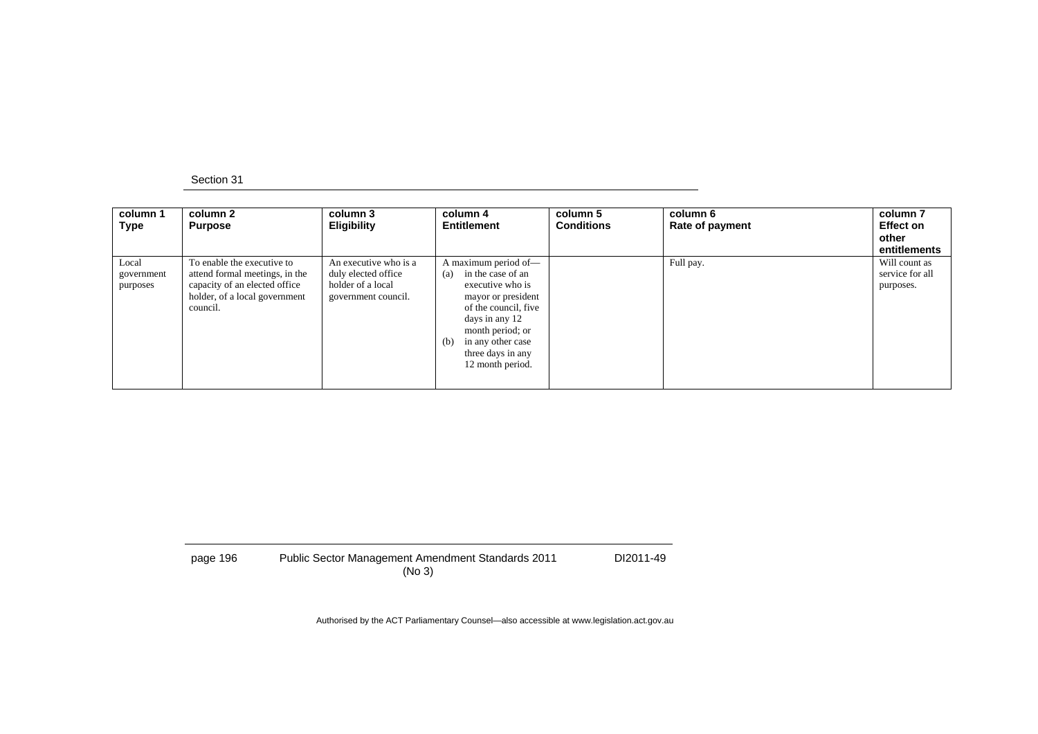| column 1<br>Type                | column 2<br><b>Purpose</b>                                                                                                                 | column 3<br><b>Eligibility</b>                                                           | column 4<br><b>Entitlement</b>                                                                                                                                                                                                | column 5<br><b>Conditions</b> | column 6<br>Rate of payment | column <sub>7</sub><br><b>Effect on</b><br>other<br>entitlements |
|---------------------------------|--------------------------------------------------------------------------------------------------------------------------------------------|------------------------------------------------------------------------------------------|-------------------------------------------------------------------------------------------------------------------------------------------------------------------------------------------------------------------------------|-------------------------------|-----------------------------|------------------------------------------------------------------|
| Local<br>government<br>purposes | To enable the executive to<br>attend formal meetings, in the<br>capacity of an elected office<br>holder, of a local government<br>council. | An executive who is a<br>duly elected office<br>holder of a local<br>government council. | A maximum period of-<br>in the case of an<br>(a)<br>executive who is<br>mayor or president<br>of the council, five<br>days in any 12<br>month period; or<br>in any other case<br>(b)<br>three days in any<br>12 month period. |                               | Full pay.                   | Will count as<br>service for all<br>purposes.                    |

| page 196 | <b>Public Sector Management Amendment Standards 2011</b> | DI2011-49 |
|----------|----------------------------------------------------------|-----------|
|          | (No 3)                                                   |           |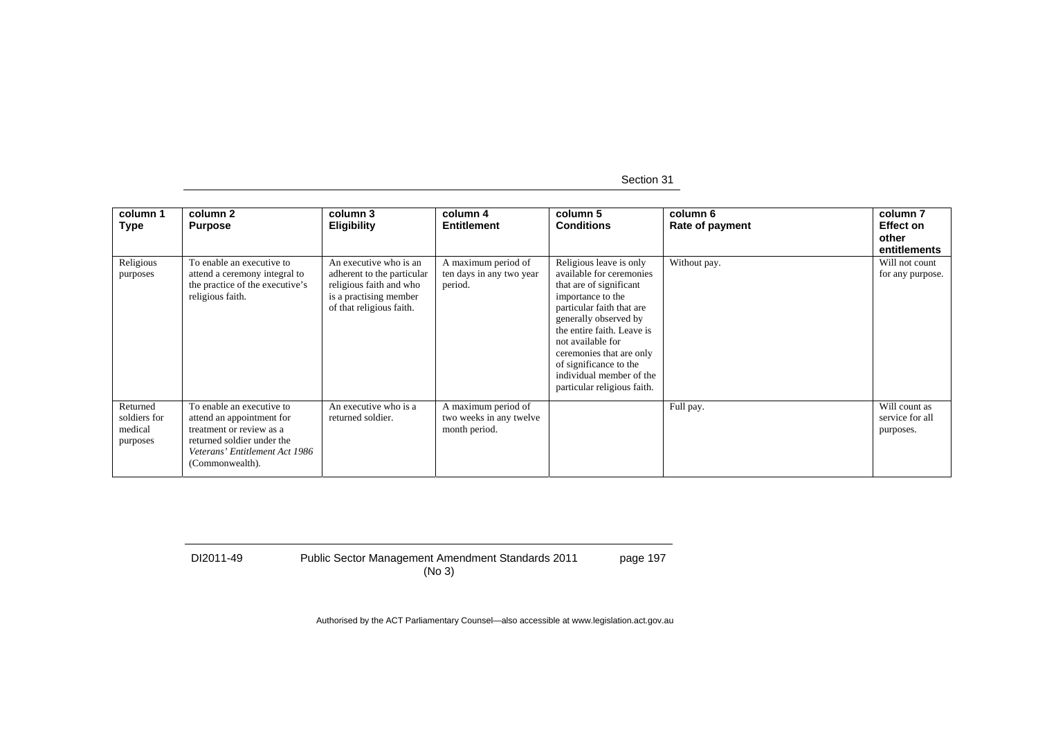Section 31

| column 1<br><b>Type</b>                         | column 2<br><b>Purpose</b>                                                                                                                                            | column 3<br><b>Eligibility</b>                                                                                                        | column 4<br><b>Entitlement</b>                                  | column 5<br><b>Conditions</b>                                                                                                                                                                                                                                                                                                 | column 6<br>Rate of payment | column <sub>7</sub><br><b>Effect on</b><br>other<br>entitlements |
|-------------------------------------------------|-----------------------------------------------------------------------------------------------------------------------------------------------------------------------|---------------------------------------------------------------------------------------------------------------------------------------|-----------------------------------------------------------------|-------------------------------------------------------------------------------------------------------------------------------------------------------------------------------------------------------------------------------------------------------------------------------------------------------------------------------|-----------------------------|------------------------------------------------------------------|
| Religious<br>purposes                           | To enable an executive to<br>attend a ceremony integral to<br>the practice of the executive's<br>religious faith.                                                     | An executive who is an<br>adherent to the particular<br>religious faith and who<br>is a practising member<br>of that religious faith. | A maximum period of<br>ten days in any two year<br>period.      | Religious leave is only<br>available for ceremonies<br>that are of significant<br>importance to the<br>particular faith that are<br>generally observed by<br>the entire faith. Leave is<br>not available for<br>ceremonies that are only<br>of significance to the<br>individual member of the<br>particular religious faith. | Without pay.                | Will not count<br>for any purpose.                               |
| Returned<br>soldiers for<br>medical<br>purposes | To enable an executive to<br>attend an appointment for<br>treatment or review as a<br>returned soldier under the<br>Veterans' Entitlement Act 1986<br>(Commonwealth). | An executive who is a<br>returned soldier.                                                                                            | A maximum period of<br>two weeks in any twelve<br>month period. |                                                                                                                                                                                                                                                                                                                               | Full pay.                   | Will count as<br>service for all<br>purposes.                    |

|  | DI2011-49 |  |  |
|--|-----------|--|--|
|--|-----------|--|--|

DI2011-49 Public Sector Management Amendment Standards 2011 (No 3) page 197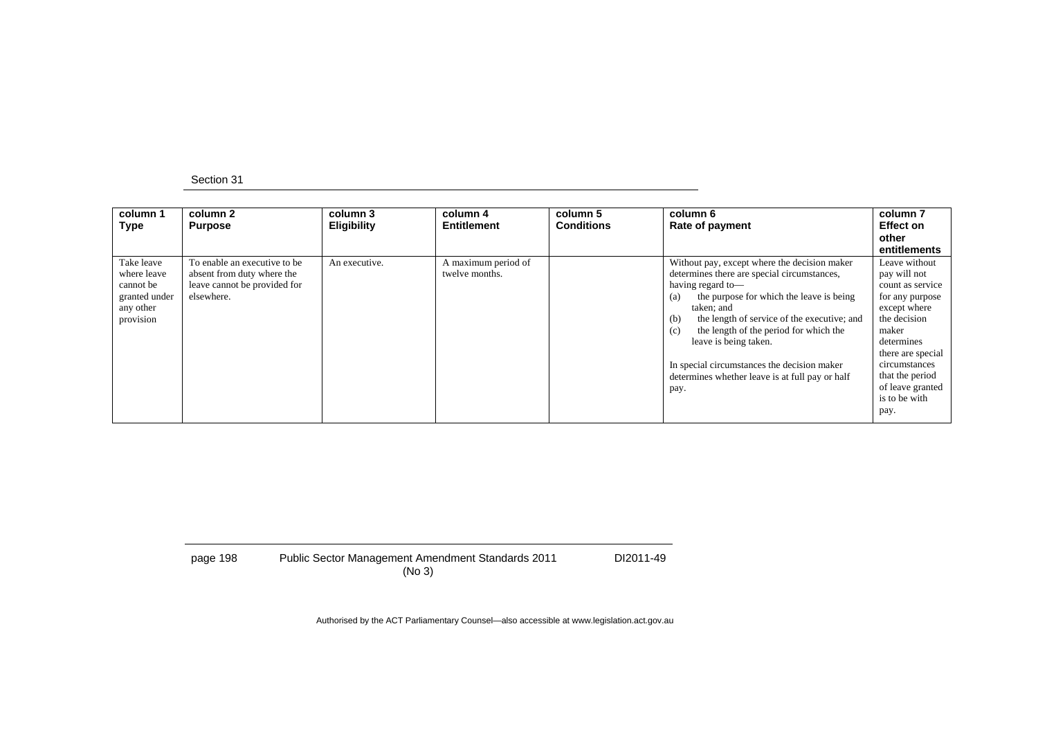| column 1<br><b>Type</b>                                                           | column 2<br><b>Purpose</b>                                                                               | column 3<br><b>Eligibility</b> | column 4<br>Entitlement               | column 5<br><b>Conditions</b> | column 6<br>Rate of payment                                                                                                                                                                                                                                                                                                                                                                                                 | column 7<br><b>Effect on</b><br>other<br>entitlements                                                                                                                                                                             |
|-----------------------------------------------------------------------------------|----------------------------------------------------------------------------------------------------------|--------------------------------|---------------------------------------|-------------------------------|-----------------------------------------------------------------------------------------------------------------------------------------------------------------------------------------------------------------------------------------------------------------------------------------------------------------------------------------------------------------------------------------------------------------------------|-----------------------------------------------------------------------------------------------------------------------------------------------------------------------------------------------------------------------------------|
| Take leave<br>where leave<br>cannot be<br>granted under<br>any other<br>provision | To enable an executive to be<br>absent from duty where the<br>leave cannot be provided for<br>elsewhere. | An executive.                  | A maximum period of<br>twelve months. |                               | Without pay, except where the decision maker<br>determines there are special circumstances,<br>having regard to-<br>the purpose for which the leave is being<br>(a)<br>taken; and<br>the length of service of the executive; and<br>(b)<br>the length of the period for which the<br>(c)<br>leave is being taken.<br>In special circumstances the decision maker<br>determines whether leave is at full pay or half<br>pay. | Leave without<br>pay will not<br>count as service<br>for any purpose<br>except where<br>the decision<br>maker<br>determines<br>there are special<br>circumstances<br>that the period<br>of leave granted<br>is to be with<br>pay. |

page 198 Public Sector Management Amendment Standards 2011 (No 3) DI2011-49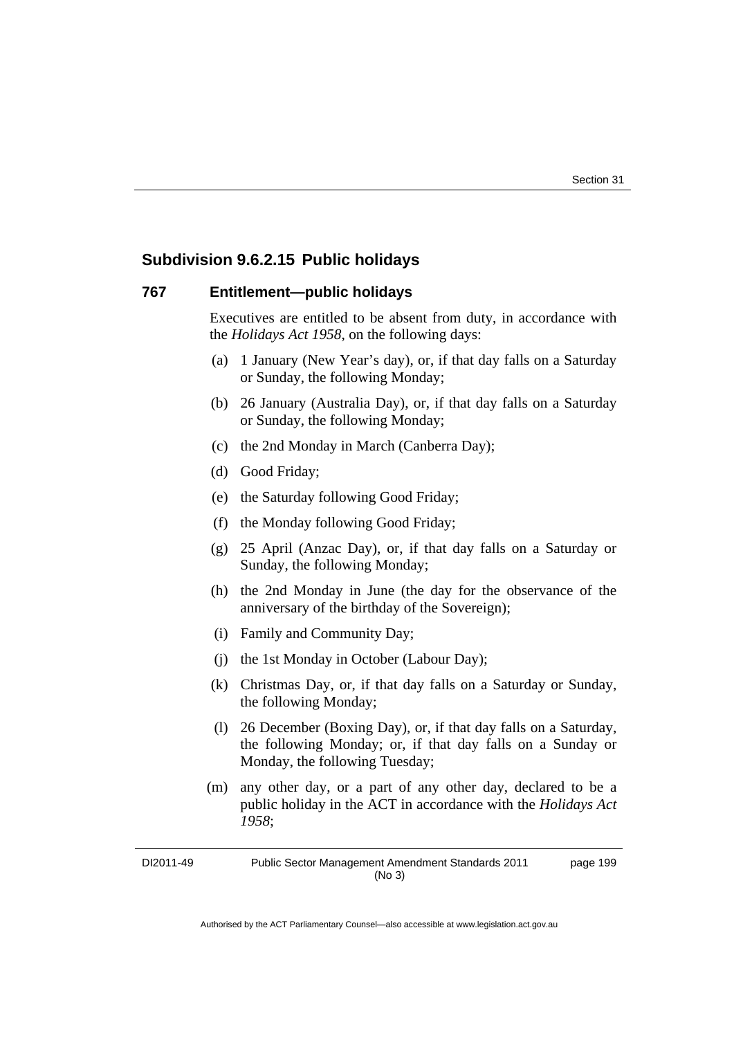### **Subdivision 9.6.2.15 Public holidays**

### **767 Entitlement—public holidays**

Executives are entitled to be absent from duty, in accordance with the *Holidays Act 1958*, on the following days:

- (a) 1 January (New Year's day), or, if that day falls on a Saturday or Sunday, the following Monday;
- (b) 26 January (Australia Day), or, if that day falls on a Saturday or Sunday, the following Monday;
- (c) the 2nd Monday in March (Canberra Day);
- (d) Good Friday;
- (e) the Saturday following Good Friday;
- (f) the Monday following Good Friday;
- (g) 25 April (Anzac Day), or, if that day falls on a Saturday or Sunday, the following Monday;
- (h) the 2nd Monday in June (the day for the observance of the anniversary of the birthday of the Sovereign);
- (i) Family and Community Day;
- (j) the 1st Monday in October (Labour Day);
- (k) Christmas Day, or, if that day falls on a Saturday or Sunday, the following Monday;
- (l) 26 December (Boxing Day), or, if that day falls on a Saturday, the following Monday; or, if that day falls on a Sunday or Monday, the following Tuesday;
- (m) any other day, or a part of any other day, declared to be a public holiday in the ACT in accordance with the *Holidays Act 1958*;

DI2011-49 Public Sector Management Amendment Standards 2011 (No 3) page 199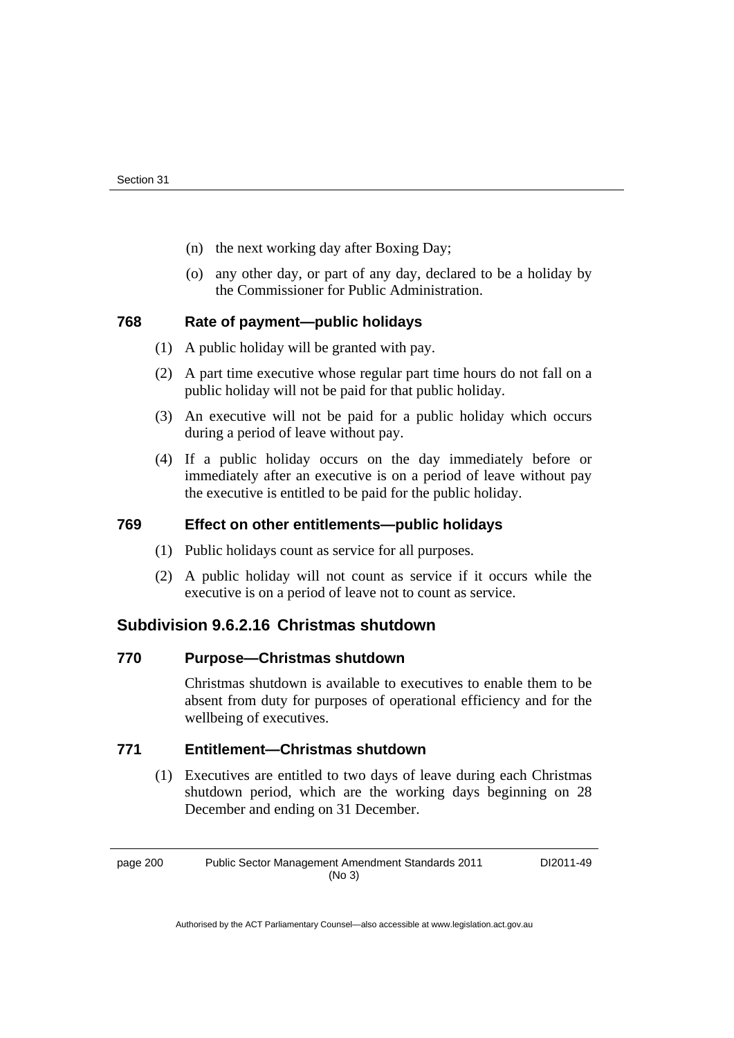- (n) the next working day after Boxing Day;
- (o) any other day, or part of any day, declared to be a holiday by the Commissioner for Public Administration.

## **768 Rate of payment—public holidays**

- (1) A public holiday will be granted with pay.
- (2) A part time executive whose regular part time hours do not fall on a public holiday will not be paid for that public holiday.
- (3) An executive will not be paid for a public holiday which occurs during a period of leave without pay.
- (4) If a public holiday occurs on the day immediately before or immediately after an executive is on a period of leave without pay the executive is entitled to be paid for the public holiday.

## **769 Effect on other entitlements—public holidays**

- (1) Public holidays count as service for all purposes.
- (2) A public holiday will not count as service if it occurs while the executive is on a period of leave not to count as service.

## **Subdivision 9.6.2.16 Christmas shutdown**

### **770 Purpose—Christmas shutdown**

Christmas shutdown is available to executives to enable them to be absent from duty for purposes of operational efficiency and for the wellbeing of executives.

# **771 Entitlement—Christmas shutdown**

 (1) Executives are entitled to two days of leave during each Christmas shutdown period, which are the working days beginning on 28 December and ending on 31 December.

page 200 Public Sector Management Amendment Standards 2011 (No 3) DI2011-49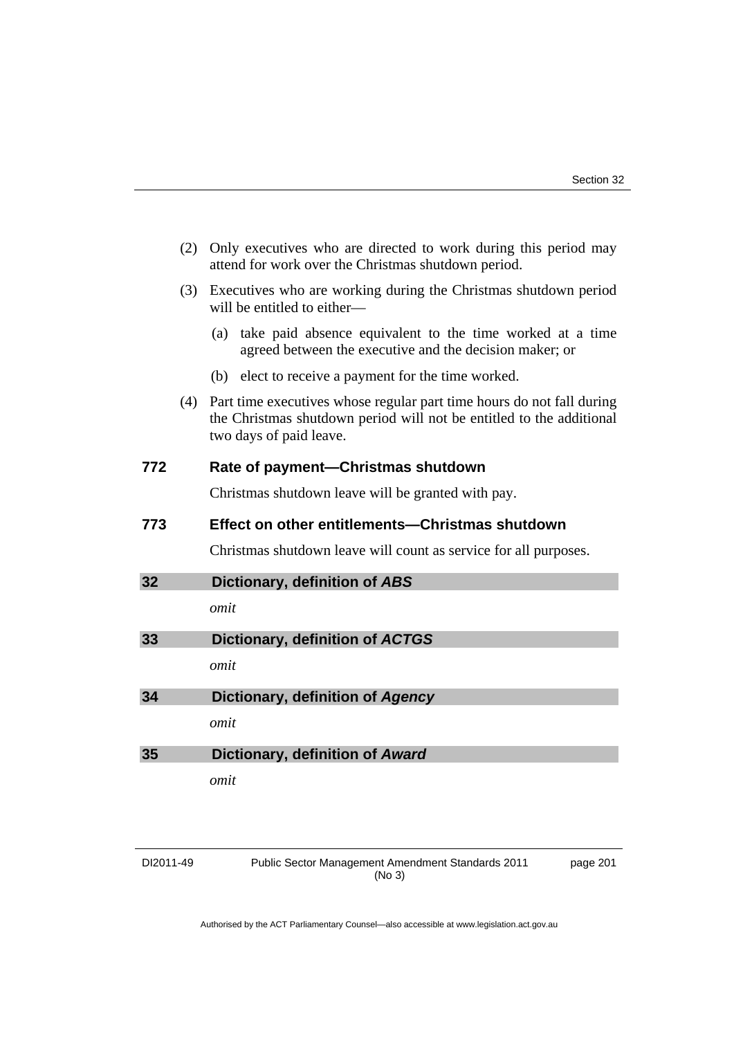|     | (2) | Only executives who are directed to work during this period may<br>attend for work over the Christmas shutdown period.                                                   |  |
|-----|-----|--------------------------------------------------------------------------------------------------------------------------------------------------------------------------|--|
|     | (3) | Executives who are working during the Christmas shutdown period<br>will be entitled to either-                                                                           |  |
|     |     | take paid absence equivalent to the time worked at a time<br>(a)<br>agreed between the executive and the decision maker; or                                              |  |
|     |     | (b) elect to receive a payment for the time worked.                                                                                                                      |  |
|     | (4) | Part time executives whose regular part time hours do not fall during<br>the Christmas shutdown period will not be entitled to the additional<br>two days of paid leave. |  |
| 772 |     | Rate of payment—Christmas shutdown                                                                                                                                       |  |
|     |     | Christmas shutdown leave will be granted with pay.                                                                                                                       |  |
| 773 |     | Effect on other entitlements—Christmas shutdown                                                                                                                          |  |
|     |     | Christmas shutdown leave will count as service for all purposes.                                                                                                         |  |
| 32  |     | Dictionary, definition of ABS                                                                                                                                            |  |
|     |     | omit                                                                                                                                                                     |  |
| 33  |     | Dictionary, definition of ACTGS                                                                                                                                          |  |
|     |     | omit                                                                                                                                                                     |  |
| 34  |     | Dictionary, definition of Agency                                                                                                                                         |  |
|     |     | omit                                                                                                                                                                     |  |
| 35  |     | Dictionary, definition of Award                                                                                                                                          |  |
|     |     | omit                                                                                                                                                                     |  |
|     |     |                                                                                                                                                                          |  |

| DI2011-49 |  |
|-----------|--|
|-----------|--|

DI2011-49 Public Sector Management Amendment Standards 2011 (No 3)

page 201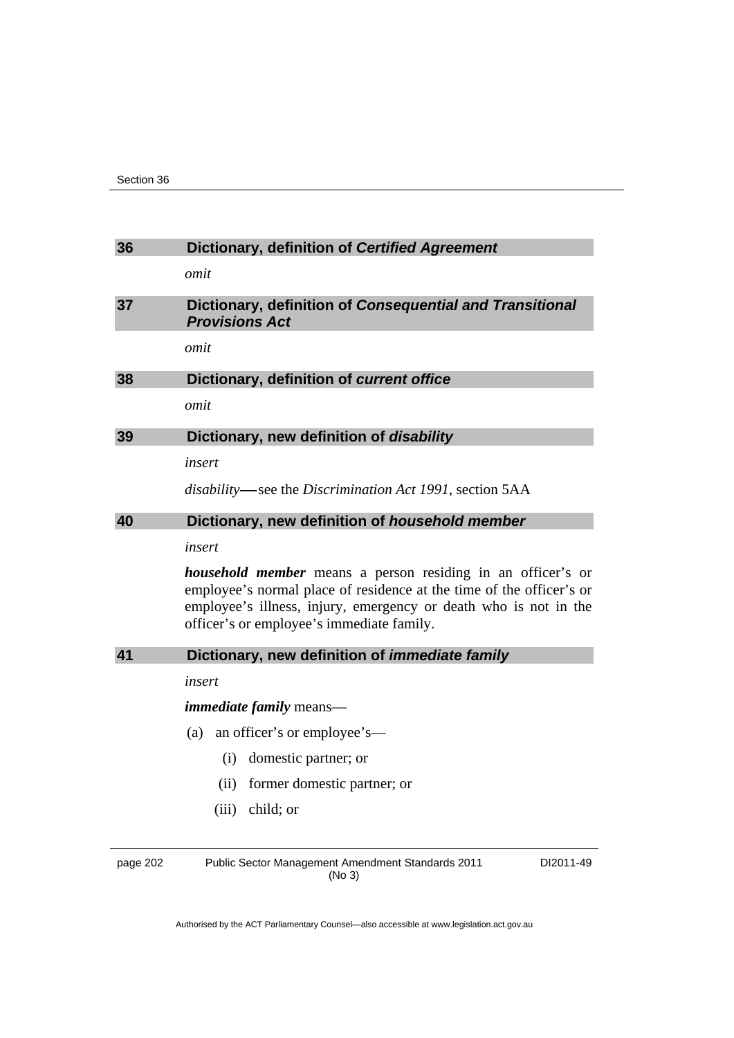| 36       | Dictionary, definition of Certified Agreement                                                                                                                                                                                                               |  |  |
|----------|-------------------------------------------------------------------------------------------------------------------------------------------------------------------------------------------------------------------------------------------------------------|--|--|
|          | omit                                                                                                                                                                                                                                                        |  |  |
| 37       | Dictionary, definition of Consequential and Transitional<br><b>Provisions Act</b>                                                                                                                                                                           |  |  |
|          | omit                                                                                                                                                                                                                                                        |  |  |
| 38       | Dictionary, definition of current office                                                                                                                                                                                                                    |  |  |
|          | omit                                                                                                                                                                                                                                                        |  |  |
| 39       | Dictionary, new definition of disability                                                                                                                                                                                                                    |  |  |
|          | insert                                                                                                                                                                                                                                                      |  |  |
|          | disability—see the Discrimination Act 1991, section 5AA                                                                                                                                                                                                     |  |  |
| 40       | Dictionary, new definition of household member                                                                                                                                                                                                              |  |  |
|          | insert                                                                                                                                                                                                                                                      |  |  |
|          | <i>household member</i> means a person residing in an officer's or<br>employee's normal place of residence at the time of the officer's or<br>employee's illness, injury, emergency or death who is not in the<br>officer's or employee's immediate family. |  |  |
| 41       | Dictionary, new definition of <i>immediate family</i>                                                                                                                                                                                                       |  |  |
|          | insert                                                                                                                                                                                                                                                      |  |  |
|          | <i>immediate family</i> means—                                                                                                                                                                                                                              |  |  |
|          | (a)<br>an officer's or employee's—                                                                                                                                                                                                                          |  |  |
|          | domestic partner; or<br>(i)                                                                                                                                                                                                                                 |  |  |
|          | (ii)<br>former domestic partner; or                                                                                                                                                                                                                         |  |  |
|          | $(iii)$ child; or                                                                                                                                                                                                                                           |  |  |
|          |                                                                                                                                                                                                                                                             |  |  |
| page 202 | <b>Public Sector Management Amendment Standards 2011</b><br>DI2011-49                                                                                                                                                                                       |  |  |

Authorised by the ACT Parliamentary Counsel—also accessible at www.legislation.act.gov.au

(No 3)

page 202 Public Sector Management Amendment Standards 2011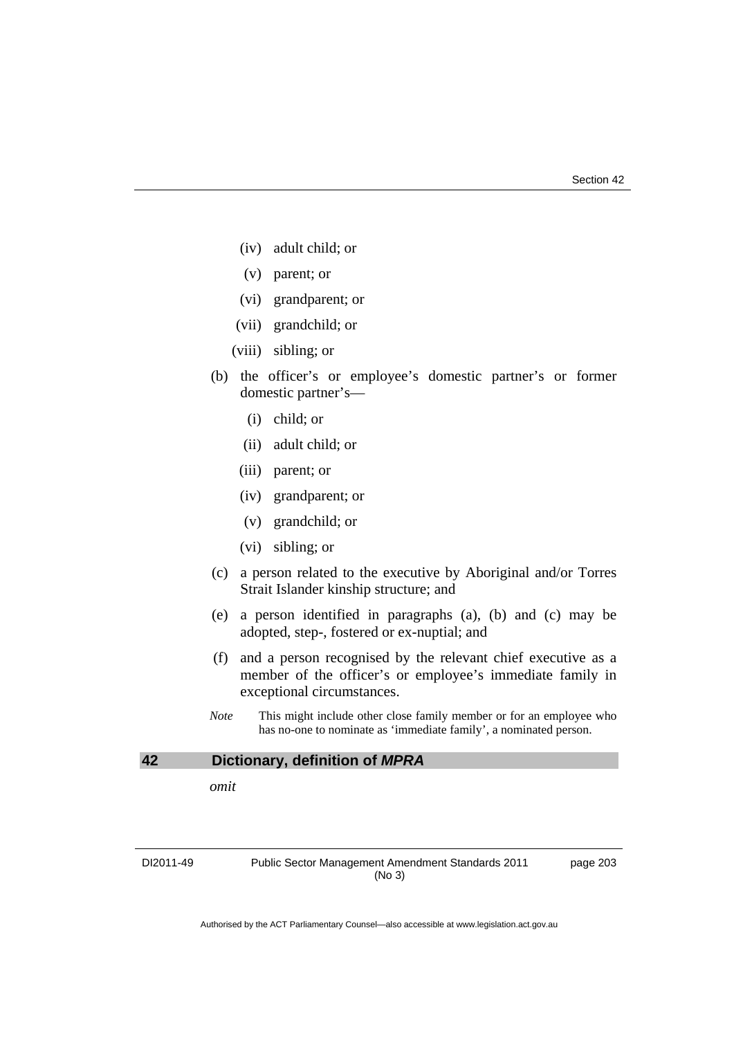- (iv) adult child; or
- (v) parent; or
- (vi) grandparent; or
- (vii) grandchild; or
- (viii) sibling; or
- (b) the officer's or employee's domestic partner's or former domestic partner's—
	- (i) child; or
	- (ii) adult child; or
	- (iii) parent; or
	- (iv) grandparent; or
	- (v) grandchild; or
	- (vi) sibling; or
- (c) a person related to the executive by Aboriginal and/or Torres Strait Islander kinship structure; and
- (e) a person identified in paragraphs (a), (b) and (c) may be adopted, step-, fostered or ex-nuptial; and
- (f) and a person recognised by the relevant chief executive as a member of the officer's or employee's immediate family in exceptional circumstances.
- *Note* This might include other close family member or for an employee who has no-one to nominate as 'immediate family', a nominated person.

#### **42 Dictionary, definition of** *MPRA*

*omit* 

DI2011-49 Public Sector Management Amendment Standards 2011 (No 3)

page 203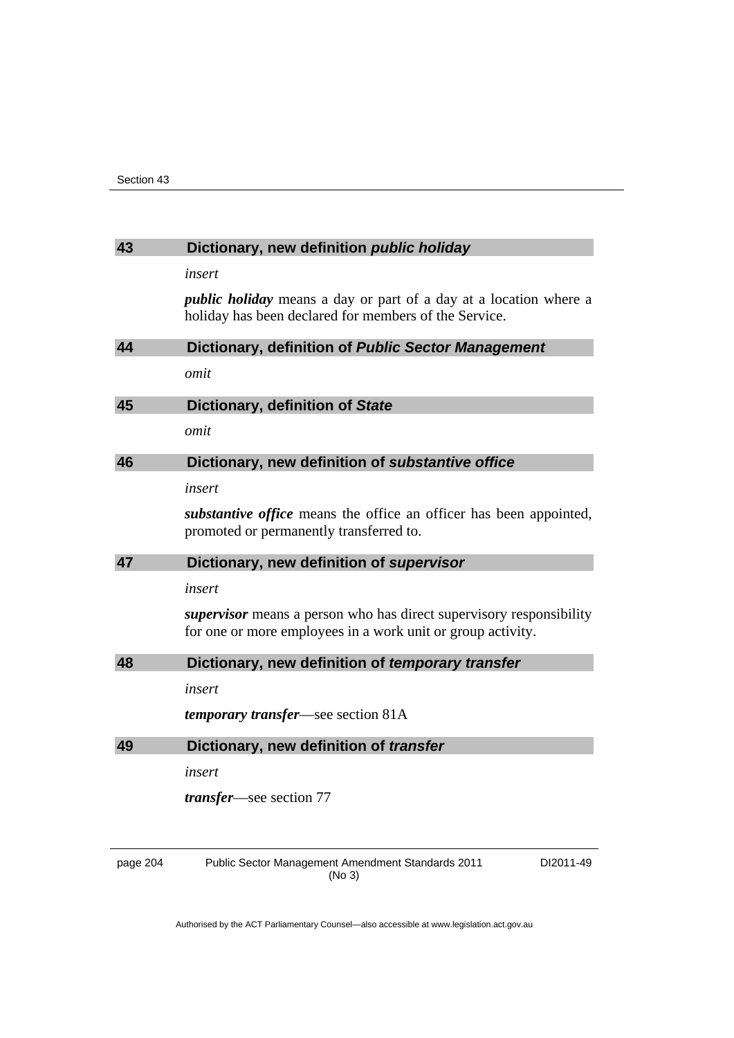## **43 Dictionary, new definition** *public holiday*

*insert* 

*public holiday* means a day or part of a day at a location where a holiday has been declared for members of the Service.

| 44 | Dictionary, definition of Public Sector Management                                                                                        |
|----|-------------------------------------------------------------------------------------------------------------------------------------------|
|    | omit                                                                                                                                      |
| 45 | Dictionary, definition of State                                                                                                           |
|    | omit                                                                                                                                      |
| 46 | Dictionary, new definition of substantive office                                                                                          |
|    | insert                                                                                                                                    |
|    | <i>substantive office</i> means the office an officer has been appointed,<br>promoted or permanently transferred to.                      |
| 47 | Dictionary, new definition of supervisor                                                                                                  |
|    | insert                                                                                                                                    |
|    | <i>supervisor</i> means a person who has direct supervisory responsibility<br>for one or more employees in a work unit or group activity. |
| 48 | Dictionary, new definition of temporary transfer                                                                                          |
|    |                                                                                                                                           |

*insert* 

*temporary transfer*—see section 81A

| 49 | Dictionary, new definition of transfer |  |  |  |  |
|----|----------------------------------------|--|--|--|--|
|----|----------------------------------------|--|--|--|--|

*insert* 

*transfer*—see section 77

page 204 Public Sector Management Amendment Standards 2011 (No 3)

DI2011-49